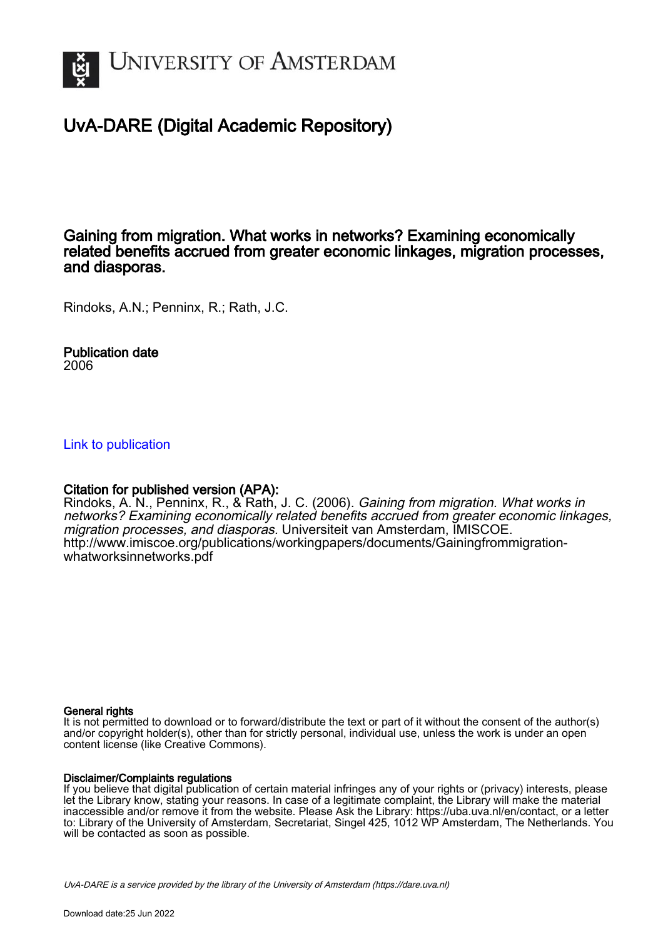

# UvA-DARE (Digital Academic Repository)

# Gaining from migration. What works in networks? Examining economically related benefits accrued from greater economic linkages, migration processes, and diasporas.

Rindoks, A.N.; Penninx, R.; Rath, J.C.

Publication date 2006

[Link to publication](https://dare.uva.nl/personal/pure/en/publications/gaining-from-migration-what-works-in-networks-examining-economically-related-benefits-accrued-from-greater-economic-linkages-migration-processes-and-diasporas(d63761c3-24f3-424c-aa5c-7fad843383ba).html)

# Citation for published version (APA):

Rindoks, A. N., Penninx, R., & Rath, J. C. (2006). Gaining from migration. What works in networks? Examining economically related benefits accrued from greater economic linkages, migration processes, and diasporas. Universiteit van Amsterdam, IMISCOE. [http://www.imiscoe.org/publications/workingpapers/documents/Gainingfrommigration](http://www.imiscoe.org/publications/workingpapers/documents/Gainingfrommigration-whatworksinnetworks.pdf)[whatworksinnetworks.pdf](http://www.imiscoe.org/publications/workingpapers/documents/Gainingfrommigration-whatworksinnetworks.pdf)

#### General rights

It is not permitted to download or to forward/distribute the text or part of it without the consent of the author(s) and/or copyright holder(s), other than for strictly personal, individual use, unless the work is under an open content license (like Creative Commons).

#### Disclaimer/Complaints regulations

If you believe that digital publication of certain material infringes any of your rights or (privacy) interests, please let the Library know, stating your reasons. In case of a legitimate complaint, the Library will make the material inaccessible and/or remove it from the website. Please Ask the Library: https://uba.uva.nl/en/contact, or a letter to: Library of the University of Amsterdam, Secretariat, Singel 425, 1012 WP Amsterdam, The Netherlands. You will be contacted as soon as possible.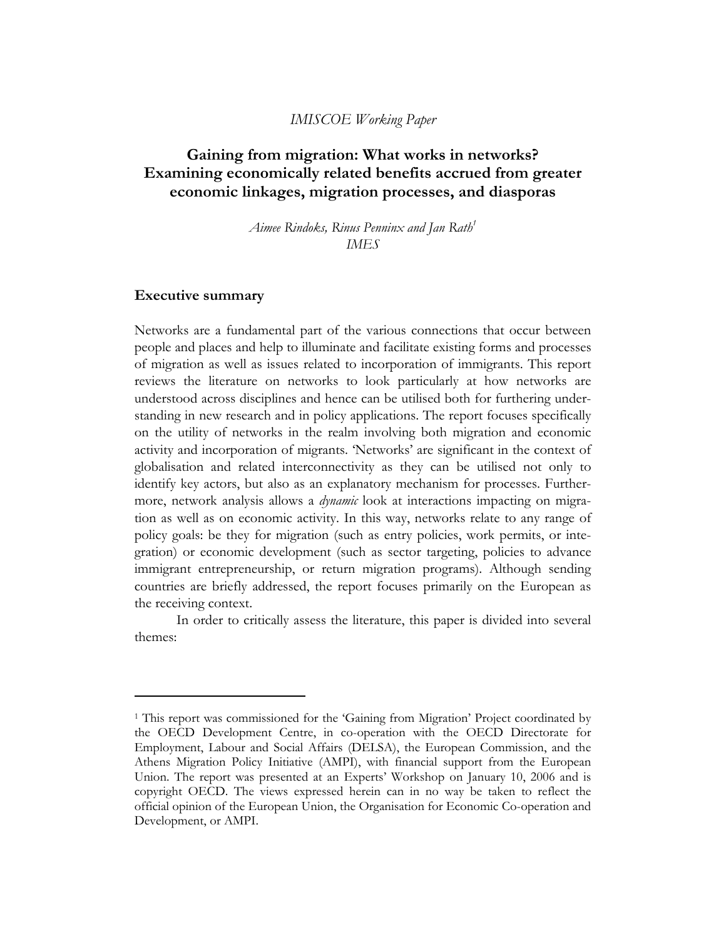# *IMISCOE Working Paper*

# **Gaining from migration: What works in networks? Examining economically related benefits accrued from greater economic linkages, migration processes, and diasporas**

*Aimee Rindoks, Rinus Penninx and Jan Rath1 IMES* 

#### **Executive summary**

l

Networks are a fundamental part of the various connections that occur between people and places and help to illuminate and facilitate existing forms and processes of migration as well as issues related to incorporation of immigrants. This report reviews the literature on networks to look particularly at how networks are understood across disciplines and hence can be utilised both for furthering understanding in new research and in policy applications. The report focuses specifically on the utility of networks in the realm involving both migration and economic activity and incorporation of migrants. 'Networks' are significant in the context of globalisation and related interconnectivity as they can be utilised not only to identify key actors, but also as an explanatory mechanism for processes. Furthermore, network analysis allows a *dynamic* look at interactions impacting on migration as well as on economic activity. In this way, networks relate to any range of policy goals: be they for migration (such as entry policies, work permits, or integration) or economic development (such as sector targeting, policies to advance immigrant entrepreneurship, or return migration programs). Although sending countries are briefly addressed, the report focuses primarily on the European as the receiving context.

In order to critically assess the literature, this paper is divided into several themes:

<sup>1</sup> This report was commissioned for the 'Gaining from Migration' Project coordinated by the OECD Development Centre, in co-operation with the OECD Directorate for Employment, Labour and Social Affairs (DELSA), the European Commission, and the Athens Migration Policy Initiative (AMPI), with financial support from the European Union. The report was presented at an Experts' Workshop on January 10, 2006 and is copyright OECD. The views expressed herein can in no way be taken to reflect the official opinion of the European Union, the Organisation for Economic Co-operation and Development, or AMPI.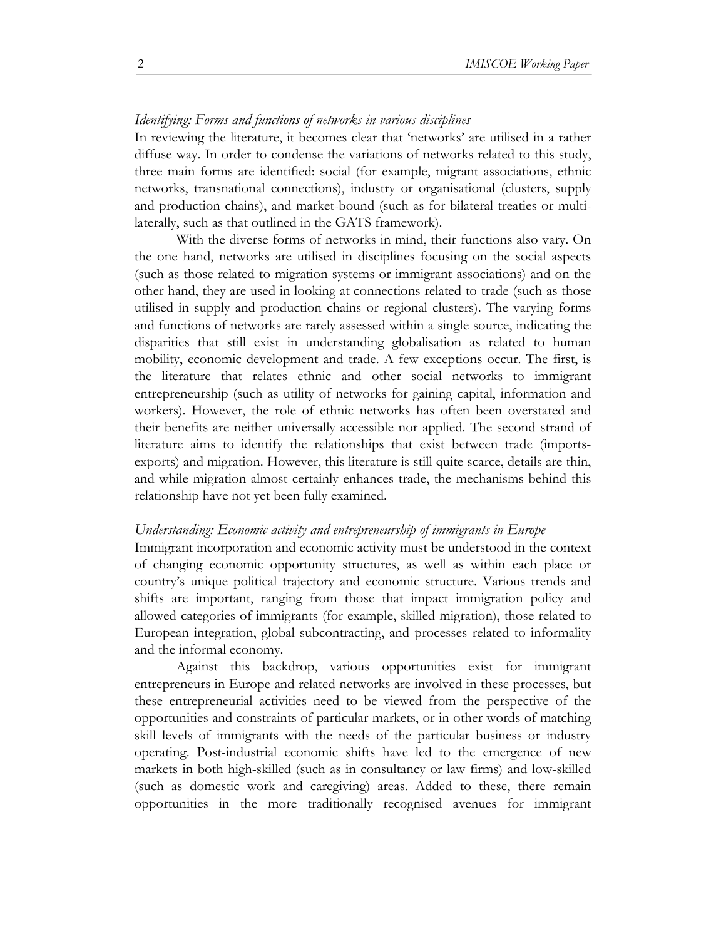#### *Identifying: Forms and functions of networks in various disciplines*

In reviewing the literature, it becomes clear that 'networks' are utilised in a rather diffuse way. In order to condense the variations of networks related to this study, three main forms are identified: social (for example, migrant associations, ethnic networks, transnational connections), industry or organisational (clusters, supply and production chains), and market-bound (such as for bilateral treaties or multilaterally, such as that outlined in the GATS framework).

With the diverse forms of networks in mind, their functions also vary. On the one hand, networks are utilised in disciplines focusing on the social aspects (such as those related to migration systems or immigrant associations) and on the other hand, they are used in looking at connections related to trade (such as those utilised in supply and production chains or regional clusters). The varying forms and functions of networks are rarely assessed within a single source, indicating the disparities that still exist in understanding globalisation as related to human mobility, economic development and trade. A few exceptions occur. The first, is the literature that relates ethnic and other social networks to immigrant entrepreneurship (such as utility of networks for gaining capital, information and workers). However, the role of ethnic networks has often been overstated and their benefits are neither universally accessible nor applied. The second strand of literature aims to identify the relationships that exist between trade (importsexports) and migration. However, this literature is still quite scarce, details are thin, and while migration almost certainly enhances trade, the mechanisms behind this relationship have not yet been fully examined.

#### *Understanding: Economic activity and entrepreneurship of immigrants in Europe*

Immigrant incorporation and economic activity must be understood in the context of changing economic opportunity structures, as well as within each place or country's unique political trajectory and economic structure. Various trends and shifts are important, ranging from those that impact immigration policy and allowed categories of immigrants (for example, skilled migration), those related to European integration, global subcontracting, and processes related to informality and the informal economy.

Against this backdrop, various opportunities exist for immigrant entrepreneurs in Europe and related networks are involved in these processes, but these entrepreneurial activities need to be viewed from the perspective of the opportunities and constraints of particular markets, or in other words of matching skill levels of immigrants with the needs of the particular business or industry operating. Post-industrial economic shifts have led to the emergence of new markets in both high-skilled (such as in consultancy or law firms) and low-skilled (such as domestic work and caregiving) areas. Added to these, there remain opportunities in the more traditionally recognised avenues for immigrant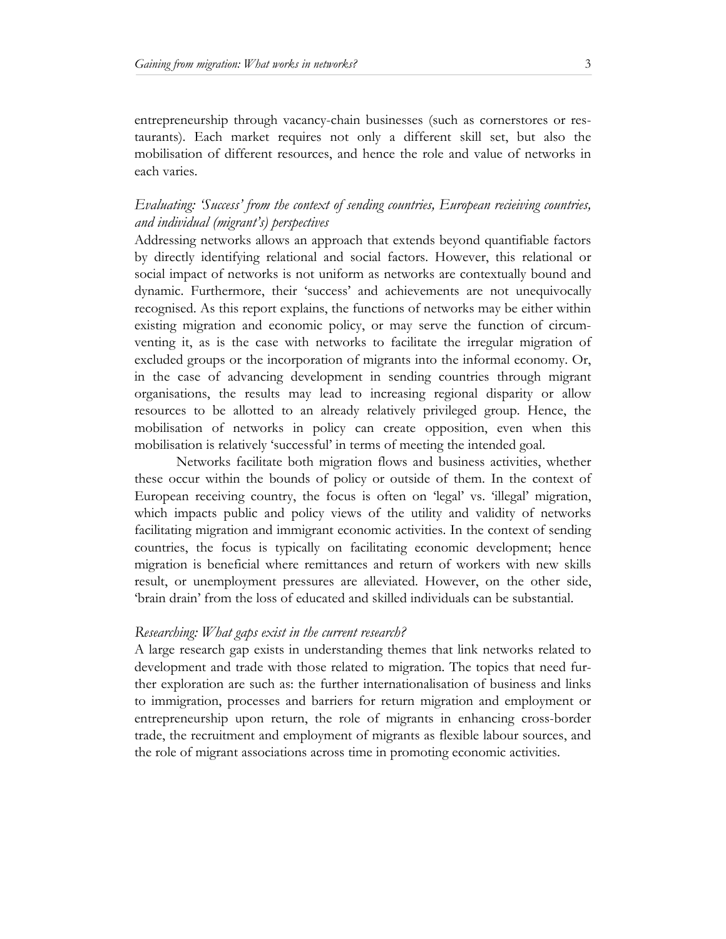entrepreneurship through vacancy-chain businesses (such as cornerstores or restaurants). Each market requires not only a different skill set, but also the mobilisation of different resources, and hence the role and value of networks in each varies.

# *Evaluating: 'Success' from the context of sending countries, European recieiving countries, and individual (migrant's) perspectives*

Addressing networks allows an approach that extends beyond quantifiable factors by directly identifying relational and social factors. However, this relational or social impact of networks is not uniform as networks are contextually bound and dynamic. Furthermore, their 'success' and achievements are not unequivocally recognised. As this report explains, the functions of networks may be either within existing migration and economic policy, or may serve the function of circumventing it, as is the case with networks to facilitate the irregular migration of excluded groups or the incorporation of migrants into the informal economy. Or, in the case of advancing development in sending countries through migrant organisations, the results may lead to increasing regional disparity or allow resources to be allotted to an already relatively privileged group. Hence, the mobilisation of networks in policy can create opposition, even when this mobilisation is relatively 'successful' in terms of meeting the intended goal.

Networks facilitate both migration flows and business activities, whether these occur within the bounds of policy or outside of them. In the context of European receiving country, the focus is often on 'legal' vs. 'illegal' migration, which impacts public and policy views of the utility and validity of networks facilitating migration and immigrant economic activities. In the context of sending countries, the focus is typically on facilitating economic development; hence migration is beneficial where remittances and return of workers with new skills result, or unemployment pressures are alleviated. However, on the other side, 'brain drain' from the loss of educated and skilled individuals can be substantial.

# *Researching: What gaps exist in the current research?*

A large research gap exists in understanding themes that link networks related to development and trade with those related to migration. The topics that need further exploration are such as: the further internationalisation of business and links to immigration, processes and barriers for return migration and employment or entrepreneurship upon return, the role of migrants in enhancing cross-border trade, the recruitment and employment of migrants as flexible labour sources, and the role of migrant associations across time in promoting economic activities.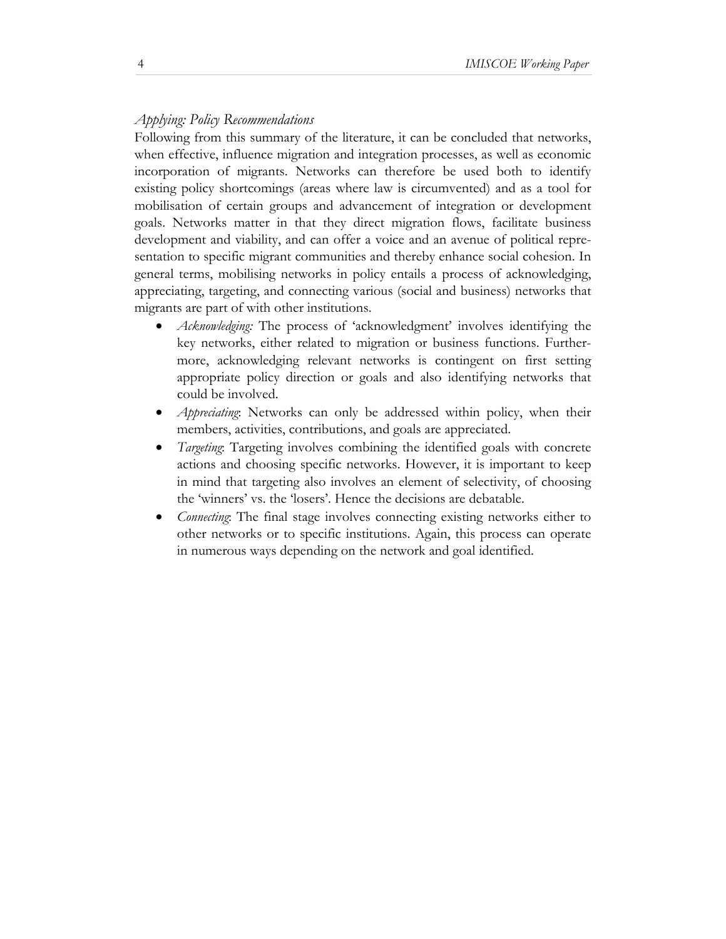# *Applying: Policy Recommendations*

Following from this summary of the literature, it can be concluded that networks, when effective, influence migration and integration processes, as well as economic incorporation of migrants. Networks can therefore be used both to identify existing policy shortcomings (areas where law is circumvented) and as a tool for mobilisation of certain groups and advancement of integration or development goals. Networks matter in that they direct migration flows, facilitate business development and viability, and can offer a voice and an avenue of political representation to specific migrant communities and thereby enhance social cohesion. In general terms, mobilising networks in policy entails a process of acknowledging, appreciating, targeting, and connecting various (social and business) networks that migrants are part of with other institutions.

- *Acknowledging:* The process of 'acknowledgment' involves identifying the key networks, either related to migration or business functions. Furthermore, acknowledging relevant networks is contingent on first setting appropriate policy direction or goals and also identifying networks that could be involved.
- *Appreciating*: Networks can only be addressed within policy, when their members, activities, contributions, and goals are appreciated.
- *Targeting*: Targeting involves combining the identified goals with concrete actions and choosing specific networks. However, it is important to keep in mind that targeting also involves an element of selectivity, of choosing the 'winners' vs. the 'losers'. Hence the decisions are debatable.
- *Connecting*: The final stage involves connecting existing networks either to other networks or to specific institutions. Again, this process can operate in numerous ways depending on the network and goal identified.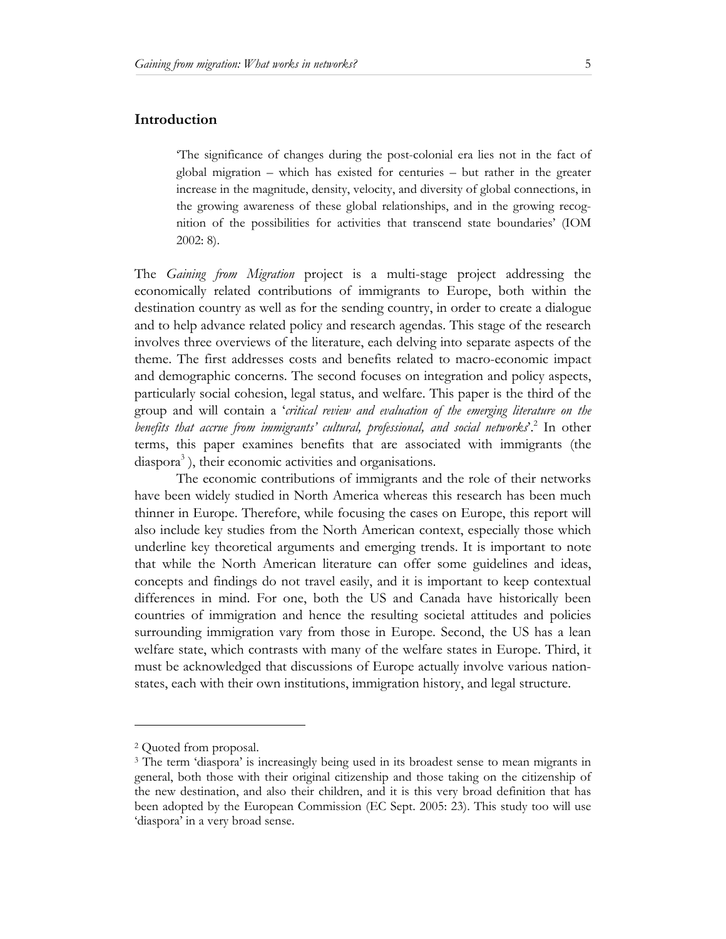# **Introduction**

'The significance of changes during the post-colonial era lies not in the fact of global migration – which has existed for centuries – but rather in the greater increase in the magnitude, density, velocity, and diversity of global connections, in the growing awareness of these global relationships, and in the growing recognition of the possibilities for activities that transcend state boundaries' (IOM 2002: 8).

The *Gaining from Migration* project is a multi-stage project addressing the economically related contributions of immigrants to Europe, both within the destination country as well as for the sending country, in order to create a dialogue and to help advance related policy and research agendas. This stage of the research involves three overviews of the literature, each delving into separate aspects of the theme. The first addresses costs and benefits related to macro-economic impact and demographic concerns. The second focuses on integration and policy aspects, particularly social cohesion, legal status, and welfare. This paper is the third of the group and will contain a '*critical review and evaluation of the emerging literature on the*  benefits that accrue from immigrants' cultural, professional, and social networks<sup>2</sup>. In other terms, this paper examines benefits that are associated with immigrants (the diaspora<sup>3</sup>), their economic activities and organisations.

The economic contributions of immigrants and the role of their networks have been widely studied in North America whereas this research has been much thinner in Europe. Therefore, while focusing the cases on Europe, this report will also include key studies from the North American context, especially those which underline key theoretical arguments and emerging trends. It is important to note that while the North American literature can offer some guidelines and ideas, concepts and findings do not travel easily, and it is important to keep contextual differences in mind. For one, both the US and Canada have historically been countries of immigration and hence the resulting societal attitudes and policies surrounding immigration vary from those in Europe. Second, the US has a lean welfare state, which contrasts with many of the welfare states in Europe. Third, it must be acknowledged that discussions of Europe actually involve various nationstates, each with their own institutions, immigration history, and legal structure.

l

<sup>2</sup> Quoted from proposal.

<sup>3</sup> The term 'diaspora' is increasingly being used in its broadest sense to mean migrants in general, both those with their original citizenship and those taking on the citizenship of the new destination, and also their children, and it is this very broad definition that has been adopted by the European Commission (EC Sept. 2005: 23). This study too will use 'diaspora' in a very broad sense.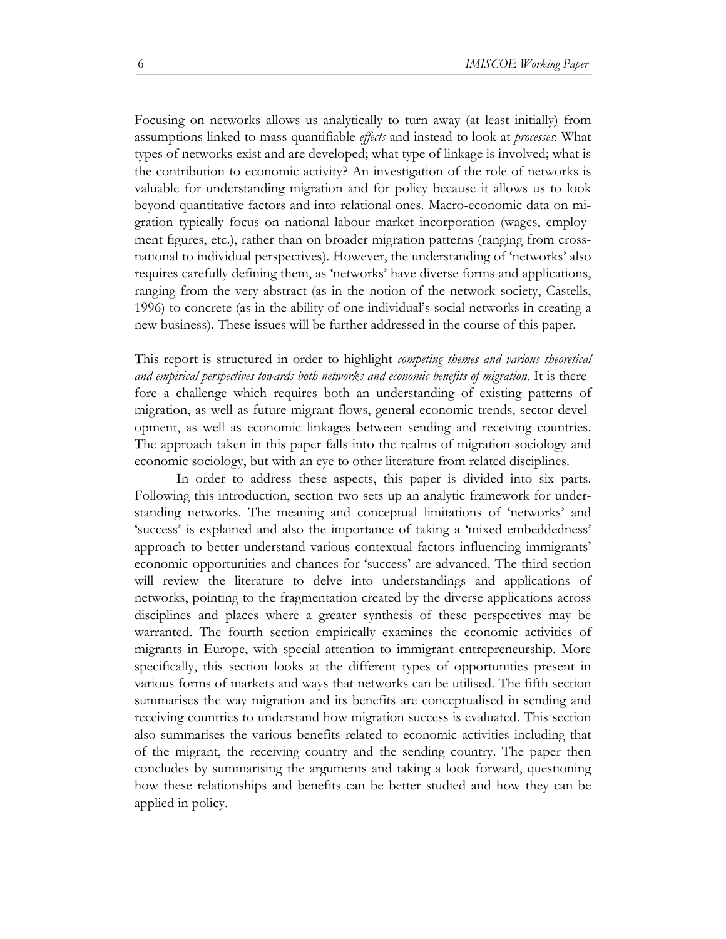Focusing on networks allows us analytically to turn away (at least initially) from assumptions linked to mass quantifiable *effects* and instead to look at *processes*: What types of networks exist and are developed; what type of linkage is involved; what is the contribution to economic activity? An investigation of the role of networks is valuable for understanding migration and for policy because it allows us to look beyond quantitative factors and into relational ones. Macro-economic data on migration typically focus on national labour market incorporation (wages, employment figures, etc.), rather than on broader migration patterns (ranging from crossnational to individual perspectives). However, the understanding of 'networks' also requires carefully defining them, as 'networks' have diverse forms and applications, ranging from the very abstract (as in the notion of the network society, Castells, 1996) to concrete (as in the ability of one individual's social networks in creating a new business). These issues will be further addressed in the course of this paper.

This report is structured in order to highlight *competing themes and various theoretical and empirical perspectives towards both networks and economic benefits of migration*. It is therefore a challenge which requires both an understanding of existing patterns of migration, as well as future migrant flows, general economic trends, sector development, as well as economic linkages between sending and receiving countries. The approach taken in this paper falls into the realms of migration sociology and economic sociology, but with an eye to other literature from related disciplines.

In order to address these aspects, this paper is divided into six parts. Following this introduction, section two sets up an analytic framework for understanding networks. The meaning and conceptual limitations of 'networks' and 'success' is explained and also the importance of taking a 'mixed embeddedness' approach to better understand various contextual factors influencing immigrants' economic opportunities and chances for 'success' are advanced. The third section will review the literature to delve into understandings and applications of networks, pointing to the fragmentation created by the diverse applications across disciplines and places where a greater synthesis of these perspectives may be warranted. The fourth section empirically examines the economic activities of migrants in Europe, with special attention to immigrant entrepreneurship. More specifically, this section looks at the different types of opportunities present in various forms of markets and ways that networks can be utilised. The fifth section summarises the way migration and its benefits are conceptualised in sending and receiving countries to understand how migration success is evaluated. This section also summarises the various benefits related to economic activities including that of the migrant, the receiving country and the sending country. The paper then concludes by summarising the arguments and taking a look forward, questioning how these relationships and benefits can be better studied and how they can be applied in policy.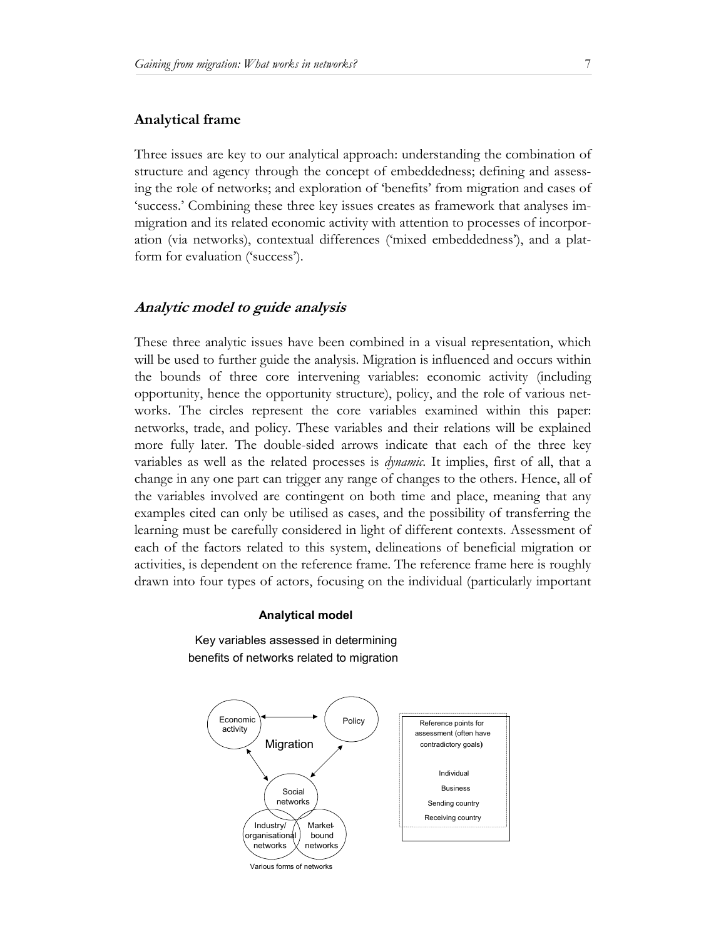#### **Analytical frame**

Three issues are key to our analytical approach: understanding the combination of structure and agency through the concept of embeddedness; defining and assessing the role of networks; and exploration of 'benefits' from migration and cases of 'success.' Combining these three key issues creates as framework that analyses immigration and its related economic activity with attention to processes of incorporation (via networks), contextual differences ('mixed embeddedness'), and a platform for evaluation ('success').

### **Analytic model to guide analysis**

These three analytic issues have been combined in a visual representation, which will be used to further guide the analysis. Migration is influenced and occurs within the bounds of three core intervening variables: economic activity (including opportunity, hence the opportunity structure), policy, and the role of various networks. The circles represent the core variables examined within this paper: networks, trade, and policy. These variables and their relations will be explained more fully later. The double-sided arrows indicate that each of the three key variables as well as the related processes is *dynamic*. It implies, first of all, that a change in any one part can trigger any range of changes to the others. Hence, all of the variables involved are contingent on both time and place, meaning that any examples cited can only be utilised as cases, and the possibility of transferring the learning must be carefully considered in light of different contexts. Assessment of each of the factors related to this system, delineations of beneficial migration or activities, is dependent on the reference frame. The reference frame here is roughly drawn into four types of actors, focusing on the individual (particularly important

#### **Analytical model**

Key variables assessed in determining benefits of networks related to migration



Various forms of networks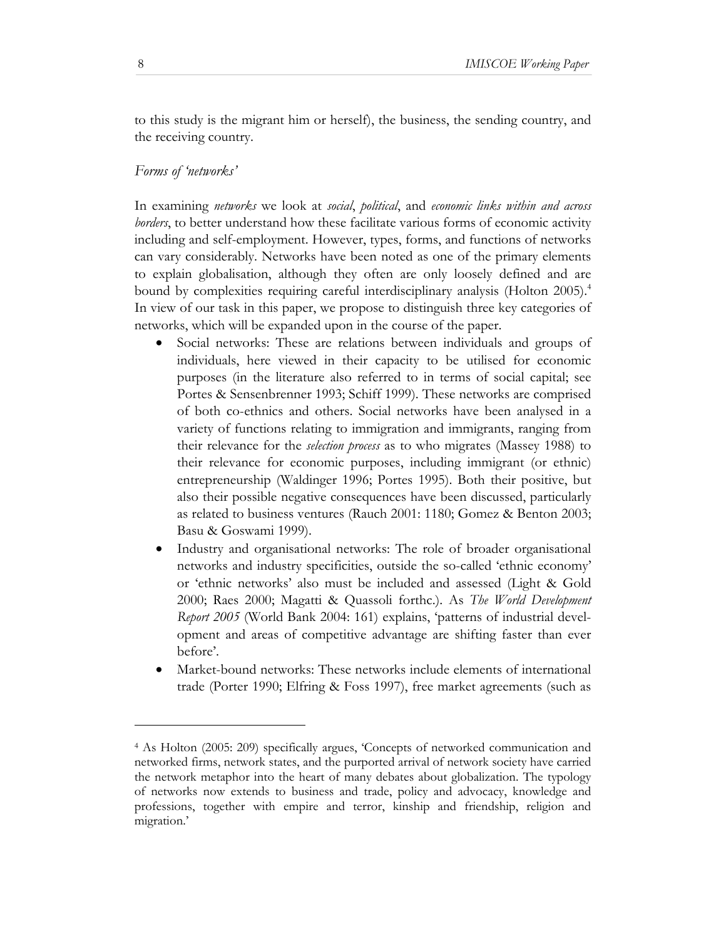to this study is the migrant him or herself), the business, the sending country, and the receiving country.

# *Forms of 'networks'*

In examining *networks* we look at *social*, *political*, and *economic links within and across borders*, to better understand how these facilitate various forms of economic activity including and self-employment. However, types, forms, and functions of networks can vary considerably. Networks have been noted as one of the primary elements to explain globalisation, although they often are only loosely defined and are bound by complexities requiring careful interdisciplinary analysis (Holton 2005).<sup>4</sup> In view of our task in this paper, we propose to distinguish three key categories of networks, which will be expanded upon in the course of the paper.

- Social networks: These are relations between individuals and groups of individuals, here viewed in their capacity to be utilised for economic purposes (in the literature also referred to in terms of social capital; see Portes & Sensenbrenner 1993; Schiff 1999). These networks are comprised of both co-ethnics and others. Social networks have been analysed in a variety of functions relating to immigration and immigrants, ranging from their relevance for the *selection process* as to who migrates (Massey 1988) to their relevance for economic purposes, including immigrant (or ethnic) entrepreneurship (Waldinger 1996; Portes 1995). Both their positive, but also their possible negative consequences have been discussed, particularly as related to business ventures (Rauch 2001: 1180; Gomez & Benton 2003; Basu & Goswami 1999).
- Industry and organisational networks: The role of broader organisational networks and industry specificities, outside the so-called 'ethnic economy' or 'ethnic networks' also must be included and assessed (Light & Gold 2000; Raes 2000; Magatti & Quassoli forthc.). As *The World Development Report 2005* (World Bank 2004: 161) explains, 'patterns of industrial development and areas of competitive advantage are shifting faster than ever before'.
- Market-bound networks: These networks include elements of international trade (Porter 1990; Elfring & Foss 1997), free market agreements (such as

l

<sup>4</sup> As Holton (2005: 209) specifically argues, 'Concepts of networked communication and networked firms, network states, and the purported arrival of network society have carried the network metaphor into the heart of many debates about globalization. The typology of networks now extends to business and trade, policy and advocacy, knowledge and professions, together with empire and terror, kinship and friendship, religion and migration.'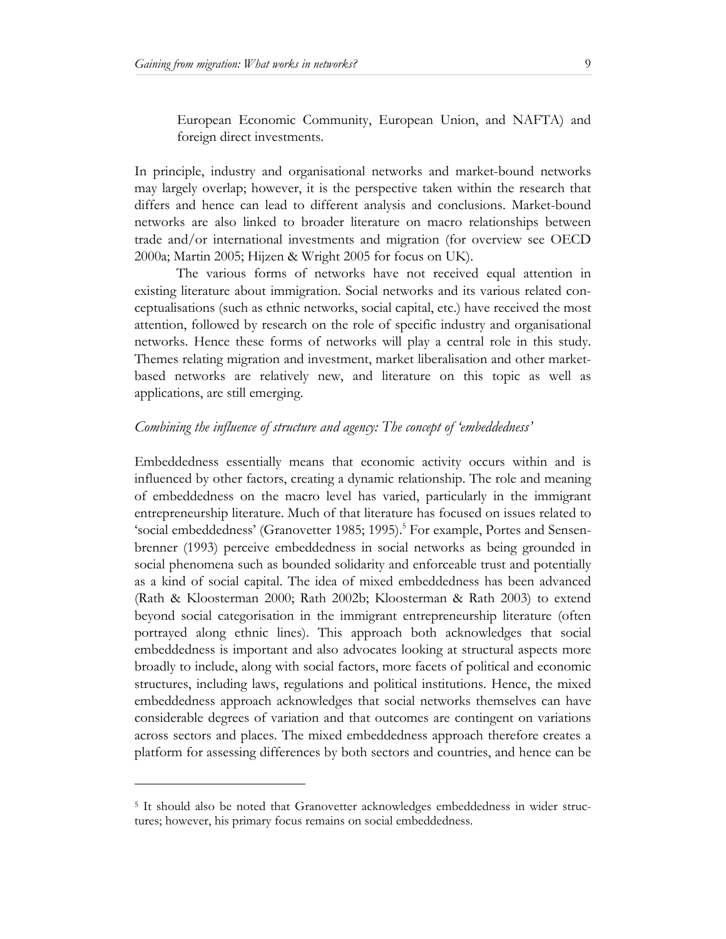European Economic Community, European Union, and NAFTA) and foreign direct investments.

In principle, industry and organisational networks and market-bound networks may largely overlap; however, it is the perspective taken within the research that differs and hence can lead to different analysis and conclusions. Market-bound networks are also linked to broader literature on macro relationships between trade and/or international investments and migration (for overview see OECD 2000a; Martin 2005; Hijzen & Wright 2005 for focus on UK).

The various forms of networks have not received equal attention in existing literature about immigration. Social networks and its various related conceptualisations (such as ethnic networks, social capital, etc.) have received the most attention, followed by research on the role of specific industry and organisational networks. Hence these forms of networks will play a central role in this study. Themes relating migration and investment, market liberalisation and other marketbased networks are relatively new, and literature on this topic as well as applications, are still emerging.

#### *Combining the influence of structure and agency: The concept of 'embeddedness'*

Embeddedness essentially means that economic activity occurs within and is influenced by other factors, creating a dynamic relationship. The role and meaning of embeddedness on the macro level has varied, particularly in the immigrant entrepreneurship literature. Much of that literature has focused on issues related to 'social embeddedness' (Granovetter 1985; 1995).<sup>5</sup> For example, Portes and Sensenbrenner (1993) perceive embeddedness in social networks as being grounded in social phenomena such as bounded solidarity and enforceable trust and potentially as a kind of social capital. The idea of mixed embeddedness has been advanced (Rath & Kloosterman 2000; Rath 2002b; Kloosterman & Rath 2003) to extend beyond social categorisation in the immigrant entrepreneurship literature (often portrayed along ethnic lines). This approach both acknowledges that social embeddedness is important and also advocates looking at structural aspects more broadly to include, along with social factors, more facets of political and economic structures, including laws, regulations and political institutions. Hence, the mixed embeddedness approach acknowledges that social networks themselves can have considerable degrees of variation and that outcomes are contingent on variations across sectors and places. The mixed embeddedness approach therefore creates a platform for assessing differences by both sectors and countries, and hence can be

l

<sup>5</sup> It should also be noted that Granovetter acknowledges embeddedness in wider structures; however, his primary focus remains on social embeddedness.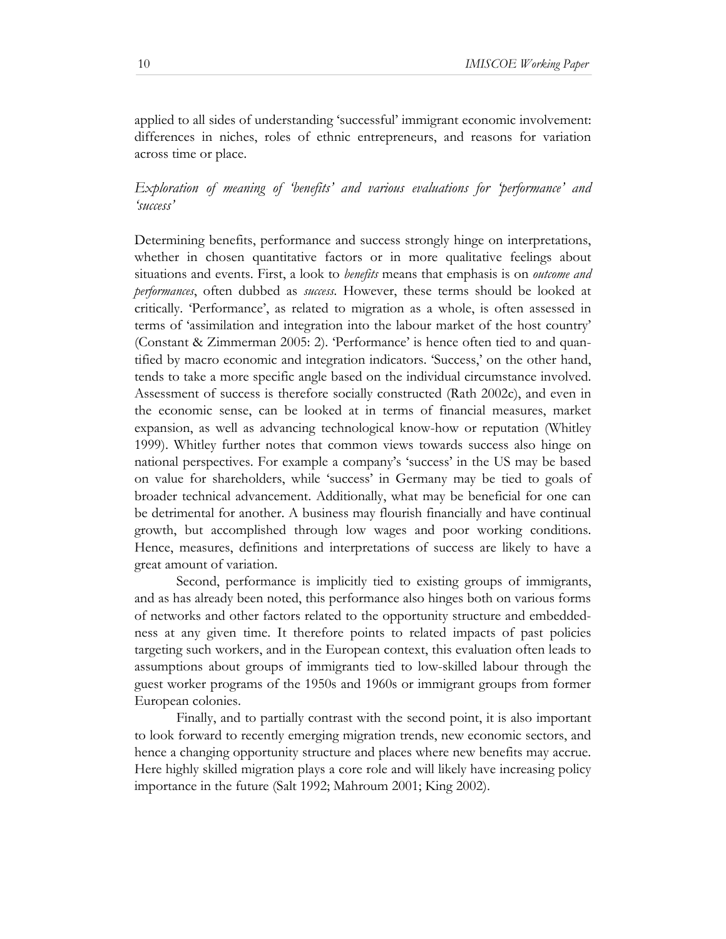applied to all sides of understanding 'successful' immigrant economic involvement: differences in niches, roles of ethnic entrepreneurs, and reasons for variation across time or place.

# *Exploration of meaning of 'benefits' and various evaluations for 'performance' and 'success'*

Determining benefits, performance and success strongly hinge on interpretations, whether in chosen quantitative factors or in more qualitative feelings about situations and events. First, a look to *benefits* means that emphasis is on *outcome and performances*, often dubbed as *success*. However, these terms should be looked at critically. 'Performance', as related to migration as a whole, is often assessed in terms of 'assimilation and integration into the labour market of the host country' (Constant & Zimmerman 2005: 2). 'Performance' is hence often tied to and quantified by macro economic and integration indicators. 'Success,' on the other hand, tends to take a more specific angle based on the individual circumstance involved. Assessment of success is therefore socially constructed (Rath 2002c), and even in the economic sense, can be looked at in terms of financial measures, market expansion, as well as advancing technological know-how or reputation (Whitley 1999). Whitley further notes that common views towards success also hinge on national perspectives. For example a company's 'success' in the US may be based on value for shareholders, while 'success' in Germany may be tied to goals of broader technical advancement. Additionally, what may be beneficial for one can be detrimental for another. A business may flourish financially and have continual growth, but accomplished through low wages and poor working conditions. Hence, measures, definitions and interpretations of success are likely to have a great amount of variation.

Second, performance is implicitly tied to existing groups of immigrants, and as has already been noted, this performance also hinges both on various forms of networks and other factors related to the opportunity structure and embeddedness at any given time. It therefore points to related impacts of past policies targeting such workers, and in the European context, this evaluation often leads to assumptions about groups of immigrants tied to low-skilled labour through the guest worker programs of the 1950s and 1960s or immigrant groups from former European colonies.

Finally, and to partially contrast with the second point, it is also important to look forward to recently emerging migration trends, new economic sectors, and hence a changing opportunity structure and places where new benefits may accrue. Here highly skilled migration plays a core role and will likely have increasing policy importance in the future (Salt 1992; Mahroum 2001; King 2002).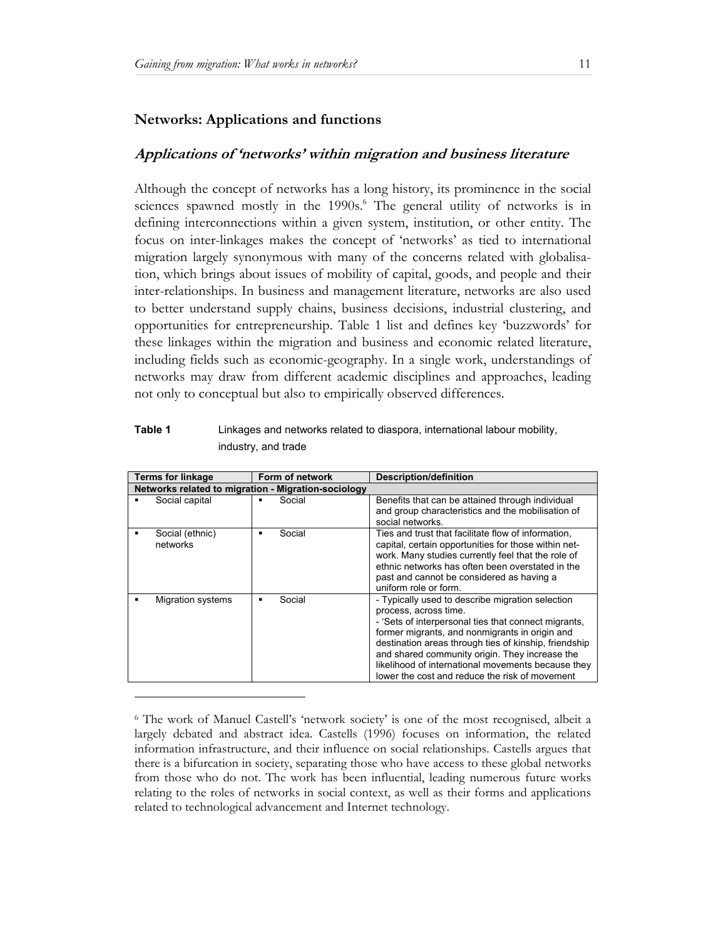l

#### **Networks: Applications and functions**

#### **Applications of 'networks' within migration and business literature**

Although the concept of networks has a long history, its prominence in the social sciences spawned mostly in the 1990s.<sup>6</sup> The general utility of networks is in defining interconnections within a given system, institution, or other entity. The focus on inter-linkages makes the concept of 'networks' as tied to international migration largely synonymous with many of the concerns related with globalisation, which brings about issues of mobility of capital, goods, and people and their inter-relationships. In business and management literature, networks are also used to better understand supply chains, business decisions, industrial clustering, and opportunities for entrepreneurship. Table 1 list and defines key 'buzzwords' for these linkages within the migration and business and economic related literature, including fields such as economic-geography. In a single work, understandings of networks may draw from different academic disciplines and approaches, leading not only to conceptual but also to empirically observed differences.

# **Table 1** Linkages and networks related to diaspora, international labour mobility, industry, and trade

| <b>Terms for linkage</b>                            | Form of network | <b>Description/definition</b>                                                                                                                                                                                                                                                                                                                                                                          |  |  |  |
|-----------------------------------------------------|-----------------|--------------------------------------------------------------------------------------------------------------------------------------------------------------------------------------------------------------------------------------------------------------------------------------------------------------------------------------------------------------------------------------------------------|--|--|--|
| Networks related to migration - Migration-sociology |                 |                                                                                                                                                                                                                                                                                                                                                                                                        |  |  |  |
| Social capital                                      | Social          | Benefits that can be attained through individual<br>and group characteristics and the mobilisation of<br>social networks.                                                                                                                                                                                                                                                                              |  |  |  |
| Social (ethnic)<br>networks                         | Social          | Ties and trust that facilitate flow of information,<br>capital, certain opportunities for those within net-<br>work. Many studies currently feel that the role of<br>ethnic networks has often been overstated in the<br>past and cannot be considered as having a<br>uniform role or form.                                                                                                            |  |  |  |
| <b>Migration systems</b>                            | Social          | - Typically used to describe migration selection<br>process, across time.<br>- 'Sets of interpersonal ties that connect migrants,<br>former migrants, and nonmigrants in origin and<br>destination areas through ties of kinship, friendship<br>and shared community origin. They increase the<br>likelihood of international movements because they<br>lower the cost and reduce the risk of movement |  |  |  |

<sup>6</sup> The work of Manuel Castell's 'network society' is one of the most recognised, albeit a largely debated and abstract idea. Castells (1996) focuses on information, the related information infrastructure, and their influence on social relationships. Castells argues that there is a bifurcation in society, separating those who have access to these global networks from those who do not. The work has been influential, leading numerous future works relating to the roles of networks in social context, as well as their forms and applications related to technological advancement and Internet technology.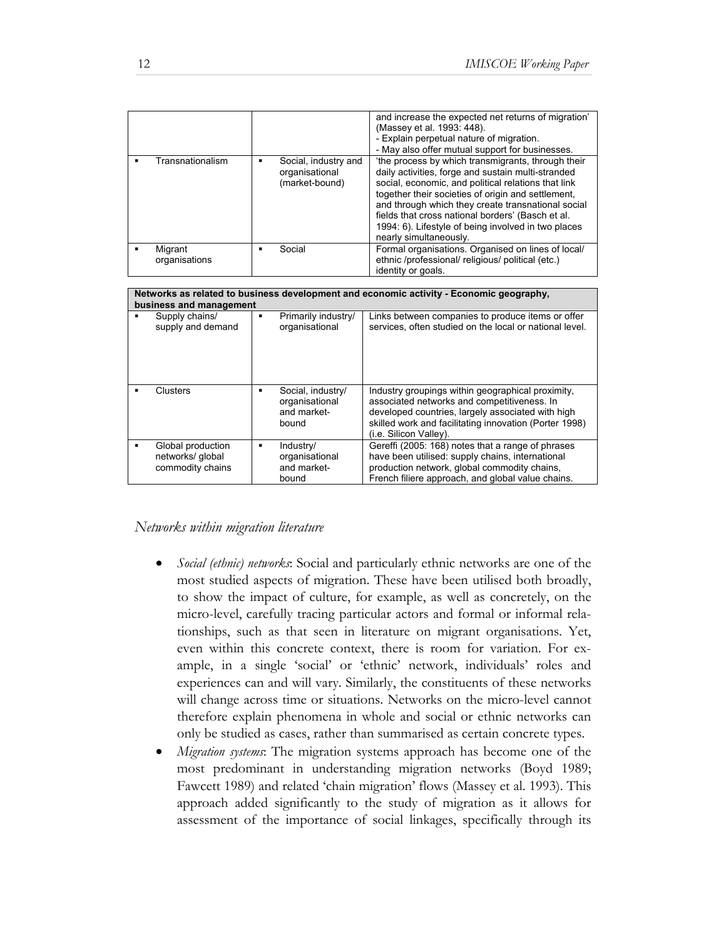|                          |                                                          | and increase the expected net returns of migration'<br>(Massey et al. 1993: 448).<br>- Explain perpetual nature of migration.<br>- May also offer mutual support for businesses.                                                                                                                                                                                                                                  |  |  |
|--------------------------|----------------------------------------------------------|-------------------------------------------------------------------------------------------------------------------------------------------------------------------------------------------------------------------------------------------------------------------------------------------------------------------------------------------------------------------------------------------------------------------|--|--|
| Transnationalism         | Social, industry and<br>organisational<br>(market-bound) | 'the process by which transmigrants, through their<br>daily activities, forge and sustain multi-stranded<br>social, economic, and political relations that link<br>together their societies of origin and settlement.<br>and through which they create transnational social<br>fields that cross national borders' (Basch et al.<br>1994: 6). Lifestyle of being involved in two places<br>nearly simultaneously. |  |  |
| Migrant<br>organisations | Social<br>▪                                              | Formal organisations. Organised on lines of local/<br>ethnic /professional/ religious/ political (etc.)<br>identity or goals.                                                                                                                                                                                                                                                                                     |  |  |
|                          |                                                          |                                                                                                                                                                                                                                                                                                                                                                                                                   |  |  |

| Networks as related to business development and economic activity - Economic geography,<br>business and management |                                                           |   |                                                             |                                                                                                                                                                                                                                           |  |
|--------------------------------------------------------------------------------------------------------------------|-----------------------------------------------------------|---|-------------------------------------------------------------|-------------------------------------------------------------------------------------------------------------------------------------------------------------------------------------------------------------------------------------------|--|
|                                                                                                                    | Supply chains/<br>supply and demand                       | ٠ | Primarily industry/<br>organisational                       | Links between companies to produce items or offer<br>services, often studied on the local or national level.                                                                                                                              |  |
|                                                                                                                    | Clusters                                                  | ٠ | Social, industry/<br>organisational<br>and market-<br>bound | Industry groupings within geographical proximity,<br>associated networks and competitiveness. In<br>developed countries, largely associated with high<br>skilled work and facilitating innovation (Porter 1998)<br>(i.e. Silicon Valley). |  |
|                                                                                                                    | Global production<br>networks/ global<br>commodity chains | ٠ | Industry/<br>organisational<br>and market-<br>bound         | Gereffi (2005: 168) notes that a range of phrases<br>have been utilised: supply chains, international<br>production network, global commodity chains,<br>French filiere approach, and global value chains.                                |  |

# *Networks within migration literature*

- *Social (ethnic) networks*: Social and particularly ethnic networks are one of the most studied aspects of migration. These have been utilised both broadly, to show the impact of culture, for example, as well as concretely, on the micro-level, carefully tracing particular actors and formal or informal relationships, such as that seen in literature on migrant organisations. Yet, even within this concrete context, there is room for variation. For example, in a single 'social' or 'ethnic' network, individuals' roles and experiences can and will vary. Similarly, the constituents of these networks will change across time or situations. Networks on the micro-level cannot therefore explain phenomena in whole and social or ethnic networks can only be studied as cases, rather than summarised as certain concrete types.
- *Migration systems*: The migration systems approach has become one of the most predominant in understanding migration networks (Boyd 1989; Fawcett 1989) and related 'chain migration' flows (Massey et al. 1993). This approach added significantly to the study of migration as it allows for assessment of the importance of social linkages, specifically through its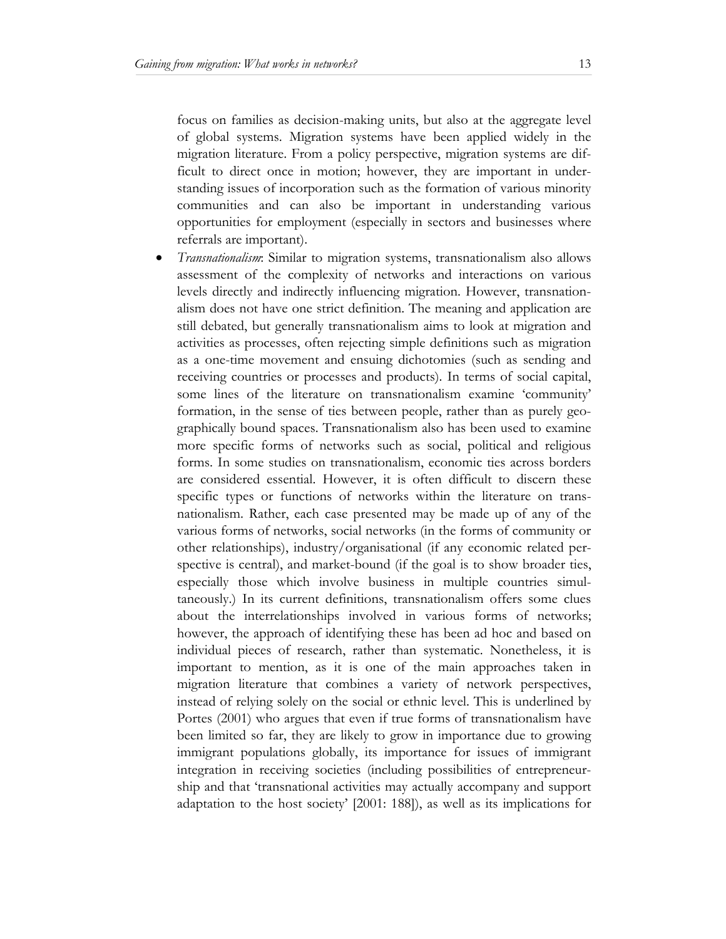focus on families as decision-making units, but also at the aggregate level of global systems. Migration systems have been applied widely in the migration literature. From a policy perspective, migration systems are difficult to direct once in motion; however, they are important in understanding issues of incorporation such as the formation of various minority communities and can also be important in understanding various opportunities for employment (especially in sectors and businesses where referrals are important).

• *Transnationalism*: Similar to migration systems, transnationalism also allows assessment of the complexity of networks and interactions on various levels directly and indirectly influencing migration. However, transnationalism does not have one strict definition. The meaning and application are still debated, but generally transnationalism aims to look at migration and activities as processes, often rejecting simple definitions such as migration as a one-time movement and ensuing dichotomies (such as sending and receiving countries or processes and products). In terms of social capital, some lines of the literature on transnationalism examine 'community' formation, in the sense of ties between people, rather than as purely geographically bound spaces. Transnationalism also has been used to examine more specific forms of networks such as social, political and religious forms. In some studies on transnationalism, economic ties across borders are considered essential. However, it is often difficult to discern these specific types or functions of networks within the literature on transnationalism. Rather, each case presented may be made up of any of the various forms of networks, social networks (in the forms of community or other relationships), industry/organisational (if any economic related perspective is central), and market-bound (if the goal is to show broader ties, especially those which involve business in multiple countries simultaneously.) In its current definitions, transnationalism offers some clues about the interrelationships involved in various forms of networks; however, the approach of identifying these has been ad hoc and based on individual pieces of research, rather than systematic. Nonetheless, it is important to mention, as it is one of the main approaches taken in migration literature that combines a variety of network perspectives, instead of relying solely on the social or ethnic level. This is underlined by Portes (2001) who argues that even if true forms of transnationalism have been limited so far, they are likely to grow in importance due to growing immigrant populations globally, its importance for issues of immigrant integration in receiving societies (including possibilities of entrepreneurship and that 'transnational activities may actually accompany and support adaptation to the host society' [2001: 188]), as well as its implications for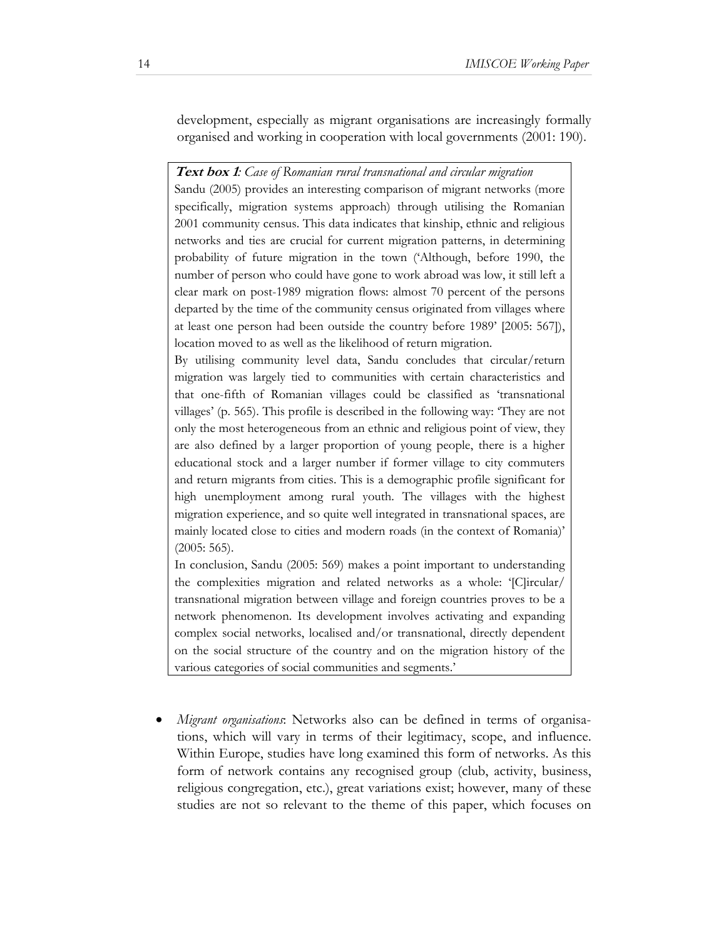development, especially as migrant organisations are increasingly formally organised and working in cooperation with local governments (2001: 190).

**Text box 1***: Case of Romanian rural transnational and circular migration*  Sandu (2005) provides an interesting comparison of migrant networks (more specifically, migration systems approach) through utilising the Romanian 2001 community census. This data indicates that kinship, ethnic and religious networks and ties are crucial for current migration patterns, in determining probability of future migration in the town ('Although, before 1990, the number of person who could have gone to work abroad was low, it still left a clear mark on post-1989 migration flows: almost 70 percent of the persons departed by the time of the community census originated from villages where at least one person had been outside the country before 1989' [2005: 567]), location moved to as well as the likelihood of return migration.

By utilising community level data, Sandu concludes that circular/return migration was largely tied to communities with certain characteristics and that one-fifth of Romanian villages could be classified as 'transnational villages' (p. 565). This profile is described in the following way: 'They are not only the most heterogeneous from an ethnic and religious point of view, they are also defined by a larger proportion of young people, there is a higher educational stock and a larger number if former village to city commuters and return migrants from cities. This is a demographic profile significant for high unemployment among rural youth. The villages with the highest migration experience, and so quite well integrated in transnational spaces, are mainly located close to cities and modern roads (in the context of Romania)' (2005: 565).

In conclusion, Sandu (2005: 569) makes a point important to understanding the complexities migration and related networks as a whole: '[C]ircular/ transnational migration between village and foreign countries proves to be a network phenomenon. Its development involves activating and expanding complex social networks, localised and/or transnational, directly dependent on the social structure of the country and on the migration history of the various categories of social communities and segments.'

• *Migrant organisations*: Networks also can be defined in terms of organisations, which will vary in terms of their legitimacy, scope, and influence. Within Europe, studies have long examined this form of networks. As this form of network contains any recognised group (club, activity, business, religious congregation, etc.), great variations exist; however, many of these studies are not so relevant to the theme of this paper, which focuses on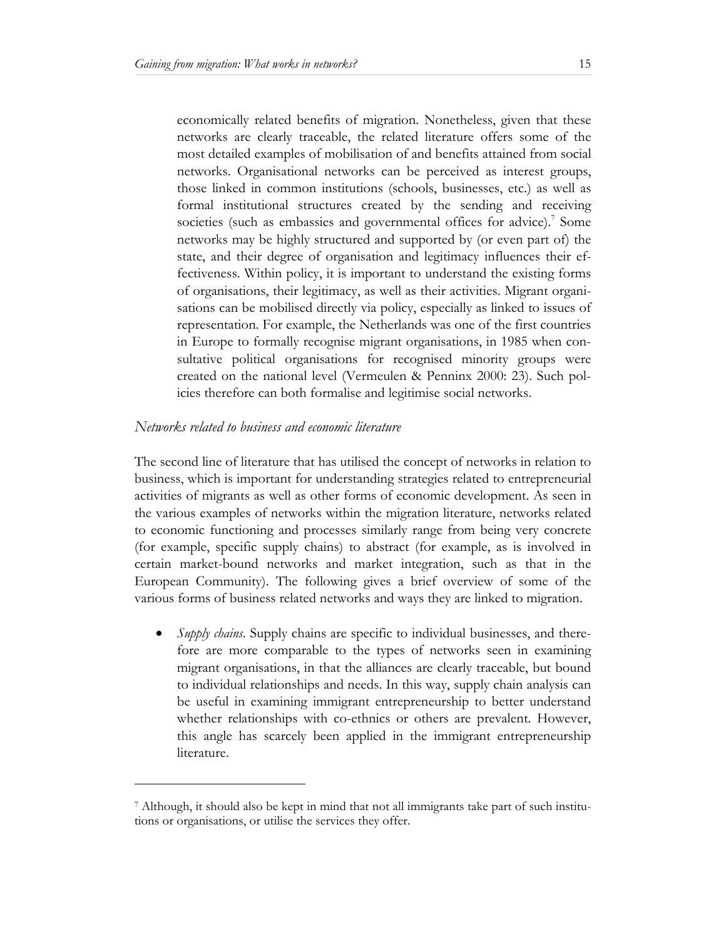economically related benefits of migration. Nonetheless, given that these networks are clearly traceable, the related literature offers some of the most detailed examples of mobilisation of and benefits attained from social networks. Organisational networks can be perceived as interest groups, those linked in common institutions (schools, businesses, etc.) as well as formal institutional structures created by the sending and receiving societies (such as embassies and governmental offices for advice).<sup>7</sup> Some networks may be highly structured and supported by (or even part of) the state, and their degree of organisation and legitimacy influences their effectiveness. Within policy, it is important to understand the existing forms of organisations, their legitimacy, as well as their activities. Migrant organisations can be mobilised directly via policy, especially as linked to issues of representation. For example, the Netherlands was one of the first countries in Europe to formally recognise migrant organisations, in 1985 when consultative political organisations for recognised minority groups were created on the national level (Vermeulen & Penninx 2000: 23). Such policies therefore can both formalise and legitimise social networks.

# *Networks related to business and economic literature*

l

The second line of literature that has utilised the concept of networks in relation to business, which is important for understanding strategies related to entrepreneurial activities of migrants as well as other forms of economic development. As seen in the various examples of networks within the migration literature, networks related to economic functioning and processes similarly range from being very concrete (for example, specific supply chains) to abstract (for example, as is involved in certain market-bound networks and market integration, such as that in the European Community). The following gives a brief overview of some of the various forms of business related networks and ways they are linked to migration.

• *Supply chains*. Supply chains are specific to individual businesses, and therefore are more comparable to the types of networks seen in examining migrant organisations, in that the alliances are clearly traceable, but bound to individual relationships and needs. In this way, supply chain analysis can be useful in examining immigrant entrepreneurship to better understand whether relationships with co-ethnics or others are prevalent. However, this angle has scarcely been applied in the immigrant entrepreneurship literature.

<sup>7</sup> Although, it should also be kept in mind that not all immigrants take part of such institutions or organisations, or utilise the services they offer.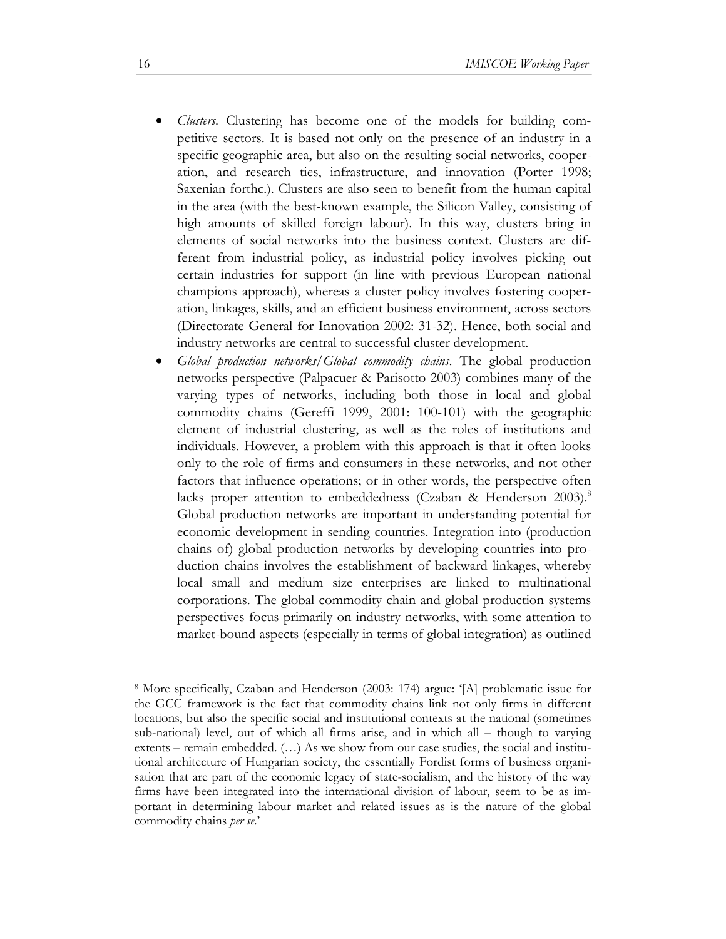- *Clusters*. Clustering has become one of the models for building competitive sectors. It is based not only on the presence of an industry in a specific geographic area, but also on the resulting social networks, cooperation, and research ties, infrastructure, and innovation (Porter 1998; Saxenian forthc.). Clusters are also seen to benefit from the human capital in the area (with the best-known example, the Silicon Valley, consisting of high amounts of skilled foreign labour). In this way, clusters bring in elements of social networks into the business context. Clusters are different from industrial policy, as industrial policy involves picking out certain industries for support (in line with previous European national champions approach), whereas a cluster policy involves fostering cooperation, linkages, skills, and an efficient business environment, across sectors (Directorate General for Innovation 2002: 31-32). Hence, both social and industry networks are central to successful cluster development.
- *Global production networks/Global commodity chains*. The global production networks perspective (Palpacuer & Parisotto 2003) combines many of the varying types of networks, including both those in local and global commodity chains (Gereffi 1999, 2001: 100-101) with the geographic element of industrial clustering, as well as the roles of institutions and individuals. However, a problem with this approach is that it often looks only to the role of firms and consumers in these networks, and not other factors that influence operations; or in other words, the perspective often lacks proper attention to embeddedness (Czaban & Henderson 2003).<sup>8</sup> Global production networks are important in understanding potential for economic development in sending countries. Integration into (production chains of) global production networks by developing countries into production chains involves the establishment of backward linkages, whereby local small and medium size enterprises are linked to multinational corporations. The global commodity chain and global production systems perspectives focus primarily on industry networks, with some attention to market-bound aspects (especially in terms of global integration) as outlined

l

<sup>8</sup> More specifically, Czaban and Henderson (2003: 174) argue: '[A] problematic issue for the GCC framework is the fact that commodity chains link not only firms in different locations, but also the specific social and institutional contexts at the national (sometimes sub-national) level, out of which all firms arise, and in which all – though to varying extents – remain embedded. (…) As we show from our case studies, the social and institutional architecture of Hungarian society, the essentially Fordist forms of business organisation that are part of the economic legacy of state-socialism, and the history of the way firms have been integrated into the international division of labour, seem to be as important in determining labour market and related issues as is the nature of the global commodity chains *per se*.'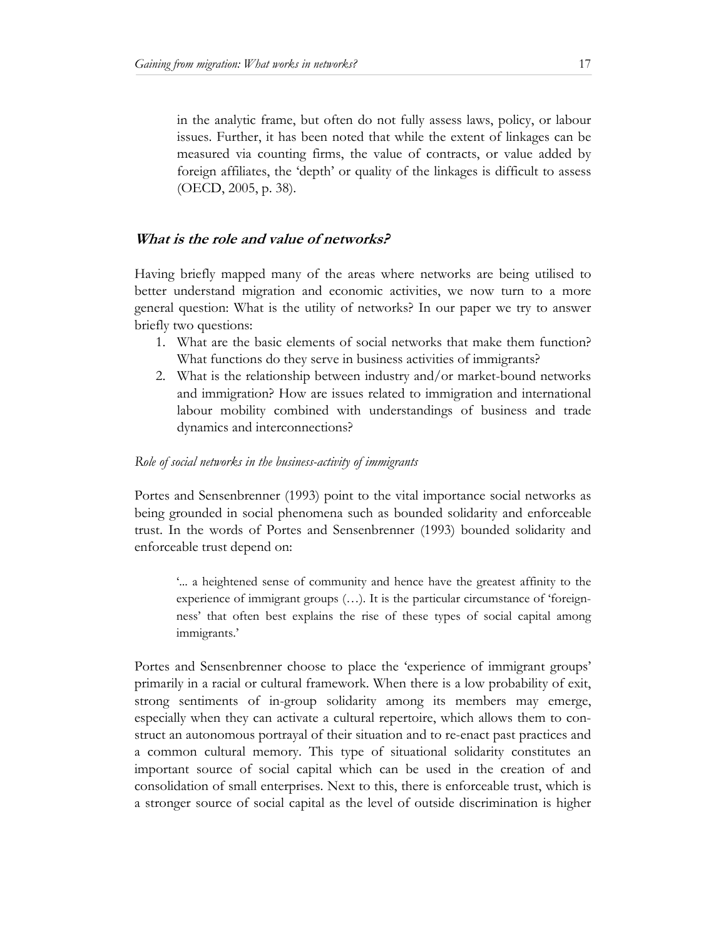in the analytic frame, but often do not fully assess laws, policy, or labour issues. Further, it has been noted that while the extent of linkages can be measured via counting firms, the value of contracts, or value added by foreign affiliates, the 'depth' or quality of the linkages is difficult to assess (OECD, 2005, p. 38).

## **What is the role and value of networks?**

Having briefly mapped many of the areas where networks are being utilised to better understand migration and economic activities, we now turn to a more general question: What is the utility of networks? In our paper we try to answer briefly two questions:

- 1. What are the basic elements of social networks that make them function? What functions do they serve in business activities of immigrants?
- 2. What is the relationship between industry and/or market-bound networks and immigration? How are issues related to immigration and international labour mobility combined with understandings of business and trade dynamics and interconnections?

#### *Role of social networks in the business-activity of immigrants*

Portes and Sensenbrenner (1993) point to the vital importance social networks as being grounded in social phenomena such as bounded solidarity and enforceable trust. In the words of Portes and Sensenbrenner (1993) bounded solidarity and enforceable trust depend on:

'... a heightened sense of community and hence have the greatest affinity to the experience of immigrant groups (…). It is the particular circumstance of 'foreignness' that often best explains the rise of these types of social capital among immigrants.'

Portes and Sensenbrenner choose to place the 'experience of immigrant groups' primarily in a racial or cultural framework. When there is a low probability of exit, strong sentiments of in-group solidarity among its members may emerge, especially when they can activate a cultural repertoire, which allows them to construct an autonomous portrayal of their situation and to re-enact past practices and a common cultural memory. This type of situational solidarity constitutes an important source of social capital which can be used in the creation of and consolidation of small enterprises. Next to this, there is enforceable trust, which is a stronger source of social capital as the level of outside discrimination is higher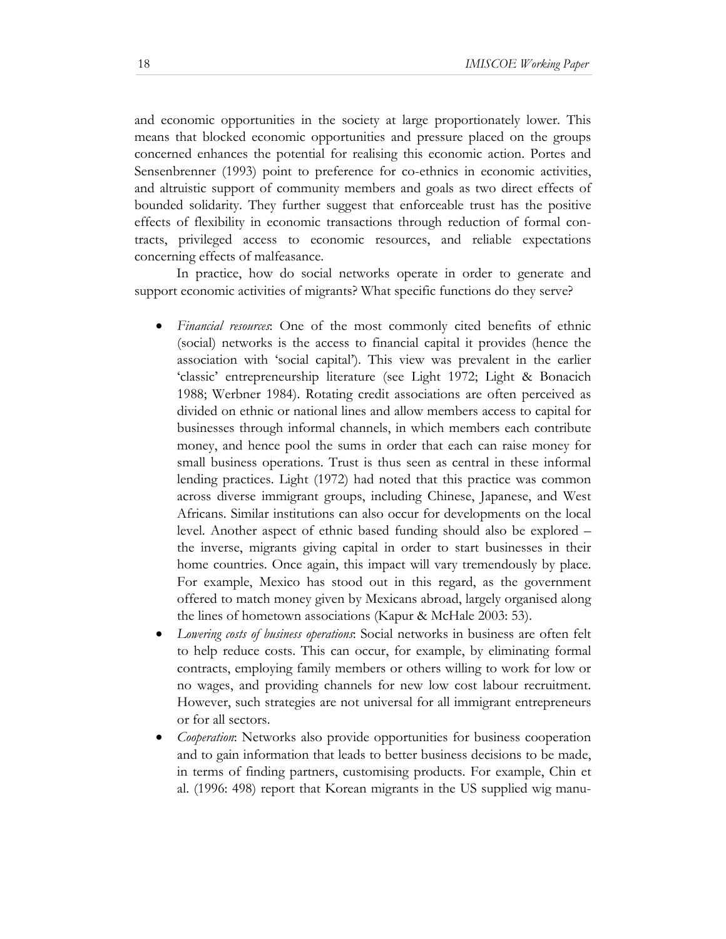and economic opportunities in the society at large proportionately lower. This means that blocked economic opportunities and pressure placed on the groups concerned enhances the potential for realising this economic action. Portes and Sensenbrenner (1993) point to preference for co-ethnics in economic activities, and altruistic support of community members and goals as two direct effects of bounded solidarity. They further suggest that enforceable trust has the positive effects of flexibility in economic transactions through reduction of formal contracts, privileged access to economic resources, and reliable expectations concerning effects of malfeasance.

In practice, how do social networks operate in order to generate and support economic activities of migrants? What specific functions do they serve?

- *Financial resources*: One of the most commonly cited benefits of ethnic (social) networks is the access to financial capital it provides (hence the association with 'social capital'). This view was prevalent in the earlier 'classic' entrepreneurship literature (see Light 1972; Light & Bonacich 1988; Werbner 1984). Rotating credit associations are often perceived as divided on ethnic or national lines and allow members access to capital for businesses through informal channels, in which members each contribute money, and hence pool the sums in order that each can raise money for small business operations. Trust is thus seen as central in these informal lending practices. Light (1972) had noted that this practice was common across diverse immigrant groups, including Chinese, Japanese, and West Africans. Similar institutions can also occur for developments on the local level. Another aspect of ethnic based funding should also be explored – the inverse, migrants giving capital in order to start businesses in their home countries. Once again, this impact will vary tremendously by place. For example, Mexico has stood out in this regard, as the government offered to match money given by Mexicans abroad, largely organised along the lines of hometown associations (Kapur & McHale 2003: 53).
- *Lowering costs of business operations*: Social networks in business are often felt to help reduce costs. This can occur, for example, by eliminating formal contracts, employing family members or others willing to work for low or no wages, and providing channels for new low cost labour recruitment. However, such strategies are not universal for all immigrant entrepreneurs or for all sectors.
- *Cooperation*: Networks also provide opportunities for business cooperation and to gain information that leads to better business decisions to be made, in terms of finding partners, customising products. For example, Chin et al. (1996: 498) report that Korean migrants in the US supplied wig manu-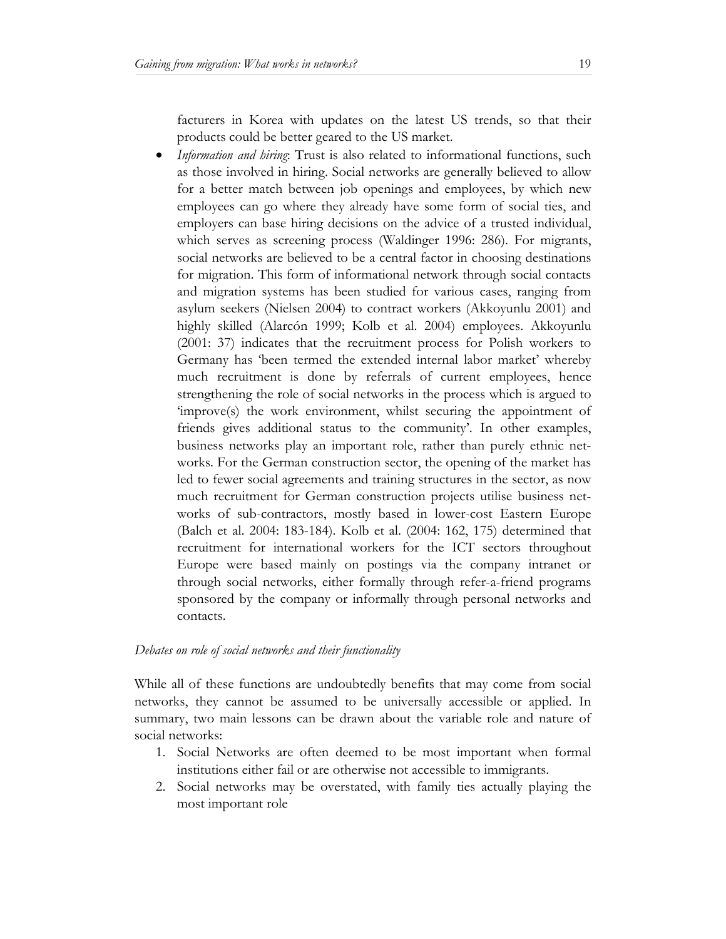facturers in Korea with updates on the latest US trends, so that their products could be better geared to the US market.

• *Information and hiring*: Trust is also related to informational functions, such as those involved in hiring. Social networks are generally believed to allow for a better match between job openings and employees, by which new employees can go where they already have some form of social ties, and employers can base hiring decisions on the advice of a trusted individual, which serves as screening process (Waldinger 1996: 286). For migrants, social networks are believed to be a central factor in choosing destinations for migration. This form of informational network through social contacts and migration systems has been studied for various cases, ranging from asylum seekers (Nielsen 2004) to contract workers (Akkoyunlu 2001) and highly skilled (Alarcón 1999; Kolb et al. 2004) employees. Akkoyunlu (2001: 37) indicates that the recruitment process for Polish workers to Germany has 'been termed the extended internal labor market' whereby much recruitment is done by referrals of current employees, hence strengthening the role of social networks in the process which is argued to 'improve(s) the work environment, whilst securing the appointment of friends gives additional status to the community'. In other examples, business networks play an important role, rather than purely ethnic networks. For the German construction sector, the opening of the market has led to fewer social agreements and training structures in the sector, as now much recruitment for German construction projects utilise business networks of sub-contractors, mostly based in lower-cost Eastern Europe (Balch et al. 2004: 183-184). Kolb et al. (2004: 162, 175) determined that recruitment for international workers for the ICT sectors throughout Europe were based mainly on postings via the company intranet or through social networks, either formally through refer-a-friend programs sponsored by the company or informally through personal networks and contacts.

#### *Debates on role of social networks and their functionality*

While all of these functions are undoubtedly benefits that may come from social networks, they cannot be assumed to be universally accessible or applied. In summary, two main lessons can be drawn about the variable role and nature of social networks:

- 1. Social Networks are often deemed to be most important when formal institutions either fail or are otherwise not accessible to immigrants.
- 2. Social networks may be overstated, with family ties actually playing the most important role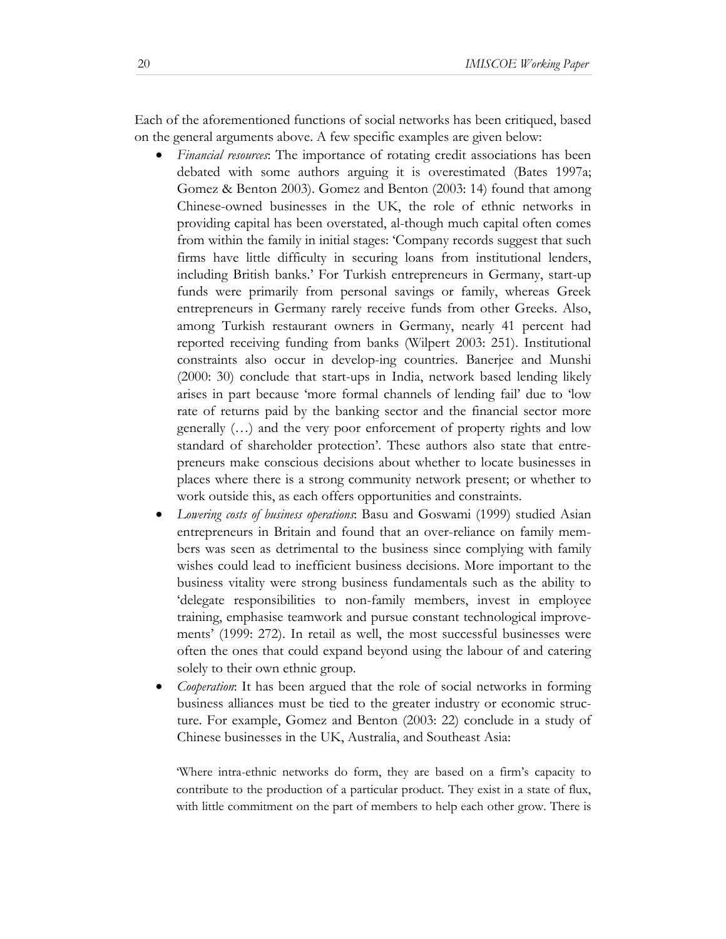Each of the aforementioned functions of social networks has been critiqued, based on the general arguments above. A few specific examples are given below:

- *Financial resources*: The importance of rotating credit associations has been debated with some authors arguing it is overestimated (Bates 1997a; Gomez & Benton 2003). Gomez and Benton (2003: 14) found that among Chinese-owned businesses in the UK, the role of ethnic networks in providing capital has been overstated, al-though much capital often comes from within the family in initial stages: 'Company records suggest that such firms have little difficulty in securing loans from institutional lenders, including British banks.' For Turkish entrepreneurs in Germany, start-up funds were primarily from personal savings or family, whereas Greek entrepreneurs in Germany rarely receive funds from other Greeks. Also, among Turkish restaurant owners in Germany, nearly 41 percent had reported receiving funding from banks (Wilpert 2003: 251). Institutional constraints also occur in develop-ing countries. Banerjee and Munshi (2000: 30) conclude that start-ups in India, network based lending likely arises in part because 'more formal channels of lending fail' due to 'low rate of returns paid by the banking sector and the financial sector more generally (…) and the very poor enforcement of property rights and low standard of shareholder protection'. These authors also state that entrepreneurs make conscious decisions about whether to locate businesses in places where there is a strong community network present; or whether to work outside this, as each offers opportunities and constraints.
- *Lowering costs of business operations*: Basu and Goswami (1999) studied Asian entrepreneurs in Britain and found that an over-reliance on family members was seen as detrimental to the business since complying with family wishes could lead to inefficient business decisions. More important to the business vitality were strong business fundamentals such as the ability to 'delegate responsibilities to non-family members, invest in employee training, emphasise teamwork and pursue constant technological improvements' (1999: 272). In retail as well, the most successful businesses were often the ones that could expand beyond using the labour of and catering solely to their own ethnic group.
- *Cooperation*: It has been argued that the role of social networks in forming business alliances must be tied to the greater industry or economic structure. For example, Gomez and Benton (2003: 22) conclude in a study of Chinese businesses in the UK, Australia, and Southeast Asia:

'Where intra-ethnic networks do form, they are based on a firm's capacity to contribute to the production of a particular product. They exist in a state of flux, with little commitment on the part of members to help each other grow. There is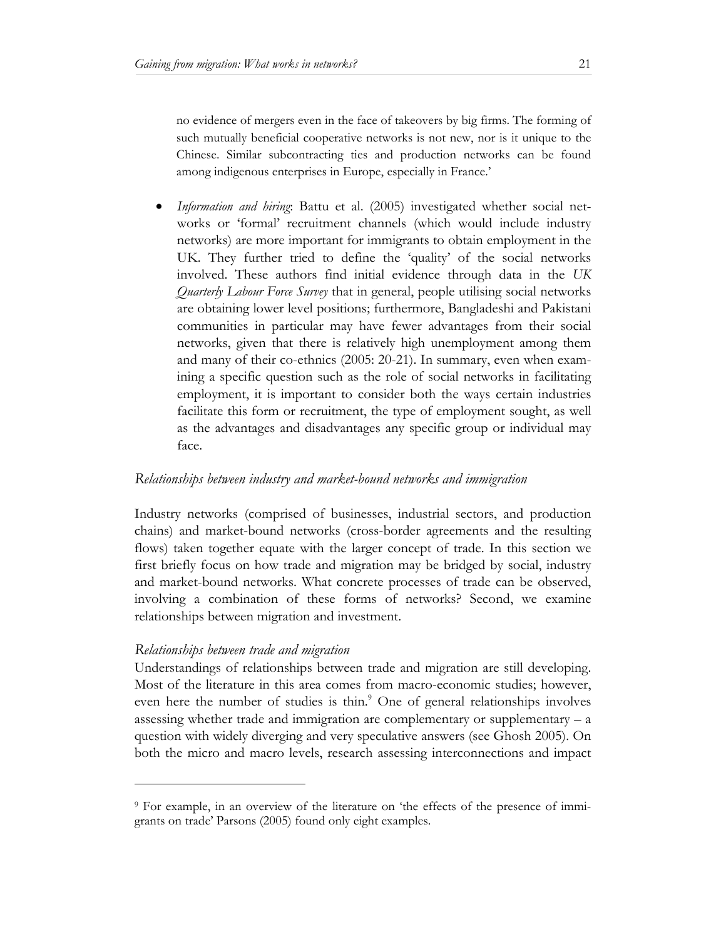no evidence of mergers even in the face of takeovers by big firms. The forming of such mutually beneficial cooperative networks is not new, nor is it unique to the Chinese. Similar subcontracting ties and production networks can be found among indigenous enterprises in Europe, especially in France.'

• *Information and hiring*: Battu et al. (2005) investigated whether social networks or 'formal' recruitment channels (which would include industry networks) are more important for immigrants to obtain employment in the UK. They further tried to define the 'quality' of the social networks involved. These authors find initial evidence through data in the *UK Quarterly Labour Force Survey* that in general, people utilising social networks are obtaining lower level positions; furthermore, Bangladeshi and Pakistani communities in particular may have fewer advantages from their social networks, given that there is relatively high unemployment among them and many of their co-ethnics (2005: 20-21). In summary, even when examining a specific question such as the role of social networks in facilitating employment, it is important to consider both the ways certain industries facilitate this form or recruitment, the type of employment sought, as well as the advantages and disadvantages any specific group or individual may face.

# *Relationships between industry and market-bound networks and immigration*

Industry networks (comprised of businesses, industrial sectors, and production chains) and market-bound networks (cross-border agreements and the resulting flows) taken together equate with the larger concept of trade. In this section we first briefly focus on how trade and migration may be bridged by social, industry and market-bound networks. What concrete processes of trade can be observed, involving a combination of these forms of networks? Second, we examine relationships between migration and investment.

#### *Relationships between trade and migration*

l

Understandings of relationships between trade and migration are still developing. Most of the literature in this area comes from macro-economic studies; however, even here the number of studies is thin.<sup>9</sup> One of general relationships involves assessing whether trade and immigration are complementary or supplementary – a question with widely diverging and very speculative answers (see Ghosh 2005). On both the micro and macro levels, research assessing interconnections and impact

<sup>9</sup> For example, in an overview of the literature on 'the effects of the presence of immigrants on trade' Parsons (2005) found only eight examples.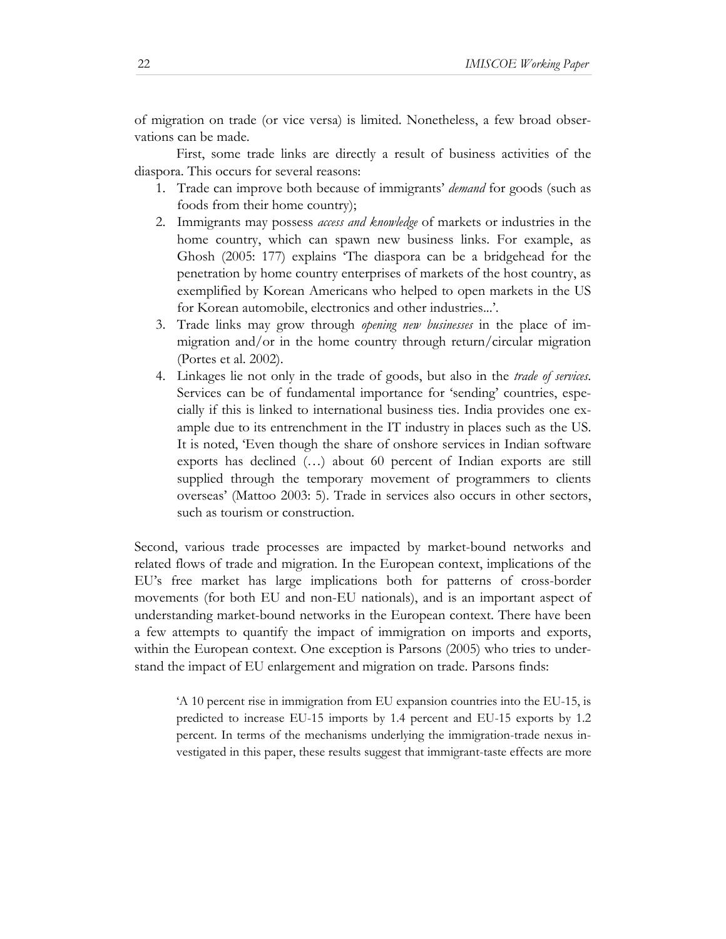of migration on trade (or vice versa) is limited. Nonetheless, a few broad observations can be made.

First, some trade links are directly a result of business activities of the diaspora. This occurs for several reasons:

- 1. Trade can improve both because of immigrants' *demand* for goods (such as foods from their home country);
- 2. Immigrants may possess *access and knowledge* of markets or industries in the home country, which can spawn new business links. For example, as Ghosh (2005: 177) explains 'The diaspora can be a bridgehead for the penetration by home country enterprises of markets of the host country, as exemplified by Korean Americans who helped to open markets in the US for Korean automobile, electronics and other industries...'.
- 3. Trade links may grow through *opening new businesses* in the place of immigration and/or in the home country through return/circular migration (Portes et al. 2002).
- 4. Linkages lie not only in the trade of goods, but also in the *trade of services*. Services can be of fundamental importance for 'sending' countries, especially if this is linked to international business ties. India provides one example due to its entrenchment in the IT industry in places such as the US. It is noted, 'Even though the share of onshore services in Indian software exports has declined (…) about 60 percent of Indian exports are still supplied through the temporary movement of programmers to clients overseas' (Mattoo 2003: 5). Trade in services also occurs in other sectors, such as tourism or construction.

Second, various trade processes are impacted by market-bound networks and related flows of trade and migration. In the European context, implications of the EU's free market has large implications both for patterns of cross-border movements (for both EU and non-EU nationals), and is an important aspect of understanding market-bound networks in the European context. There have been a few attempts to quantify the impact of immigration on imports and exports, within the European context. One exception is Parsons (2005) who tries to understand the impact of EU enlargement and migration on trade. Parsons finds:

'A 10 percent rise in immigration from EU expansion countries into the EU-15, is predicted to increase EU-15 imports by 1.4 percent and EU-15 exports by 1.2 percent. In terms of the mechanisms underlying the immigration-trade nexus investigated in this paper, these results suggest that immigrant-taste effects are more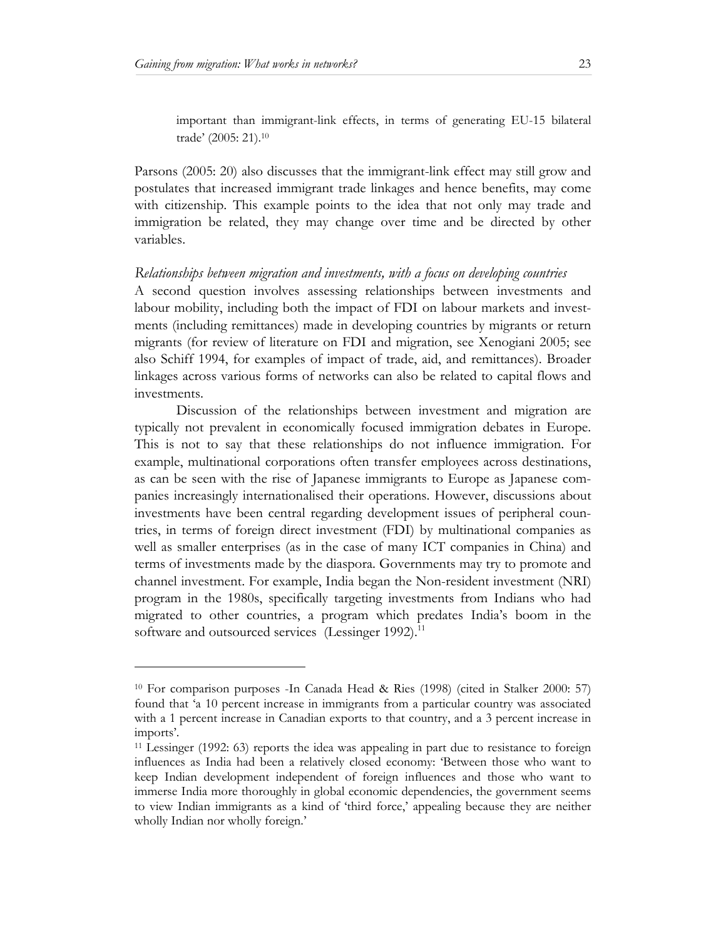important than immigrant-link effects, in terms of generating EU-15 bilateral trade' (2005: 21).10

Parsons (2005: 20) also discusses that the immigrant-link effect may still grow and postulates that increased immigrant trade linkages and hence benefits, may come with citizenship. This example points to the idea that not only may trade and immigration be related, they may change over time and be directed by other variables.

#### *Relationships between migration and investments, with a focus on developing countries*

A second question involves assessing relationships between investments and labour mobility, including both the impact of FDI on labour markets and investments (including remittances) made in developing countries by migrants or return migrants (for review of literature on FDI and migration, see Xenogiani 2005; see also Schiff 1994, for examples of impact of trade, aid, and remittances). Broader linkages across various forms of networks can also be related to capital flows and investments.

Discussion of the relationships between investment and migration are typically not prevalent in economically focused immigration debates in Europe. This is not to say that these relationships do not influence immigration. For example, multinational corporations often transfer employees across destinations, as can be seen with the rise of Japanese immigrants to Europe as Japanese companies increasingly internationalised their operations. However, discussions about investments have been central regarding development issues of peripheral countries, in terms of foreign direct investment (FDI) by multinational companies as well as smaller enterprises (as in the case of many ICT companies in China) and terms of investments made by the diaspora. Governments may try to promote and channel investment. For example, India began the Non-resident investment (NRI) program in the 1980s, specifically targeting investments from Indians who had migrated to other countries, a program which predates India's boom in the software and outsourced services (Lessinger 1992).<sup>11</sup>

<sup>10</sup> For comparison purposes -In Canada Head & Ries (1998) (cited in Stalker 2000: 57) found that 'a 10 percent increase in immigrants from a particular country was associated with a 1 percent increase in Canadian exports to that country, and a 3 percent increase in imports'.

<sup>11</sup> Lessinger (1992: 63) reports the idea was appealing in part due to resistance to foreign influences as India had been a relatively closed economy: 'Between those who want to keep Indian development independent of foreign influences and those who want to immerse India more thoroughly in global economic dependencies, the government seems to view Indian immigrants as a kind of 'third force,' appealing because they are neither wholly Indian nor wholly foreign.'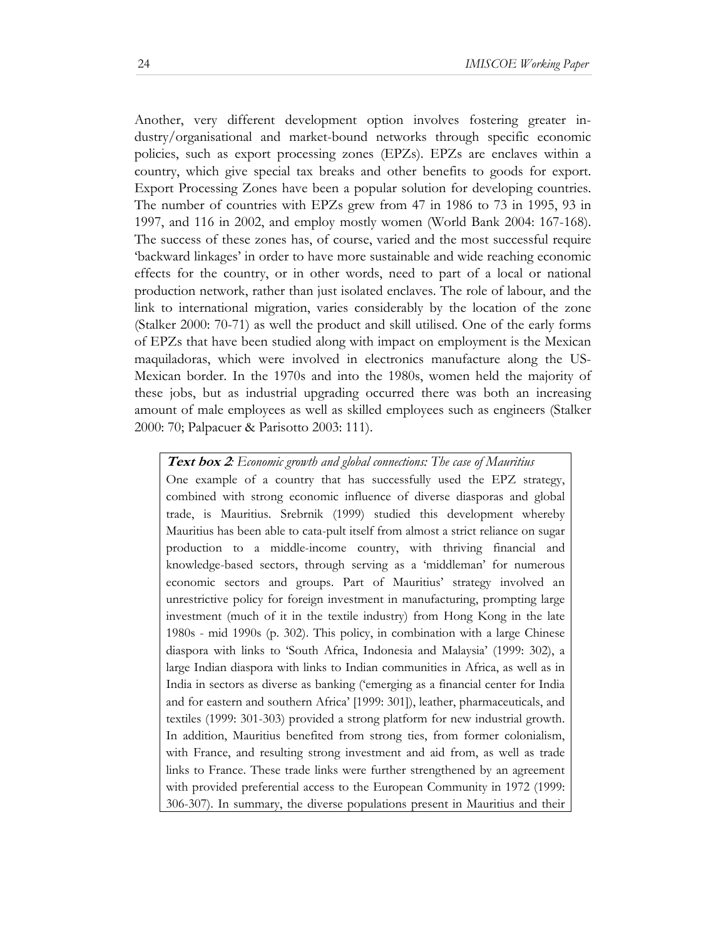Another, very different development option involves fostering greater industry/organisational and market-bound networks through specific economic policies, such as export processing zones (EPZs). EPZs are enclaves within a country, which give special tax breaks and other benefits to goods for export. Export Processing Zones have been a popular solution for developing countries. The number of countries with EPZs grew from 47 in 1986 to 73 in 1995, 93 in 1997, and 116 in 2002, and employ mostly women (World Bank 2004: 167-168). The success of these zones has, of course, varied and the most successful require 'backward linkages' in order to have more sustainable and wide reaching economic effects for the country, or in other words, need to part of a local or national production network, rather than just isolated enclaves. The role of labour, and the link to international migration, varies considerably by the location of the zone (Stalker 2000: 70-71) as well the product and skill utilised. One of the early forms of EPZs that have been studied along with impact on employment is the Mexican maquiladoras, which were involved in electronics manufacture along the US-Mexican border. In the 1970s and into the 1980s, women held the majority of these jobs, but as industrial upgrading occurred there was both an increasing amount of male employees as well as skilled employees such as engineers (Stalker 2000: 70; Palpacuer & Parisotto 2003: 111).

#### **Text box 2***: Economic growth and global connections: The case of Mauritius*

One example of a country that has successfully used the EPZ strategy, combined with strong economic influence of diverse diasporas and global trade, is Mauritius. Srebrnik (1999) studied this development whereby Mauritius has been able to cata-pult itself from almost a strict reliance on sugar production to a middle-income country, with thriving financial and knowledge-based sectors, through serving as a 'middleman' for numerous economic sectors and groups. Part of Mauritius' strategy involved an unrestrictive policy for foreign investment in manufacturing, prompting large investment (much of it in the textile industry) from Hong Kong in the late 1980s - mid 1990s (p. 302). This policy, in combination with a large Chinese diaspora with links to 'South Africa, Indonesia and Malaysia' (1999: 302), a large Indian diaspora with links to Indian communities in Africa, as well as in India in sectors as diverse as banking ('emerging as a financial center for India and for eastern and southern Africa' [1999: 301]), leather, pharmaceuticals, and textiles (1999: 301-303) provided a strong platform for new industrial growth. In addition, Mauritius benefited from strong ties, from former colonialism, with France, and resulting strong investment and aid from, as well as trade links to France. These trade links were further strengthened by an agreement with provided preferential access to the European Community in 1972 (1999: 306-307). In summary, the diverse populations present in Mauritius and their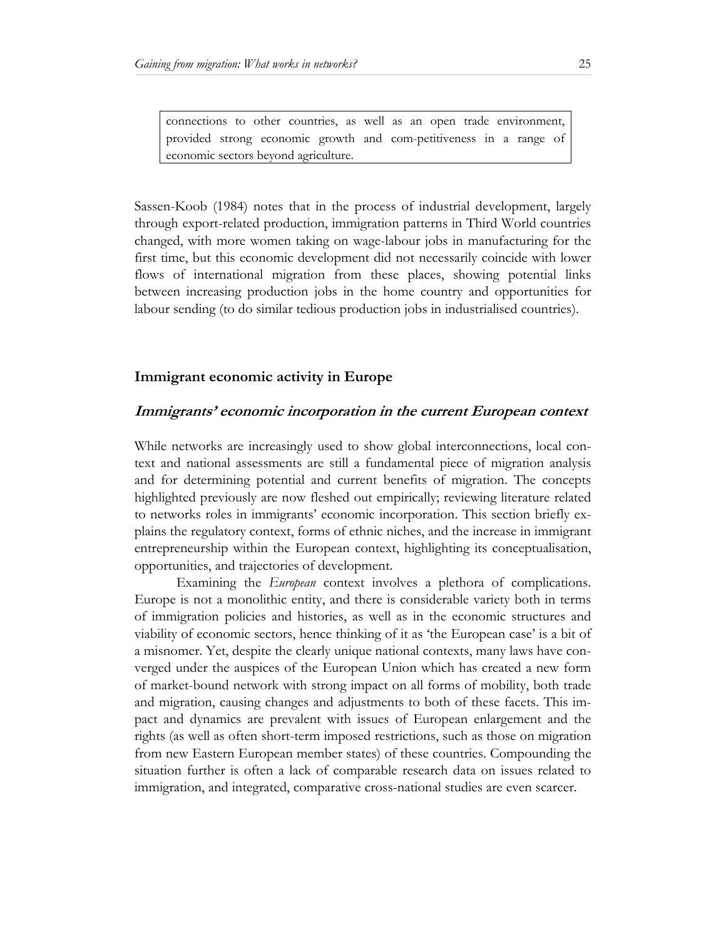connections to other countries, as well as an open trade environment, provided strong economic growth and com-petitiveness in a range of economic sectors beyond agriculture.

Sassen-Koob (1984) notes that in the process of industrial development, largely through export-related production, immigration patterns in Third World countries changed, with more women taking on wage-labour jobs in manufacturing for the first time, but this economic development did not necessarily coincide with lower flows of international migration from these places, showing potential links between increasing production jobs in the home country and opportunities for labour sending (to do similar tedious production jobs in industrialised countries).

# **Immigrant economic activity in Europe**

#### **Immigrants' economic incorporation in the current European context**

While networks are increasingly used to show global interconnections, local context and national assessments are still a fundamental piece of migration analysis and for determining potential and current benefits of migration. The concepts highlighted previously are now fleshed out empirically; reviewing literature related to networks roles in immigrants' economic incorporation. This section briefly explains the regulatory context, forms of ethnic niches, and the increase in immigrant entrepreneurship within the European context, highlighting its conceptualisation, opportunities, and trajectories of development.

Examining the *European* context involves a plethora of complications. Europe is not a monolithic entity, and there is considerable variety both in terms of immigration policies and histories, as well as in the economic structures and viability of economic sectors, hence thinking of it as 'the European case' is a bit of a misnomer. Yet, despite the clearly unique national contexts, many laws have converged under the auspices of the European Union which has created a new form of market-bound network with strong impact on all forms of mobility, both trade and migration, causing changes and adjustments to both of these facets. This impact and dynamics are prevalent with issues of European enlargement and the rights (as well as often short-term imposed restrictions, such as those on migration from new Eastern European member states) of these countries. Compounding the situation further is often a lack of comparable research data on issues related to immigration, and integrated, comparative cross-national studies are even scarcer.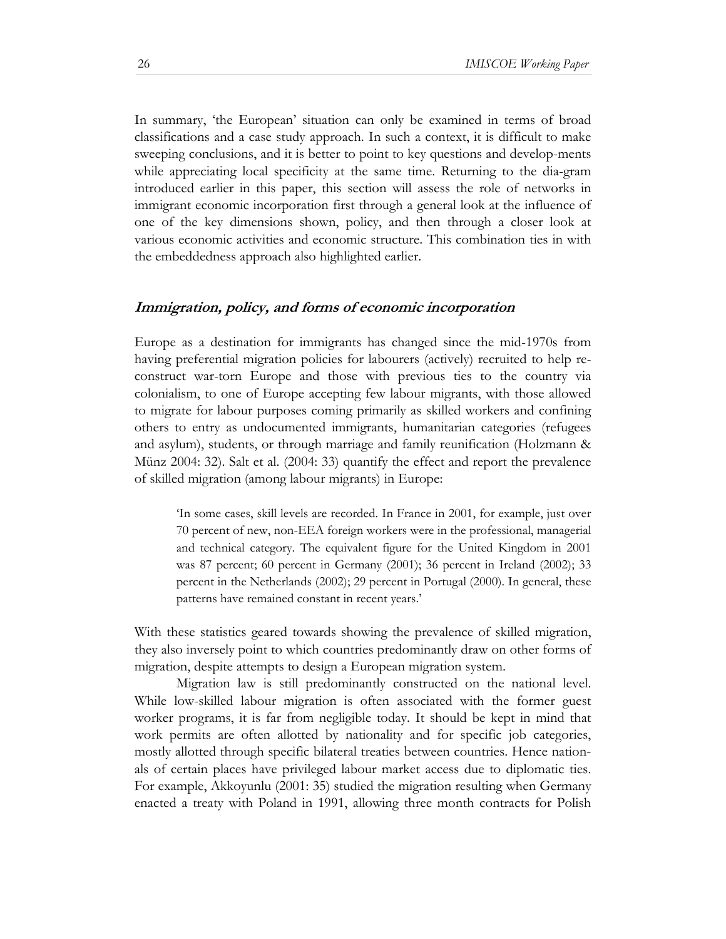In summary, 'the European' situation can only be examined in terms of broad classifications and a case study approach. In such a context, it is difficult to make sweeping conclusions, and it is better to point to key questions and develop-ments while appreciating local specificity at the same time. Returning to the dia-gram introduced earlier in this paper, this section will assess the role of networks in immigrant economic incorporation first through a general look at the influence of one of the key dimensions shown, policy, and then through a closer look at various economic activities and economic structure. This combination ties in with the embeddedness approach also highlighted earlier.

#### **Immigration, policy, and forms of economic incorporation**

Europe as a destination for immigrants has changed since the mid-1970s from having preferential migration policies for labourers (actively) recruited to help reconstruct war-torn Europe and those with previous ties to the country via colonialism, to one of Europe accepting few labour migrants, with those allowed to migrate for labour purposes coming primarily as skilled workers and confining others to entry as undocumented immigrants, humanitarian categories (refugees and asylum), students, or through marriage and family reunification (Holzmann & Münz 2004: 32). Salt et al. (2004: 33) quantify the effect and report the prevalence of skilled migration (among labour migrants) in Europe:

'In some cases, skill levels are recorded. In France in 2001, for example, just over 70 percent of new, non-EEA foreign workers were in the professional, managerial and technical category. The equivalent figure for the United Kingdom in 2001 was 87 percent; 60 percent in Germany (2001); 36 percent in Ireland (2002); 33 percent in the Netherlands (2002); 29 percent in Portugal (2000). In general, these patterns have remained constant in recent years.'

With these statistics geared towards showing the prevalence of skilled migration, they also inversely point to which countries predominantly draw on other forms of migration, despite attempts to design a European migration system.

Migration law is still predominantly constructed on the national level. While low-skilled labour migration is often associated with the former guest worker programs, it is far from negligible today. It should be kept in mind that work permits are often allotted by nationality and for specific job categories, mostly allotted through specific bilateral treaties between countries. Hence nationals of certain places have privileged labour market access due to diplomatic ties. For example, Akkoyunlu (2001: 35) studied the migration resulting when Germany enacted a treaty with Poland in 1991, allowing three month contracts for Polish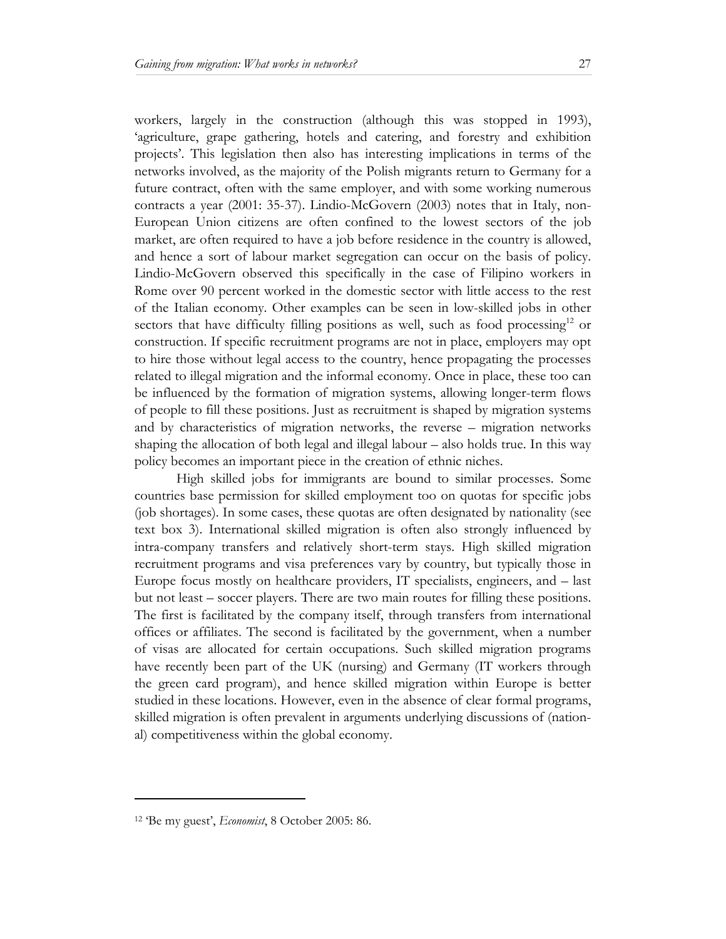workers, largely in the construction (although this was stopped in 1993), 'agriculture, grape gathering, hotels and catering, and forestry and exhibition projects'. This legislation then also has interesting implications in terms of the networks involved, as the majority of the Polish migrants return to Germany for a future contract, often with the same employer, and with some working numerous contracts a year (2001: 35-37). Lindio-McGovern (2003) notes that in Italy, non-European Union citizens are often confined to the lowest sectors of the job market, are often required to have a job before residence in the country is allowed, and hence a sort of labour market segregation can occur on the basis of policy. Lindio-McGovern observed this specifically in the case of Filipino workers in Rome over 90 percent worked in the domestic sector with little access to the rest of the Italian economy. Other examples can be seen in low-skilled jobs in other sectors that have difficulty filling positions as well, such as food processing<sup>12</sup> or construction. If specific recruitment programs are not in place, employers may opt to hire those without legal access to the country, hence propagating the processes related to illegal migration and the informal economy. Once in place, these too can be influenced by the formation of migration systems, allowing longer-term flows of people to fill these positions. Just as recruitment is shaped by migration systems and by characteristics of migration networks, the reverse – migration networks shaping the allocation of both legal and illegal labour – also holds true. In this way policy becomes an important piece in the creation of ethnic niches.

High skilled jobs for immigrants are bound to similar processes. Some countries base permission for skilled employment too on quotas for specific jobs (job shortages). In some cases, these quotas are often designated by nationality (see text box 3). International skilled migration is often also strongly influenced by intra-company transfers and relatively short-term stays. High skilled migration recruitment programs and visa preferences vary by country, but typically those in Europe focus mostly on healthcare providers, IT specialists, engineers, and – last but not least – soccer players. There are two main routes for filling these positions. The first is facilitated by the company itself, through transfers from international offices or affiliates. The second is facilitated by the government, when a number of visas are allocated for certain occupations. Such skilled migration programs have recently been part of the UK (nursing) and Germany (IT workers through the green card program), and hence skilled migration within Europe is better studied in these locations. However, even in the absence of clear formal programs, skilled migration is often prevalent in arguments underlying discussions of (national) competitiveness within the global economy.

<sup>12 &#</sup>x27;Be my guest', *Economist*, 8 October 2005: 86.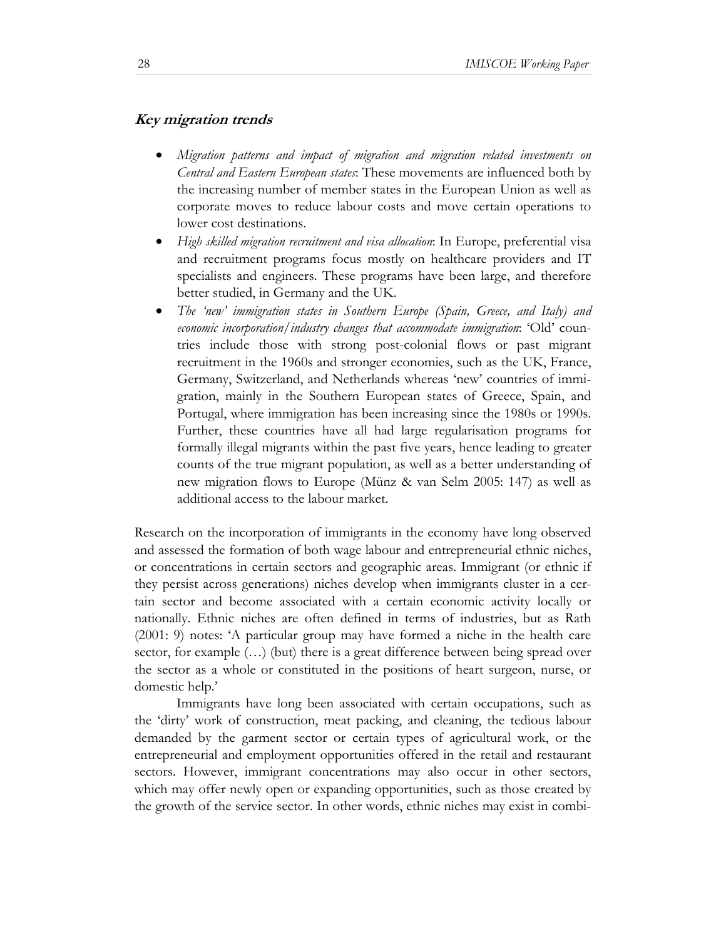#### **Key migration trends**

- *Migration patterns and impact of migration and migration related investments on Central and Eastern European states*: These movements are influenced both by the increasing number of member states in the European Union as well as corporate moves to reduce labour costs and move certain operations to lower cost destinations.
- *High skilled migration recruitment and visa allocation*: In Europe, preferential visa and recruitment programs focus mostly on healthcare providers and IT specialists and engineers. These programs have been large, and therefore better studied, in Germany and the UK.
- *The 'new' immigration states in Southern Europe (Spain, Greece, and Italy) and economic incorporation/industry changes that accommodate immigration*: 'Old' countries include those with strong post-colonial flows or past migrant recruitment in the 1960s and stronger economies, such as the UK, France, Germany, Switzerland, and Netherlands whereas 'new' countries of immigration, mainly in the Southern European states of Greece, Spain, and Portugal, where immigration has been increasing since the 1980s or 1990s. Further, these countries have all had large regularisation programs for formally illegal migrants within the past five years, hence leading to greater counts of the true migrant population, as well as a better understanding of new migration flows to Europe (Münz & van Selm 2005: 147) as well as additional access to the labour market.

Research on the incorporation of immigrants in the economy have long observed and assessed the formation of both wage labour and entrepreneurial ethnic niches, or concentrations in certain sectors and geographic areas. Immigrant (or ethnic if they persist across generations) niches develop when immigrants cluster in a certain sector and become associated with a certain economic activity locally or nationally. Ethnic niches are often defined in terms of industries, but as Rath (2001: 9) notes: 'A particular group may have formed a niche in the health care sector, for example  $(...)$  (but) there is a great difference between being spread over the sector as a whole or constituted in the positions of heart surgeon, nurse, or domestic help.'

Immigrants have long been associated with certain occupations, such as the 'dirty' work of construction, meat packing, and cleaning, the tedious labour demanded by the garment sector or certain types of agricultural work, or the entrepreneurial and employment opportunities offered in the retail and restaurant sectors. However, immigrant concentrations may also occur in other sectors, which may offer newly open or expanding opportunities, such as those created by the growth of the service sector. In other words, ethnic niches may exist in combi-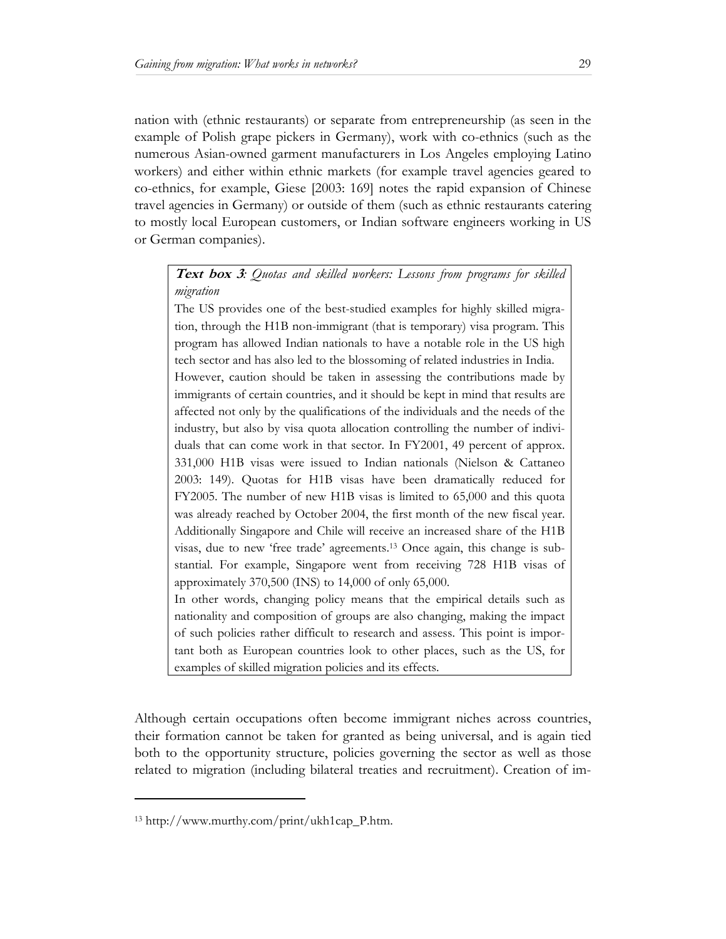nation with (ethnic restaurants) or separate from entrepreneurship (as seen in the example of Polish grape pickers in Germany), work with co-ethnics (such as the numerous Asian-owned garment manufacturers in Los Angeles employing Latino workers) and either within ethnic markets (for example travel agencies geared to co-ethnics, for example, Giese [2003: 169] notes the rapid expansion of Chinese travel agencies in Germany) or outside of them (such as ethnic restaurants catering to mostly local European customers, or Indian software engineers working in US or German companies).

**Text box 3***: Quotas and skilled workers: Lessons from programs for skilled migration* 

The US provides one of the best-studied examples for highly skilled migration, through the H1B non-immigrant (that is temporary) visa program. This program has allowed Indian nationals to have a notable role in the US high tech sector and has also led to the blossoming of related industries in India.

However, caution should be taken in assessing the contributions made by immigrants of certain countries, and it should be kept in mind that results are affected not only by the qualifications of the individuals and the needs of the industry, but also by visa quota allocation controlling the number of individuals that can come work in that sector. In FY2001, 49 percent of approx. 331,000 H1B visas were issued to Indian nationals (Nielson & Cattaneo 2003: 149). Quotas for H1B visas have been dramatically reduced for FY2005. The number of new H1B visas is limited to 65,000 and this quota was already reached by October 2004, the first month of the new fiscal year. Additionally Singapore and Chile will receive an increased share of the H1B visas, due to new 'free trade' agreements.13 Once again, this change is substantial. For example, Singapore went from receiving 728 H1B visas of approximately 370,500 (INS) to 14,000 of only 65,000.

In other words, changing policy means that the empirical details such as nationality and composition of groups are also changing, making the impact of such policies rather difficult to research and assess. This point is important both as European countries look to other places, such as the US, for examples of skilled migration policies and its effects.

Although certain occupations often become immigrant niches across countries, their formation cannot be taken for granted as being universal, and is again tied both to the opportunity structure, policies governing the sector as well as those related to migration (including bilateral treaties and recruitment). Creation of im-

<sup>13</sup> http://www.murthy.com/print/ukh1cap\_P.htm.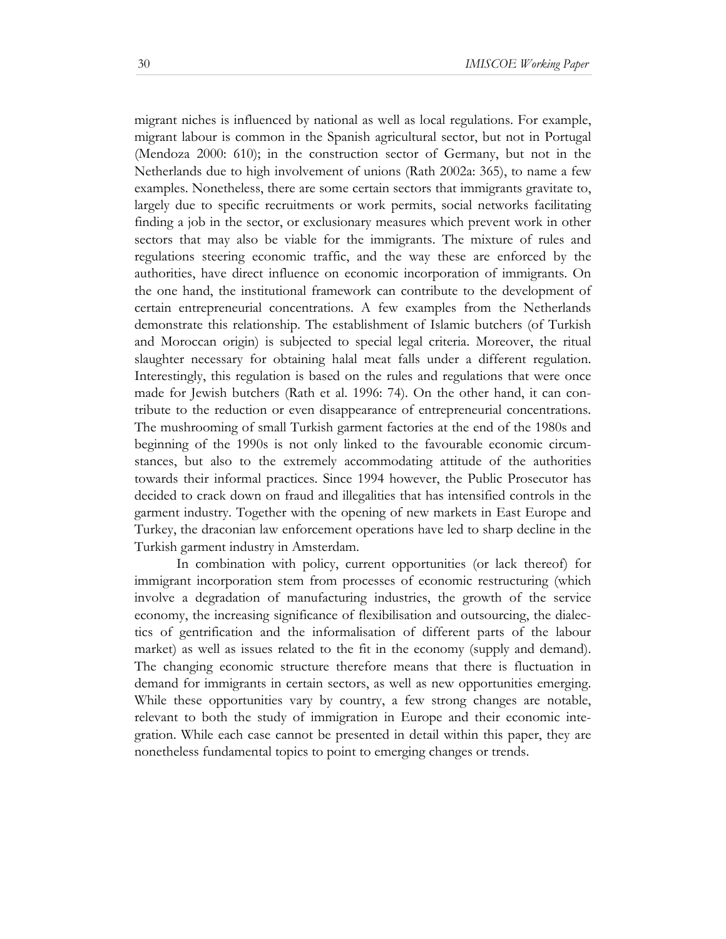migrant niches is influenced by national as well as local regulations. For example, migrant labour is common in the Spanish agricultural sector, but not in Portugal (Mendoza 2000: 610); in the construction sector of Germany, but not in the Netherlands due to high involvement of unions (Rath 2002a: 365), to name a few examples. Nonetheless, there are some certain sectors that immigrants gravitate to, largely due to specific recruitments or work permits, social networks facilitating finding a job in the sector, or exclusionary measures which prevent work in other sectors that may also be viable for the immigrants. The mixture of rules and regulations steering economic traffic, and the way these are enforced by the authorities, have direct influence on economic incorporation of immigrants. On the one hand, the institutional framework can contribute to the development of certain entrepreneurial concentrations. A few examples from the Netherlands demonstrate this relationship. The establishment of Islamic butchers (of Turkish and Moroccan origin) is subjected to special legal criteria. Moreover, the ritual slaughter necessary for obtaining halal meat falls under a different regulation. Interestingly, this regulation is based on the rules and regulations that were once made for Jewish butchers (Rath et al. 1996: 74). On the other hand, it can contribute to the reduction or even disappearance of entrepreneurial concentrations. The mushrooming of small Turkish garment factories at the end of the 1980s and beginning of the 1990s is not only linked to the favourable economic circumstances, but also to the extremely accommodating attitude of the authorities towards their informal practices. Since 1994 however, the Public Prosecutor has decided to crack down on fraud and illegalities that has intensified controls in the garment industry. Together with the opening of new markets in East Europe and Turkey, the draconian law enforcement operations have led to sharp decline in the Turkish garment industry in Amsterdam.

In combination with policy, current opportunities (or lack thereof) for immigrant incorporation stem from processes of economic restructuring (which involve a degradation of manufacturing industries, the growth of the service economy, the increasing significance of flexibilisation and outsourcing, the dialectics of gentrification and the informalisation of different parts of the labour market) as well as issues related to the fit in the economy (supply and demand). The changing economic structure therefore means that there is fluctuation in demand for immigrants in certain sectors, as well as new opportunities emerging. While these opportunities vary by country, a few strong changes are notable, relevant to both the study of immigration in Europe and their economic integration. While each case cannot be presented in detail within this paper, they are nonetheless fundamental topics to point to emerging changes or trends.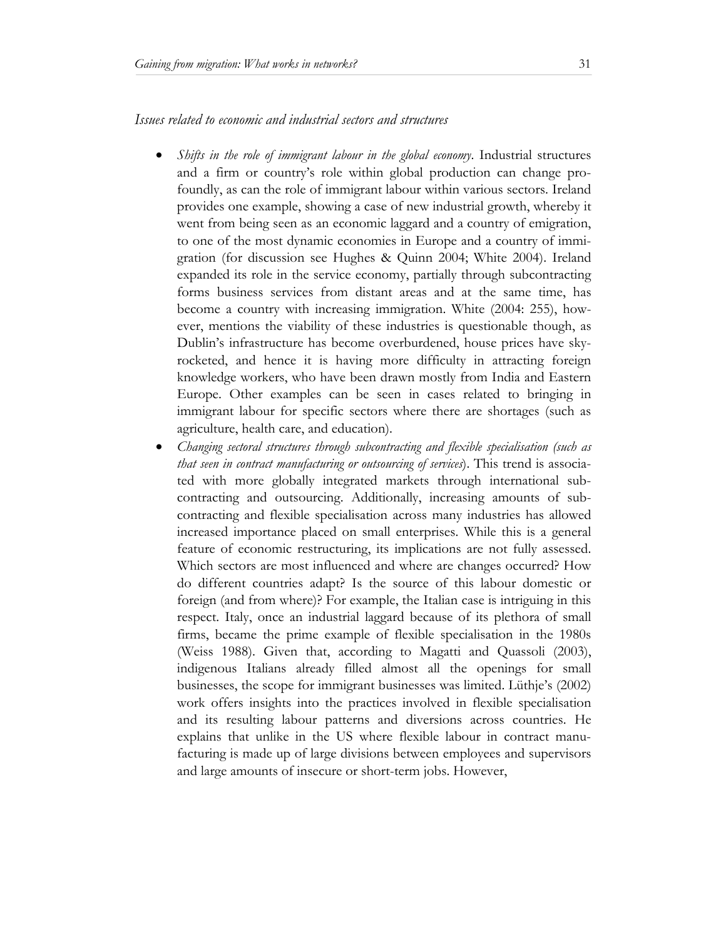*Issues related to economic and industrial sectors and structures* 

- *Shifts in the role of immigrant labour in the global economy*. Industrial structures and a firm or country's role within global production can change profoundly, as can the role of immigrant labour within various sectors. Ireland provides one example, showing a case of new industrial growth, whereby it went from being seen as an economic laggard and a country of emigration, to one of the most dynamic economies in Europe and a country of immigration (for discussion see Hughes & Quinn 2004; White 2004). Ireland expanded its role in the service economy, partially through subcontracting forms business services from distant areas and at the same time, has become a country with increasing immigration. White (2004: 255), however, mentions the viability of these industries is questionable though, as Dublin's infrastructure has become overburdened, house prices have skyrocketed, and hence it is having more difficulty in attracting foreign knowledge workers, who have been drawn mostly from India and Eastern Europe. Other examples can be seen in cases related to bringing in immigrant labour for specific sectors where there are shortages (such as agriculture, health care, and education).
- *Changing sectoral structures through subcontracting and flexible specialisation (such as that seen in contract manufacturing or outsourcing of services*). This trend is associated with more globally integrated markets through international subcontracting and outsourcing. Additionally, increasing amounts of subcontracting and flexible specialisation across many industries has allowed increased importance placed on small enterprises. While this is a general feature of economic restructuring, its implications are not fully assessed. Which sectors are most influenced and where are changes occurred? How do different countries adapt? Is the source of this labour domestic or foreign (and from where)? For example, the Italian case is intriguing in this respect. Italy, once an industrial laggard because of its plethora of small firms, became the prime example of flexible specialisation in the 1980s (Weiss 1988). Given that, according to Magatti and Quassoli (2003), indigenous Italians already filled almost all the openings for small businesses, the scope for immigrant businesses was limited. Lüthje's (2002) work offers insights into the practices involved in flexible specialisation and its resulting labour patterns and diversions across countries. He explains that unlike in the US where flexible labour in contract manufacturing is made up of large divisions between employees and supervisors and large amounts of insecure or short-term jobs. However,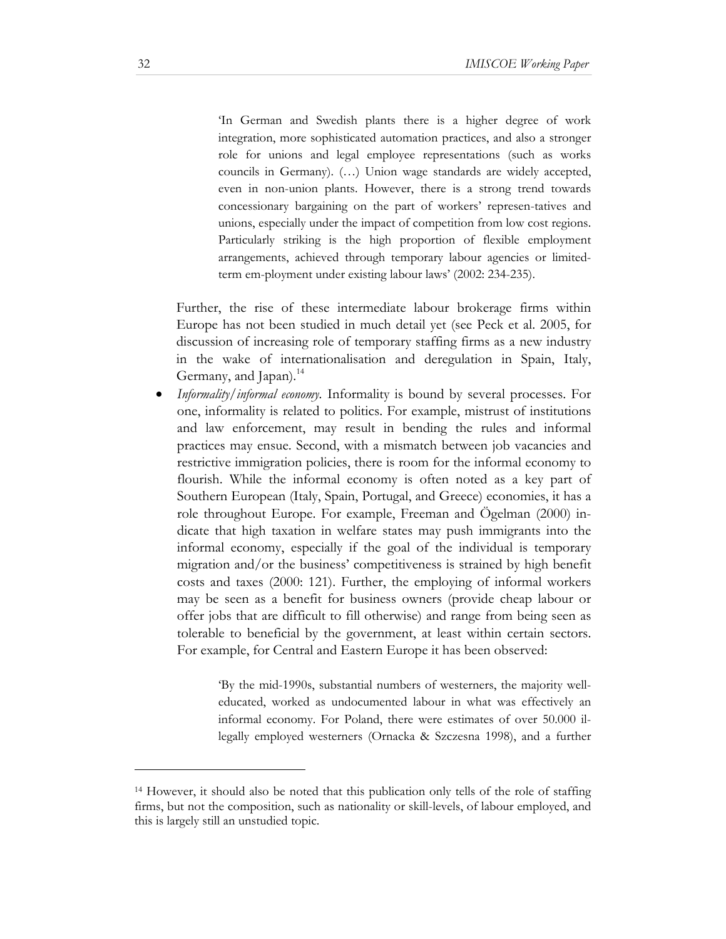'In German and Swedish plants there is a higher degree of work integration, more sophisticated automation practices, and also a stronger role for unions and legal employee representations (such as works councils in Germany). (…) Union wage standards are widely accepted, even in non-union plants. However, there is a strong trend towards concessionary bargaining on the part of workers' represen-tatives and unions, especially under the impact of competition from low cost regions. Particularly striking is the high proportion of flexible employment arrangements, achieved through temporary labour agencies or limitedterm em-ployment under existing labour laws' (2002: 234-235).

Further, the rise of these intermediate labour brokerage firms within Europe has not been studied in much detail yet (see Peck et al. 2005, for discussion of increasing role of temporary staffing firms as a new industry in the wake of internationalisation and deregulation in Spain, Italy, Germany, and Japan).<sup>14</sup>

• *Informality/informal economy.* Informality is bound by several processes. For one, informality is related to politics. For example, mistrust of institutions and law enforcement, may result in bending the rules and informal practices may ensue. Second, with a mismatch between job vacancies and restrictive immigration policies, there is room for the informal economy to flourish. While the informal economy is often noted as a key part of Southern European (Italy, Spain, Portugal, and Greece) economies, it has a role throughout Europe. For example, Freeman and Ögelman (2000) indicate that high taxation in welfare states may push immigrants into the informal economy, especially if the goal of the individual is temporary migration and/or the business' competitiveness is strained by high benefit costs and taxes (2000: 121). Further, the employing of informal workers may be seen as a benefit for business owners (provide cheap labour or offer jobs that are difficult to fill otherwise) and range from being seen as tolerable to beneficial by the government, at least within certain sectors. For example, for Central and Eastern Europe it has been observed:

> 'By the mid-1990s, substantial numbers of westerners, the majority welleducated, worked as undocumented labour in what was effectively an informal economy. For Poland, there were estimates of over 50.000 illegally employed westerners (Ornacka & Szczesna 1998), and a further

<sup>14</sup> However, it should also be noted that this publication only tells of the role of staffing firms, but not the composition, such as nationality or skill-levels, of labour employed, and this is largely still an unstudied topic.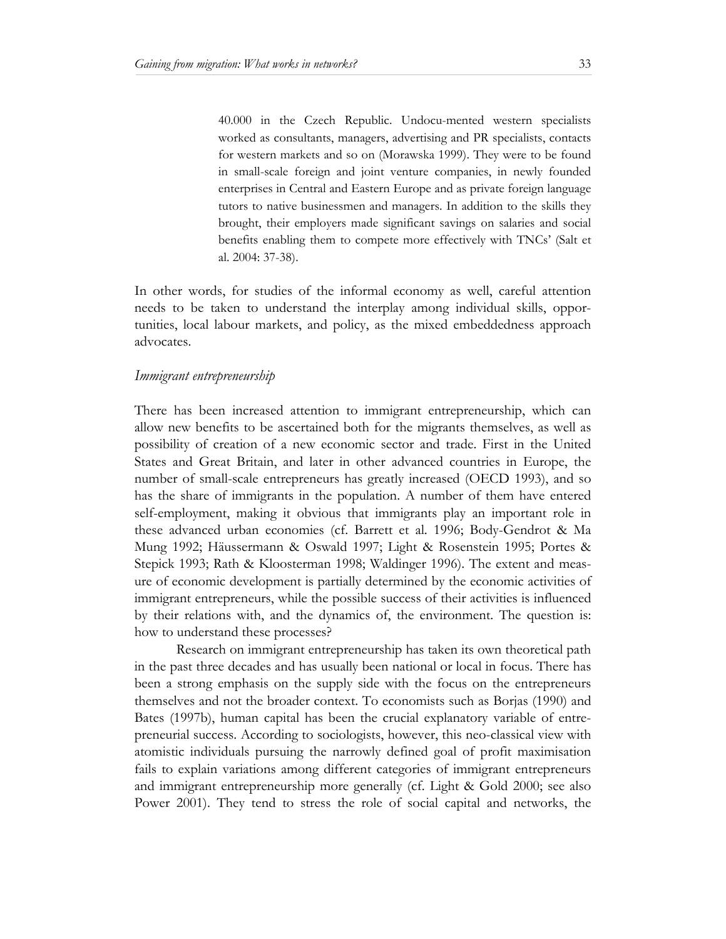40.000 in the Czech Republic. Undocu-mented western specialists worked as consultants, managers, advertising and PR specialists, contacts for western markets and so on (Morawska 1999). They were to be found in small-scale foreign and joint venture companies, in newly founded enterprises in Central and Eastern Europe and as private foreign language tutors to native businessmen and managers. In addition to the skills they brought, their employers made significant savings on salaries and social benefits enabling them to compete more effectively with TNCs' (Salt et al. 2004: 37-38).

In other words, for studies of the informal economy as well, careful attention needs to be taken to understand the interplay among individual skills, opportunities, local labour markets, and policy, as the mixed embeddedness approach advocates.

#### *Immigrant entrepreneurship*

There has been increased attention to immigrant entrepreneurship, which can allow new benefits to be ascertained both for the migrants themselves, as well as possibility of creation of a new economic sector and trade. First in the United States and Great Britain, and later in other advanced countries in Europe, the number of small-scale entrepreneurs has greatly increased (OECD 1993), and so has the share of immigrants in the population. A number of them have entered self-employment, making it obvious that immigrants play an important role in these advanced urban economies (cf. Barrett et al. 1996; Body-Gendrot & Ma Mung 1992; Häussermann & Oswald 1997; Light & Rosenstein 1995; Portes & Stepick 1993; Rath & Kloosterman 1998; Waldinger 1996). The extent and measure of economic development is partially determined by the economic activities of immigrant entrepreneurs, while the possible success of their activities is influenced by their relations with, and the dynamics of, the environment. The question is: how to understand these processes?

Research on immigrant entrepreneurship has taken its own theoretical path in the past three decades and has usually been national or local in focus. There has been a strong emphasis on the supply side with the focus on the entrepreneurs themselves and not the broader context. To economists such as Borjas (1990) and Bates (1997b), human capital has been the crucial explanatory variable of entrepreneurial success. According to sociologists, however, this neo-classical view with atomistic individuals pursuing the narrowly defined goal of profit maximisation fails to explain variations among different categories of immigrant entrepreneurs and immigrant entrepreneurship more generally (cf. Light & Gold 2000; see also Power 2001). They tend to stress the role of social capital and networks, the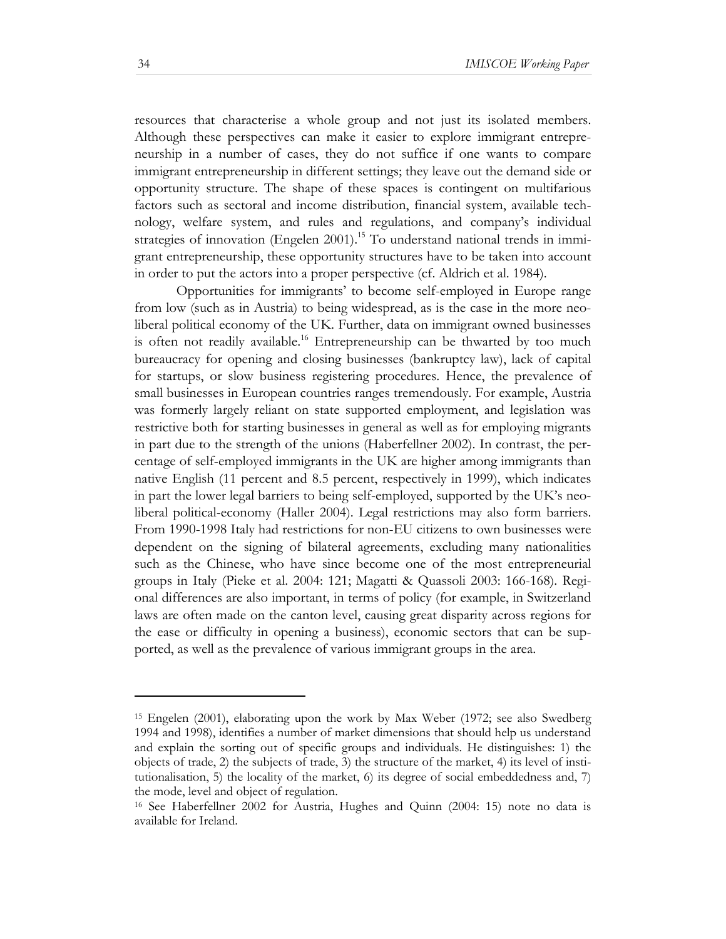resources that characterise a whole group and not just its isolated members. Although these perspectives can make it easier to explore immigrant entrepreneurship in a number of cases, they do not suffice if one wants to compare immigrant entrepreneurship in different settings; they leave out the demand side or opportunity structure. The shape of these spaces is contingent on multifarious factors such as sectoral and income distribution, financial system, available technology, welfare system, and rules and regulations, and company's individual strategies of innovation (Engelen 2001).<sup>15</sup> To understand national trends in immigrant entrepreneurship, these opportunity structures have to be taken into account in order to put the actors into a proper perspective (cf. Aldrich et al. 1984).

Opportunities for immigrants' to become self-employed in Europe range from low (such as in Austria) to being widespread, as is the case in the more neoliberal political economy of the UK. Further, data on immigrant owned businesses is often not readily available.<sup>16</sup> Entrepreneurship can be thwarted by too much bureaucracy for opening and closing businesses (bankruptcy law), lack of capital for startups, or slow business registering procedures. Hence, the prevalence of small businesses in European countries ranges tremendously. For example, Austria was formerly largely reliant on state supported employment, and legislation was restrictive both for starting businesses in general as well as for employing migrants in part due to the strength of the unions (Haberfellner 2002). In contrast, the percentage of self-employed immigrants in the UK are higher among immigrants than native English (11 percent and 8.5 percent, respectively in 1999), which indicates in part the lower legal barriers to being self-employed, supported by the UK's neoliberal political-economy (Haller 2004). Legal restrictions may also form barriers. From 1990-1998 Italy had restrictions for non-EU citizens to own businesses were dependent on the signing of bilateral agreements, excluding many nationalities such as the Chinese, who have since become one of the most entrepreneurial groups in Italy (Pieke et al. 2004: 121; Magatti & Quassoli 2003: 166-168). Regional differences are also important, in terms of policy (for example, in Switzerland laws are often made on the canton level, causing great disparity across regions for the ease or difficulty in opening a business), economic sectors that can be supported, as well as the prevalence of various immigrant groups in the area.

<sup>15</sup> Engelen (2001), elaborating upon the work by Max Weber (1972; see also Swedberg 1994 and 1998), identifies a number of market dimensions that should help us understand and explain the sorting out of specific groups and individuals. He distinguishes: 1) the objects of trade, 2) the subjects of trade, 3) the structure of the market, 4) its level of institutionalisation, 5) the locality of the market, 6) its degree of social embeddedness and, 7) the mode, level and object of regulation.

<sup>16</sup> See Haberfellner 2002 for Austria, Hughes and Quinn (2004: 15) note no data is available for Ireland.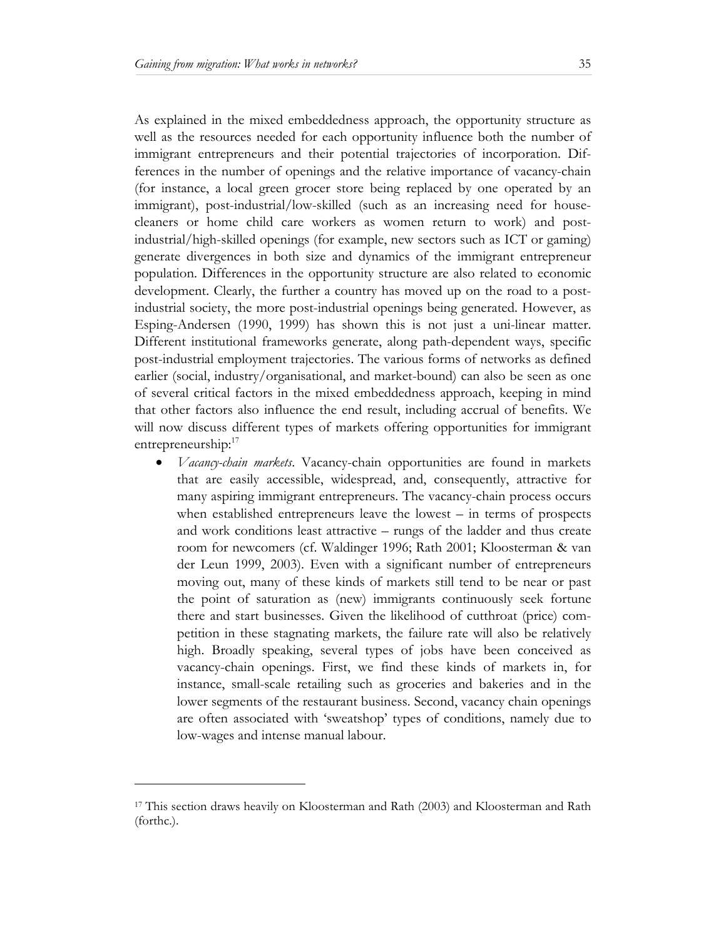As explained in the mixed embeddedness approach, the opportunity structure as well as the resources needed for each opportunity influence both the number of immigrant entrepreneurs and their potential trajectories of incorporation. Differences in the number of openings and the relative importance of vacancy-chain (for instance, a local green grocer store being replaced by one operated by an immigrant), post-industrial/low-skilled (such as an increasing need for housecleaners or home child care workers as women return to work) and postindustrial/high-skilled openings (for example, new sectors such as ICT or gaming) generate divergences in both size and dynamics of the immigrant entrepreneur population. Differences in the opportunity structure are also related to economic development. Clearly, the further a country has moved up on the road to a postindustrial society, the more post-industrial openings being generated. However, as Esping-Andersen (1990, 1999) has shown this is not just a uni-linear matter. Different institutional frameworks generate, along path-dependent ways, specific post-industrial employment trajectories. The various forms of networks as defined earlier (social, industry/organisational, and market-bound) can also be seen as one of several critical factors in the mixed embeddedness approach, keeping in mind that other factors also influence the end result, including accrual of benefits. We will now discuss different types of markets offering opportunities for immigrant entrepreneurship:<sup>17</sup>

• *Vacancy-chain markets*. Vacancy-chain opportunities are found in markets that are easily accessible, widespread, and, consequently, attractive for many aspiring immigrant entrepreneurs. The vacancy-chain process occurs when established entrepreneurs leave the lowest – in terms of prospects and work conditions least attractive – rungs of the ladder and thus create room for newcomers (cf. Waldinger 1996; Rath 2001; Kloosterman & van der Leun 1999, 2003). Even with a significant number of entrepreneurs moving out, many of these kinds of markets still tend to be near or past the point of saturation as (new) immigrants continuously seek fortune there and start businesses. Given the likelihood of cutthroat (price) competition in these stagnating markets, the failure rate will also be relatively high. Broadly speaking, several types of jobs have been conceived as vacancy-chain openings. First, we find these kinds of markets in, for instance, small-scale retailing such as groceries and bakeries and in the lower segments of the restaurant business. Second, vacancy chain openings are often associated with 'sweatshop' types of conditions, namely due to low-wages and intense manual labour.

<sup>17</sup> This section draws heavily on Kloosterman and Rath (2003) and Kloosterman and Rath (forthc.).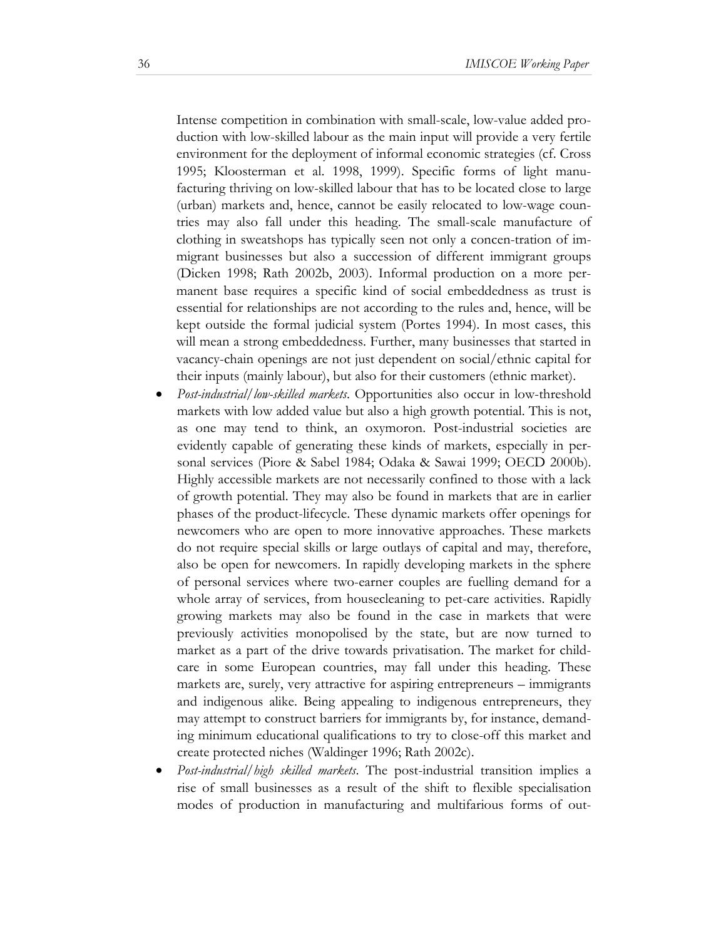Intense competition in combination with small-scale, low-value added production with low-skilled labour as the main input will provide a very fertile environment for the deployment of informal economic strategies (cf. Cross 1995; Kloosterman et al. 1998, 1999). Specific forms of light manufacturing thriving on low-skilled labour that has to be located close to large (urban) markets and, hence, cannot be easily relocated to low-wage countries may also fall under this heading. The small-scale manufacture of clothing in sweatshops has typically seen not only a concen-tration of immigrant businesses but also a succession of different immigrant groups (Dicken 1998; Rath 2002b, 2003). Informal production on a more permanent base requires a specific kind of social embeddedness as trust is essential for relationships are not according to the rules and, hence, will be kept outside the formal judicial system (Portes 1994). In most cases, this will mean a strong embeddedness. Further, many businesses that started in vacancy-chain openings are not just dependent on social/ethnic capital for their inputs (mainly labour), but also for their customers (ethnic market).

- *Post-industrial/low-skilled markets*. Opportunities also occur in low-threshold markets with low added value but also a high growth potential. This is not, as one may tend to think, an oxymoron. Post-industrial societies are evidently capable of generating these kinds of markets, especially in personal services (Piore & Sabel 1984; Odaka & Sawai 1999; OECD 2000b). Highly accessible markets are not necessarily confined to those with a lack of growth potential. They may also be found in markets that are in earlier phases of the product-lifecycle. These dynamic markets offer openings for newcomers who are open to more innovative approaches. These markets do not require special skills or large outlays of capital and may, therefore, also be open for newcomers. In rapidly developing markets in the sphere of personal services where two-earner couples are fuelling demand for a whole array of services, from housecleaning to pet-care activities. Rapidly growing markets may also be found in the case in markets that were previously activities monopolised by the state, but are now turned to market as a part of the drive towards privatisation. The market for childcare in some European countries, may fall under this heading. These markets are, surely, very attractive for aspiring entrepreneurs – immigrants and indigenous alike. Being appealing to indigenous entrepreneurs, they may attempt to construct barriers for immigrants by, for instance, demanding minimum educational qualifications to try to close-off this market and create protected niches (Waldinger 1996; Rath 2002c).
- *Post-industrial/high skilled markets*. The post-industrial transition implies a rise of small businesses as a result of the shift to flexible specialisation modes of production in manufacturing and multifarious forms of out-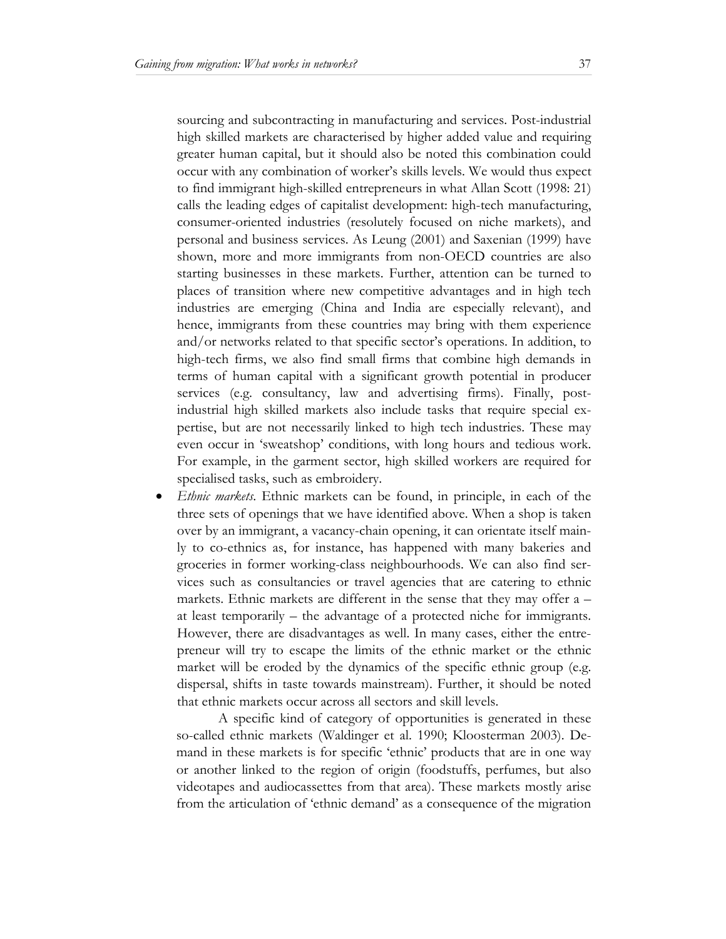sourcing and subcontracting in manufacturing and services. Post-industrial high skilled markets are characterised by higher added value and requiring greater human capital, but it should also be noted this combination could occur with any combination of worker's skills levels. We would thus expect to find immigrant high-skilled entrepreneurs in what Allan Scott (1998: 21) calls the leading edges of capitalist development: high-tech manufacturing, consumer-oriented industries (resolutely focused on niche markets), and personal and business services. As Leung (2001) and Saxenian (1999) have shown, more and more immigrants from non-OECD countries are also starting businesses in these markets. Further, attention can be turned to places of transition where new competitive advantages and in high tech industries are emerging (China and India are especially relevant), and hence, immigrants from these countries may bring with them experience and/or networks related to that specific sector's operations. In addition, to high-tech firms, we also find small firms that combine high demands in terms of human capital with a significant growth potential in producer services (e.g. consultancy, law and advertising firms). Finally, postindustrial high skilled markets also include tasks that require special expertise, but are not necessarily linked to high tech industries. These may even occur in 'sweatshop' conditions, with long hours and tedious work. For example, in the garment sector, high skilled workers are required for specialised tasks, such as embroidery.

• *Ethnic markets*. Ethnic markets can be found, in principle, in each of the three sets of openings that we have identified above. When a shop is taken over by an immigrant, a vacancy-chain opening, it can orientate itself mainly to co-ethnics as, for instance, has happened with many bakeries and groceries in former working-class neighbourhoods. We can also find services such as consultancies or travel agencies that are catering to ethnic markets. Ethnic markets are different in the sense that they may offer a – at least temporarily – the advantage of a protected niche for immigrants. However, there are disadvantages as well. In many cases, either the entrepreneur will try to escape the limits of the ethnic market or the ethnic market will be eroded by the dynamics of the specific ethnic group (e.g. dispersal, shifts in taste towards mainstream). Further, it should be noted that ethnic markets occur across all sectors and skill levels.

A specific kind of category of opportunities is generated in these so-called ethnic markets (Waldinger et al. 1990; Kloosterman 2003). Demand in these markets is for specific 'ethnic' products that are in one way or another linked to the region of origin (foodstuffs, perfumes, but also videotapes and audiocassettes from that area). These markets mostly arise from the articulation of 'ethnic demand' as a consequence of the migration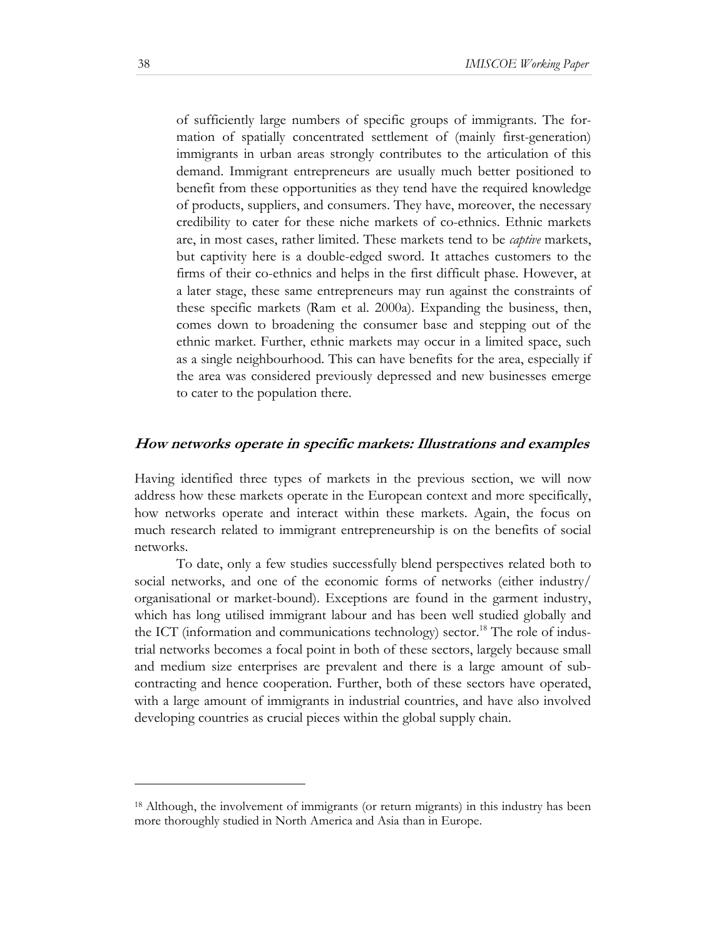of sufficiently large numbers of specific groups of immigrants. The formation of spatially concentrated settlement of (mainly first-generation) immigrants in urban areas strongly contributes to the articulation of this demand. Immigrant entrepreneurs are usually much better positioned to benefit from these opportunities as they tend have the required knowledge of products, suppliers, and consumers. They have, moreover, the necessary credibility to cater for these niche markets of co-ethnics. Ethnic markets are, in most cases, rather limited. These markets tend to be *captive* markets, but captivity here is a double-edged sword. It attaches customers to the firms of their co-ethnics and helps in the first difficult phase. However, at a later stage, these same entrepreneurs may run against the constraints of these specific markets (Ram et al. 2000a). Expanding the business, then, comes down to broadening the consumer base and stepping out of the ethnic market. Further, ethnic markets may occur in a limited space, such as a single neighbourhood. This can have benefits for the area, especially if the area was considered previously depressed and new businesses emerge to cater to the population there.

#### **How networks operate in specific markets: Illustrations and examples**

Having identified three types of markets in the previous section, we will now address how these markets operate in the European context and more specifically, how networks operate and interact within these markets. Again, the focus on much research related to immigrant entrepreneurship is on the benefits of social networks.

To date, only a few studies successfully blend perspectives related both to social networks, and one of the economic forms of networks (either industry/ organisational or market-bound). Exceptions are found in the garment industry, which has long utilised immigrant labour and has been well studied globally and the ICT (information and communications technology) sector.<sup>18</sup> The role of industrial networks becomes a focal point in both of these sectors, largely because small and medium size enterprises are prevalent and there is a large amount of subcontracting and hence cooperation. Further, both of these sectors have operated, with a large amount of immigrants in industrial countries, and have also involved developing countries as crucial pieces within the global supply chain.

l

<sup>18</sup> Although, the involvement of immigrants (or return migrants) in this industry has been more thoroughly studied in North America and Asia than in Europe.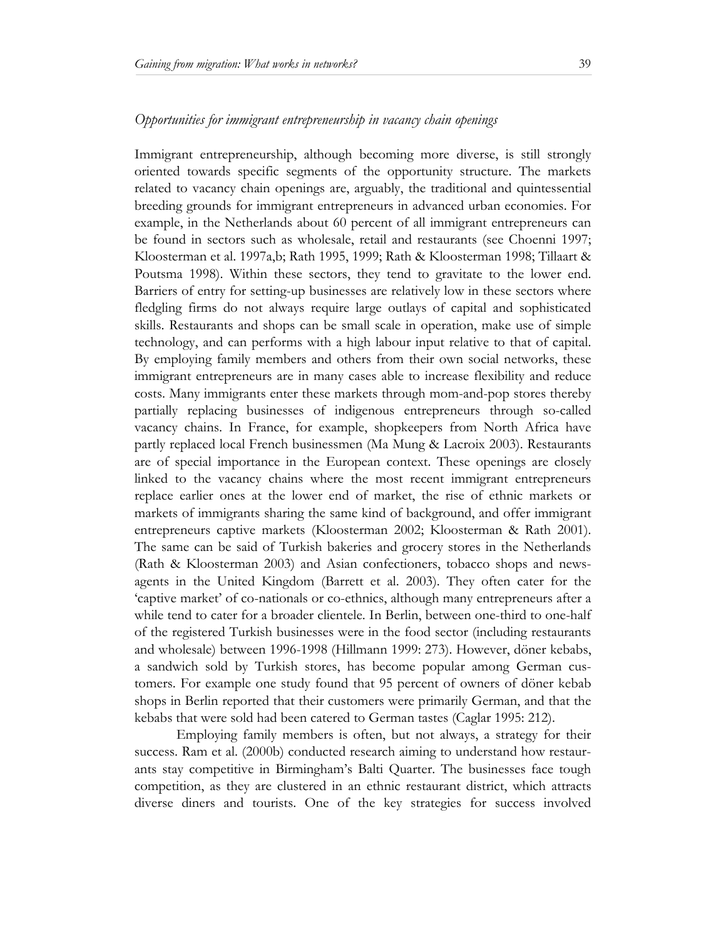#### *Opportunities for immigrant entrepreneurship in vacancy chain openings*

Immigrant entrepreneurship, although becoming more diverse, is still strongly oriented towards specific segments of the opportunity structure. The markets related to vacancy chain openings are, arguably, the traditional and quintessential breeding grounds for immigrant entrepreneurs in advanced urban economies. For example, in the Netherlands about 60 percent of all immigrant entrepreneurs can be found in sectors such as wholesale, retail and restaurants (see Choenni 1997; Kloosterman et al. 1997a,b; Rath 1995, 1999; Rath & Kloosterman 1998; Tillaart & Poutsma 1998). Within these sectors, they tend to gravitate to the lower end. Barriers of entry for setting-up businesses are relatively low in these sectors where fledgling firms do not always require large outlays of capital and sophisticated skills. Restaurants and shops can be small scale in operation, make use of simple technology, and can performs with a high labour input relative to that of capital. By employing family members and others from their own social networks, these immigrant entrepreneurs are in many cases able to increase flexibility and reduce costs. Many immigrants enter these markets through mom-and-pop stores thereby partially replacing businesses of indigenous entrepreneurs through so-called vacancy chains. In France, for example, shopkeepers from North Africa have partly replaced local French businessmen (Ma Mung & Lacroix 2003). Restaurants are of special importance in the European context. These openings are closely linked to the vacancy chains where the most recent immigrant entrepreneurs replace earlier ones at the lower end of market, the rise of ethnic markets or markets of immigrants sharing the same kind of background, and offer immigrant entrepreneurs captive markets (Kloosterman 2002; Kloosterman & Rath 2001). The same can be said of Turkish bakeries and grocery stores in the Netherlands (Rath & Kloosterman 2003) and Asian confectioners, tobacco shops and newsagents in the United Kingdom (Barrett et al. 2003). They often cater for the 'captive market' of co-nationals or co-ethnics, although many entrepreneurs after a while tend to cater for a broader clientele. In Berlin, between one-third to one-half of the registered Turkish businesses were in the food sector (including restaurants and wholesale) between 1996-1998 (Hillmann 1999: 273). However, döner kebabs, a sandwich sold by Turkish stores, has become popular among German customers. For example one study found that 95 percent of owners of döner kebab shops in Berlin reported that their customers were primarily German, and that the kebabs that were sold had been catered to German tastes (Caglar 1995: 212).

Employing family members is often, but not always, a strategy for their success. Ram et al. (2000b) conducted research aiming to understand how restaurants stay competitive in Birmingham's Balti Quarter. The businesses face tough competition, as they are clustered in an ethnic restaurant district, which attracts diverse diners and tourists. One of the key strategies for success involved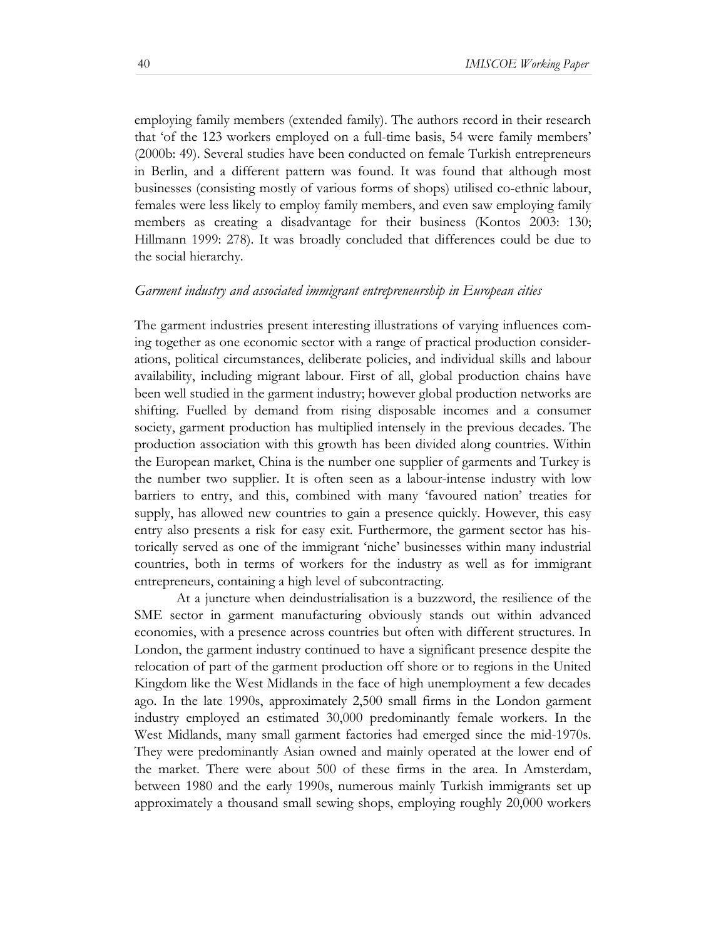employing family members (extended family). The authors record in their research that 'of the 123 workers employed on a full-time basis, 54 were family members' (2000b: 49). Several studies have been conducted on female Turkish entrepreneurs in Berlin, and a different pattern was found. It was found that although most businesses (consisting mostly of various forms of shops) utilised co-ethnic labour, females were less likely to employ family members, and even saw employing family members as creating a disadvantage for their business (Kontos 2003: 130; Hillmann 1999: 278). It was broadly concluded that differences could be due to the social hierarchy.

#### *Garment industry and associated immigrant entrepreneurship in European cities*

The garment industries present interesting illustrations of varying influences coming together as one economic sector with a range of practical production considerations, political circumstances, deliberate policies, and individual skills and labour availability, including migrant labour. First of all, global production chains have been well studied in the garment industry; however global production networks are shifting. Fuelled by demand from rising disposable incomes and a consumer society, garment production has multiplied intensely in the previous decades. The production association with this growth has been divided along countries. Within the European market, China is the number one supplier of garments and Turkey is the number two supplier. It is often seen as a labour-intense industry with low barriers to entry, and this, combined with many 'favoured nation' treaties for supply, has allowed new countries to gain a presence quickly. However, this easy entry also presents a risk for easy exit. Furthermore, the garment sector has historically served as one of the immigrant 'niche' businesses within many industrial countries, both in terms of workers for the industry as well as for immigrant entrepreneurs, containing a high level of subcontracting.

At a juncture when deindustrialisation is a buzzword, the resilience of the SME sector in garment manufacturing obviously stands out within advanced economies, with a presence across countries but often with different structures. In London, the garment industry continued to have a significant presence despite the relocation of part of the garment production off shore or to regions in the United Kingdom like the West Midlands in the face of high unemployment a few decades ago. In the late 1990s, approximately 2,500 small firms in the London garment industry employed an estimated 30,000 predominantly female workers. In the West Midlands, many small garment factories had emerged since the mid-1970s. They were predominantly Asian owned and mainly operated at the lower end of the market. There were about 500 of these firms in the area. In Amsterdam, between 1980 and the early 1990s, numerous mainly Turkish immigrants set up approximately a thousand small sewing shops, employing roughly 20,000 workers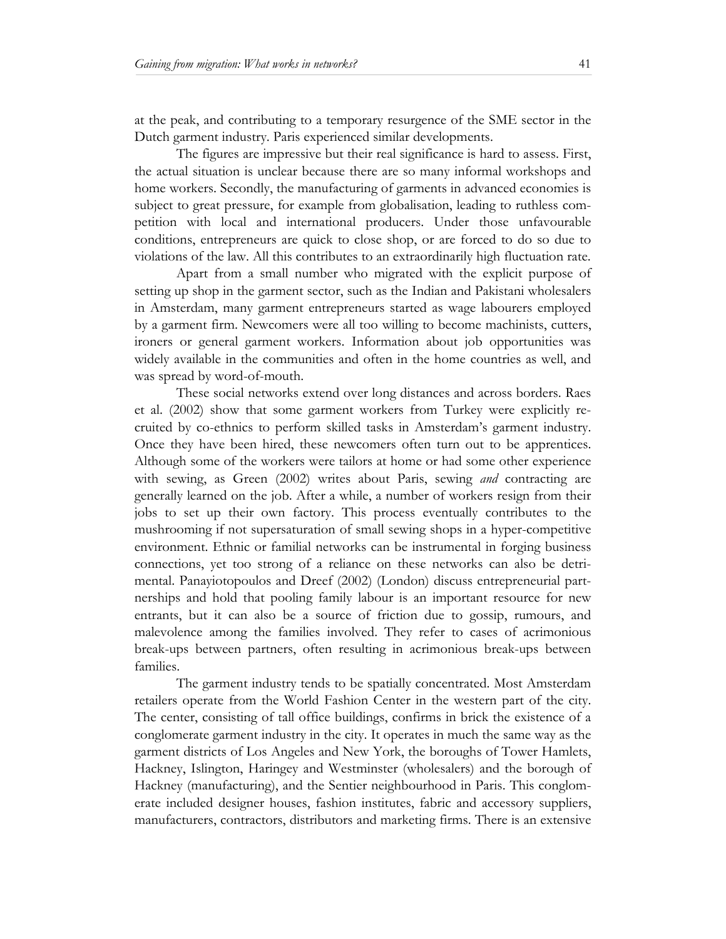at the peak, and contributing to a temporary resurgence of the SME sector in the Dutch garment industry. Paris experienced similar developments.

The figures are impressive but their real significance is hard to assess. First, the actual situation is unclear because there are so many informal workshops and home workers. Secondly, the manufacturing of garments in advanced economies is subject to great pressure, for example from globalisation, leading to ruthless competition with local and international producers. Under those unfavourable conditions, entrepreneurs are quick to close shop, or are forced to do so due to violations of the law. All this contributes to an extraordinarily high fluctuation rate.

Apart from a small number who migrated with the explicit purpose of setting up shop in the garment sector, such as the Indian and Pakistani wholesalers in Amsterdam, many garment entrepreneurs started as wage labourers employed by a garment firm. Newcomers were all too willing to become machinists, cutters, ironers or general garment workers. Information about job opportunities was widely available in the communities and often in the home countries as well, and was spread by word-of-mouth.

These social networks extend over long distances and across borders. Raes et al. (2002) show that some garment workers from Turkey were explicitly recruited by co-ethnics to perform skilled tasks in Amsterdam's garment industry. Once they have been hired, these newcomers often turn out to be apprentices. Although some of the workers were tailors at home or had some other experience with sewing, as Green (2002) writes about Paris, sewing *and* contracting are generally learned on the job. After a while, a number of workers resign from their jobs to set up their own factory. This process eventually contributes to the mushrooming if not supersaturation of small sewing shops in a hyper-competitive environment. Ethnic or familial networks can be instrumental in forging business connections, yet too strong of a reliance on these networks can also be detrimental. Panayiotopoulos and Dreef (2002) (London) discuss entrepreneurial partnerships and hold that pooling family labour is an important resource for new entrants, but it can also be a source of friction due to gossip, rumours, and malevolence among the families involved. They refer to cases of acrimonious break-ups between partners, often resulting in acrimonious break-ups between families.

The garment industry tends to be spatially concentrated. Most Amsterdam retailers operate from the World Fashion Center in the western part of the city. The center, consisting of tall office buildings, confirms in brick the existence of a conglomerate garment industry in the city. It operates in much the same way as the garment districts of Los Angeles and New York, the boroughs of Tower Hamlets, Hackney, Islington, Haringey and Westminster (wholesalers) and the borough of Hackney (manufacturing), and the Sentier neighbourhood in Paris. This conglomerate included designer houses, fashion institutes, fabric and accessory suppliers, manufacturers, contractors, distributors and marketing firms. There is an extensive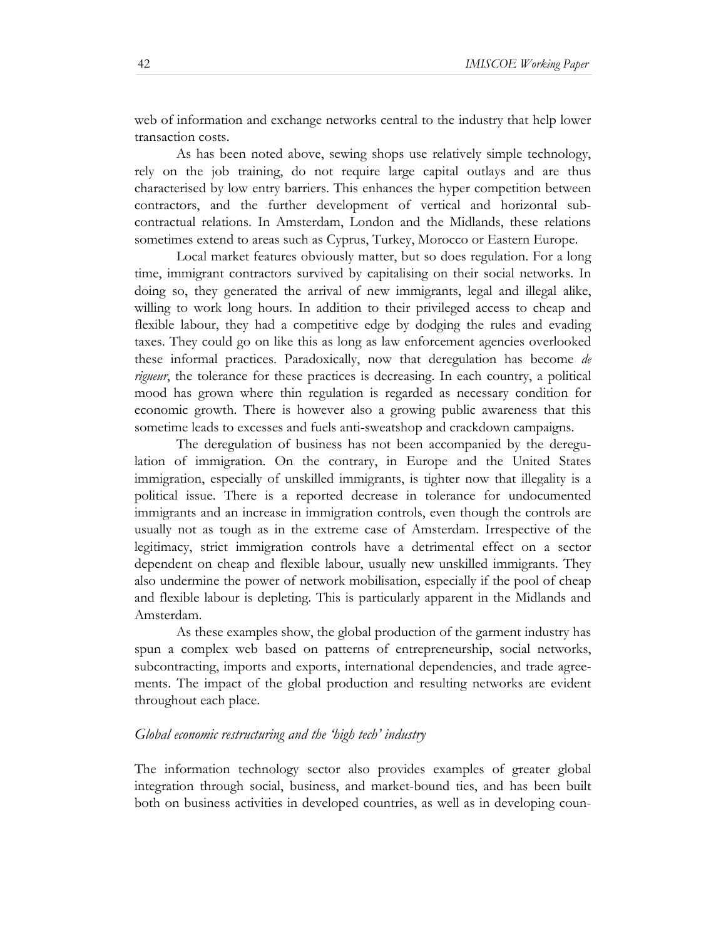web of information and exchange networks central to the industry that help lower transaction costs.

As has been noted above, sewing shops use relatively simple technology, rely on the job training, do not require large capital outlays and are thus characterised by low entry barriers. This enhances the hyper competition between contractors, and the further development of vertical and horizontal subcontractual relations. In Amsterdam, London and the Midlands, these relations sometimes extend to areas such as Cyprus, Turkey, Morocco or Eastern Europe.

Local market features obviously matter, but so does regulation. For a long time, immigrant contractors survived by capitalising on their social networks. In doing so, they generated the arrival of new immigrants, legal and illegal alike, willing to work long hours. In addition to their privileged access to cheap and flexible labour, they had a competitive edge by dodging the rules and evading taxes. They could go on like this as long as law enforcement agencies overlooked these informal practices. Paradoxically, now that deregulation has become *de rigueur*, the tolerance for these practices is decreasing. In each country, a political mood has grown where thin regulation is regarded as necessary condition for economic growth. There is however also a growing public awareness that this sometime leads to excesses and fuels anti-sweatshop and crackdown campaigns.

The deregulation of business has not been accompanied by the deregulation of immigration. On the contrary, in Europe and the United States immigration, especially of unskilled immigrants, is tighter now that illegality is a political issue. There is a reported decrease in tolerance for undocumented immigrants and an increase in immigration controls, even though the controls are usually not as tough as in the extreme case of Amsterdam. Irrespective of the legitimacy, strict immigration controls have a detrimental effect on a sector dependent on cheap and flexible labour, usually new unskilled immigrants. They also undermine the power of network mobilisation, especially if the pool of cheap and flexible labour is depleting. This is particularly apparent in the Midlands and Amsterdam.

As these examples show, the global production of the garment industry has spun a complex web based on patterns of entrepreneurship, social networks, subcontracting, imports and exports, international dependencies, and trade agreements. The impact of the global production and resulting networks are evident throughout each place.

#### *Global economic restructuring and the 'high tech' industry*

The information technology sector also provides examples of greater global integration through social, business, and market-bound ties, and has been built both on business activities in developed countries, as well as in developing coun-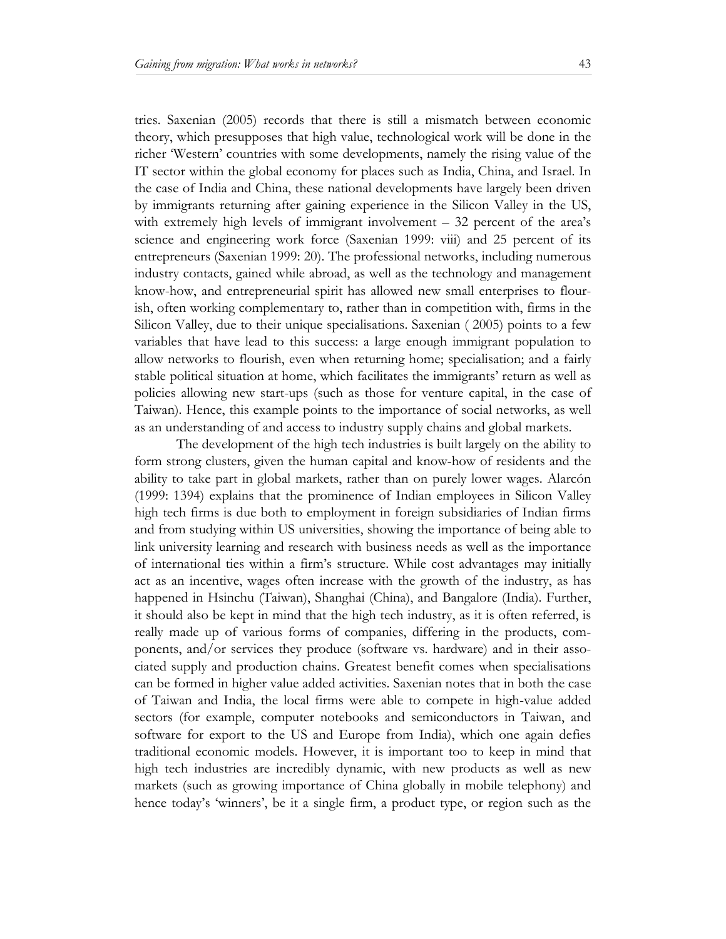tries. Saxenian (2005) records that there is still a mismatch between economic theory, which presupposes that high value, technological work will be done in the richer 'Western' countries with some developments, namely the rising value of the IT sector within the global economy for places such as India, China, and Israel. In the case of India and China, these national developments have largely been driven by immigrants returning after gaining experience in the Silicon Valley in the US, with extremely high levels of immigrant involvement  $-32$  percent of the area's science and engineering work force (Saxenian 1999: viii) and 25 percent of its entrepreneurs (Saxenian 1999: 20). The professional networks, including numerous industry contacts, gained while abroad, as well as the technology and management know-how, and entrepreneurial spirit has allowed new small enterprises to flourish, often working complementary to, rather than in competition with, firms in the Silicon Valley, due to their unique specialisations. Saxenian ( 2005) points to a few variables that have lead to this success: a large enough immigrant population to allow networks to flourish, even when returning home; specialisation; and a fairly stable political situation at home, which facilitates the immigrants' return as well as policies allowing new start-ups (such as those for venture capital, in the case of Taiwan). Hence, this example points to the importance of social networks, as well as an understanding of and access to industry supply chains and global markets.

The development of the high tech industries is built largely on the ability to form strong clusters, given the human capital and know-how of residents and the ability to take part in global markets, rather than on purely lower wages. Alarcón (1999: 1394) explains that the prominence of Indian employees in Silicon Valley high tech firms is due both to employment in foreign subsidiaries of Indian firms and from studying within US universities, showing the importance of being able to link university learning and research with business needs as well as the importance of international ties within a firm's structure. While cost advantages may initially act as an incentive, wages often increase with the growth of the industry, as has happened in Hsinchu (Taiwan), Shanghai (China), and Bangalore (India). Further, it should also be kept in mind that the high tech industry, as it is often referred, is really made up of various forms of companies, differing in the products, components, and/or services they produce (software vs. hardware) and in their associated supply and production chains. Greatest benefit comes when specialisations can be formed in higher value added activities. Saxenian notes that in both the case of Taiwan and India, the local firms were able to compete in high-value added sectors (for example, computer notebooks and semiconductors in Taiwan, and software for export to the US and Europe from India), which one again defies traditional economic models. However, it is important too to keep in mind that high tech industries are incredibly dynamic, with new products as well as new markets (such as growing importance of China globally in mobile telephony) and hence today's 'winners', be it a single firm, a product type, or region such as the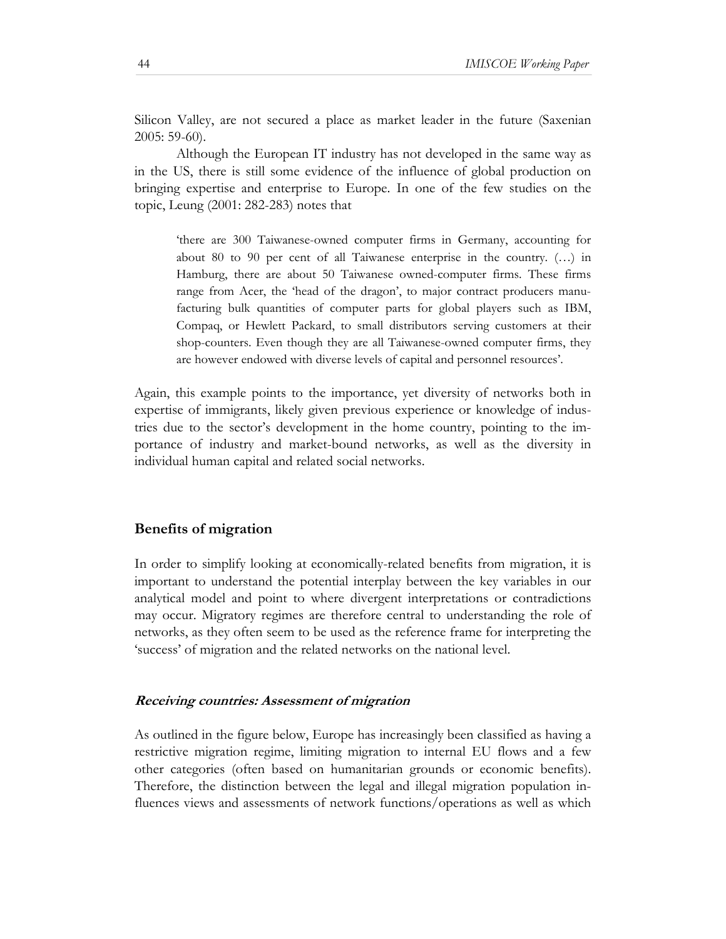Silicon Valley, are not secured a place as market leader in the future (Saxenian 2005: 59-60).

Although the European IT industry has not developed in the same way as in the US, there is still some evidence of the influence of global production on bringing expertise and enterprise to Europe. In one of the few studies on the topic, Leung (2001: 282-283) notes that

'there are 300 Taiwanese-owned computer firms in Germany, accounting for about 80 to 90 per cent of all Taiwanese enterprise in the country. (…) in Hamburg, there are about 50 Taiwanese owned-computer firms. These firms range from Acer, the 'head of the dragon', to major contract producers manufacturing bulk quantities of computer parts for global players such as IBM, Compaq, or Hewlett Packard, to small distributors serving customers at their shop-counters. Even though they are all Taiwanese-owned computer firms, they are however endowed with diverse levels of capital and personnel resources'.

Again, this example points to the importance, yet diversity of networks both in expertise of immigrants, likely given previous experience or knowledge of industries due to the sector's development in the home country, pointing to the importance of industry and market-bound networks, as well as the diversity in individual human capital and related social networks.

#### **Benefits of migration**

In order to simplify looking at economically-related benefits from migration, it is important to understand the potential interplay between the key variables in our analytical model and point to where divergent interpretations or contradictions may occur. Migratory regimes are therefore central to understanding the role of networks, as they often seem to be used as the reference frame for interpreting the 'success' of migration and the related networks on the national level.

#### **Receiving countries: Assessment of migration**

As outlined in the figure below, Europe has increasingly been classified as having a restrictive migration regime, limiting migration to internal EU flows and a few other categories (often based on humanitarian grounds or economic benefits). Therefore, the distinction between the legal and illegal migration population influences views and assessments of network functions/operations as well as which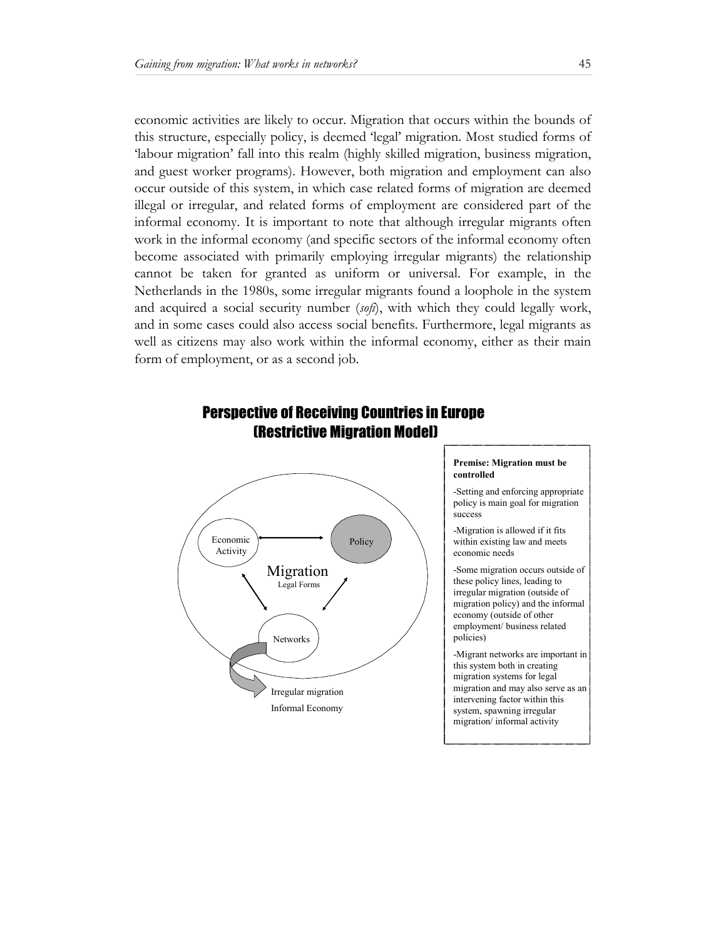economic activities are likely to occur. Migration that occurs within the bounds of this structure, especially policy, is deemed 'legal' migration. Most studied forms of 'labour migration' fall into this realm (highly skilled migration, business migration, and guest worker programs). However, both migration and employment can also occur outside of this system, in which case related forms of migration are deemed illegal or irregular, and related forms of employment are considered part of the informal economy. It is important to note that although irregular migrants often work in the informal economy (and specific sectors of the informal economy often become associated with primarily employing irregular migrants) the relationship cannot be taken for granted as uniform or universal. For example, in the Netherlands in the 1980s, some irregular migrants found a loophole in the system and acquired a social security number (*sofi*), with which they could legally work, and in some cases could also access social benefits. Furthermore, legal migrants as well as citizens may also work within the informal economy, either as their main form of employment, or as a second job.



# Perspective of Receiving Countries in Europe (Restrictive Migration Model)

#### **Premise: Migration must be controlled**

-Setting and enforcing appropriate policy is main goal for migration success

-Migration is allowed if it fits within existing law and meets economic needs

-Some migration occurs outside of these policy lines, leading to irregular migration (outside of migration policy) and the informal economy (outside of other employment/ business related policies)

-Migrant networks are important in this system both in creating migration systems for legal migration and may also serve as an intervening factor within this system, spawning irregular migration/ informal activity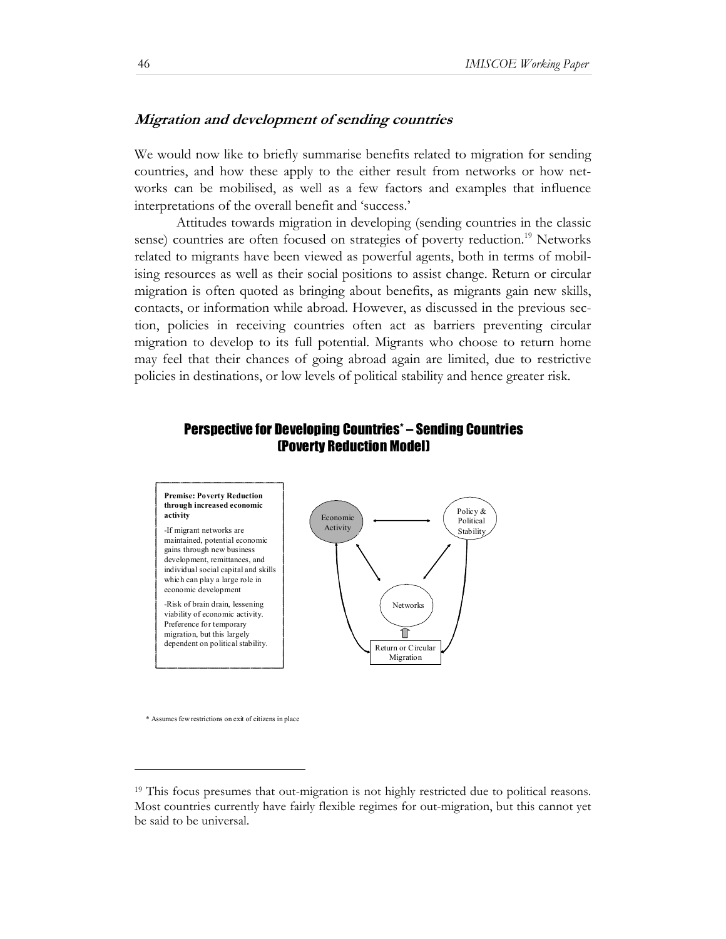# **Migration and development of sending countries**

We would now like to briefly summarise benefits related to migration for sending countries, and how these apply to the either result from networks or how networks can be mobilised, as well as a few factors and examples that influence interpretations of the overall benefit and 'success.'

Attitudes towards migration in developing (sending countries in the classic sense) countries are often focused on strategies of poverty reduction.<sup>19</sup> Networks related to migrants have been viewed as powerful agents, both in terms of mobilising resources as well as their social positions to assist change. Return or circular migration is often quoted as bringing about benefits, as migrants gain new skills, contacts, or information while abroad. However, as discussed in the previous section, policies in receiving countries often act as barriers preventing circular migration to develop to its full potential. Migrants who choose to return home may feel that their chances of going abroad again are limited, due to restrictive policies in destinations, or low levels of political stability and hence greater risk.

# Perspective for Developing Countries\* – Sending Countries (Poverty Reduction Model)



\* Assumes few restrictions on exit of citizens in place

l

<sup>19</sup> This focus presumes that out-migration is not highly restricted due to political reasons. Most countries currently have fairly flexible regimes for out-migration, but this cannot yet be said to be universal.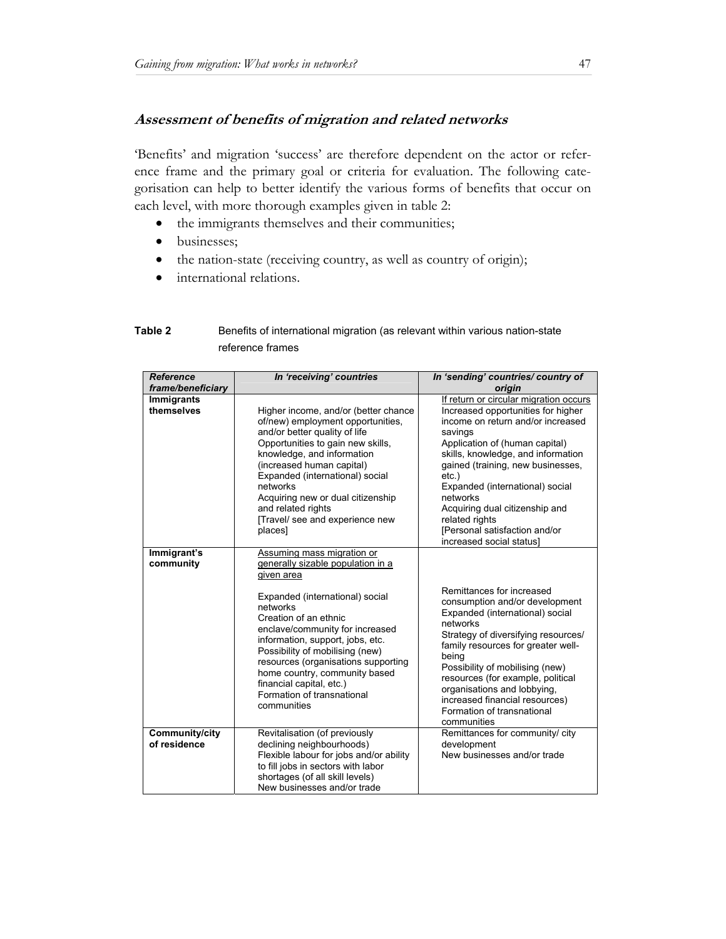# **Assessment of benefits of migration and related networks**

'Benefits' and migration 'success' are therefore dependent on the actor or reference frame and the primary goal or criteria for evaluation. The following categorisation can help to better identify the various forms of benefits that occur on each level, with more thorough examples given in table 2:

- the immigrants themselves and their communities;
- businesses;
- the nation-state (receiving country, as well as country of origin);
- international relations.

| Table 2 | Benefits of international migration (as relevant within various nation-state |
|---------|------------------------------------------------------------------------------|
|         | reference frames                                                             |

| <b>Reference</b><br>frame/beneficiary | In 'receiving' countries                                                                                                                                                                                                                                                                                                                                                                                         | In 'sending' countries/ country of<br>origin                                                                                                                                                                                                                                                                                                                                                                          |
|---------------------------------------|------------------------------------------------------------------------------------------------------------------------------------------------------------------------------------------------------------------------------------------------------------------------------------------------------------------------------------------------------------------------------------------------------------------|-----------------------------------------------------------------------------------------------------------------------------------------------------------------------------------------------------------------------------------------------------------------------------------------------------------------------------------------------------------------------------------------------------------------------|
| <b>Immigrants</b><br>themselves       | Higher income, and/or (better chance<br>of/new) employment opportunities,<br>and/or better quality of life<br>Opportunities to gain new skills,<br>knowledge, and information<br>(increased human capital)<br>Expanded (international) social<br>networks<br>Acquiring new or dual citizenship<br>and related rights<br>[Travel/ see and experience new<br>places]                                               | If return or circular migration occurs<br>Increased opportunities for higher<br>income on return and/or increased<br>savings<br>Application of (human capital)<br>skills, knowledge, and information<br>gained (training, new businesses,<br>$etc.$ )<br>Expanded (international) social<br>networks<br>Acquiring dual citizenship and<br>related rights<br>[Personal satisfaction and/or<br>increased social status] |
| Immigrant's<br>community              | Assuming mass migration or<br>generally sizable population in a<br>given area<br>Expanded (international) social<br>networks<br>Creation of an ethnic<br>enclave/community for increased<br>information, support, jobs, etc.<br>Possibility of mobilising (new)<br>resources (organisations supporting<br>home country, community based<br>financial capital, etc.)<br>Formation of transnational<br>communities | Remittances for increased<br>consumption and/or development<br>Expanded (international) social<br>networks<br>Strategy of diversifying resources/<br>family resources for greater well-<br>being<br>Possibility of mobilising (new)<br>resources (for example, political<br>organisations and lobbying,<br>increased financial resources)<br>Formation of transnational<br>communities                                |
| Community/city<br>of residence        | Revitalisation (of previously<br>declining neighbourhoods)<br>Flexible labour for jobs and/or ability<br>to fill jobs in sectors with labor<br>shortages (of all skill levels)<br>New businesses and/or trade                                                                                                                                                                                                    | Remittances for community/ city<br>development<br>New businesses and/or trade                                                                                                                                                                                                                                                                                                                                         |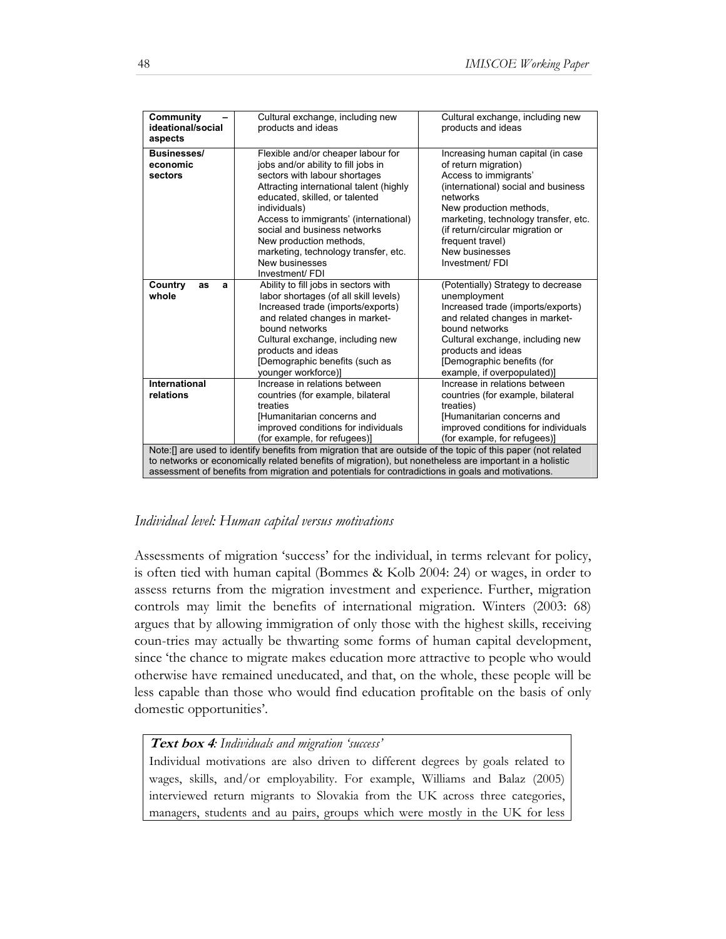| Community<br>ideational/social<br>aspects                                                                                                                                                                                                                                                                                      | Cultural exchange, including new<br>products and ideas                                                                                                                                                                                                                                                                                                                                   | Cultural exchange, including new<br>products and ideas                                                                                                                                                                                                                                                |  |
|--------------------------------------------------------------------------------------------------------------------------------------------------------------------------------------------------------------------------------------------------------------------------------------------------------------------------------|------------------------------------------------------------------------------------------------------------------------------------------------------------------------------------------------------------------------------------------------------------------------------------------------------------------------------------------------------------------------------------------|-------------------------------------------------------------------------------------------------------------------------------------------------------------------------------------------------------------------------------------------------------------------------------------------------------|--|
| <b>Businesses/</b><br>economic<br>sectors                                                                                                                                                                                                                                                                                      | Flexible and/or cheaper labour for<br>jobs and/or ability to fill jobs in<br>sectors with labour shortages<br>Attracting international talent (highly<br>educated, skilled, or talented<br>individuals)<br>Access to immigrants' (international)<br>social and business networks<br>New production methods,<br>marketing, technology transfer, etc.<br>New businesses<br>Investment/ FDI | Increasing human capital (in case<br>of return migration)<br>Access to immigrants'<br>(international) social and business<br>networks<br>New production methods,<br>marketing, technology transfer, etc.<br>(if return/circular migration or<br>frequent travel)<br>New businesses<br>Investment/ FDI |  |
| Country<br>as<br>a<br>whole                                                                                                                                                                                                                                                                                                    | Ability to fill jobs in sectors with<br>labor shortages (of all skill levels)<br>Increased trade (imports/exports)<br>and related changes in market-<br>bound networks<br>Cultural exchange, including new<br>products and ideas<br>[Demographic benefits (such as<br>younger workforce)]                                                                                                | (Potentially) Strategy to decrease<br>unemployment<br>Increased trade (imports/exports)<br>and related changes in market-<br>bound networks<br>Cultural exchange, including new<br>products and ideas<br>[Demographic benefits (for<br>example, if overpopulated)]                                    |  |
| International<br>relations                                                                                                                                                                                                                                                                                                     | Increase in relations between<br>countries (for example, bilateral<br>treaties<br>[Humanitarian concerns and<br>improved conditions for individuals<br>(for example, for refugees)]                                                                                                                                                                                                      | Increase in relations between<br>countries (for example, bilateral<br>treaties)<br>[Humanitarian concerns and<br>improved conditions for individuals<br>(for example, for refugees)]                                                                                                                  |  |
| Note: [] are used to identify benefits from migration that are outside of the topic of this paper (not related<br>to networks or economically related benefits of migration), but nonetheless are important in a holistic<br>assessment of benefits from migration and potentials for contradictions in goals and motivations. |                                                                                                                                                                                                                                                                                                                                                                                          |                                                                                                                                                                                                                                                                                                       |  |

# *Individual level: Human capital versus motivations*

Assessments of migration 'success' for the individual, in terms relevant for policy, is often tied with human capital (Bommes & Kolb 2004: 24) or wages, in order to assess returns from the migration investment and experience. Further, migration controls may limit the benefits of international migration. Winters (2003: 68) argues that by allowing immigration of only those with the highest skills, receiving coun-tries may actually be thwarting some forms of human capital development, since 'the chance to migrate makes education more attractive to people who would otherwise have remained uneducated, and that, on the whole, these people will be less capable than those who would find education profitable on the basis of only domestic opportunities'.

# **Text box 4***: Individuals and migration 'success'*

Individual motivations are also driven to different degrees by goals related to wages, skills, and/or employability. For example, Williams and Balaz (2005) interviewed return migrants to Slovakia from the UK across three categories, managers, students and au pairs, groups which were mostly in the UK for less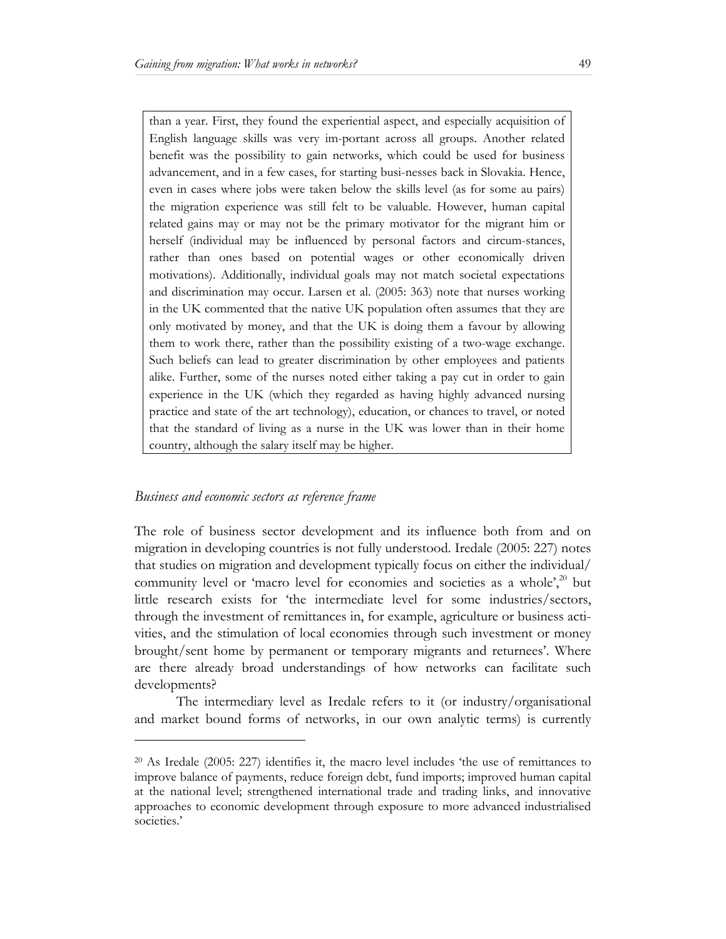than a year. First, they found the experiential aspect, and especially acquisition of English language skills was very im-portant across all groups. Another related benefit was the possibility to gain networks, which could be used for business advancement, and in a few cases, for starting busi-nesses back in Slovakia. Hence, even in cases where jobs were taken below the skills level (as for some au pairs) the migration experience was still felt to be valuable. However, human capital related gains may or may not be the primary motivator for the migrant him or herself (individual may be influenced by personal factors and circum-stances, rather than ones based on potential wages or other economically driven motivations). Additionally, individual goals may not match societal expectations and discrimination may occur. Larsen et al. (2005: 363) note that nurses working in the UK commented that the native UK population often assumes that they are only motivated by money, and that the UK is doing them a favour by allowing them to work there, rather than the possibility existing of a two-wage exchange. Such beliefs can lead to greater discrimination by other employees and patients alike. Further, some of the nurses noted either taking a pay cut in order to gain experience in the UK (which they regarded as having highly advanced nursing practice and state of the art technology), education, or chances to travel, or noted that the standard of living as a nurse in the UK was lower than in their home country, although the salary itself may be higher.

#### *Business and economic sectors as reference frame*

l

The role of business sector development and its influence both from and on migration in developing countries is not fully understood. Iredale (2005: 227) notes that studies on migration and development typically focus on either the individual/ community level or 'macro level for economies and societies as a whole',<sup>20</sup> but little research exists for 'the intermediate level for some industries/sectors, through the investment of remittances in, for example, agriculture or business activities, and the stimulation of local economies through such investment or money brought/sent home by permanent or temporary migrants and returnees'. Where are there already broad understandings of how networks can facilitate such developments?

The intermediary level as Iredale refers to it (or industry/organisational and market bound forms of networks, in our own analytic terms) is currently

<sup>20</sup> As Iredale (2005: 227) identifies it, the macro level includes 'the use of remittances to improve balance of payments, reduce foreign debt, fund imports; improved human capital at the national level; strengthened international trade and trading links, and innovative approaches to economic development through exposure to more advanced industrialised societies.'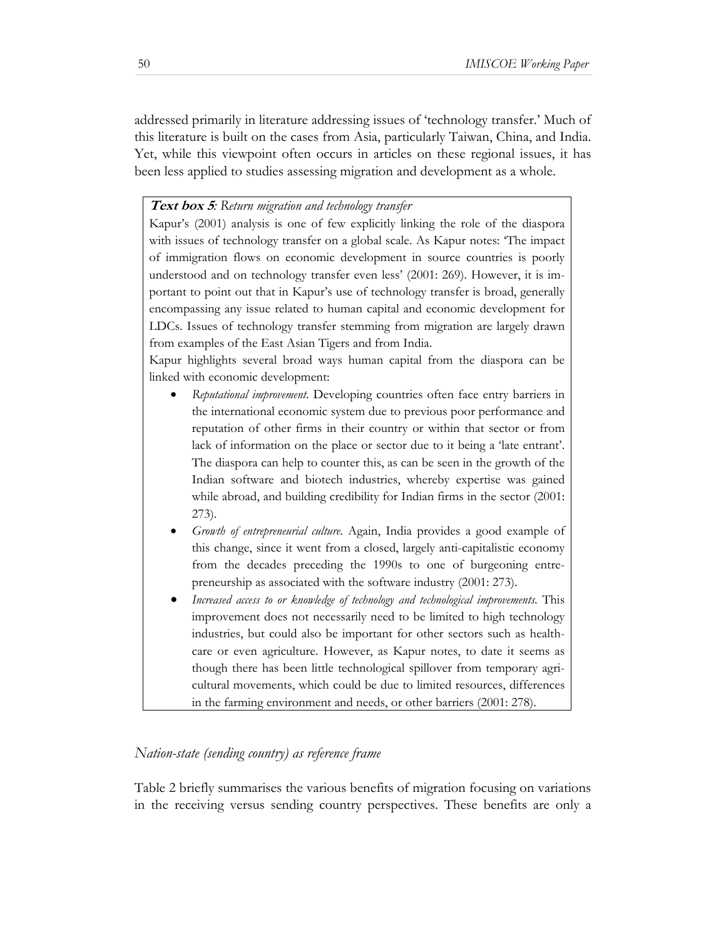addressed primarily in literature addressing issues of 'technology transfer.' Much of this literature is built on the cases from Asia, particularly Taiwan, China, and India. Yet, while this viewpoint often occurs in articles on these regional issues, it has been less applied to studies assessing migration and development as a whole.

#### **Text box 5***: Return migration and technology transfer*

Kapur's (2001) analysis is one of few explicitly linking the role of the diaspora with issues of technology transfer on a global scale. As Kapur notes: 'The impact of immigration flows on economic development in source countries is poorly understood and on technology transfer even less' (2001: 269). However, it is important to point out that in Kapur's use of technology transfer is broad, generally encompassing any issue related to human capital and economic development for LDCs. Issues of technology transfer stemming from migration are largely drawn from examples of the East Asian Tigers and from India.

Kapur highlights several broad ways human capital from the diaspora can be linked with economic development:

- *Reputational improvement*. Developing countries often face entry barriers in the international economic system due to previous poor performance and reputation of other firms in their country or within that sector or from lack of information on the place or sector due to it being a 'late entrant'. The diaspora can help to counter this, as can be seen in the growth of the Indian software and biotech industries, whereby expertise was gained while abroad, and building credibility for Indian firms in the sector (2001: 273).
- *Growth of entrepreneurial culture*. Again, India provides a good example of this change, since it went from a closed, largely anti-capitalistic economy from the decades preceding the 1990s to one of burgeoning entrepreneurship as associated with the software industry (2001: 273).
- *Increased access to or knowledge of technology and technological improvements*. This improvement does not necessarily need to be limited to high technology industries, but could also be important for other sectors such as healthcare or even agriculture. However, as Kapur notes, to date it seems as though there has been little technological spillover from temporary agricultural movements, which could be due to limited resources, differences in the farming environment and needs, or other barriers (2001: 278).

# *Nation-state (sending country) as reference frame*

Table 2 briefly summarises the various benefits of migration focusing on variations in the receiving versus sending country perspectives. These benefits are only a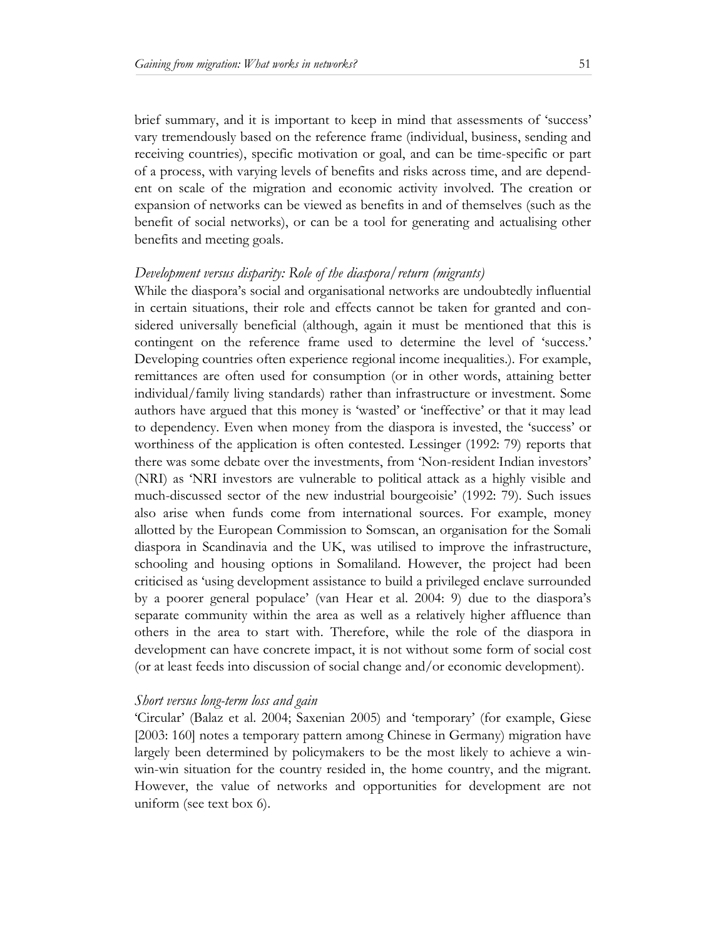brief summary, and it is important to keep in mind that assessments of 'success' vary tremendously based on the reference frame (individual, business, sending and receiving countries), specific motivation or goal, and can be time-specific or part of a process, with varying levels of benefits and risks across time, and are dependent on scale of the migration and economic activity involved. The creation or expansion of networks can be viewed as benefits in and of themselves (such as the benefit of social networks), or can be a tool for generating and actualising other benefits and meeting goals.

#### *Development versus disparity: Role of the diaspora/return (migrants)*

While the diaspora's social and organisational networks are undoubtedly influential in certain situations, their role and effects cannot be taken for granted and considered universally beneficial (although, again it must be mentioned that this is contingent on the reference frame used to determine the level of 'success.' Developing countries often experience regional income inequalities.). For example, remittances are often used for consumption (or in other words, attaining better individual/family living standards) rather than infrastructure or investment. Some authors have argued that this money is 'wasted' or 'ineffective' or that it may lead to dependency. Even when money from the diaspora is invested, the 'success' or worthiness of the application is often contested. Lessinger (1992: 79) reports that there was some debate over the investments, from 'Non-resident Indian investors' (NRI) as 'NRI investors are vulnerable to political attack as a highly visible and much-discussed sector of the new industrial bourgeoisie' (1992: 79). Such issues also arise when funds come from international sources. For example, money allotted by the European Commission to Somscan, an organisation for the Somali diaspora in Scandinavia and the UK, was utilised to improve the infrastructure, schooling and housing options in Somaliland. However, the project had been criticised as 'using development assistance to build a privileged enclave surrounded by a poorer general populace' (van Hear et al. 2004: 9) due to the diaspora's separate community within the area as well as a relatively higher affluence than others in the area to start with. Therefore, while the role of the diaspora in development can have concrete impact, it is not without some form of social cost (or at least feeds into discussion of social change and/or economic development).

#### *Short versus long-term loss and gain*

'Circular' (Balaz et al. 2004; Saxenian 2005) and 'temporary' (for example, Giese [2003: 160] notes a temporary pattern among Chinese in Germany) migration have largely been determined by policymakers to be the most likely to achieve a winwin-win situation for the country resided in, the home country, and the migrant. However, the value of networks and opportunities for development are not uniform (see text box 6).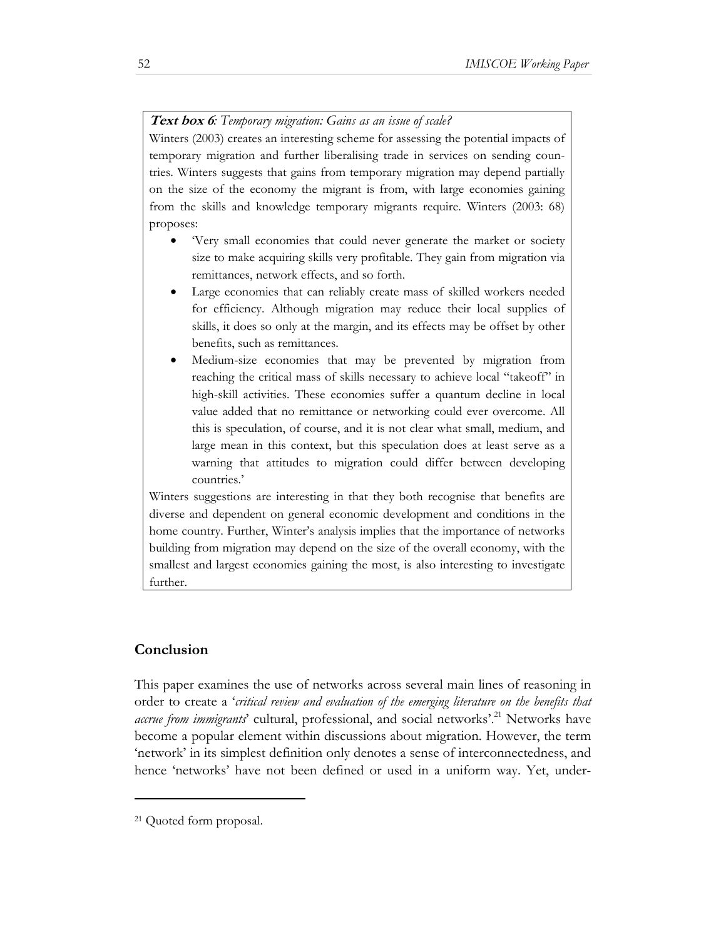# **Text box 6***: Temporary migration: Gains as an issue of scale?*

Winters (2003) creates an interesting scheme for assessing the potential impacts of temporary migration and further liberalising trade in services on sending countries. Winters suggests that gains from temporary migration may depend partially on the size of the economy the migrant is from, with large economies gaining from the skills and knowledge temporary migrants require. Winters (2003: 68) proposes:

- 'Very small economies that could never generate the market or society size to make acquiring skills very profitable. They gain from migration via remittances, network effects, and so forth.
- Large economies that can reliably create mass of skilled workers needed for efficiency. Although migration may reduce their local supplies of skills, it does so only at the margin, and its effects may be offset by other benefits, such as remittances.
- Medium-size economies that may be prevented by migration from reaching the critical mass of skills necessary to achieve local "takeoff" in high-skill activities. These economies suffer a quantum decline in local value added that no remittance or networking could ever overcome. All this is speculation, of course, and it is not clear what small, medium, and large mean in this context, but this speculation does at least serve as a warning that attitudes to migration could differ between developing countries.'

Winters suggestions are interesting in that they both recognise that benefits are diverse and dependent on general economic development and conditions in the home country. Further, Winter's analysis implies that the importance of networks building from migration may depend on the size of the overall economy, with the smallest and largest economies gaining the most, is also interesting to investigate further.

# **Conclusion**

l

This paper examines the use of networks across several main lines of reasoning in order to create a '*critical review and evaluation of the emerging literature on the benefits that accrue from immigrants*' cultural, professional, and social networks'.<sup>21</sup> Networks have become a popular element within discussions about migration. However, the term 'network' in its simplest definition only denotes a sense of interconnectedness, and hence 'networks' have not been defined or used in a uniform way. Yet, under-

<sup>21</sup> Quoted form proposal.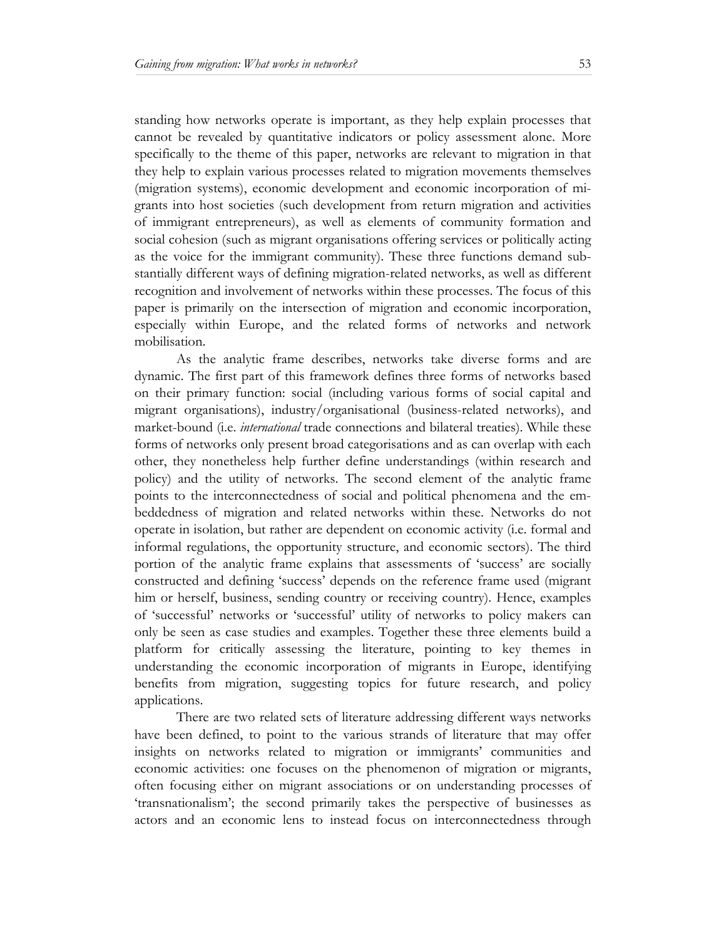standing how networks operate is important, as they help explain processes that cannot be revealed by quantitative indicators or policy assessment alone. More specifically to the theme of this paper, networks are relevant to migration in that they help to explain various processes related to migration movements themselves (migration systems), economic development and economic incorporation of migrants into host societies (such development from return migration and activities of immigrant entrepreneurs), as well as elements of community formation and social cohesion (such as migrant organisations offering services or politically acting as the voice for the immigrant community). These three functions demand substantially different ways of defining migration-related networks, as well as different recognition and involvement of networks within these processes. The focus of this paper is primarily on the intersection of migration and economic incorporation, especially within Europe, and the related forms of networks and network mobilisation.

As the analytic frame describes, networks take diverse forms and are dynamic. The first part of this framework defines three forms of networks based on their primary function: social (including various forms of social capital and migrant organisations), industry/organisational (business-related networks), and market-bound (i.e. *international* trade connections and bilateral treaties). While these forms of networks only present broad categorisations and as can overlap with each other, they nonetheless help further define understandings (within research and policy) and the utility of networks. The second element of the analytic frame points to the interconnectedness of social and political phenomena and the embeddedness of migration and related networks within these. Networks do not operate in isolation, but rather are dependent on economic activity (i.e. formal and informal regulations, the opportunity structure, and economic sectors). The third portion of the analytic frame explains that assessments of 'success' are socially constructed and defining 'success' depends on the reference frame used (migrant him or herself, business, sending country or receiving country). Hence, examples of 'successful' networks or 'successful' utility of networks to policy makers can only be seen as case studies and examples. Together these three elements build a platform for critically assessing the literature, pointing to key themes in understanding the economic incorporation of migrants in Europe, identifying benefits from migration, suggesting topics for future research, and policy applications.

There are two related sets of literature addressing different ways networks have been defined, to point to the various strands of literature that may offer insights on networks related to migration or immigrants' communities and economic activities: one focuses on the phenomenon of migration or migrants, often focusing either on migrant associations or on understanding processes of 'transnationalism'; the second primarily takes the perspective of businesses as actors and an economic lens to instead focus on interconnectedness through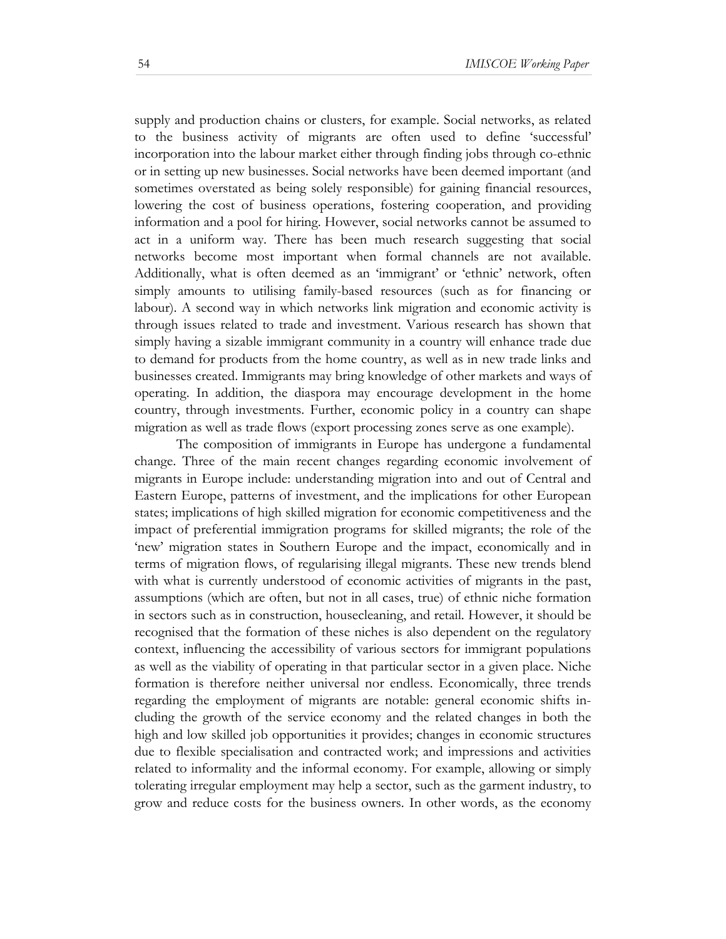supply and production chains or clusters, for example. Social networks, as related to the business activity of migrants are often used to define 'successful' incorporation into the labour market either through finding jobs through co-ethnic or in setting up new businesses. Social networks have been deemed important (and sometimes overstated as being solely responsible) for gaining financial resources, lowering the cost of business operations, fostering cooperation, and providing information and a pool for hiring. However, social networks cannot be assumed to act in a uniform way. There has been much research suggesting that social networks become most important when formal channels are not available. Additionally, what is often deemed as an 'immigrant' or 'ethnic' network, often simply amounts to utilising family-based resources (such as for financing or labour). A second way in which networks link migration and economic activity is through issues related to trade and investment. Various research has shown that simply having a sizable immigrant community in a country will enhance trade due to demand for products from the home country, as well as in new trade links and businesses created. Immigrants may bring knowledge of other markets and ways of operating. In addition, the diaspora may encourage development in the home country, through investments. Further, economic policy in a country can shape migration as well as trade flows (export processing zones serve as one example).

The composition of immigrants in Europe has undergone a fundamental change. Three of the main recent changes regarding economic involvement of migrants in Europe include: understanding migration into and out of Central and Eastern Europe, patterns of investment, and the implications for other European states; implications of high skilled migration for economic competitiveness and the impact of preferential immigration programs for skilled migrants; the role of the 'new' migration states in Southern Europe and the impact, economically and in terms of migration flows, of regularising illegal migrants. These new trends blend with what is currently understood of economic activities of migrants in the past, assumptions (which are often, but not in all cases, true) of ethnic niche formation in sectors such as in construction, housecleaning, and retail. However, it should be recognised that the formation of these niches is also dependent on the regulatory context, influencing the accessibility of various sectors for immigrant populations as well as the viability of operating in that particular sector in a given place. Niche formation is therefore neither universal nor endless. Economically, three trends regarding the employment of migrants are notable: general economic shifts including the growth of the service economy and the related changes in both the high and low skilled job opportunities it provides; changes in economic structures due to flexible specialisation and contracted work; and impressions and activities related to informality and the informal economy. For example, allowing or simply tolerating irregular employment may help a sector, such as the garment industry, to grow and reduce costs for the business owners. In other words, as the economy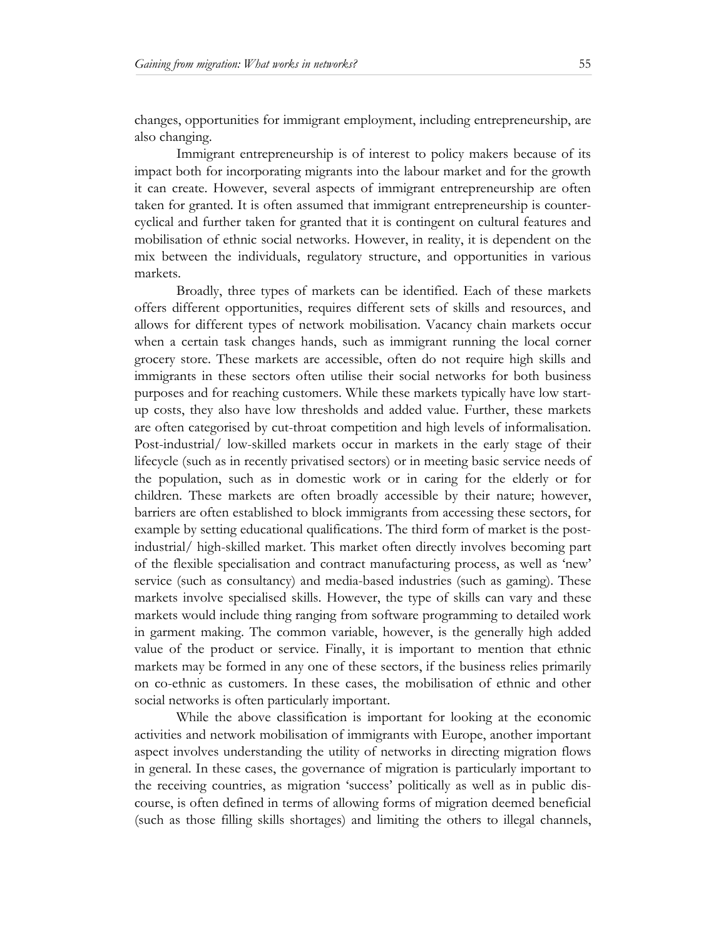changes, opportunities for immigrant employment, including entrepreneurship, are also changing.

Immigrant entrepreneurship is of interest to policy makers because of its impact both for incorporating migrants into the labour market and for the growth it can create. However, several aspects of immigrant entrepreneurship are often taken for granted. It is often assumed that immigrant entrepreneurship is countercyclical and further taken for granted that it is contingent on cultural features and mobilisation of ethnic social networks. However, in reality, it is dependent on the mix between the individuals, regulatory structure, and opportunities in various markets.

Broadly, three types of markets can be identified. Each of these markets offers different opportunities, requires different sets of skills and resources, and allows for different types of network mobilisation. Vacancy chain markets occur when a certain task changes hands, such as immigrant running the local corner grocery store. These markets are accessible, often do not require high skills and immigrants in these sectors often utilise their social networks for both business purposes and for reaching customers. While these markets typically have low startup costs, they also have low thresholds and added value. Further, these markets are often categorised by cut-throat competition and high levels of informalisation. Post-industrial/ low-skilled markets occur in markets in the early stage of their lifecycle (such as in recently privatised sectors) or in meeting basic service needs of the population, such as in domestic work or in caring for the elderly or for children. These markets are often broadly accessible by their nature; however, barriers are often established to block immigrants from accessing these sectors, for example by setting educational qualifications. The third form of market is the postindustrial/ high-skilled market. This market often directly involves becoming part of the flexible specialisation and contract manufacturing process, as well as 'new' service (such as consultancy) and media-based industries (such as gaming). These markets involve specialised skills. However, the type of skills can vary and these markets would include thing ranging from software programming to detailed work in garment making. The common variable, however, is the generally high added value of the product or service. Finally, it is important to mention that ethnic markets may be formed in any one of these sectors, if the business relies primarily on co-ethnic as customers. In these cases, the mobilisation of ethnic and other social networks is often particularly important.

While the above classification is important for looking at the economic activities and network mobilisation of immigrants with Europe, another important aspect involves understanding the utility of networks in directing migration flows in general. In these cases, the governance of migration is particularly important to the receiving countries, as migration 'success' politically as well as in public discourse, is often defined in terms of allowing forms of migration deemed beneficial (such as those filling skills shortages) and limiting the others to illegal channels,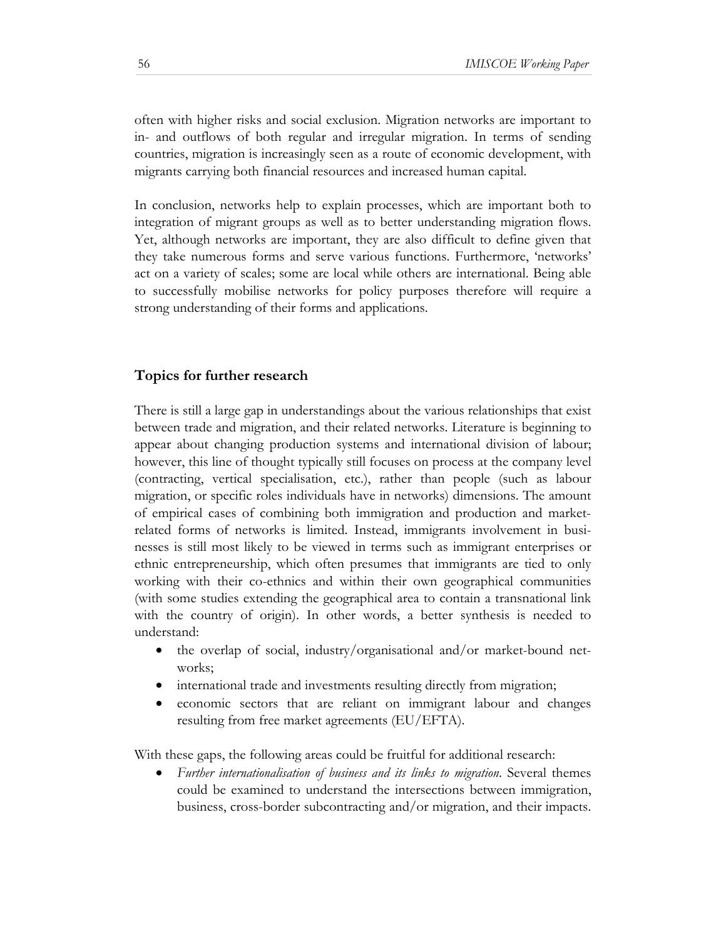often with higher risks and social exclusion. Migration networks are important to in- and outflows of both regular and irregular migration. In terms of sending countries, migration is increasingly seen as a route of economic development, with migrants carrying both financial resources and increased human capital.

In conclusion, networks help to explain processes, which are important both to integration of migrant groups as well as to better understanding migration flows. Yet, although networks are important, they are also difficult to define given that they take numerous forms and serve various functions. Furthermore, 'networks' act on a variety of scales; some are local while others are international. Being able to successfully mobilise networks for policy purposes therefore will require a strong understanding of their forms and applications.

#### **Topics for further research**

There is still a large gap in understandings about the various relationships that exist between trade and migration, and their related networks. Literature is beginning to appear about changing production systems and international division of labour; however, this line of thought typically still focuses on process at the company level (contracting, vertical specialisation, etc.), rather than people (such as labour migration, or specific roles individuals have in networks) dimensions. The amount of empirical cases of combining both immigration and production and marketrelated forms of networks is limited. Instead, immigrants involvement in businesses is still most likely to be viewed in terms such as immigrant enterprises or ethnic entrepreneurship, which often presumes that immigrants are tied to only working with their co-ethnics and within their own geographical communities (with some studies extending the geographical area to contain a transnational link with the country of origin). In other words, a better synthesis is needed to understand:

- the overlap of social, industry/organisational and/or market-bound networks;
- international trade and investments resulting directly from migration;
- economic sectors that are reliant on immigrant labour and changes resulting from free market agreements (EU/EFTA).

With these gaps, the following areas could be fruitful for additional research:

• *Further internationalisation of business and its links to migration*. Several themes could be examined to understand the intersections between immigration, business, cross-border subcontracting and/or migration, and their impacts.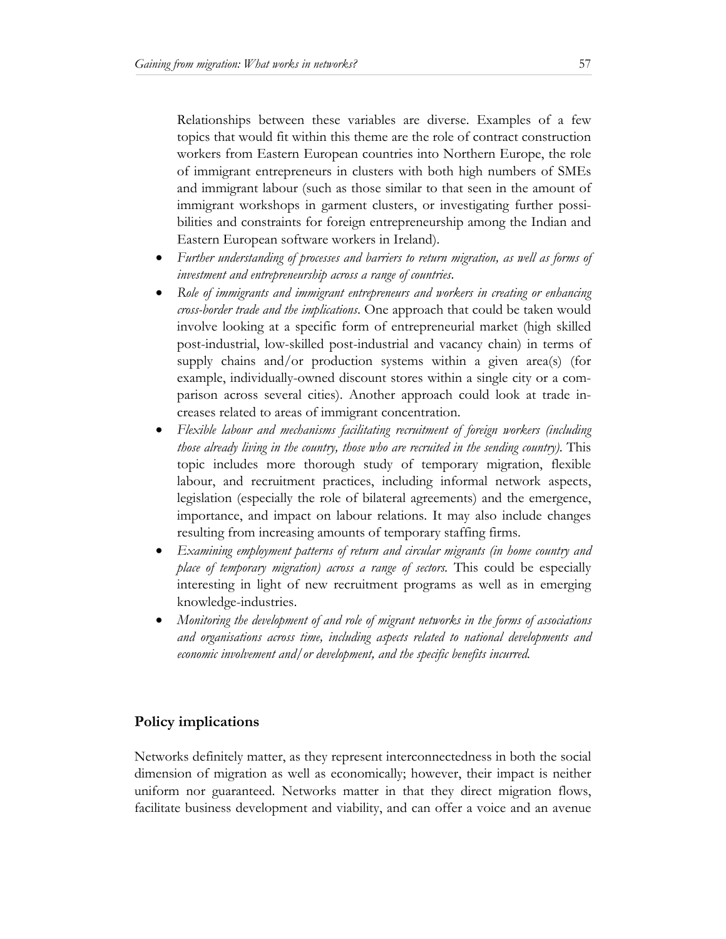Relationships between these variables are diverse. Examples of a few topics that would fit within this theme are the role of contract construction workers from Eastern European countries into Northern Europe, the role of immigrant entrepreneurs in clusters with both high numbers of SMEs and immigrant labour (such as those similar to that seen in the amount of immigrant workshops in garment clusters, or investigating further possibilities and constraints for foreign entrepreneurship among the Indian and Eastern European software workers in Ireland).

- *Further understanding of processes and barriers to return migration, as well as forms of investment and entrepreneurship across a range of countries*.
- *Role of immigrants and immigrant entrepreneurs and workers in creating or enhancing cross-border trade and the implications*. One approach that could be taken would involve looking at a specific form of entrepreneurial market (high skilled post-industrial, low-skilled post-industrial and vacancy chain) in terms of supply chains and/or production systems within a given area(s) (for example, individually-owned discount stores within a single city or a comparison across several cities). Another approach could look at trade increases related to areas of immigrant concentration.
- *Flexible labour and mechanisms facilitating recruitment of foreign workers (including those already living in the country, those who are recruited in the sending country)*. This topic includes more thorough study of temporary migration, flexible labour, and recruitment practices, including informal network aspects, legislation (especially the role of bilateral agreements) and the emergence, importance, and impact on labour relations. It may also include changes resulting from increasing amounts of temporary staffing firms.
- *Examining employment patterns of return and circular migrants (in home country and place of temporary migration) across a range of sectors.* This could be especially interesting in light of new recruitment programs as well as in emerging knowledge-industries.
- *Monitoring the development of and role of migrant networks in the forms of associations and organisations across time, including aspects related to national developments and economic involvement and/or development, and the specific benefits incurred.*

# **Policy implications**

Networks definitely matter, as they represent interconnectedness in both the social dimension of migration as well as economically; however, their impact is neither uniform nor guaranteed. Networks matter in that they direct migration flows, facilitate business development and viability, and can offer a voice and an avenue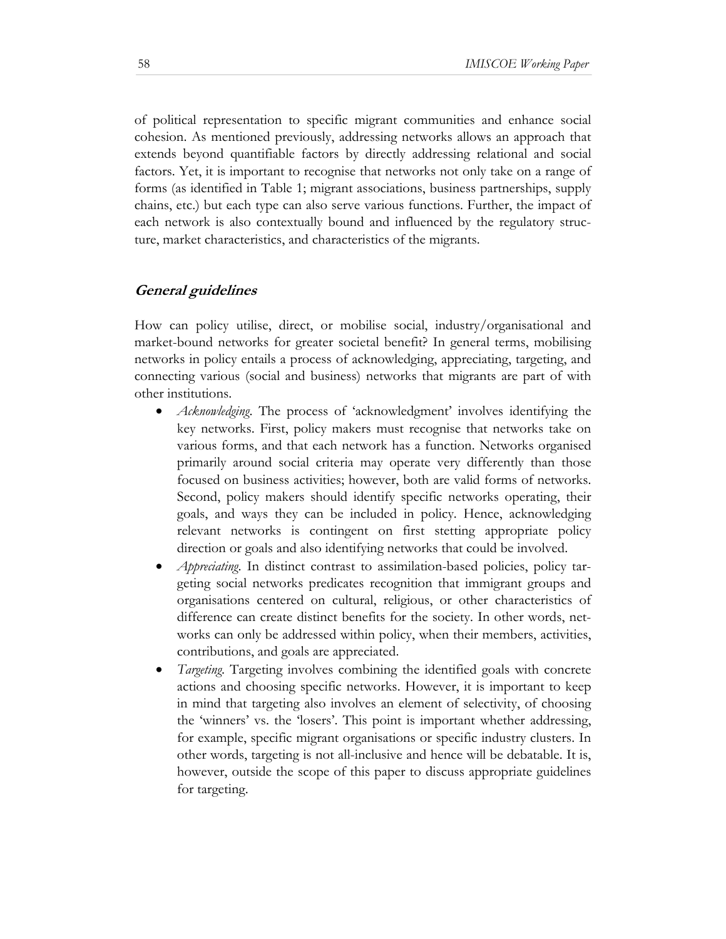of political representation to specific migrant communities and enhance social cohesion. As mentioned previously, addressing networks allows an approach that extends beyond quantifiable factors by directly addressing relational and social factors. Yet, it is important to recognise that networks not only take on a range of forms (as identified in Table 1; migrant associations, business partnerships, supply chains, etc.) but each type can also serve various functions. Further, the impact of each network is also contextually bound and influenced by the regulatory structure, market characteristics, and characteristics of the migrants.

# **General guidelines**

How can policy utilise, direct, or mobilise social, industry/organisational and market-bound networks for greater societal benefit? In general terms, mobilising networks in policy entails a process of acknowledging, appreciating, targeting, and connecting various (social and business) networks that migrants are part of with other institutions.

- *Acknowledging*. The process of 'acknowledgment' involves identifying the key networks. First, policy makers must recognise that networks take on various forms, and that each network has a function. Networks organised primarily around social criteria may operate very differently than those focused on business activities; however, both are valid forms of networks. Second, policy makers should identify specific networks operating, their goals, and ways they can be included in policy. Hence, acknowledging relevant networks is contingent on first stetting appropriate policy direction or goals and also identifying networks that could be involved.
- *Appreciating*. In distinct contrast to assimilation-based policies, policy targeting social networks predicates recognition that immigrant groups and organisations centered on cultural, religious, or other characteristics of difference can create distinct benefits for the society. In other words, networks can only be addressed within policy, when their members, activities, contributions, and goals are appreciated.
- *Targeting*. Targeting involves combining the identified goals with concrete actions and choosing specific networks. However, it is important to keep in mind that targeting also involves an element of selectivity, of choosing the 'winners' vs. the 'losers'. This point is important whether addressing, for example, specific migrant organisations or specific industry clusters. In other words, targeting is not all-inclusive and hence will be debatable. It is, however, outside the scope of this paper to discuss appropriate guidelines for targeting.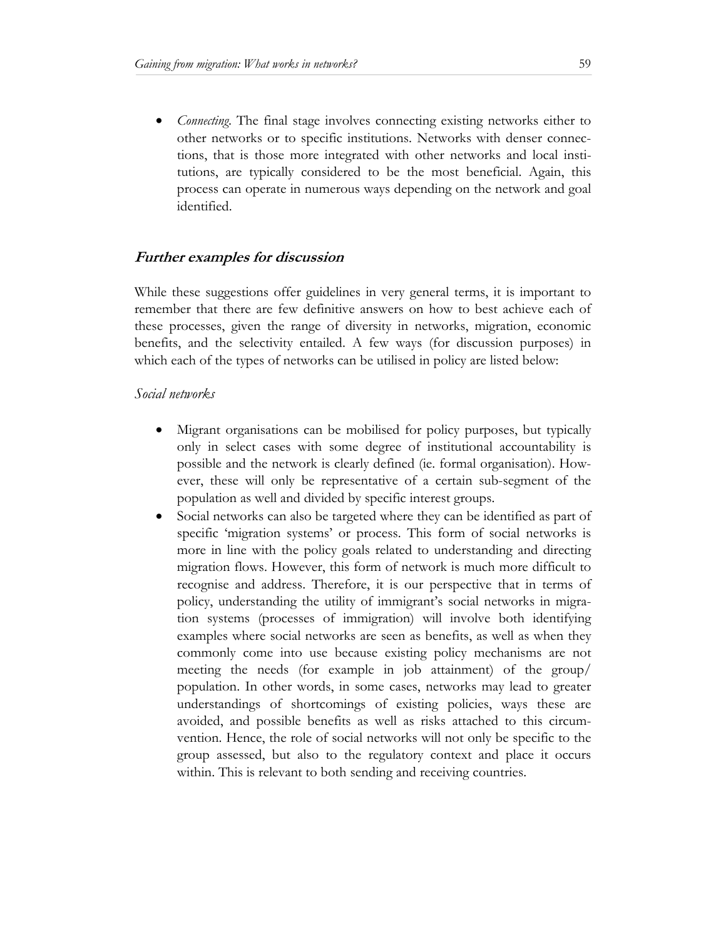*Connecting*. The final stage involves connecting existing networks either to other networks or to specific institutions. Networks with denser connections, that is those more integrated with other networks and local institutions, are typically considered to be the most beneficial. Again, this process can operate in numerous ways depending on the network and goal identified.

# **Further examples for discussion**

While these suggestions offer guidelines in very general terms, it is important to remember that there are few definitive answers on how to best achieve each of these processes, given the range of diversity in networks, migration, economic benefits, and the selectivity entailed. A few ways (for discussion purposes) in which each of the types of networks can be utilised in policy are listed below:

#### *Social networks*

- Migrant organisations can be mobilised for policy purposes, but typically only in select cases with some degree of institutional accountability is possible and the network is clearly defined (ie. formal organisation). However, these will only be representative of a certain sub-segment of the population as well and divided by specific interest groups.
- Social networks can also be targeted where they can be identified as part of specific 'migration systems' or process. This form of social networks is more in line with the policy goals related to understanding and directing migration flows. However, this form of network is much more difficult to recognise and address. Therefore, it is our perspective that in terms of policy, understanding the utility of immigrant's social networks in migration systems (processes of immigration) will involve both identifying examples where social networks are seen as benefits, as well as when they commonly come into use because existing policy mechanisms are not meeting the needs (for example in job attainment) of the group/ population. In other words, in some cases, networks may lead to greater understandings of shortcomings of existing policies, ways these are avoided, and possible benefits as well as risks attached to this circumvention. Hence, the role of social networks will not only be specific to the group assessed, but also to the regulatory context and place it occurs within. This is relevant to both sending and receiving countries.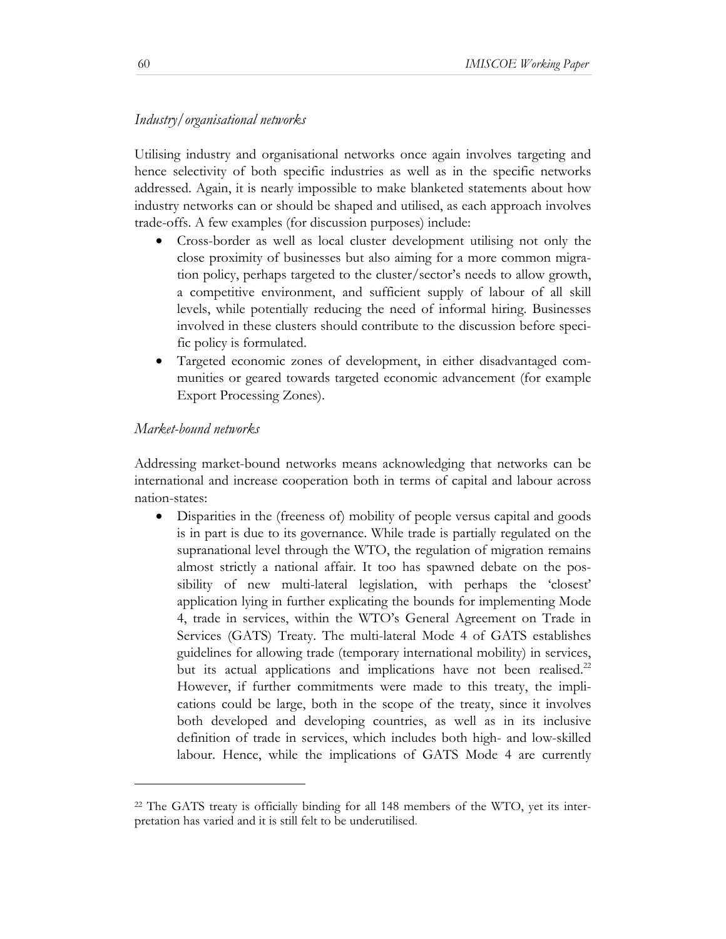# *Industry/organisational networks*

Utilising industry and organisational networks once again involves targeting and hence selectivity of both specific industries as well as in the specific networks addressed. Again, it is nearly impossible to make blanketed statements about how industry networks can or should be shaped and utilised, as each approach involves trade-offs. A few examples (for discussion purposes) include:

- Cross-border as well as local cluster development utilising not only the close proximity of businesses but also aiming for a more common migration policy, perhaps targeted to the cluster/sector's needs to allow growth, a competitive environment, and sufficient supply of labour of all skill levels, while potentially reducing the need of informal hiring. Businesses involved in these clusters should contribute to the discussion before specific policy is formulated.
- Targeted economic zones of development, in either disadvantaged communities or geared towards targeted economic advancement (for example Export Processing Zones).

# *Market-bound networks*

l

Addressing market-bound networks means acknowledging that networks can be international and increase cooperation both in terms of capital and labour across nation-states:

• Disparities in the (freeness of) mobility of people versus capital and goods is in part is due to its governance. While trade is partially regulated on the supranational level through the WTO, the regulation of migration remains almost strictly a national affair. It too has spawned debate on the possibility of new multi-lateral legislation, with perhaps the 'closest' application lying in further explicating the bounds for implementing Mode 4, trade in services, within the WTO's General Agreement on Trade in Services (GATS) Treaty. The multi-lateral Mode 4 of GATS establishes guidelines for allowing trade (temporary international mobility) in services, but its actual applications and implications have not been realised.<sup>22</sup> However, if further commitments were made to this treaty, the implications could be large, both in the scope of the treaty, since it involves both developed and developing countries, as well as in its inclusive definition of trade in services, which includes both high- and low-skilled labour. Hence, while the implications of GATS Mode 4 are currently

<sup>22</sup> The GATS treaty is officially binding for all 148 members of the WTO, yet its interpretation has varied and it is still felt to be underutilised.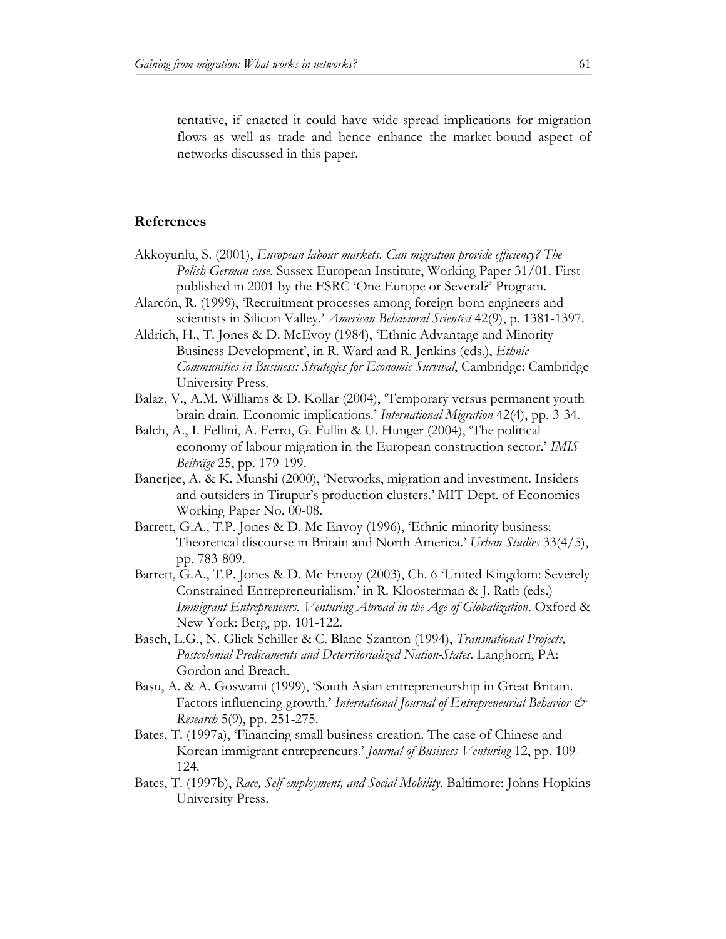tentative, if enacted it could have wide-spread implications for migration flows as well as trade and hence enhance the market-bound aspect of networks discussed in this paper.

#### **References**

- Akkoyunlu, S. (2001), *European labour markets. Can migration provide efficiency? The Polish-German case*. Sussex European Institute, Working Paper 31/01. First published in 2001 by the ESRC 'One Europe or Several?' Program.
- Alarcón, R. (1999), 'Recruitment processes among foreign-born engineers and scientists in Silicon Valley.' *American Behavioral Scientist* 42(9), p. 1381-1397.
- Aldrich, H., T. Jones & D. McEvoy (1984), 'Ethnic Advantage and Minority Business Development', in R. Ward and R. Jenkins (eds.), *Ethnic Communities in Business: Strategies for Economic Survival*, Cambridge: Cambridge University Press.
- Balaz, V., A.M. Williams & D. Kollar (2004), 'Temporary versus permanent youth brain drain. Economic implications.' *International Migration* 42(4), pp. 3-34.
- Balch, A., I. Fellini, A. Ferro, G. Fullin & U. Hunger (2004), 'The political economy of labour migration in the European construction sector.' *IMIS-Beiträge* 25, pp. 179-199.
- Banerjee, A. & K. Munshi (2000), 'Networks, migration and investment. Insiders and outsiders in Tirupur's production clusters.' MIT Dept. of Economics Working Paper No. 00-08.
- Barrett, G.A., T.P. Jones & D. Mc Envoy (1996), 'Ethnic minority business: Theoretical discourse in Britain and North America.' *Urban Studies* 33(4/5), pp. 783-809.
- Barrett, G.A., T.P. Jones & D. Mc Envoy (2003), Ch. 6 'United Kingdom: Severely Constrained Entrepreneurialism.' in R. Kloosterman & J. Rath (eds.) *Immigrant Entrepreneurs. Venturing Abroad in the Age of Globalization*. Oxford & New York: Berg, pp. 101-122.
- Basch, L.G., N. Glick Schiller & C. Blanc-Szanton (1994), *Transnational Projects, Postcolonial Predicaments and Deterritorialized Nation-States*. Langhorn, PA: Gordon and Breach.
- Basu, A. & A. Goswami (1999), 'South Asian entrepreneurship in Great Britain. Factors influencing growth.' *International Journal of Entrepreneurial Behavior & Research* 5(9), pp. 251-275.
- Bates, T. (1997a), 'Financing small business creation. The case of Chinese and Korean immigrant entrepreneurs.' *Journal of Business Venturing* 12, pp. 109- 124.
- Bates, T. (1997b), *Race, Self-employment, and Social Mobility*. Baltimore: Johns Hopkins University Press.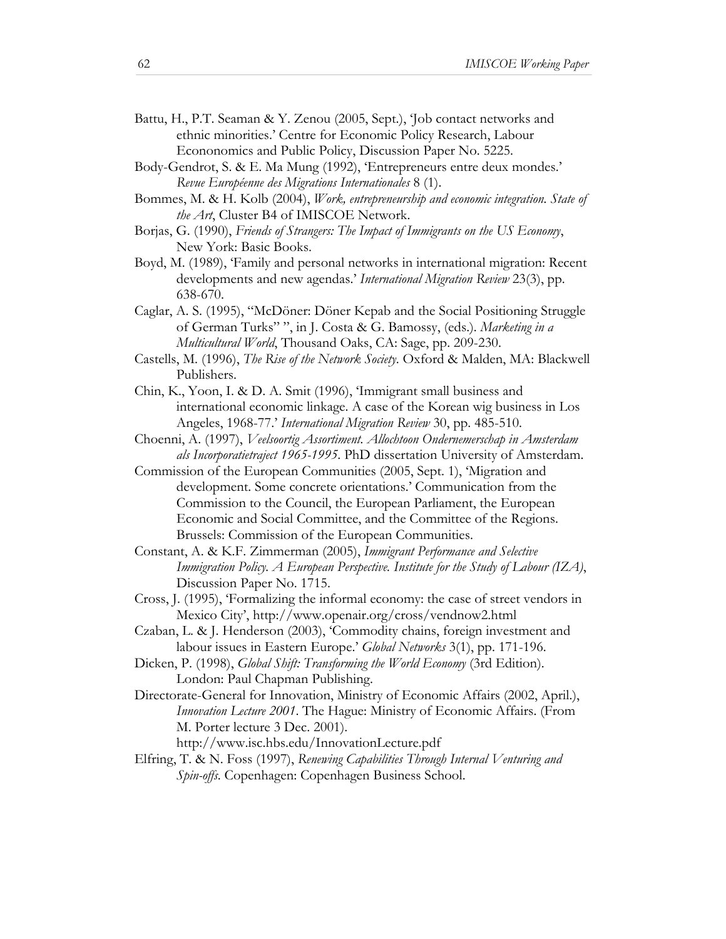- Battu, H., P.T. Seaman & Y. Zenou (2005, Sept.), 'Job contact networks and ethnic minorities.' Centre for Economic Policy Research, Labour Econonomics and Public Policy, Discussion Paper No. 5225.
- Body-Gendrot, S. & E. Ma Mung (1992), 'Entrepreneurs entre deux mondes.' *Revue Européenne des Migrations Internationales* 8 (1).
- Bommes, M. & H. Kolb (2004), *Work, entrepreneurship and economic integration. State of the Art*, Cluster B4 of IMISCOE Network.
- Borjas, G. (1990), *Friends of Strangers: The Impact of Immigrants on the US Economy*, New York: Basic Books.
- Boyd, M. (1989), 'Family and personal networks in international migration: Recent developments and new agendas.' *International Migration Review* 23(3), pp. 638-670.
- Caglar, A. S. (1995), "McDöner: Döner Kepab and the Social Positioning Struggle of German Turks" ", in J. Costa & G. Bamossy, (eds.). *Marketing in a Multicultural World*, Thousand Oaks, CA: Sage, pp. 209-230.
- Castells, M. (1996), *The Rise of the Network Society*. Oxford & Malden, MA: Blackwell Publishers.
- Chin, K., Yoon, I. & D. A. Smit (1996), 'Immigrant small business and international economic linkage. A case of the Korean wig business in Los Angeles, 1968-77.' *International Migration Review* 30, pp. 485-510.
- Choenni, A. (1997), *Veelsoortig Assortiment. Allochtoon Ondernemerschap in Amsterdam als Incorporatietraject 1965-1995*. PhD dissertation University of Amsterdam.
- Commission of the European Communities (2005, Sept. 1), 'Migration and development. Some concrete orientations.' Communication from the Commission to the Council, the European Parliament, the European Economic and Social Committee, and the Committee of the Regions. Brussels: Commission of the European Communities.
- Constant, A. & K.F. Zimmerman (2005), *Immigrant Performance and Selective Immigration Policy. A European Perspective. Institute for the Study of Labour (IZA)*, Discussion Paper No. 1715.
- Cross, J. (1995), 'Formalizing the informal economy: the case of street vendors in Mexico City', http://www.openair.org/cross/vendnow2.html
- Czaban, L. & J. Henderson (2003), 'Commodity chains, foreign investment and labour issues in Eastern Europe.' *Global Networks* 3(1), pp. 171-196.
- Dicken, P. (1998), *Global Shift: Transforming the World Economy* (3rd Edition). London: Paul Chapman Publishing.
- Directorate-General for Innovation, Ministry of Economic Affairs (2002, April.), *Innovation Lecture 2001*. The Hague: Ministry of Economic Affairs. (From M. Porter lecture 3 Dec. 2001).

http://www.isc.hbs.edu/InnovationLecture.pdf

Elfring, T. & N. Foss (1997), *Renewing Capabilities Through Internal Venturing and Spin-offs*. Copenhagen: Copenhagen Business School.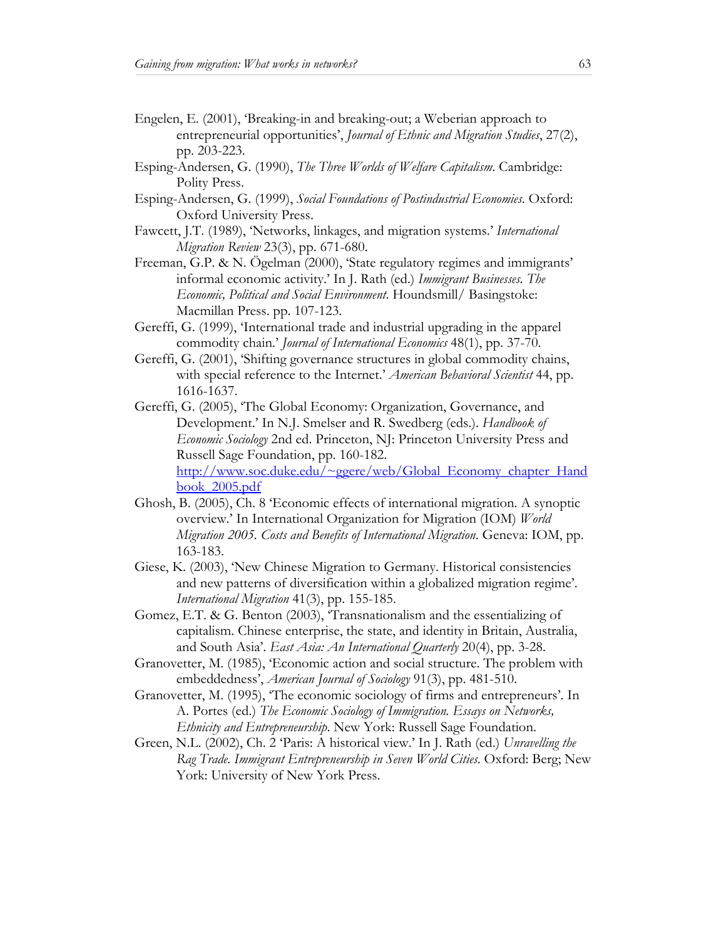- Engelen, E. (2001), 'Breaking-in and breaking-out; a Weberian approach to entrepreneurial opportunities', *Journal of Ethnic and Migration Studies*, 27(2), pp. 203-223.
- Esping-Andersen, G. (1990), *The Three Worlds of Welfare Capitalism*. Cambridge: Polity Press.
- Esping-Andersen, G. (1999), *Social Foundations of Postindustrial Economies*. Oxford: Oxford University Press.
- Fawcett, J.T. (1989), 'Networks, linkages, and migration systems.' *International Migration Review* 23(3), pp. 671-680.
- Freeman, G.P. & N. Ögelman (2000), 'State regulatory regimes and immigrants' informal economic activity.' In J. Rath (ed.) *Immigrant Businesses. The Economic, Political and Social Environment*. Houndsmill/ Basingstoke: Macmillan Press. pp. 107-123.
- Gereffi, G. (1999), 'International trade and industrial upgrading in the apparel commodity chain.' *Journal of International Economics* 48(1), pp. 37-70.
- Gereffi, G. (2001), 'Shifting governance structures in global commodity chains, with special reference to the Internet.' *American Behavioral Scientist* 44, pp. 1616-1637.
- Gereffi, G. (2005), 'The Global Economy: Organization, Governance, and Development.' In N.J. Smelser and R. Swedberg (eds.). *Handbook of Economic Sociology* 2nd ed. Princeton, NJ: Princeton University Press and Russell Sage Foundation, pp. 160-182. http://www.soc.duke.edu/~ggere/web/Global\_Economy\_chapter\_Hand book\_2005.pdf
- Ghosh, B. (2005), Ch. 8 'Economic effects of international migration. A synoptic overview.' In International Organization for Migration (IOM) *World Migration 2005. Costs and Benefits of International Migration*. Geneva: IOM, pp. 163-183.
- Giese, K. (2003), 'New Chinese Migration to Germany. Historical consistencies and new patterns of diversification within a globalized migration regime'. *International Migration* 41(3), pp. 155-185.
- Gomez, E.T. & G. Benton (2003), 'Transnationalism and the essentializing of capitalism. Chinese enterprise, the state, and identity in Britain, Australia, and South Asia'. *East Asia: An International Quarterly* 20(4), pp. 3-28.
- Granovetter, M. (1985), 'Economic action and social structure. The problem with embeddedness', *American Journal of Sociology* 91(3), pp. 481-510.
- Granovetter, M. (1995), 'The economic sociology of firms and entrepreneurs'. In A. Portes (ed.) *The Economic Sociology of Immigration. Essays on Networks, Ethnicity and Entrepreneurship*. New York: Russell Sage Foundation.
- Green, N.L. (2002), Ch. 2 'Paris: A historical view.' In J. Rath (ed.) *Unravelling the Rag Trade. Immigrant Entrepreneurship in Seven World Cities*. Oxford: Berg; New York: University of New York Press.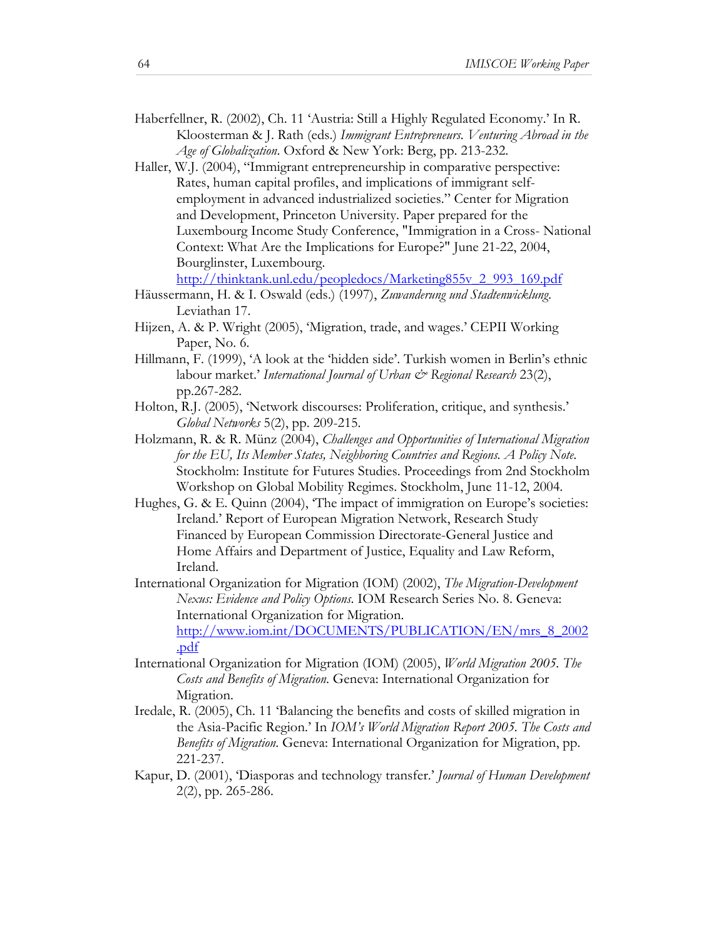- Haberfellner, R. (2002), Ch. 11 'Austria: Still a Highly Regulated Economy.' In R. Kloosterman & J. Rath (eds.) *Immigrant Entrepreneurs. Venturing Abroad in the Age of Globalization*. Oxford & New York: Berg, pp. 213-232.
- Haller, W.J. (2004), "Immigrant entrepreneurship in comparative perspective: Rates, human capital profiles, and implications of immigrant selfemployment in advanced industrialized societies." Center for Migration and Development, Princeton University. Paper prepared for the Luxembourg Income Study Conference, "Immigration in a Cross- National Context: What Are the Implications for Europe?" June 21-22, 2004, Bourglinster, Luxembourg.

http://thinktank.unl.edu/peopledocs/Marketing855v\_2\_993\_169.pdf

- Häussermann, H. & I. Oswald (eds.) (1997), *Zuwanderung und Stadtenwicklung*. Leviathan 17.
- Hijzen, A. & P. Wright (2005), 'Migration, trade, and wages.' CEPII Working Paper, No. 6.
- Hillmann, F. (1999), 'A look at the 'hidden side'. Turkish women in Berlin's ethnic labour market.' *International Journal of Urban & Regional Research* 23(2), pp.267-282.
- Holton, R.J. (2005), 'Network discourses: Proliferation, critique, and synthesis.' *Global Networks* 5(2), pp. 209-215.
- Holzmann, R. & R. Münz (2004), *Challenges and Opportunities of International Migration for the EU, Its Member States, Neighboring Countries and Regions. A Policy Note*. Stockholm: Institute for Futures Studies. Proceedings from 2nd Stockholm Workshop on Global Mobility Regimes. Stockholm, June 11-12, 2004.
- Hughes, G. & E. Quinn (2004), The impact of immigration on Europe's societies: Ireland.' Report of European Migration Network, Research Study Financed by European Commission Directorate-General Justice and Home Affairs and Department of Justice, Equality and Law Reform, Ireland.

International Organization for Migration (IOM) (2002), *The Migration-Development Nexus: Evidence and Policy Options*. IOM Research Series No. 8. Geneva: International Organization for Migration. http://www.iom.int/DOCUMENTS/PUBLICATION/EN/mrs\_8\_2002 .pdf

- International Organization for Migration (IOM) (2005), *World Migration 2005. The Costs and Benefits of Migration*. Geneva: International Organization for Migration.
- Iredale, R. (2005), Ch. 11 'Balancing the benefits and costs of skilled migration in the Asia-Pacific Region.' In *IOM's World Migration Report 2005. The Costs and Benefits of Migration*. Geneva: International Organization for Migration, pp. 221-237.
- Kapur, D. (2001), 'Diasporas and technology transfer.' *Journal of Human Development* 2(2), pp. 265-286.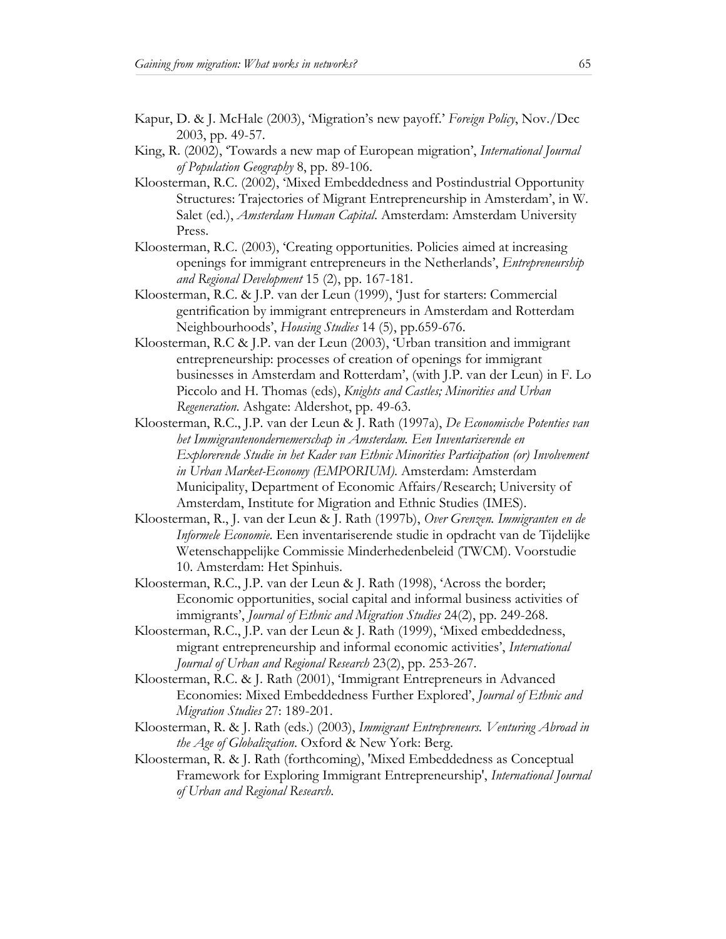- Kapur, D. & J. McHale (2003), 'Migration's new payoff.' *Foreign Policy*, Nov./Dec 2003, pp. 49-57.
- King, R. (2002), 'Towards a new map of European migration', *International Journal of Population Geography* 8, pp. 89-106.
- Kloosterman, R.C. (2002), 'Mixed Embeddedness and Postindustrial Opportunity Structures: Trajectories of Migrant Entrepreneurship in Amsterdam', in W. Salet (ed.), *Amsterdam Human Capital*. Amsterdam: Amsterdam University Press.
- Kloosterman, R.C. (2003), 'Creating opportunities. Policies aimed at increasing openings for immigrant entrepreneurs in the Netherlands', *Entrepreneurship and Regional Development* 15 (2), pp. 167-181.
- Kloosterman, R.C. & J.P. van der Leun (1999), 'Just for starters: Commercial gentrification by immigrant entrepreneurs in Amsterdam and Rotterdam Neighbourhoods', *Housing Studies* 14 (5), pp.659-676.
- Kloosterman, R.C & J.P. van der Leun (2003), 'Urban transition and immigrant entrepreneurship: processes of creation of openings for immigrant businesses in Amsterdam and Rotterdam', (with J.P. van der Leun) in F. Lo Piccolo and H. Thomas (eds), *Knights and Castles; Minorities and Urban Regeneration*. Ashgate: Aldershot, pp. 49-63.
- Kloosterman, R.C., J.P. van der Leun & J. Rath (1997a), *De Economische Potenties van het Immigrantenondernemerschap in Amsterdam. Een Inventariserende en Explorerende Studie in het Kader van Ethnic Minorities Participation (or) Involvement in Urban Market-Economy (EMPORIUM)*. Amsterdam: Amsterdam Municipality, Department of Economic Affairs/Research; University of Amsterdam, Institute for Migration and Ethnic Studies (IMES).
- Kloosterman, R., J. van der Leun & J. Rath (1997b), *Over Grenzen. Immigranten en de Informele Economie*. Een inventariserende studie in opdracht van de Tijdelijke Wetenschappelijke Commissie Minderhedenbeleid (TWCM). Voorstudie 10. Amsterdam: Het Spinhuis.
- Kloosterman, R.C., J.P. van der Leun & J. Rath (1998), 'Across the border; Economic opportunities, social capital and informal business activities of immigrants', *Journal of Ethnic and Migration Studies* 24(2), pp. 249-268.
- Kloosterman, R.C., J.P. van der Leun & J. Rath (1999), 'Mixed embeddedness, migrant entrepreneurship and informal economic activities', *International Journal of Urban and Regional Research* 23(2), pp. 253-267.
- Kloosterman, R.C. & J. Rath (2001), 'Immigrant Entrepreneurs in Advanced Economies: Mixed Embeddedness Further Explored', *Journal of Ethnic and Migration Studies* 27: 189-201.
- Kloosterman, R. & J. Rath (eds.) (2003), *Immigrant Entrepreneurs. Venturing Abroad in the Age of Globalization*. Oxford & New York: Berg.
- Kloosterman, R. & J. Rath (forthcoming), 'Mixed Embeddedness as Conceptual Framework for Exploring Immigrant Entrepreneurship', *International Journal of Urban and Regional Research*.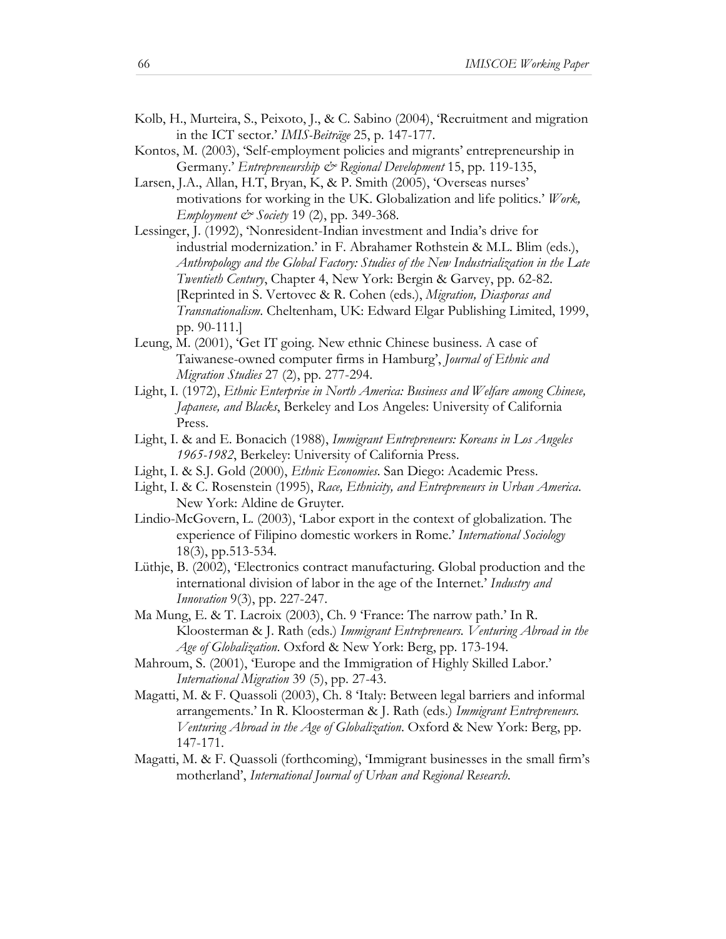- Kolb, H., Murteira, S., Peixoto, J., & C. Sabino (2004), 'Recruitment and migration in the ICT sector.' *IMIS-Beiträge* 25, p. 147-177.
- Kontos, M. (2003), 'Self-employment policies and migrants' entrepreneurship in Germany.' *Entrepreneurship & Regional Development* 15, pp. 119-135,
- Larsen, J.A., Allan, H.T, Bryan, K, & P. Smith (2005), 'Overseas nurses' motivations for working in the UK. Globalization and life politics.' *Work, Employment*  $\mathcal{O}$  *Society* 19 (2), pp. 349-368.
- Lessinger, J. (1992), 'Nonresident-Indian investment and India's drive for industrial modernization.' in F. Abrahamer Rothstein & M.L. Blim (eds.), *Anthropology and the Global Factory: Studies of the New Industrialization in the Late Twentieth Century*, Chapter 4, New York: Bergin & Garvey, pp. 62-82. [Reprinted in S. Vertovec & R. Cohen (eds.), *Migration, Diasporas and Transnationalism*. Cheltenham, UK: Edward Elgar Publishing Limited, 1999, pp. 90-111.]
- Leung, M. (2001), 'Get IT going. New ethnic Chinese business. A case of Taiwanese-owned computer firms in Hamburg', *Journal of Ethnic and Migration Studies* 27 (2), pp. 277-294.
- Light, I. (1972), *Ethnic Enterprise in North America: Business and Welfare among Chinese, Japanese, and Blacks*, Berkeley and Los Angeles: University of California Press.
- Light, I. & and E. Bonacich (1988), *Immigrant Entrepreneurs: Koreans in Los Angeles 1965-1982*, Berkeley: University of California Press.
- Light, I. & S.J. Gold (2000), *Ethnic Economies*. San Diego: Academic Press.
- Light, I. & C. Rosenstein (1995), *Race, Ethnicity, and Entrepreneurs in Urban America*. New York: Aldine de Gruyter.
- Lindio-McGovern, L. (2003), 'Labor export in the context of globalization. The experience of Filipino domestic workers in Rome.' *International Sociology* 18(3), pp.513-534.
- Lüthje, B. (2002), 'Electronics contract manufacturing. Global production and the international division of labor in the age of the Internet.' *Industry and Innovation* 9(3), pp. 227-247.
- Ma Mung, E. & T. Lacroix (2003), Ch. 9 'France: The narrow path.' In R. Kloosterman & J. Rath (eds.) *Immigrant Entrepreneurs. Venturing Abroad in the Age of Globalization*. Oxford & New York: Berg, pp. 173-194.
- Mahroum, S. (2001), 'Europe and the Immigration of Highly Skilled Labor.' *International Migration* 39 (5), pp. 27-43.
- Magatti, M. & F. Quassoli (2003), Ch. 8 'Italy: Between legal barriers and informal arrangements.' In R. Kloosterman & J. Rath (eds.) *Immigrant Entrepreneurs. Venturing Abroad in the Age of Globalization*. Oxford & New York: Berg, pp. 147-171.
- Magatti, M. & F. Quassoli (forthcoming), 'Immigrant businesses in the small firm's motherland', *International Journal of Urban and Regional Research*.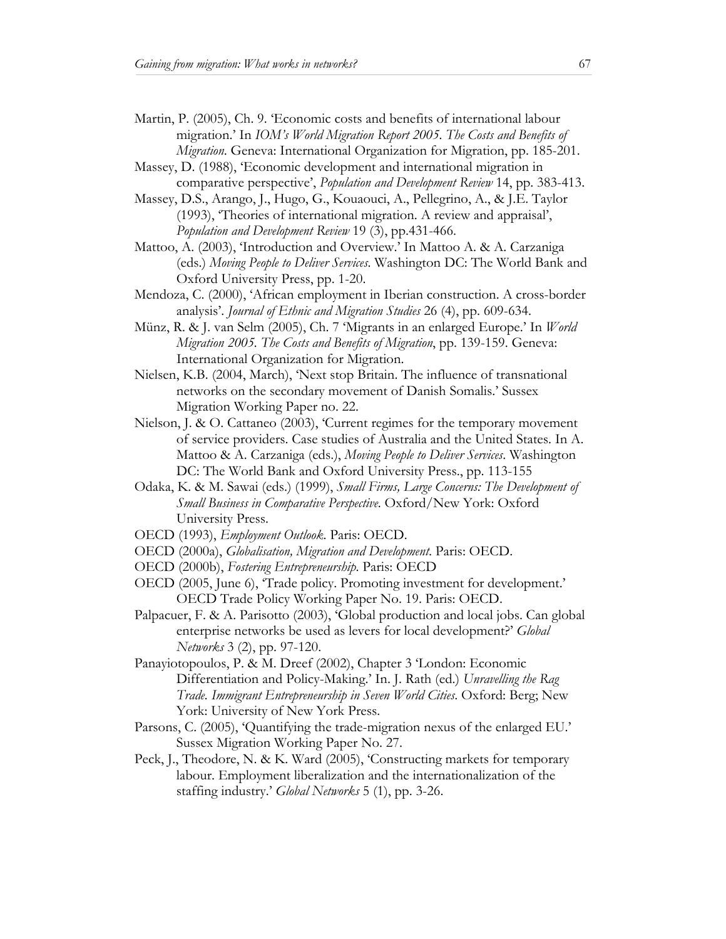- Martin, P. (2005), Ch. 9. 'Economic costs and benefits of international labour migration.' In *IOM's World Migration Report 2005. The Costs and Benefits of Migration*. Geneva: International Organization for Migration, pp. 185-201.
- Massey, D. (1988), 'Economic development and international migration in comparative perspective', *Population and Development Review* 14, pp. 383-413.
- Massey, D.S., Arango, J., Hugo, G., Kouaouci, A., Pellegrino, A., & J.E. Taylor (1993), 'Theories of international migration. A review and appraisal', *Population and Development Review* 19 (3), pp.431-466.
- Mattoo, A. (2003), 'Introduction and Overview.' In Mattoo A. & A. Carzaniga (eds.) *Moving People to Deliver Services*. Washington DC: The World Bank and Oxford University Press, pp. 1-20.
- Mendoza, C. (2000), 'African employment in Iberian construction. A cross-border analysis'. *Journal of Ethnic and Migration Studies* 26 (4), pp. 609-634.
- Münz, R. & J. van Selm (2005), Ch. 7 'Migrants in an enlarged Europe.' In *World Migration 2005. The Costs and Benefits of Migration*, pp. 139-159. Geneva: International Organization for Migration.
- Nielsen, K.B. (2004, March), 'Next stop Britain. The influence of transnational networks on the secondary movement of Danish Somalis.' Sussex Migration Working Paper no. 22.
- Nielson, J. & O. Cattaneo (2003), 'Current regimes for the temporary movement of service providers. Case studies of Australia and the United States. In A. Mattoo & A. Carzaniga (eds.), *Moving People to Deliver Services*. Washington DC: The World Bank and Oxford University Press., pp. 113-155
- Odaka, K. & M. Sawai (eds.) (1999), *Small Firms, Large Concerns: The Development of Small Business in Comparative Perspective*. Oxford/New York: Oxford University Press.
- OECD (1993), *Employment Outlook*. Paris: OECD.
- OECD (2000a), *Globalisation, Migration and Development*. Paris: OECD.
- OECD (2000b), *Fostering Entrepreneurship*. Paris: OECD
- OECD (2005, June 6), 'Trade policy. Promoting investment for development.' OECD Trade Policy Working Paper No. 19. Paris: OECD.
- Palpacuer, F. & A. Parisotto (2003), 'Global production and local jobs. Can global enterprise networks be used as levers for local development?' *Global Networks* 3 (2), pp. 97-120.
- Panayiotopoulos, P. & M. Dreef (2002), Chapter 3 'London: Economic Differentiation and Policy-Making.' In. J. Rath (ed.) *Unravelling the Rag Trade. Immigrant Entrepreneurship in Seven World Cities*. Oxford: Berg; New York: University of New York Press.
- Parsons, C. (2005), 'Quantifying the trade-migration nexus of the enlarged EU.' Sussex Migration Working Paper No. 27.
- Peck, J., Theodore, N. & K. Ward (2005), 'Constructing markets for temporary labour. Employment liberalization and the internationalization of the staffing industry.' *Global Networks* 5 (1), pp. 3-26.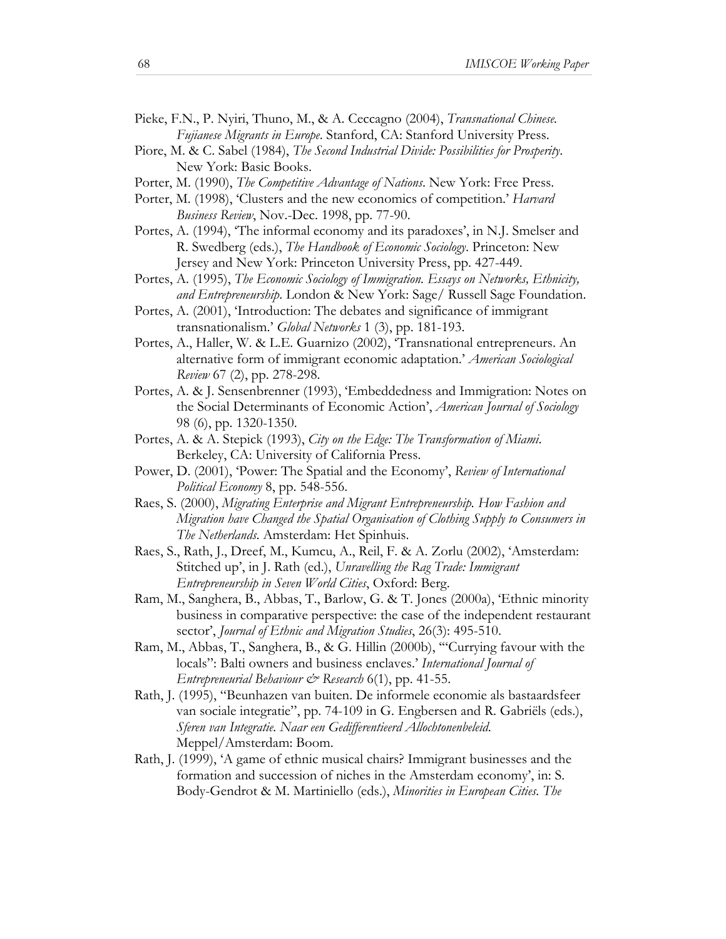- Pieke, F.N., P. Nyiri, Thuno, M., & A. Ceccagno (2004), *Transnational Chinese. Fujianese Migrants in Europe*. Stanford, CA: Stanford University Press.
- Piore, M. & C. Sabel (1984), *The Second Industrial Divide: Possibilities for Prosperity*. New York: Basic Books.
- Porter, M. (1990), *The Competitive Advantage of Nations*. New York: Free Press.
- Porter, M. (1998), 'Clusters and the new economics of competition.' *Harvard Business Review*, Nov.-Dec. 1998, pp. 77-90.
- Portes, A. (1994), 'The informal economy and its paradoxes', in N.J. Smelser and R. Swedberg (eds.), *The Handbook of Economic Sociology*. Princeton: New Jersey and New York: Princeton University Press, pp. 427-449.
- Portes, A. (1995), *The Economic Sociology of Immigration. Essays on Networks, Ethnicity, and Entrepreneurship*. London & New York: Sage/ Russell Sage Foundation.
- Portes, A. (2001), 'Introduction: The debates and significance of immigrant transnationalism.' *Global Networks* 1 (3), pp. 181-193.
- Portes, A., Haller, W. & L.E. Guarnizo (2002), 'Transnational entrepreneurs. An alternative form of immigrant economic adaptation.' *American Sociological Review* 67 (2), pp. 278-298.
- Portes, A. & J. Sensenbrenner (1993), 'Embeddedness and Immigration: Notes on the Social Determinants of Economic Action', *American Journal of Sociology* 98 (6), pp. 1320-1350.
- Portes, A. & A. Stepick (1993), *City on the Edge: The Transformation of Miami*. Berkeley, CA: University of California Press.
- Power, D. (2001), 'Power: The Spatial and the Economy', *Review of International Political Economy* 8, pp. 548-556.
- Raes, S. (2000), *Migrating Enterprise and Migrant Entrepreneurship. How Fashion and Migration have Changed the Spatial Organisation of Clothing Supply to Consumers in The Netherlands*. Amsterdam: Het Spinhuis.
- Raes, S., Rath, J., Dreef, M., Kumcu, A., Reil, F. & A. Zorlu (2002), 'Amsterdam: Stitched up', in J. Rath (ed.), *Unravelling the Rag Trade: Immigrant Entrepreneurship in Seven World Cities*, Oxford: Berg.
- Ram, M., Sanghera, B., Abbas, T., Barlow, G. & T. Jones (2000a), 'Ethnic minority business in comparative perspective: the case of the independent restaurant sector', *Journal of Ethnic and Migration Studies*, 26(3): 495-510.
- Ram, M., Abbas, T., Sanghera, B., & G. Hillin (2000b), '"Currying favour with the locals": Balti owners and business enclaves.' *International Journal of Entrepreneurial Behaviour & Research* 6(1), pp. 41-55.
- Rath, J. (1995), "Beunhazen van buiten. De informele economie als bastaardsfeer van sociale integratie", pp. 74-109 in G. Engbersen and R. Gabriëls (eds.), *Sferen van Integratie. Naar een Gedifferentieerd Allochtonenbeleid*. Meppel/Amsterdam: Boom.
- Rath, J. (1999), 'A game of ethnic musical chairs? Immigrant businesses and the formation and succession of niches in the Amsterdam economy', in: S. Body-Gendrot & M. Martiniello (eds.), *Minorities in European Cities. The*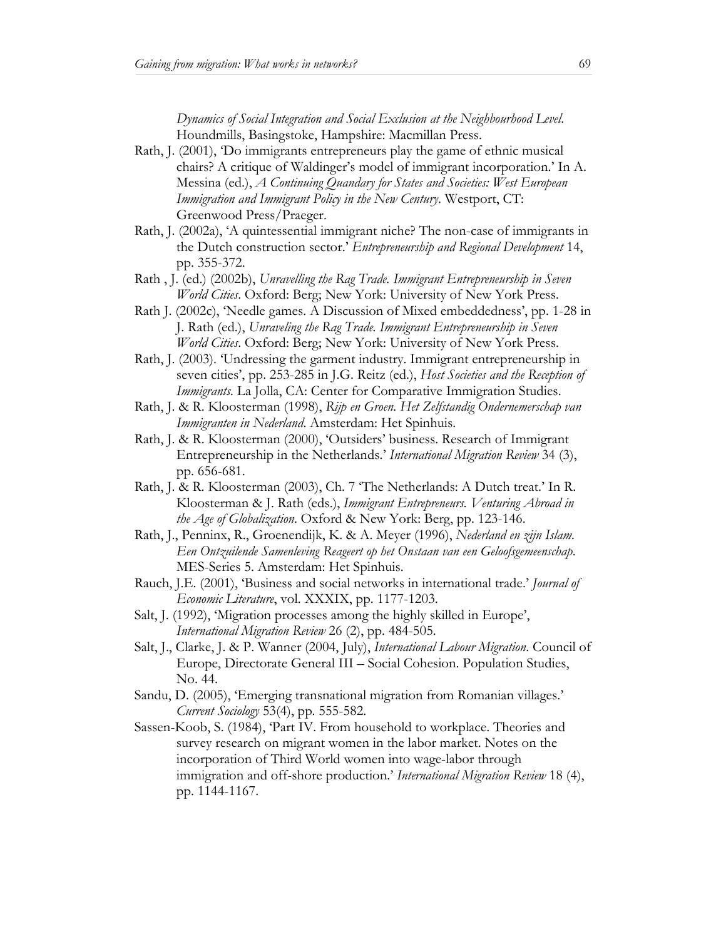*Dynamics of Social Integration and Social Exclusion at the Neighbourhood Level*. Houndmills, Basingstoke, Hampshire: Macmillan Press.

- Rath, J. (2001), 'Do immigrants entrepreneurs play the game of ethnic musical chairs? A critique of Waldinger's model of immigrant incorporation.' In A. Messina (ed.), *A Continuing Quandary for States and Societies: West European Immigration and Immigrant Policy in the New Century*. Westport, CT: Greenwood Press/Praeger.
- Rath, J. (2002a), 'A quintessential immigrant niche? The non-case of immigrants in the Dutch construction sector.' *Entrepreneurship and Regional Development* 14, pp. 355-372.
- Rath , J. (ed.) (2002b), *Unravelling the Rag Trade. Immigrant Entrepreneurship in Seven World Cities*. Oxford: Berg; New York: University of New York Press.
- Rath J. (2002c), 'Needle games. A Discussion of Mixed embeddedness', pp. 1-28 in J. Rath (ed.), *Unraveling the Rag Trade. Immigrant Entrepreneurship in Seven World Cities*. Oxford: Berg; New York: University of New York Press.
- Rath, J. (2003). 'Undressing the garment industry. Immigrant entrepreneurship in seven cities', pp. 253-285 in J.G. Reitz (ed.), *Host Societies and the Reception of Immigrants.* La Jolla, CA: Center for Comparative Immigration Studies.
- Rath, J. & R. Kloosterman (1998), *Rijp en Groen. Het Zelfstandig Ondernemerschap van Immigranten in Nederland*. Amsterdam: Het Spinhuis.
- Rath, J. & R. Kloosterman (2000), 'Outsiders' business. Research of Immigrant Entrepreneurship in the Netherlands.' *International Migration Review* 34 (3), pp. 656-681.
- Rath, J. & R. Kloosterman (2003), Ch. 7 'The Netherlands: A Dutch treat.' In R. Kloosterman & J. Rath (eds.), *Immigrant Entrepreneurs. Venturing Abroad in the Age of Globalization*. Oxford & New York: Berg, pp. 123-146.
- Rath, J., Penninx, R., Groenendijk, K. & A. Meyer (1996), *Nederland en zijn Islam. Een Ontzuilende Samenleving Reageert op het Onstaan van een Geloofsgemeenschap*. MES-Series 5. Amsterdam: Het Spinhuis.
- Rauch, J.E. (2001), 'Business and social networks in international trade.' *Journal of Economic Literature*, vol. XXXIX, pp. 1177-1203.
- Salt, J. (1992), 'Migration processes among the highly skilled in Europe', *International Migration Review* 26 (2), pp. 484-505.
- Salt, J., Clarke, J. & P. Wanner (2004, July), *International Labour Migration*. Council of Europe, Directorate General III – Social Cohesion. Population Studies, No. 44.
- Sandu, D. (2005), 'Emerging transnational migration from Romanian villages.' *Current Sociology* 53(4), pp. 555-582.
- Sassen-Koob, S. (1984), 'Part IV. From household to workplace. Theories and survey research on migrant women in the labor market. Notes on the incorporation of Third World women into wage-labor through immigration and off-shore production.' *International Migration Review* 18 (4), pp. 1144-1167.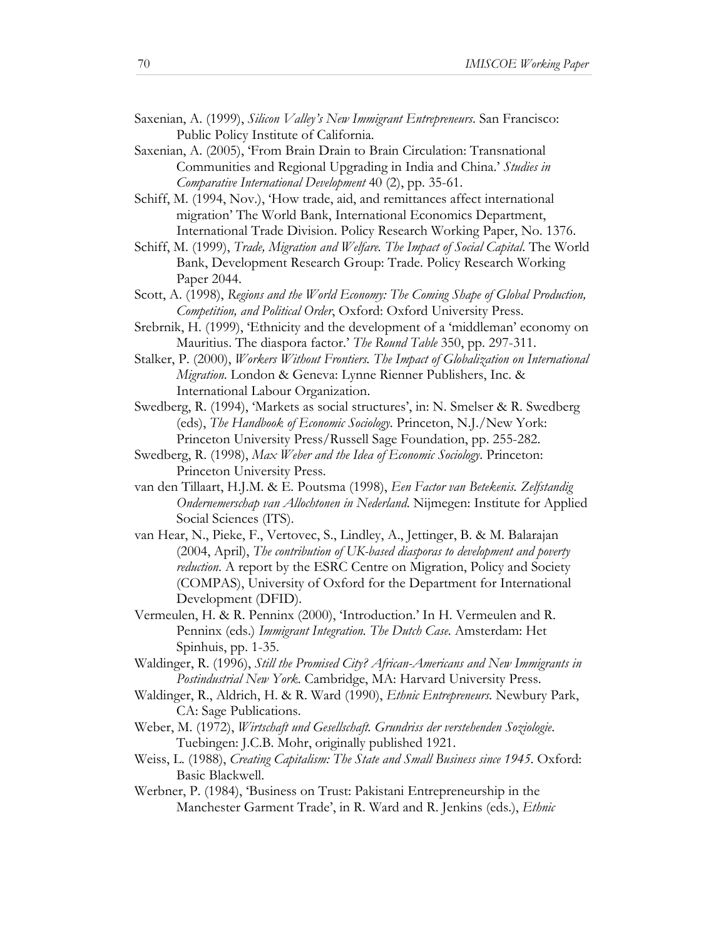- Saxenian, A. (1999), *Silicon Valley's New Immigrant Entrepreneurs*. San Francisco: Public Policy Institute of California.
- Saxenian, A. (2005), 'From Brain Drain to Brain Circulation: Transnational Communities and Regional Upgrading in India and China.' *Studies in Comparative International Development* 40 (2), pp. 35-61.
- Schiff, M. (1994, Nov.), 'How trade, aid, and remittances affect international migration' The World Bank, International Economics Department, International Trade Division. Policy Research Working Paper, No. 1376.
- Schiff, M. (1999), *Trade, Migration and Welfare. The Impact of Social Capital*. The World Bank, Development Research Group: Trade. Policy Research Working Paper 2044.
- Scott, A. (1998), *Regions and the World Economy: The Coming Shape of Global Production, Competition, and Political Order*, Oxford: Oxford University Press.
- Srebrnik, H. (1999), 'Ethnicity and the development of a 'middleman' economy on Mauritius. The diaspora factor.' *The Round Table* 350, pp. 297-311.
- Stalker, P. (2000), *Workers Without Frontiers. The Impact of Globalization on International Migration*. London & Geneva: Lynne Rienner Publishers, Inc. & International Labour Organization.
- Swedberg, R. (1994), 'Markets as social structures', in: N. Smelser & R. Swedberg (eds), *The Handbook of Economic Sociology*. Princeton, N.J./New York: Princeton University Press/Russell Sage Foundation, pp. 255-282.
- Swedberg, R. (1998), *Max Weber and the Idea of Economic Sociology*. Princeton: Princeton University Press.
- van den Tillaart, H.J.M. & E. Poutsma (1998), *Een Factor van Betekenis. Zelfstandig Ondernemerschap van Allochtonen in Nederland*. Nijmegen: Institute for Applied Social Sciences (ITS).
- van Hear, N., Pieke, F., Vertovec, S., Lindley, A., Jettinger, B. & M. Balarajan (2004, April), *The contribution of UK-based diasporas to development and poverty reduction*. A report by the ESRC Centre on Migration, Policy and Society (COMPAS), University of Oxford for the Department for International Development (DFID).
- Vermeulen, H. & R. Penninx (2000), 'Introduction.' In H. Vermeulen and R. Penninx (eds.) *Immigrant Integration. The Dutch Case*. Amsterdam: Het Spinhuis, pp. 1-35.
- Waldinger, R. (1996), *Still the Promised City? African-Americans and New Immigrants in Postindustrial New York*. Cambridge, MA: Harvard University Press.
- Waldinger, R., Aldrich, H. & R. Ward (1990), *Ethnic Entrepreneurs*. Newbury Park, CA: Sage Publications.
- Weber, M. (1972), *Wirtschaft und Gesellschaft. Grundriss der verstehenden Soziologie*. Tuebingen: J.C.B. Mohr, originally published 1921.
- Weiss, L. (1988), *Creating Capitalism: The State and Small Business since 1945*. Oxford: Basic Blackwell.
- Werbner, P. (1984), 'Business on Trust: Pakistani Entrepreneurship in the Manchester Garment Trade', in R. Ward and R. Jenkins (eds.), *Ethnic*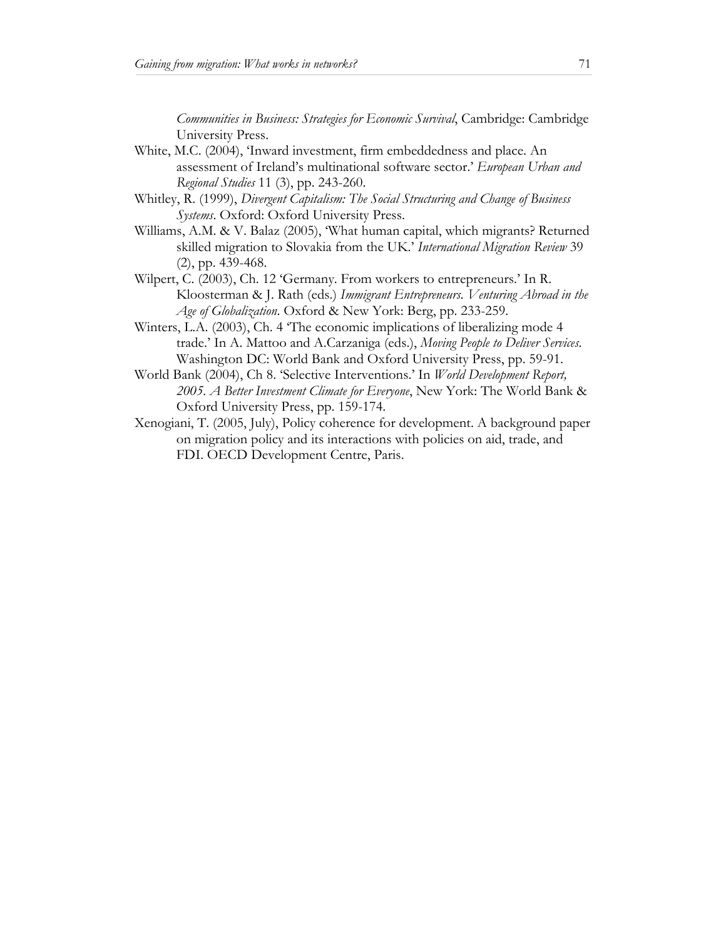*Communities in Business: Strategies for Economic Survival*, Cambridge: Cambridge University Press.

- White, M.C. (2004), 'Inward investment, firm embeddedness and place. An assessment of Ireland's multinational software sector.' *European Urban and Regional Studies* 11 (3), pp. 243-260.
- Whitley, R. (1999), *Divergent Capitalism: The Social Structuring and Change of Business Systems*. Oxford: Oxford University Press.
- Williams, A.M. & V. Balaz (2005), 'What human capital, which migrants? Returned skilled migration to Slovakia from the UK.' *International Migration Review* 39 (2), pp. 439-468.
- Wilpert, C. (2003), Ch. 12 'Germany. From workers to entrepreneurs.' In R. Kloosterman & J. Rath (eds.) *Immigrant Entrepreneurs. Venturing Abroad in the Age of Globalization*. Oxford & New York: Berg, pp. 233-259.
- Winters, L.A. (2003), Ch. 4 'The economic implications of liberalizing mode 4 trade.' In A. Mattoo and A.Carzaniga (eds.), *Moving People to Deliver Services*. Washington DC: World Bank and Oxford University Press, pp. 59-91.
- World Bank (2004), Ch 8. 'Selective Interventions.' In *World Development Report, 2005. A Better Investment Climate for Everyone*, New York: The World Bank & Oxford University Press, pp. 159-174.
- Xenogiani, T. (2005, July), Policy coherence for development. A background paper on migration policy and its interactions with policies on aid, trade, and FDI. OECD Development Centre, Paris.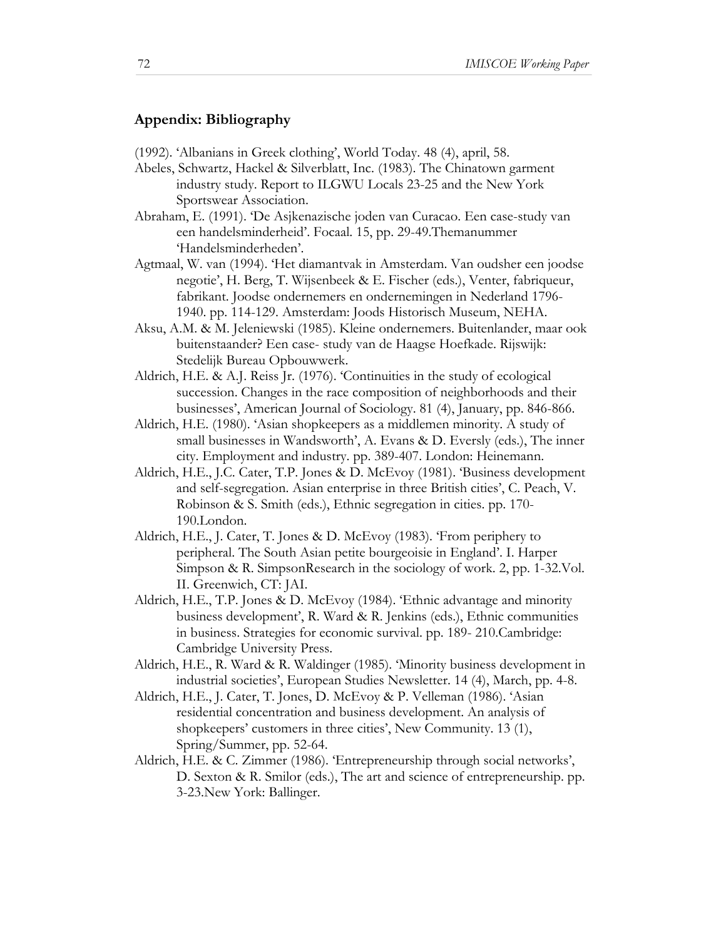## **Appendix: Bibliography**

- (1992). 'Albanians in Greek clothing', World Today. 48 (4), april, 58.
- Abeles, Schwartz, Hackel & Silverblatt, Inc. (1983). The Chinatown garment industry study. Report to ILGWU Locals 23-25 and the New York Sportswear Association.
- Abraham, E. (1991). 'De Asjkenazische joden van Curacao. Een case-study van een handelsminderheid'. Focaal. 15, pp. 29-49.Themanummer 'Handelsminderheden'.
- Agtmaal, W. van (1994). 'Het diamantvak in Amsterdam. Van oudsher een joodse negotie', H. Berg, T. Wijsenbeek & E. Fischer (eds.), Venter, fabriqueur, fabrikant. Joodse ondernemers en ondernemingen in Nederland 1796- 1940. pp. 114-129. Amsterdam: Joods Historisch Museum, NEHA.
- Aksu, A.M. & M. Jeleniewski (1985). Kleine ondernemers. Buitenlander, maar ook buitenstaander? Een case- study van de Haagse Hoefkade. Rijswijk: Stedelijk Bureau Opbouwwerk.
- Aldrich, H.E. & A.J. Reiss Jr. (1976). 'Continuities in the study of ecological succession. Changes in the race composition of neighborhoods and their businesses', American Journal of Sociology. 81 (4), January, pp. 846-866.
- Aldrich, H.E. (1980). 'Asian shopkeepers as a middlemen minority. A study of small businesses in Wandsworth', A. Evans & D. Eversly (eds.), The inner city. Employment and industry. pp. 389-407. London: Heinemann.
- Aldrich, H.E., J.C. Cater, T.P. Jones & D. McEvoy (1981). 'Business development and self-segregation. Asian enterprise in three British cities', C. Peach, V. Robinson & S. Smith (eds.), Ethnic segregation in cities. pp. 170- 190.London.
- Aldrich, H.E., J. Cater, T. Jones & D. McEvoy (1983). 'From periphery to peripheral. The South Asian petite bourgeoisie in England'. I. Harper Simpson & R. SimpsonResearch in the sociology of work. 2, pp. 1-32.Vol. II. Greenwich, CT: JAI.
- Aldrich, H.E., T.P. Jones & D. McEvoy (1984). 'Ethnic advantage and minority business development', R. Ward & R. Jenkins (eds.), Ethnic communities in business. Strategies for economic survival. pp. 189- 210.Cambridge: Cambridge University Press.
- Aldrich, H.E., R. Ward & R. Waldinger (1985). 'Minority business development in industrial societies', European Studies Newsletter. 14 (4), March, pp. 4-8.
- Aldrich, H.E., J. Cater, T. Jones, D. McEvoy & P. Velleman (1986). 'Asian residential concentration and business development. An analysis of shopkeepers' customers in three cities', New Community. 13 (1), Spring/Summer, pp. 52-64.
- Aldrich, H.E. & C. Zimmer (1986). 'Entrepreneurship through social networks', D. Sexton & R. Smilor (eds.), The art and science of entrepreneurship. pp. 3-23.New York: Ballinger.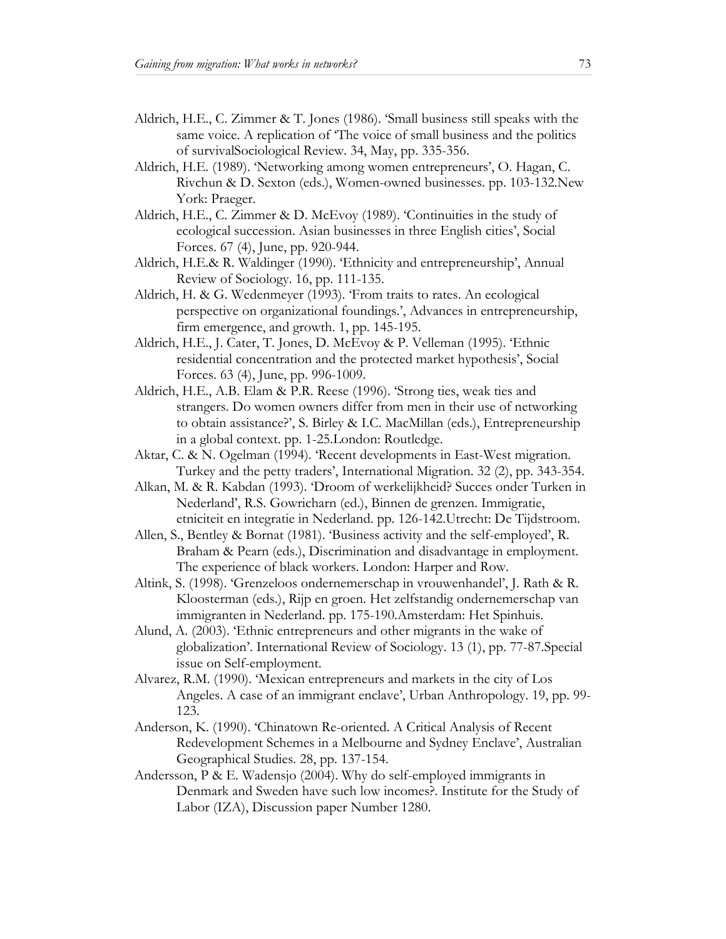- Aldrich, H.E., C. Zimmer & T. Jones (1986). 'Small business still speaks with the same voice. A replication of 'The voice of small business and the politics of survivalSociological Review. 34, May, pp. 335-356.
- Aldrich, H.E. (1989). 'Networking among women entrepreneurs', O. Hagan, C. Rivchun & D. Sexton (eds.), Women-owned businesses. pp. 103-132.New York: Praeger.
- Aldrich, H.E., C. Zimmer & D. McEvoy (1989). 'Continuities in the study of ecological succession. Asian businesses in three English cities', Social Forces. 67 (4), June, pp. 920-944.
- Aldrich, H.E.& R. Waldinger (1990). 'Ethnicity and entrepreneurship', Annual Review of Sociology. 16, pp. 111-135.
- Aldrich, H. & G. Wedenmeyer (1993). 'From traits to rates. An ecological perspective on organizational foundings.', Advances in entrepreneurship, firm emergence, and growth. 1, pp. 145-195.
- Aldrich, H.E., J. Cater, T. Jones, D. McEvoy & P. Velleman (1995). 'Ethnic residential concentration and the protected market hypothesis', Social Forces. 63 (4), June, pp. 996-1009.
- Aldrich, H.E., A.B. Elam & P.R. Reese (1996). 'Strong ties, weak ties and strangers. Do women owners differ from men in their use of networking to obtain assistance?', S. Birley & I.C. MacMillan (eds.), Entrepreneurship in a global context. pp. 1-25.London: Routledge.
- Aktar, C. & N. Ogelman (1994). 'Recent developments in East-West migration. Turkey and the petty traders', International Migration. 32 (2), pp. 343-354.
- Alkan, M. & R. Kabdan (1993). 'Droom of werkelijkheid? Succes onder Turken in Nederland', R.S. Gowricharn (ed.), Binnen de grenzen. Immigratie, etniciteit en integratie in Nederland. pp. 126-142.Utrecht: De Tijdstroom.
- Allen, S., Bentley & Bornat (1981). 'Business activity and the self-employed', R. Braham & Pearn (eds.), Discrimination and disadvantage in employment. The experience of black workers. London: Harper and Row.
- Altink, S. (1998). 'Grenzeloos ondernemerschap in vrouwenhandel', J. Rath & R. Kloosterman (eds.), Rijp en groen. Het zelfstandig ondernemerschap van immigranten in Nederland. pp. 175-190.Amsterdam: Het Spinhuis.
- Alund, A. (2003). 'Ethnic entrepreneurs and other migrants in the wake of globalization'. International Review of Sociology. 13 (1), pp. 77-87.Special issue on Self-employment.
- Alvarez, R.M. (1990). 'Mexican entrepreneurs and markets in the city of Los Angeles. A case of an immigrant enclave', Urban Anthropology. 19, pp. 99- 123.
- Anderson, K. (1990). 'Chinatown Re-oriented. A Critical Analysis of Recent Redevelopment Schemes in a Melbourne and Sydney Enclave', Australian Geographical Studies. 28, pp. 137-154.
- Andersson, P & E. Wadensjo (2004). Why do self-employed immigrants in Denmark and Sweden have such low incomes?. Institute for the Study of Labor (IZA), Discussion paper Number 1280.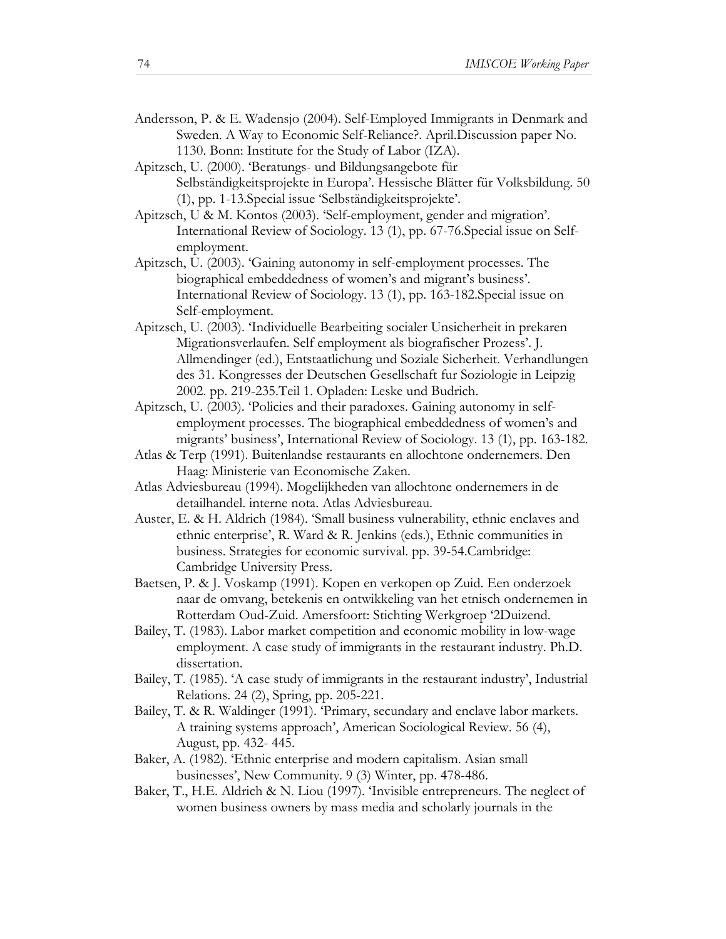- Andersson, P. & E. Wadensjo (2004). Self-Employed Immigrants in Denmark and Sweden. A Way to Economic Self-Reliance?. April.Discussion paper No. 1130. Bonn: Institute for the Study of Labor (IZA).
- Apitzsch, U. (2000). 'Beratungs- und Bildungsangebote für Selbständigkeitsprojekte in Europa'. Hessische Blätter für Volksbildung. 50 (1), pp. 1-13.Special issue 'Selbständigkeitsprojekte'.
- Apitzsch, U & M. Kontos (2003). 'Self-employment, gender and migration'. International Review of Sociology. 13 (1), pp. 67-76.Special issue on Selfemployment.
- Apitzsch, U. (2003). 'Gaining autonomy in self-employment processes. The biographical embeddedness of women's and migrant's business'. International Review of Sociology. 13 (1), pp. 163-182.Special issue on Self-employment.
- Apitzsch, U. (2003). 'Individuelle Bearbeiting socialer Unsicherheit in prekaren Migrationsverlaufen. Self employment als biografischer Prozess'. J. Allmendinger (ed.), Entstaatlichung und Soziale Sicherheit. Verhandlungen des 31. Kongresses der Deutschen Gesellschaft fur Soziologie in Leipzig 2002. pp. 219-235.Teil 1. Opladen: Leske und Budrich.
- Apitzsch, U. (2003). 'Policies and their paradoxes. Gaining autonomy in selfemployment processes. The biographical embeddedness of women's and migrants' business', International Review of Sociology. 13 (1), pp. 163-182.
- Atlas & Terp (1991). Buitenlandse restaurants en allochtone ondernemers. Den Haag: Ministerie van Economische Zaken.
- Atlas Adviesbureau (1994). Mogelijkheden van allochtone ondernemers in de detailhandel. interne nota. Atlas Adviesbureau.
- Auster, E. & H. Aldrich (1984). 'Small business vulnerability, ethnic enclaves and ethnic enterprise', R. Ward & R. Jenkins (eds.), Ethnic communities in business. Strategies for economic survival. pp. 39-54.Cambridge: Cambridge University Press.
- Baetsen, P. & J. Voskamp (1991). Kopen en verkopen op Zuid. Een onderzoek naar de omvang, betekenis en ontwikkeling van het etnisch ondernemen in Rotterdam Oud-Zuid. Amersfoort: Stichting Werkgroep '2Duizend.
- Bailey, T. (1983). Labor market competition and economic mobility in low-wage employment. A case study of immigrants in the restaurant industry. Ph.D. dissertation.
- Bailey, T. (1985). 'A case study of immigrants in the restaurant industry', Industrial Relations. 24 (2), Spring, pp. 205-221.
- Bailey, T. & R. Waldinger (1991). 'Primary, secundary and enclave labor markets. A training systems approach', American Sociological Review. 56 (4), August, pp. 432- 445.
- Baker, A. (1982). 'Ethnic enterprise and modern capitalism. Asian small businesses', New Community. 9 (3) Winter, pp. 478-486.
- Baker, T., H.E. Aldrich & N. Liou (1997). 'Invisible entrepreneurs. The neglect of women business owners by mass media and scholarly journals in the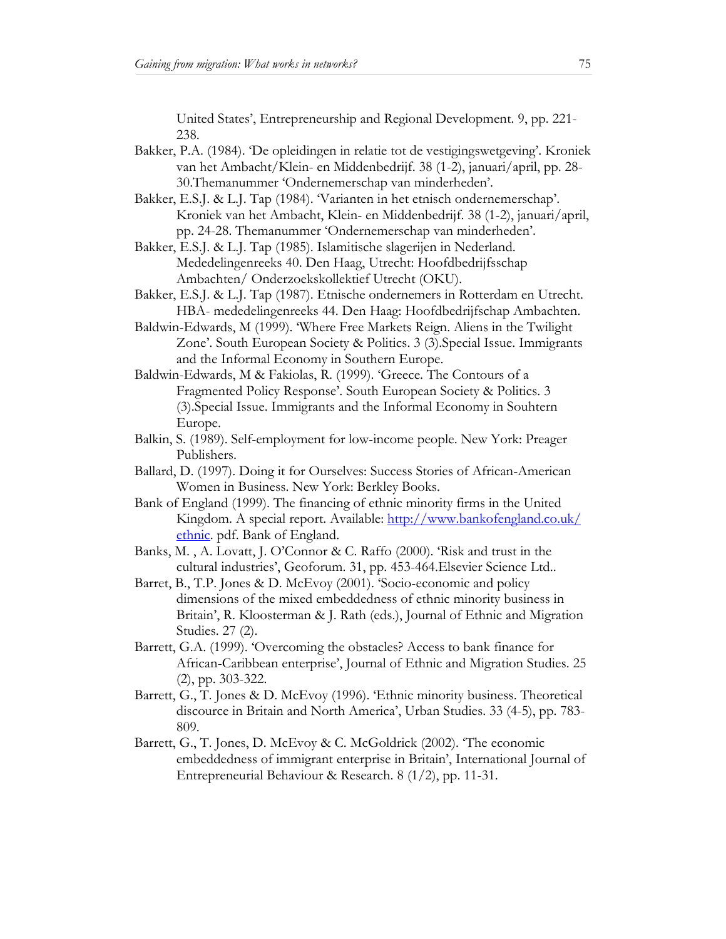United States', Entrepreneurship and Regional Development. 9, pp. 221- 238.

- Bakker, P.A. (1984). 'De opleidingen in relatie tot de vestigingswetgeving'. Kroniek van het Ambacht/Klein- en Middenbedrijf. 38 (1-2), januari/april, pp. 28- 30.Themanummer 'Ondernemerschap van minderheden'.
- Bakker, E.S.J. & L.J. Tap (1984). 'Varianten in het etnisch ondernemerschap'. Kroniek van het Ambacht, Klein- en Middenbedrijf. 38 (1-2), januari/april, pp. 24-28. Themanummer 'Ondernemerschap van minderheden'.
- Bakker, E.S.J. & L.J. Tap (1985). Islamitische slagerijen in Nederland. Mededelingenreeks 40. Den Haag, Utrecht: Hoofdbedrijfsschap Ambachten/ Onderzoekskollektief Utrecht (OKU).
- Bakker, E.S.J. & L.J. Tap (1987). Etnische ondernemers in Rotterdam en Utrecht. HBA- mededelingenreeks 44. Den Haag: Hoofdbedrijfschap Ambachten.
- Baldwin-Edwards, M (1999). 'Where Free Markets Reign. Aliens in the Twilight Zone'. South European Society & Politics. 3 (3).Special Issue. Immigrants and the Informal Economy in Southern Europe.
- Baldwin-Edwards, M & Fakiolas, R. (1999). 'Greece. The Contours of a Fragmented Policy Response'. South European Society & Politics. 3 (3).Special Issue. Immigrants and the Informal Economy in Souhtern Europe.
- Balkin, S. (1989). Self-employment for low-income people. New York: Preager Publishers.
- Ballard, D. (1997). Doing it for Ourselves: Success Stories of African-American Women in Business. New York: Berkley Books.
- Bank of England (1999). The financing of ethnic minority firms in the United Kingdom. A special report. Available: http://www.bankofengland.co.uk/ ethnic. pdf. Bank of England.
- Banks, M. , A. Lovatt, J. O'Connor & C. Raffo (2000). 'Risk and trust in the cultural industries', Geoforum. 31, pp. 453-464.Elsevier Science Ltd..
- Barret, B., T.P. Jones & D. McEvoy (2001). 'Socio-economic and policy dimensions of the mixed embeddedness of ethnic minority business in Britain', R. Kloosterman & J. Rath (eds.), Journal of Ethnic and Migration Studies. 27 (2).
- Barrett, G.A. (1999). 'Overcoming the obstacles? Access to bank finance for African-Caribbean enterprise', Journal of Ethnic and Migration Studies. 25 (2), pp. 303-322.
- Barrett, G., T. Jones & D. McEvoy (1996). 'Ethnic minority business. Theoretical discource in Britain and North America', Urban Studies. 33 (4-5), pp. 783- 809.
- Barrett, G., T. Jones, D. McEvoy & C. McGoldrick (2002). 'The economic embeddedness of immigrant enterprise in Britain', International Journal of Entrepreneurial Behaviour & Research. 8 (1/2), pp. 11-31.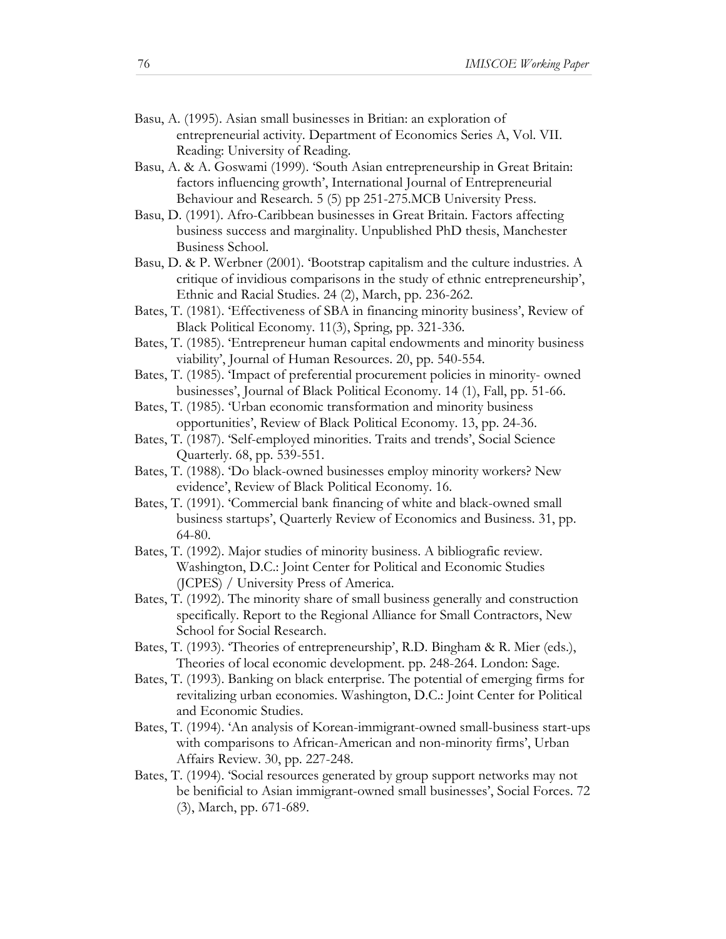- Basu, A. (1995). Asian small businesses in Britian: an exploration of entrepreneurial activity. Department of Economics Series A, Vol. VII. Reading: University of Reading.
- Basu, A. & A. Goswami (1999). 'South Asian entrepreneurship in Great Britain: factors influencing growth', International Journal of Entrepreneurial Behaviour and Research. 5 (5) pp 251-275.MCB University Press.
- Basu, D. (1991). Afro-Caribbean businesses in Great Britain. Factors affecting business success and marginality. Unpublished PhD thesis, Manchester Business School.
- Basu, D. & P. Werbner (2001). 'Bootstrap capitalism and the culture industries. A critique of invidious comparisons in the study of ethnic entrepreneurship', Ethnic and Racial Studies. 24 (2), March, pp. 236-262.
- Bates, T. (1981). 'Effectiveness of SBA in financing minority business', Review of Black Political Economy. 11(3), Spring, pp. 321-336.
- Bates, T. (1985). 'Entrepreneur human capital endowments and minority business viability', Journal of Human Resources. 20, pp. 540-554.
- Bates, T. (1985). 'Impact of preferential procurement policies in minority- owned businesses', Journal of Black Political Economy. 14 (1), Fall, pp. 51-66.
- Bates, T. (1985). 'Urban economic transformation and minority business opportunities', Review of Black Political Economy. 13, pp. 24-36.
- Bates, T. (1987). 'Self-employed minorities. Traits and trends', Social Science Quarterly. 68, pp. 539-551.
- Bates, T. (1988). 'Do black-owned businesses employ minority workers? New evidence', Review of Black Political Economy. 16.
- Bates, T. (1991). 'Commercial bank financing of white and black-owned small business startups', Quarterly Review of Economics and Business. 31, pp. 64-80.
- Bates, T. (1992). Major studies of minority business. A bibliografic review. Washington, D.C.: Joint Center for Political and Economic Studies (JCPES) / University Press of America.
- Bates, T. (1992). The minority share of small business generally and construction specifically. Report to the Regional Alliance for Small Contractors, New School for Social Research.
- Bates, T. (1993). 'Theories of entrepreneurship', R.D. Bingham & R. Mier (eds.), Theories of local economic development. pp. 248-264. London: Sage.
- Bates, T. (1993). Banking on black enterprise. The potential of emerging firms for revitalizing urban economies. Washington, D.C.: Joint Center for Political and Economic Studies.
- Bates, T. (1994). 'An analysis of Korean-immigrant-owned small-business start-ups with comparisons to African-American and non-minority firms', Urban Affairs Review. 30, pp. 227-248.
- Bates, T. (1994). 'Social resources generated by group support networks may not be benificial to Asian immigrant-owned small businesses', Social Forces. 72 (3), March, pp. 671-689.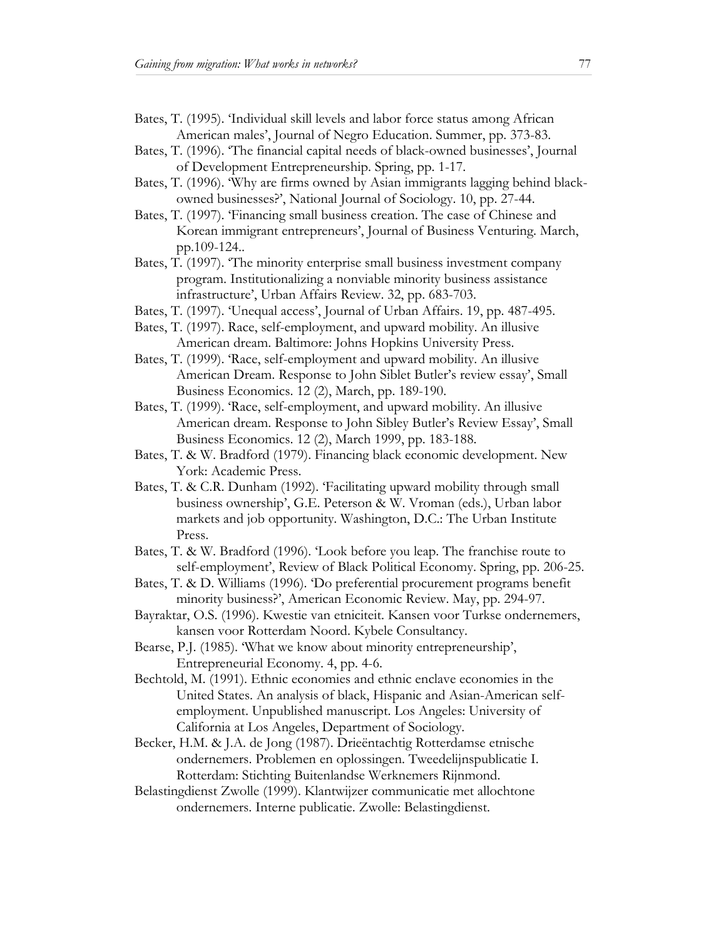Bates, T. (1995). 'Individual skill levels and labor force status among African American males', Journal of Negro Education. Summer, pp. 373-83.

- Bates, T. (1996). 'The financial capital needs of black-owned businesses', Journal of Development Entrepreneurship. Spring, pp. 1-17.
- Bates, T. (1996). 'Why are firms owned by Asian immigrants lagging behind blackowned businesses?', National Journal of Sociology. 10, pp. 27-44.
- Bates, T. (1997). 'Financing small business creation. The case of Chinese and Korean immigrant entrepreneurs', Journal of Business Venturing. March, pp.109-124..
- Bates, T. (1997). 'The minority enterprise small business investment company program. Institutionalizing a nonviable minority business assistance infrastructure', Urban Affairs Review. 32, pp. 683-703.
- Bates, T. (1997). 'Unequal access', Journal of Urban Affairs. 19, pp. 487-495.
- Bates, T. (1997). Race, self-employment, and upward mobility. An illusive American dream. Baltimore: Johns Hopkins University Press.
- Bates, T. (1999). 'Race, self-employment and upward mobility. An illusive American Dream. Response to John Siblet Butler's review essay', Small Business Economics. 12 (2), March, pp. 189-190.
- Bates, T. (1999). 'Race, self-employment, and upward mobility. An illusive American dream. Response to John Sibley Butler's Review Essay', Small Business Economics. 12 (2), March 1999, pp. 183-188.
- Bates, T. & W. Bradford (1979). Financing black economic development. New York: Academic Press.
- Bates, T. & C.R. Dunham (1992). 'Facilitating upward mobility through small business ownership', G.E. Peterson & W. Vroman (eds.), Urban labor markets and job opportunity. Washington, D.C.: The Urban Institute Press.
- Bates, T. & W. Bradford (1996). 'Look before you leap. The franchise route to self-employment', Review of Black Political Economy. Spring, pp. 206-25.
- Bates, T. & D. Williams (1996). 'Do preferential procurement programs benefit minority business?', American Economic Review. May, pp. 294-97.
- Bayraktar, O.S. (1996). Kwestie van etniciteit. Kansen voor Turkse ondernemers, kansen voor Rotterdam Noord. Kybele Consultancy.
- Bearse, P.J. (1985). 'What we know about minority entrepreneurship', Entrepreneurial Economy. 4, pp. 4-6.
- Bechtold, M. (1991). Ethnic economies and ethnic enclave economies in the United States. An analysis of black, Hispanic and Asian-American selfemployment. Unpublished manuscript. Los Angeles: University of California at Los Angeles, Department of Sociology.
- Becker, H.M. & J.A. de Jong (1987). Drieëntachtig Rotterdamse etnische ondernemers. Problemen en oplossingen. Tweedelijnspublicatie I. Rotterdam: Stichting Buitenlandse Werknemers Rijnmond.
- Belastingdienst Zwolle (1999). Klantwijzer communicatie met allochtone ondernemers. Interne publicatie. Zwolle: Belastingdienst.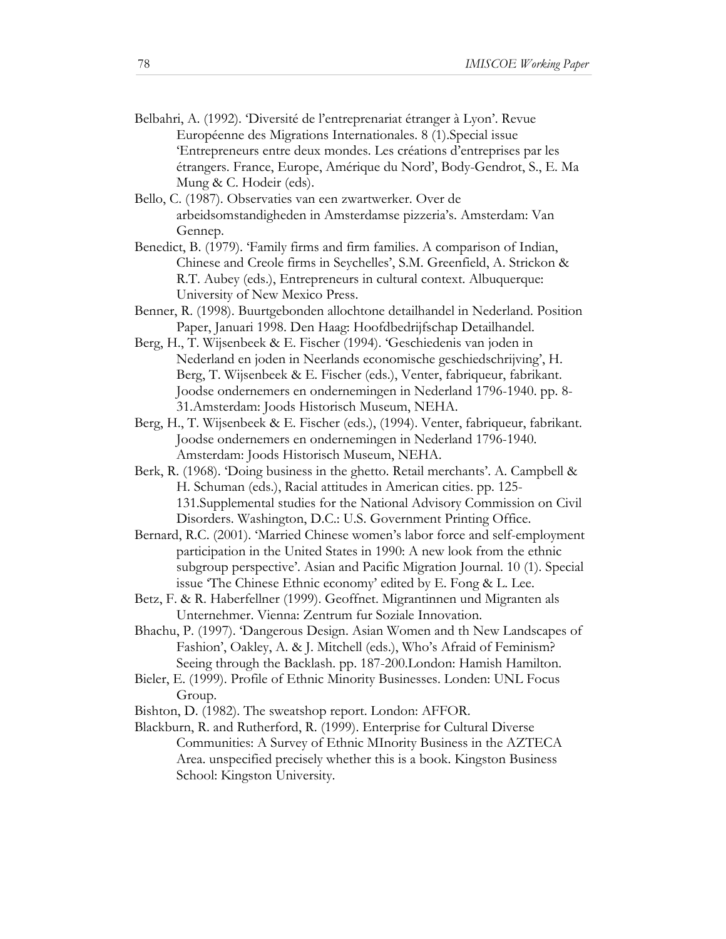- Belbahri, A. (1992). 'Diversité de l'entreprenariat étranger à Lyon'. Revue Européenne des Migrations Internationales. 8 (1).Special issue 'Entrepreneurs entre deux mondes. Les créations d'entreprises par les étrangers. France, Europe, Amérique du Nord', Body-Gendrot, S., E. Ma Mung & C. Hodeir (eds).
- Bello, C. (1987). Observaties van een zwartwerker. Over de arbeidsomstandigheden in Amsterdamse pizzeria's. Amsterdam: Van Gennep.
- Benedict, B. (1979). 'Family firms and firm families. A comparison of Indian, Chinese and Creole firms in Seychelles', S.M. Greenfield, A. Strickon & R.T. Aubey (eds.), Entrepreneurs in cultural context. Albuquerque: University of New Mexico Press.
- Benner, R. (1998). Buurtgebonden allochtone detailhandel in Nederland. Position Paper, Januari 1998. Den Haag: Hoofdbedrijfschap Detailhandel.
- Berg, H., T. Wijsenbeek & E. Fischer (1994). 'Geschiedenis van joden in Nederland en joden in Neerlands economische geschiedschrijving', H. Berg, T. Wijsenbeek & E. Fischer (eds.), Venter, fabriqueur, fabrikant. Joodse ondernemers en ondernemingen in Nederland 1796-1940. pp. 8- 31.Amsterdam: Joods Historisch Museum, NEHA.
- Berg, H., T. Wijsenbeek & E. Fischer (eds.), (1994). Venter, fabriqueur, fabrikant. Joodse ondernemers en ondernemingen in Nederland 1796-1940. Amsterdam: Joods Historisch Museum, NEHA.
- Berk, R. (1968). 'Doing business in the ghetto. Retail merchants'. A. Campbell & H. Schuman (eds.), Racial attitudes in American cities. pp. 125- 131.Supplemental studies for the National Advisory Commission on Civil Disorders. Washington, D.C.: U.S. Government Printing Office.
- Bernard, R.C. (2001). 'Married Chinese women's labor force and self-employment participation in the United States in 1990: A new look from the ethnic subgroup perspective'. Asian and Pacific Migration Journal. 10 (1). Special issue 'The Chinese Ethnic economy' edited by E. Fong & L. Lee.
- Betz, F. & R. Haberfellner (1999). Geoffnet. Migrantinnen und Migranten als Unternehmer. Vienna: Zentrum fur Soziale Innovation.
- Bhachu, P. (1997). 'Dangerous Design. Asian Women and th New Landscapes of Fashion', Oakley, A. & J. Mitchell (eds.), Who's Afraid of Feminism? Seeing through the Backlash. pp. 187-200.London: Hamish Hamilton.
- Bieler, E. (1999). Profile of Ethnic Minority Businesses. Londen: UNL Focus Group.
- Bishton, D. (1982). The sweatshop report. London: AFFOR.
- Blackburn, R. and Rutherford, R. (1999). Enterprise for Cultural Diverse Communities: A Survey of Ethnic MInority Business in the AZTECA Area. unspecified precisely whether this is a book. Kingston Business School: Kingston University.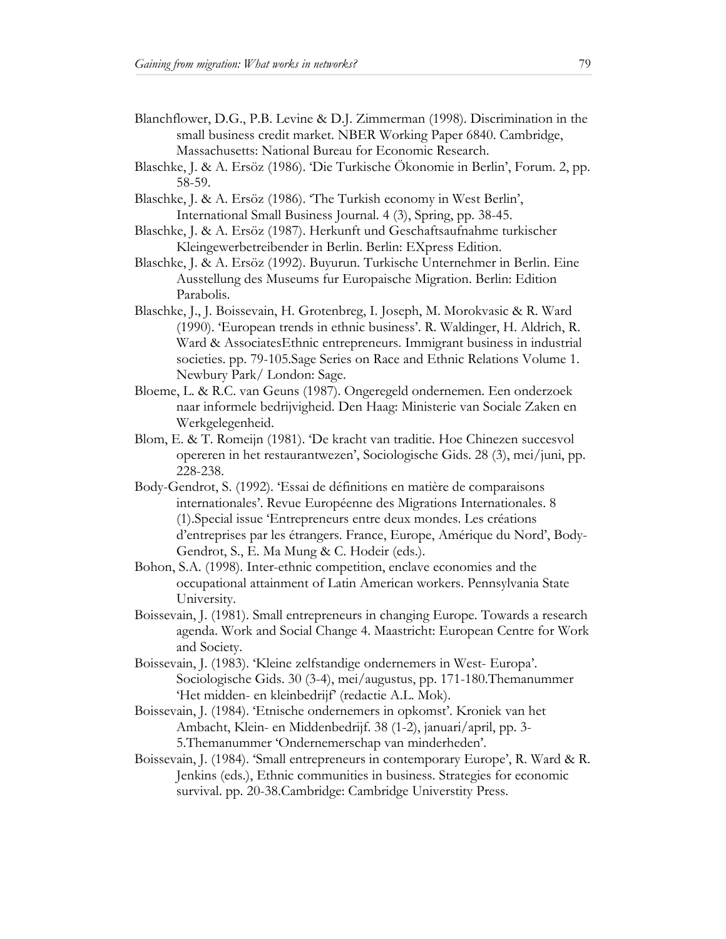- Blanchflower, D.G., P.B. Levine & D.J. Zimmerman (1998). Discrimination in the small business credit market. NBER Working Paper 6840. Cambridge, Massachusetts: National Bureau for Economic Research.
- Blaschke, J. & A. Ersöz (1986). 'Die Turkische Ökonomie in Berlin', Forum. 2, pp. 58-59.
- Blaschke, J. & A. Ersöz (1986). 'The Turkish economy in West Berlin', International Small Business Journal. 4 (3), Spring, pp. 38-45.
- Blaschke, J. & A. Ersöz (1987). Herkunft und Geschaftsaufnahme turkischer Kleingewerbetreibender in Berlin. Berlin: EXpress Edition.
- Blaschke, J. & A. Ersöz (1992). Buyurun. Turkische Unternehmer in Berlin. Eine Ausstellung des Museums fur Europaische Migration. Berlin: Edition Parabolis.
- Blaschke, J., J. Boissevain, H. Grotenbreg, I. Joseph, M. Morokvasic & R. Ward (1990). 'European trends in ethnic business'. R. Waldinger, H. Aldrich, R. Ward & AssociatesEthnic entrepreneurs. Immigrant business in industrial societies. pp. 79-105.Sage Series on Race and Ethnic Relations Volume 1. Newbury Park/ London: Sage.
- Bloeme, L. & R.C. van Geuns (1987). Ongeregeld ondernemen. Een onderzoek naar informele bedrijvigheid. Den Haag: Ministerie van Sociale Zaken en Werkgelegenheid.
- Blom, E. & T. Romeijn (1981). 'De kracht van traditie. Hoe Chinezen succesvol opereren in het restaurantwezen', Sociologische Gids. 28 (3), mei/juni, pp. 228-238.
- Body-Gendrot, S. (1992). 'Essai de définitions en matière de comparaisons internationales'. Revue Européenne des Migrations Internationales. 8 (1).Special issue 'Entrepreneurs entre deux mondes. Les créations d'entreprises par les étrangers. France, Europe, Amérique du Nord', Body-Gendrot, S., E. Ma Mung & C. Hodeir (eds.).
- Bohon, S.A. (1998). Inter-ethnic competition, enclave economies and the occupational attainment of Latin American workers. Pennsylvania State University.
- Boissevain, J. (1981). Small entrepreneurs in changing Europe. Towards a research agenda. Work and Social Change 4. Maastricht: European Centre for Work and Society.
- Boissevain, J. (1983). 'Kleine zelfstandige ondernemers in West- Europa'. Sociologische Gids. 30 (3-4), mei/augustus, pp. 171-180.Themanummer 'Het midden- en kleinbedrijf' (redactie A.L. Mok).
- Boissevain, J. (1984). 'Etnische ondernemers in opkomst'. Kroniek van het Ambacht, Klein- en Middenbedrijf. 38 (1-2), januari/april, pp. 3- 5.Themanummer 'Ondernemerschap van minderheden'.
- Boissevain, J. (1984). 'Small entrepreneurs in contemporary Europe', R. Ward & R. Jenkins (eds.), Ethnic communities in business. Strategies for economic survival. pp. 20-38.Cambridge: Cambridge Universtity Press.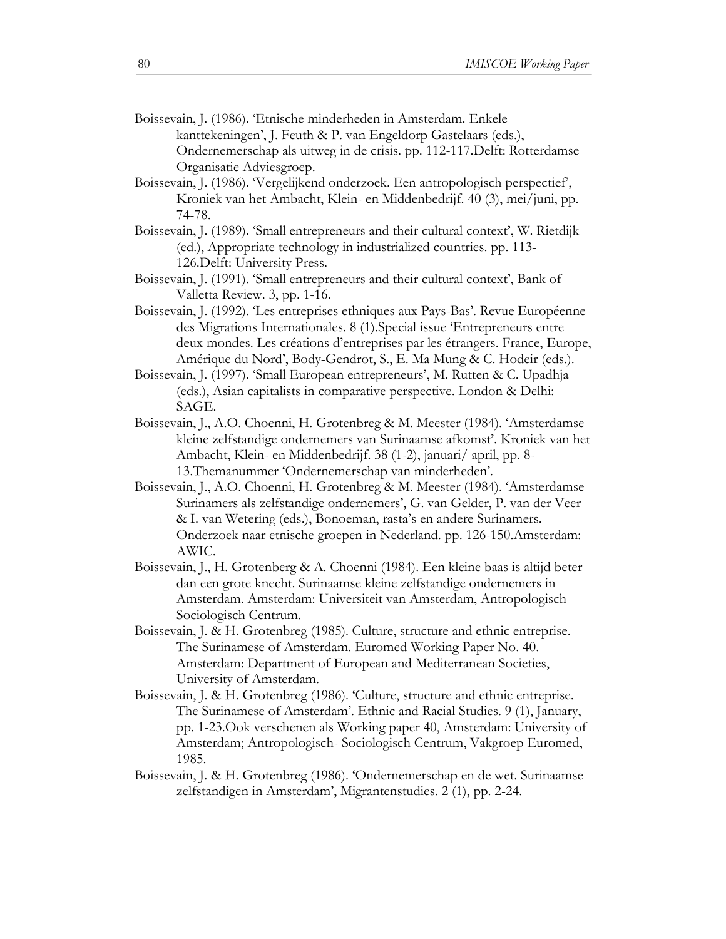- Boissevain, J. (1986). 'Etnische minderheden in Amsterdam. Enkele kanttekeningen', J. Feuth & P. van Engeldorp Gastelaars (eds.), Ondernemerschap als uitweg in de crisis. pp. 112-117.Delft: Rotterdamse Organisatie Adviesgroep.
- Boissevain, J. (1986). 'Vergelijkend onderzoek. Een antropologisch perspectief', Kroniek van het Ambacht, Klein- en Middenbedrijf. 40 (3), mei/juni, pp. 74-78.
- Boissevain, J. (1989). 'Small entrepreneurs and their cultural context', W. Rietdijk (ed.), Appropriate technology in industrialized countries. pp. 113- 126.Delft: University Press.
- Boissevain, J. (1991). 'Small entrepreneurs and their cultural context', Bank of Valletta Review. 3, pp. 1-16.
- Boissevain, J. (1992). 'Les entreprises ethniques aux Pays-Bas'. Revue Européenne des Migrations Internationales. 8 (1).Special issue 'Entrepreneurs entre deux mondes. Les créations d'entreprises par les étrangers. France, Europe, Amérique du Nord', Body-Gendrot, S., E. Ma Mung & C. Hodeir (eds.).
- Boissevain, J. (1997). 'Small European entrepreneurs', M. Rutten & C. Upadhja (eds.), Asian capitalists in comparative perspective. London & Delhi: SAGE.
- Boissevain, J., A.O. Choenni, H. Grotenbreg & M. Meester (1984). 'Amsterdamse kleine zelfstandige ondernemers van Surinaamse afkomst'. Kroniek van het Ambacht, Klein- en Middenbedrijf. 38 (1-2), januari/ april, pp. 8- 13.Themanummer 'Ondernemerschap van minderheden'.
- Boissevain, J., A.O. Choenni, H. Grotenbreg & M. Meester (1984). 'Amsterdamse Surinamers als zelfstandige ondernemers', G. van Gelder, P. van der Veer & I. van Wetering (eds.), Bonoeman, rasta's en andere Surinamers. Onderzoek naar etnische groepen in Nederland. pp. 126-150.Amsterdam: AWIC.
- Boissevain, J., H. Grotenberg & A. Choenni (1984). Een kleine baas is altijd beter dan een grote knecht. Surinaamse kleine zelfstandige ondernemers in Amsterdam. Amsterdam: Universiteit van Amsterdam, Antropologisch Sociologisch Centrum.
- Boissevain, J. & H. Grotenbreg (1985). Culture, structure and ethnic entreprise. The Surinamese of Amsterdam. Euromed Working Paper No. 40. Amsterdam: Department of European and Mediterranean Societies, University of Amsterdam.
- Boissevain, J. & H. Grotenbreg (1986). 'Culture, structure and ethnic entreprise. The Surinamese of Amsterdam'. Ethnic and Racial Studies. 9 (1), January, pp. 1-23.Ook verschenen als Working paper 40, Amsterdam: University of Amsterdam; Antropologisch- Sociologisch Centrum, Vakgroep Euromed, 1985.
- Boissevain, J. & H. Grotenbreg (1986). 'Ondernemerschap en de wet. Surinaamse zelfstandigen in Amsterdam', Migrantenstudies. 2 (1), pp. 2-24.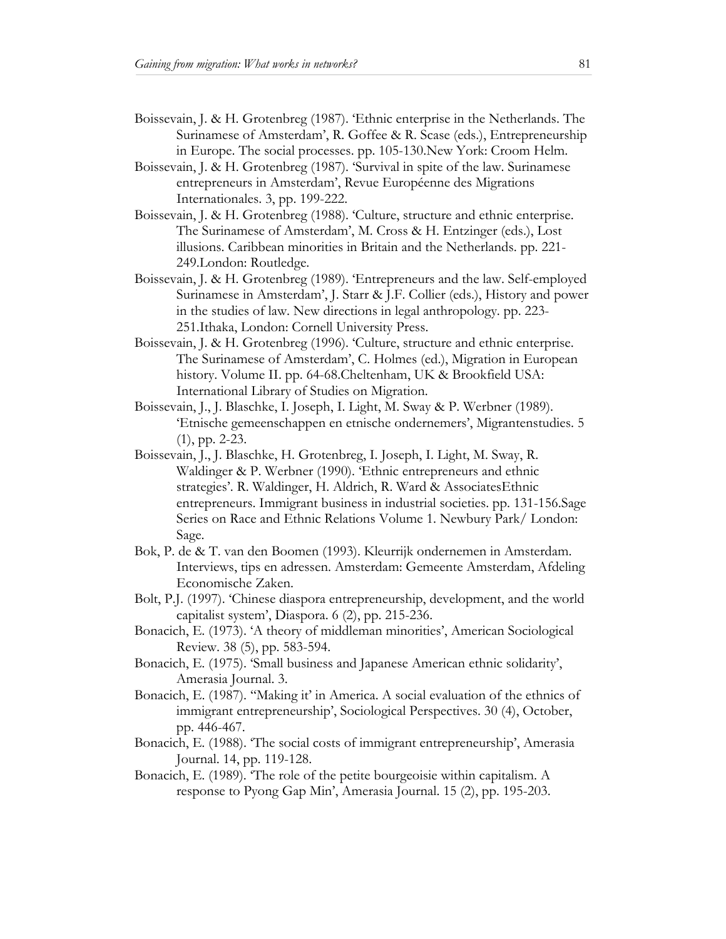- Boissevain, J. & H. Grotenbreg (1987). 'Ethnic enterprise in the Netherlands. The Surinamese of Amsterdam', R. Goffee & R. Scase (eds.), Entrepreneurship in Europe. The social processes. pp. 105-130.New York: Croom Helm.
- Boissevain, J. & H. Grotenbreg (1987). 'Survival in spite of the law. Surinamese entrepreneurs in Amsterdam', Revue Européenne des Migrations Internationales. 3, pp. 199-222.
- Boissevain, J. & H. Grotenbreg (1988). 'Culture, structure and ethnic enterprise. The Surinamese of Amsterdam', M. Cross & H. Entzinger (eds.), Lost illusions. Caribbean minorities in Britain and the Netherlands. pp. 221- 249.London: Routledge.
- Boissevain, J. & H. Grotenbreg (1989). 'Entrepreneurs and the law. Self-employed Surinamese in Amsterdam', J. Starr & J.F. Collier (eds.), History and power in the studies of law. New directions in legal anthropology. pp. 223- 251.Ithaka, London: Cornell University Press.
- Boissevain, J. & H. Grotenbreg (1996). 'Culture, structure and ethnic enterprise. The Surinamese of Amsterdam', C. Holmes (ed.), Migration in European history. Volume II. pp. 64-68. Cheltenham, UK & Brookfield USA: International Library of Studies on Migration.
- Boissevain, J., J. Blaschke, I. Joseph, I. Light, M. Sway & P. Werbner (1989). 'Etnische gemeenschappen en etnische ondernemers', Migrantenstudies. 5 (1), pp. 2-23.
- Boissevain, J., J. Blaschke, H. Grotenbreg, I. Joseph, I. Light, M. Sway, R. Waldinger & P. Werbner (1990). 'Ethnic entrepreneurs and ethnic strategies'. R. Waldinger, H. Aldrich, R. Ward & AssociatesEthnic entrepreneurs. Immigrant business in industrial societies. pp. 131-156.Sage Series on Race and Ethnic Relations Volume 1. Newbury Park/ London: Sage.
- Bok, P. de & T. van den Boomen (1993). Kleurrijk ondernemen in Amsterdam. Interviews, tips en adressen. Amsterdam: Gemeente Amsterdam, Afdeling Economische Zaken.
- Bolt, P.J. (1997). 'Chinese diaspora entrepreneurship, development, and the world capitalist system', Diaspora. 6 (2), pp. 215-236.
- Bonacich, E. (1973). 'A theory of middleman minorities', American Sociological Review. 38 (5), pp. 583-594.
- Bonacich, E. (1975). 'Small business and Japanese American ethnic solidarity', Amerasia Journal. 3.
- Bonacich, E. (1987). ''Making it' in America. A social evaluation of the ethnics of immigrant entrepreneurship', Sociological Perspectives. 30 (4), October, pp. 446-467.
- Bonacich, E. (1988). 'The social costs of immigrant entrepreneurship', Amerasia Journal. 14, pp. 119-128.
- Bonacich, E. (1989). 'The role of the petite bourgeoisie within capitalism. A response to Pyong Gap Min', Amerasia Journal. 15 (2), pp. 195-203.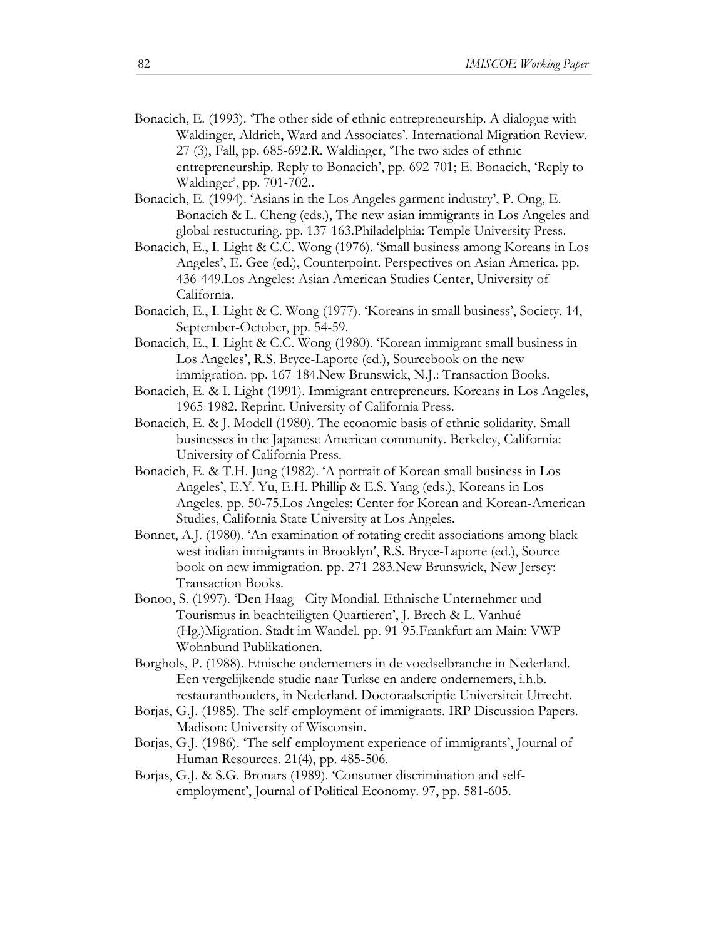- Bonacich, E. (1993). 'The other side of ethnic entrepreneurship. A dialogue with Waldinger, Aldrich, Ward and Associates'. International Migration Review. 27 (3), Fall, pp. 685-692.R. Waldinger, 'The two sides of ethnic entrepreneurship. Reply to Bonacich', pp. 692-701; E. Bonacich, 'Reply to Waldinger', pp. 701-702..
- Bonacich, E. (1994). 'Asians in the Los Angeles garment industry', P. Ong, E. Bonacich & L. Cheng (eds.), The new asian immigrants in Los Angeles and global restucturing. pp. 137-163.Philadelphia: Temple University Press.
- Bonacich, E., I. Light & C.C. Wong (1976). 'Small business among Koreans in Los Angeles', E. Gee (ed.), Counterpoint. Perspectives on Asian America. pp. 436-449.Los Angeles: Asian American Studies Center, University of California.
- Bonacich, E., I. Light & C. Wong (1977). 'Koreans in small business', Society. 14, September-October, pp. 54-59.
- Bonacich, E., I. Light & C.C. Wong (1980). 'Korean immigrant small business in Los Angeles', R.S. Bryce-Laporte (ed.), Sourcebook on the new immigration. pp. 167-184.New Brunswick, N.J.: Transaction Books.
- Bonacich, E. & I. Light (1991). Immigrant entrepreneurs. Koreans in Los Angeles, 1965-1982. Reprint. University of California Press.
- Bonacich, E. & J. Modell (1980). The economic basis of ethnic solidarity. Small businesses in the Japanese American community. Berkeley, California: University of California Press.
- Bonacich, E. & T.H. Jung (1982). 'A portrait of Korean small business in Los Angeles', E.Y. Yu, E.H. Phillip & E.S. Yang (eds.), Koreans in Los Angeles. pp. 50-75.Los Angeles: Center for Korean and Korean-American Studies, California State University at Los Angeles.
- Bonnet, A.J. (1980). 'An examination of rotating credit associations among black west indian immigrants in Brooklyn', R.S. Bryce-Laporte (ed.), Source book on new immigration. pp. 271-283.New Brunswick, New Jersey: Transaction Books.
- Bonoo, S. (1997). 'Den Haag City Mondial. Ethnische Unternehmer und Tourismus in beachteiligten Quartieren', J. Brech & L. Vanhué (Hg.)Migration. Stadt im Wandel. pp. 91-95.Frankfurt am Main: VWP Wohnbund Publikationen.
- Borghols, P. (1988). Etnische ondernemers in de voedselbranche in Nederland. Een vergelijkende studie naar Turkse en andere ondernemers, i.h.b. restauranthouders, in Nederland. Doctoraalscriptie Universiteit Utrecht.
- Borjas, G.J. (1985). The self-employment of immigrants. IRP Discussion Papers. Madison: University of Wisconsin.
- Borjas, G.J. (1986). 'The self-employment experience of immigrants', Journal of Human Resources. 21(4), pp. 485-506.
- Borjas, G.J. & S.G. Bronars (1989). 'Consumer discrimination and selfemployment', Journal of Political Economy. 97, pp. 581-605.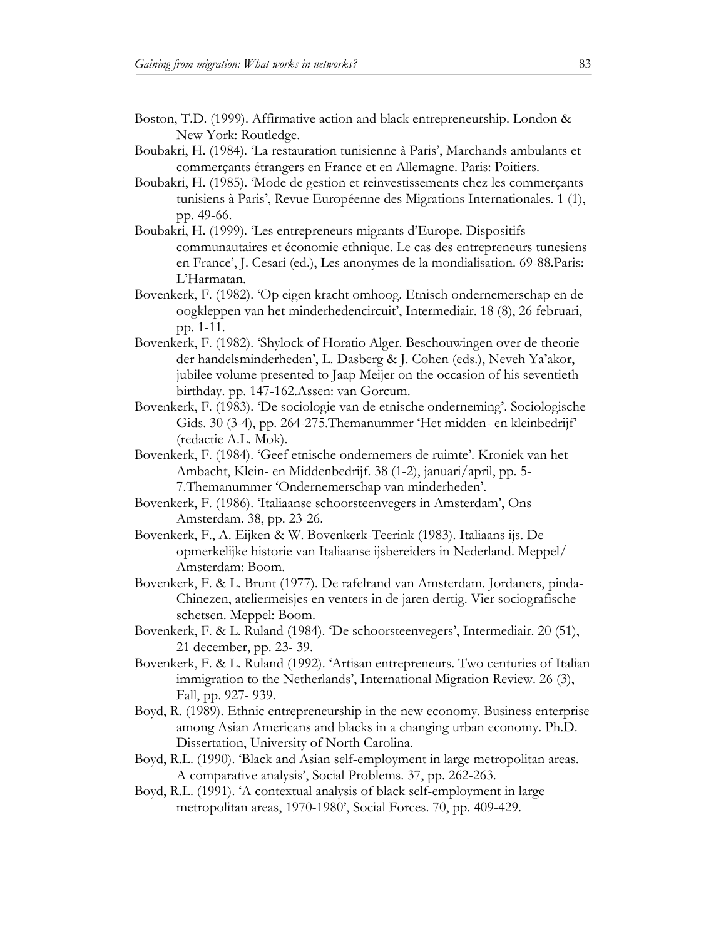- Boston, T.D. (1999). Affirmative action and black entrepreneurship. London & New York: Routledge.
- Boubakri, H. (1984). 'La restauration tunisienne à Paris', Marchands ambulants et commerçants étrangers en France et en Allemagne. Paris: Poitiers.
- Boubakri, H. (1985). 'Mode de gestion et reinvestissements chez les commerçants tunisiens à Paris', Revue Européenne des Migrations Internationales. 1 (1), pp. 49-66.
- Boubakri, H. (1999). 'Les entrepreneurs migrants d'Europe. Dispositifs communautaires et économie ethnique. Le cas des entrepreneurs tunesiens en France', J. Cesari (ed.), Les anonymes de la mondialisation. 69-88.Paris: L'Harmatan.
- Bovenkerk, F. (1982). 'Op eigen kracht omhoog. Etnisch ondernemerschap en de oogkleppen van het minderhedencircuit', Intermediair. 18 (8), 26 februari, pp. 1-11.
- Bovenkerk, F. (1982). 'Shylock of Horatio Alger. Beschouwingen over de theorie der handelsminderheden', L. Dasberg & J. Cohen (eds.), Neveh Ya'akor, jubilee volume presented to Jaap Meijer on the occasion of his seventieth birthday. pp. 147-162.Assen: van Gorcum.
- Bovenkerk, F. (1983). 'De sociologie van de etnische onderneming'. Sociologische Gids. 30 (3-4), pp. 264-275.Themanummer 'Het midden- en kleinbedrijf' (redactie A.L. Mok).
- Bovenkerk, F. (1984). 'Geef etnische ondernemers de ruimte'. Kroniek van het Ambacht, Klein- en Middenbedrijf. 38 (1-2), januari/april, pp. 5- 7.Themanummer 'Ondernemerschap van minderheden'.
- Bovenkerk, F. (1986). 'Italiaanse schoorsteenvegers in Amsterdam', Ons Amsterdam. 38, pp. 23-26.
- Bovenkerk, F., A. Eijken & W. Bovenkerk-Teerink (1983). Italiaans ijs. De opmerkelijke historie van Italiaanse ijsbereiders in Nederland. Meppel/ Amsterdam: Boom.
- Bovenkerk, F. & L. Brunt (1977). De rafelrand van Amsterdam. Jordaners, pinda-Chinezen, ateliermeisjes en venters in de jaren dertig. Vier sociografische schetsen. Meppel: Boom.
- Bovenkerk, F. & L. Ruland (1984). 'De schoorsteenvegers', Intermediair. 20 (51), 21 december, pp. 23- 39.
- Bovenkerk, F. & L. Ruland (1992). 'Artisan entrepreneurs. Two centuries of Italian immigration to the Netherlands', International Migration Review. 26 (3), Fall, pp. 927- 939.
- Boyd, R. (1989). Ethnic entrepreneurship in the new economy. Business enterprise among Asian Americans and blacks in a changing urban economy. Ph.D. Dissertation, University of North Carolina.
- Boyd, R.L. (1990). 'Black and Asian self-employment in large metropolitan areas. A comparative analysis', Social Problems. 37, pp. 262-263.
- Boyd, R.L. (1991). 'A contextual analysis of black self-employment in large metropolitan areas, 1970-1980', Social Forces. 70, pp. 409-429.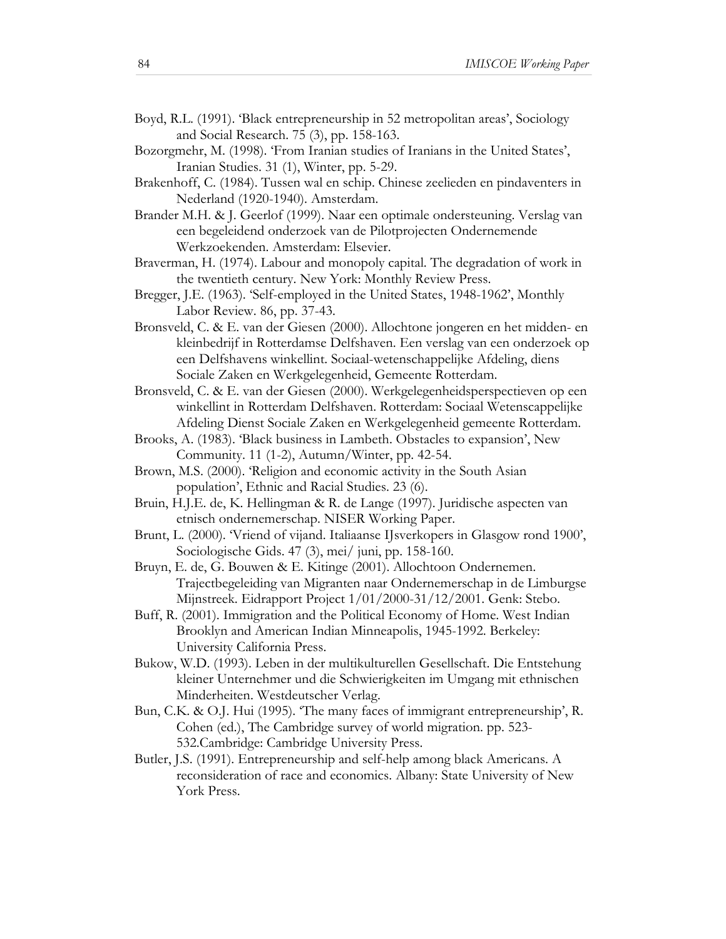- Boyd, R.L. (1991). 'Black entrepreneurship in 52 metropolitan areas', Sociology and Social Research. 75 (3), pp. 158-163.
- Bozorgmehr, M. (1998). 'From Iranian studies of Iranians in the United States', Iranian Studies. 31 (1), Winter, pp. 5-29.
- Brakenhoff, C. (1984). Tussen wal en schip. Chinese zeelieden en pindaventers in Nederland (1920-1940). Amsterdam.
- Brander M.H. & J. Geerlof (1999). Naar een optimale ondersteuning. Verslag van een begeleidend onderzoek van de Pilotprojecten Ondernemende Werkzoekenden. Amsterdam: Elsevier.
- Braverman, H. (1974). Labour and monopoly capital. The degradation of work in the twentieth century. New York: Monthly Review Press.
- Bregger, J.E. (1963). 'Self-employed in the United States, 1948-1962', Monthly Labor Review. 86, pp. 37-43.
- Bronsveld, C. & E. van der Giesen (2000). Allochtone jongeren en het midden- en kleinbedrijf in Rotterdamse Delfshaven. Een verslag van een onderzoek op een Delfshavens winkellint. Sociaal-wetenschappelijke Afdeling, diens Sociale Zaken en Werkgelegenheid, Gemeente Rotterdam.
- Bronsveld, C. & E. van der Giesen (2000). Werkgelegenheidsperspectieven op een winkellint in Rotterdam Delfshaven. Rotterdam: Sociaal Wetenscappelijke Afdeling Dienst Sociale Zaken en Werkgelegenheid gemeente Rotterdam.
- Brooks, A. (1983). 'Black business in Lambeth. Obstacles to expansion', New Community. 11 (1-2), Autumn/Winter, pp. 42-54.
- Brown, M.S. (2000). 'Religion and economic activity in the South Asian population', Ethnic and Racial Studies. 23 (6).
- Bruin, H.J.E. de, K. Hellingman & R. de Lange (1997). Juridische aspecten van etnisch ondernemerschap. NISER Working Paper.
- Brunt, L. (2000). 'Vriend of vijand. Italiaanse IJsverkopers in Glasgow rond 1900', Sociologische Gids. 47 (3), mei/ juni, pp. 158-160.
- Bruyn, E. de, G. Bouwen & E. Kitinge (2001). Allochtoon Ondernemen. Trajectbegeleiding van Migranten naar Ondernemerschap in de Limburgse Mijnstreek. Eidrapport Project 1/01/2000-31/12/2001. Genk: Stebo.
- Buff, R. (2001). Immigration and the Political Economy of Home. West Indian Brooklyn and American Indian Minneapolis, 1945-1992. Berkeley: University California Press.
- Bukow, W.D. (1993). Leben in der multikulturellen Gesellschaft. Die Entstehung kleiner Unternehmer und die Schwierigkeiten im Umgang mit ethnischen Minderheiten. Westdeutscher Verlag.
- Bun, C.K. & O.J. Hui (1995). 'The many faces of immigrant entrepreneurship', R. Cohen (ed.), The Cambridge survey of world migration. pp. 523- 532.Cambridge: Cambridge University Press.
- Butler, J.S. (1991). Entrepreneurship and self-help among black Americans. A reconsideration of race and economics. Albany: State University of New York Press.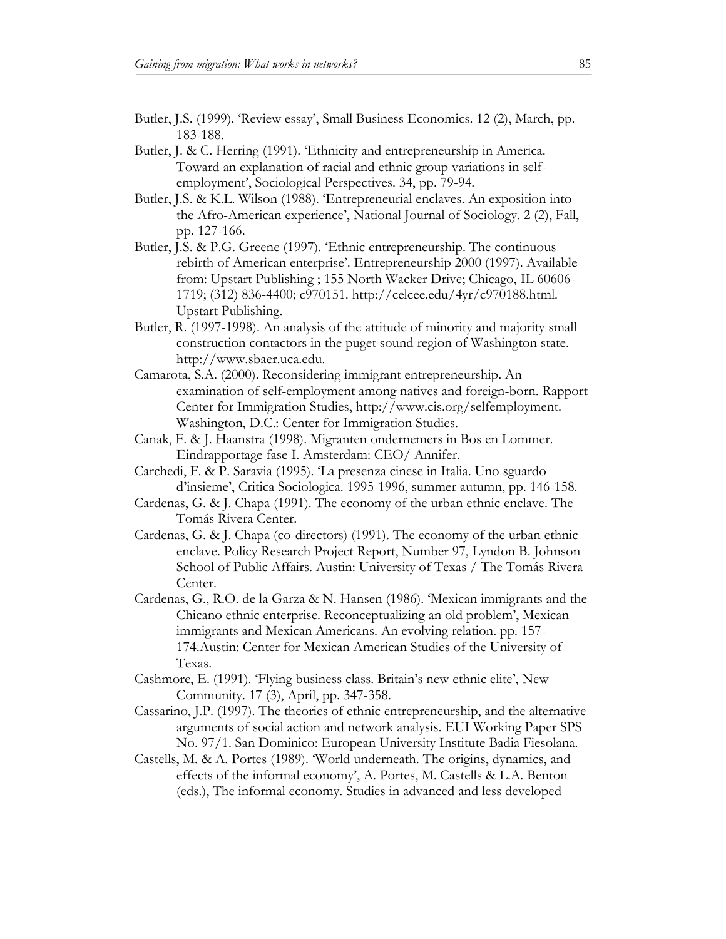- Butler, J.S. (1999). 'Review essay', Small Business Economics. 12 (2), March, pp. 183-188.
- Butler, J. & C. Herring (1991). 'Ethnicity and entrepreneurship in America. Toward an explanation of racial and ethnic group variations in selfemployment', Sociological Perspectives. 34, pp. 79-94.
- Butler, J.S. & K.L. Wilson (1988). 'Entrepreneurial enclaves. An exposition into the Afro-American experience', National Journal of Sociology. 2 (2), Fall, pp. 127-166.
- Butler, J.S. & P.G. Greene (1997). 'Ethnic entrepreneurship. The continuous rebirth of American enterprise'. Entrepreneurship 2000 (1997). Available from: Upstart Publishing ; 155 North Wacker Drive; Chicago, IL 60606- 1719; (312) 836-4400; c970151. http://celcee.edu/4yr/c970188.html. Upstart Publishing.
- Butler, R. (1997-1998). An analysis of the attitude of minority and majority small construction contactors in the puget sound region of Washington state. http://www.sbaer.uca.edu.
- Camarota, S.A. (2000). Reconsidering immigrant entrepreneurship. An examination of self-employment among natives and foreign-born. Rapport Center for Immigration Studies, http://www.cis.org/selfemployment. Washington, D.C.: Center for Immigration Studies.
- Canak, F. & J. Haanstra (1998). Migranten ondernemers in Bos en Lommer. Eindrapportage fase I. Amsterdam: CEO/ Annifer.
- Carchedi, F. & P. Saravia (1995). 'La presenza cinese in Italia. Uno sguardo d'insieme', Critica Sociologica. 1995-1996, summer autumn, pp. 146-158.
- Cardenas, G. & J. Chapa (1991). The economy of the urban ethnic enclave. The Tomás Rivera Center.
- Cardenas, G. & J. Chapa (co-directors) (1991). The economy of the urban ethnic enclave. Policy Research Project Report, Number 97, Lyndon B. Johnson School of Public Affairs. Austin: University of Texas / The Tomás Rivera Center.
- Cardenas, G., R.O. de la Garza & N. Hansen (1986). 'Mexican immigrants and the Chicano ethnic enterprise. Reconceptualizing an old problem', Mexican immigrants and Mexican Americans. An evolving relation. pp. 157- 174.Austin: Center for Mexican American Studies of the University of Texas.
- Cashmore, E. (1991). 'Flying business class. Britain's new ethnic elite', New Community. 17 (3), April, pp. 347-358.
- Cassarino, J.P. (1997). The theories of ethnic entrepreneurship, and the alternative arguments of social action and network analysis. EUI Working Paper SPS No. 97/1. San Dominico: European University Institute Badia Fiesolana.
- Castells, M. & A. Portes (1989). 'World underneath. The origins, dynamics, and effects of the informal economy', A. Portes, M. Castells & L.A. Benton (eds.), The informal economy. Studies in advanced and less developed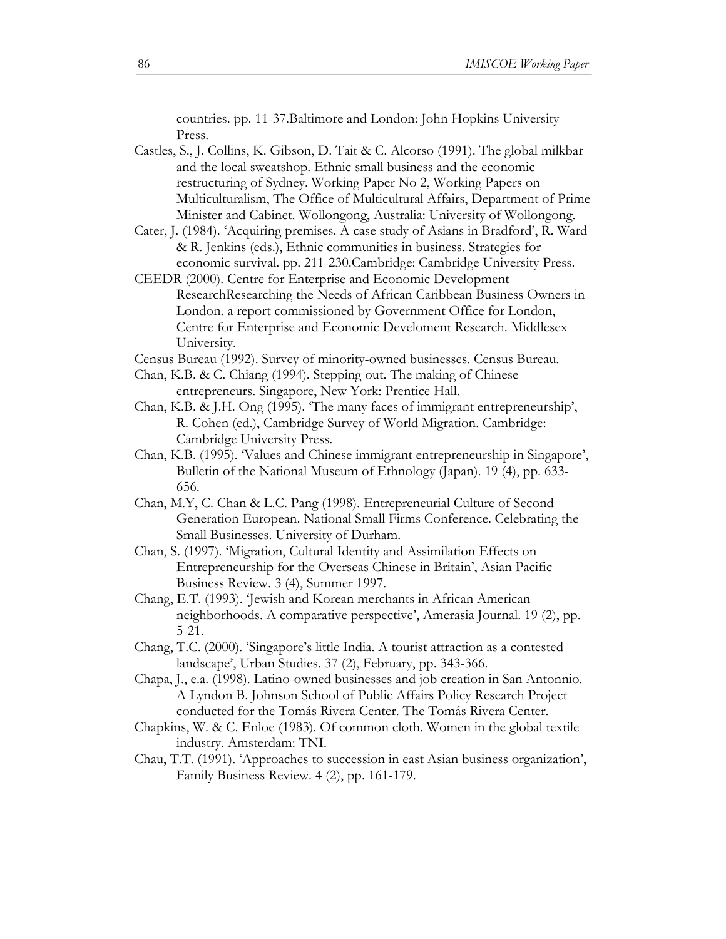countries. pp. 11-37.Baltimore and London: John Hopkins University Press.

- Castles, S., J. Collins, K. Gibson, D. Tait & C. Alcorso (1991). The global milkbar and the local sweatshop. Ethnic small business and the economic restructuring of Sydney. Working Paper No 2, Working Papers on Multiculturalism, The Office of Multicultural Affairs, Department of Prime Minister and Cabinet. Wollongong, Australia: University of Wollongong.
- Cater, J. (1984). 'Acquiring premises. A case study of Asians in Bradford', R. Ward & R. Jenkins (eds.), Ethnic communities in business. Strategies for economic survival. pp. 211-230.Cambridge: Cambridge University Press.
- CEEDR (2000). Centre for Enterprise and Economic Development ResearchResearching the Needs of African Caribbean Business Owners in London. a report commissioned by Government Office for London, Centre for Enterprise and Economic Develoment Research. Middlesex University.
- Census Bureau (1992). Survey of minority-owned businesses. Census Bureau.
- Chan, K.B. & C. Chiang (1994). Stepping out. The making of Chinese entrepreneurs. Singapore, New York: Prentice Hall.
- Chan, K.B. & J.H. Ong (1995). 'The many faces of immigrant entrepreneurship', R. Cohen (ed.), Cambridge Survey of World Migration. Cambridge: Cambridge University Press.
- Chan, K.B. (1995). 'Values and Chinese immigrant entrepreneurship in Singapore', Bulletin of the National Museum of Ethnology (Japan). 19 (4), pp. 633- 656.
- Chan, M.Y, C. Chan & L.C. Pang (1998). Entrepreneurial Culture of Second Generation European. National Small Firms Conference. Celebrating the Small Businesses. University of Durham.
- Chan, S. (1997). 'Migration, Cultural Identity and Assimilation Effects on Entrepreneurship for the Overseas Chinese in Britain', Asian Pacific Business Review. 3 (4), Summer 1997.
- Chang, E.T. (1993). 'Jewish and Korean merchants in African American neighborhoods. A comparative perspective', Amerasia Journal. 19 (2), pp. 5-21.
- Chang, T.C. (2000). 'Singapore's little India. A tourist attraction as a contested landscape', Urban Studies. 37 (2), February, pp. 343-366.
- Chapa, J., e.a. (1998). Latino-owned businesses and job creation in San Antonnio. A Lyndon B. Johnson School of Public Affairs Policy Research Project conducted for the Tomás Rivera Center. The Tomás Rivera Center.
- Chapkins, W. & C. Enloe (1983). Of common cloth. Women in the global textile industry. Amsterdam: TNI.
- Chau, T.T. (1991). 'Approaches to succession in east Asian business organization', Family Business Review. 4 (2), pp. 161-179.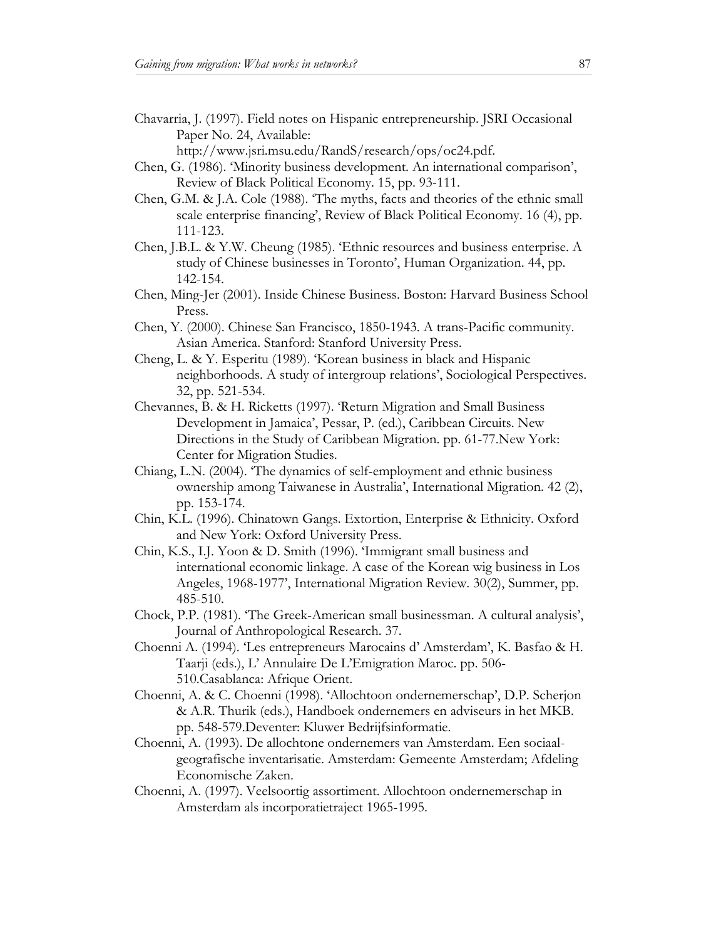Chavarria, J. (1997). Field notes on Hispanic entrepreneurship. JSRI Occasional Paper No. 24, Available:

http://www.jsri.msu.edu/RandS/research/ops/oc24.pdf.

- Chen, G. (1986). 'Minority business development. An international comparison', Review of Black Political Economy. 15, pp. 93-111.
- Chen, G.M. & J.A. Cole (1988). 'The myths, facts and theories of the ethnic small scale enterprise financing', Review of Black Political Economy. 16 (4), pp. 111-123.
- Chen, J.B.L. & Y.W. Cheung (1985). 'Ethnic resources and business enterprise. A study of Chinese businesses in Toronto', Human Organization. 44, pp. 142-154.
- Chen, Ming-Jer (2001). Inside Chinese Business. Boston: Harvard Business School Press.
- Chen, Y. (2000). Chinese San Francisco, 1850-1943. A trans-Pacific community. Asian America. Stanford: Stanford University Press.
- Cheng, L. & Y. Esperitu (1989). 'Korean business in black and Hispanic neighborhoods. A study of intergroup relations', Sociological Perspectives. 32, pp. 521-534.
- Chevannes, B. & H. Ricketts (1997). 'Return Migration and Small Business Development in Jamaica', Pessar, P. (ed.), Caribbean Circuits. New Directions in the Study of Caribbean Migration. pp. 61-77.New York: Center for Migration Studies.
- Chiang, L.N. (2004). 'The dynamics of self-employment and ethnic business ownership among Taiwanese in Australia', International Migration. 42 (2), pp. 153-174.
- Chin, K.L. (1996). Chinatown Gangs. Extortion, Enterprise & Ethnicity. Oxford and New York: Oxford University Press.
- Chin, K.S., I.J. Yoon & D. Smith (1996). 'Immigrant small business and international economic linkage. A case of the Korean wig business in Los Angeles, 1968-1977', International Migration Review. 30(2), Summer, pp. 485-510.
- Chock, P.P. (1981). 'The Greek-American small businessman. A cultural analysis', Journal of Anthropological Research. 37.
- Choenni A. (1994). 'Les entrepreneurs Marocains d' Amsterdam', K. Basfao & H. Taarji (eds.), L' Annulaire De L'Emigration Maroc. pp. 506- 510.Casablanca: Afrique Orient.
- Choenni, A. & C. Choenni (1998). 'Allochtoon ondernemerschap', D.P. Scherjon & A.R. Thurik (eds.), Handboek ondernemers en adviseurs in het MKB. pp. 548-579.Deventer: Kluwer Bedrijfsinformatie.
- Choenni, A. (1993). De allochtone ondernemers van Amsterdam. Een sociaalgeografische inventarisatie. Amsterdam: Gemeente Amsterdam; Afdeling Economische Zaken.
- Choenni, A. (1997). Veelsoortig assortiment. Allochtoon ondernemerschap in Amsterdam als incorporatietraject 1965-1995.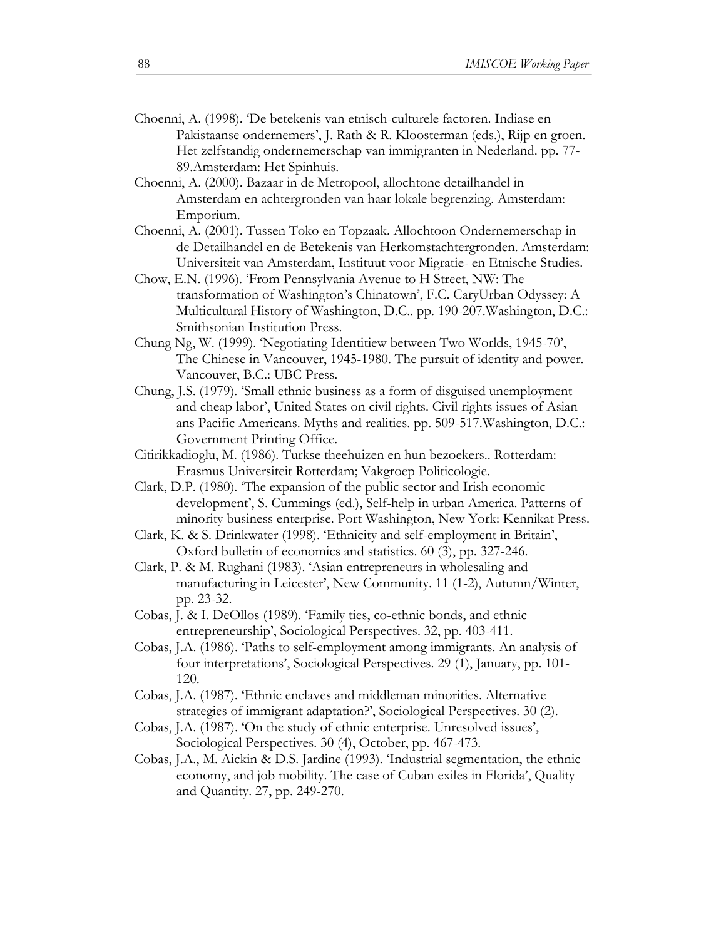- Choenni, A. (1998). 'De betekenis van etnisch-culturele factoren. Indiase en Pakistaanse ondernemers', J. Rath & R. Kloosterman (eds.), Rijp en groen. Het zelfstandig ondernemerschap van immigranten in Nederland. pp. 77- 89.Amsterdam: Het Spinhuis.
- Choenni, A. (2000). Bazaar in de Metropool, allochtone detailhandel in Amsterdam en achtergronden van haar lokale begrenzing. Amsterdam: Emporium.
- Choenni, A. (2001). Tussen Toko en Topzaak. Allochtoon Ondernemerschap in de Detailhandel en de Betekenis van Herkomstachtergronden. Amsterdam: Universiteit van Amsterdam, Instituut voor Migratie- en Etnische Studies.
- Chow, E.N. (1996). 'From Pennsylvania Avenue to H Street, NW: The transformation of Washington's Chinatown', F.C. CaryUrban Odyssey: A Multicultural History of Washington, D.C.. pp. 190-207.Washington, D.C.: Smithsonian Institution Press.
- Chung Ng, W. (1999). 'Negotiating Identitiew between Two Worlds, 1945-70', The Chinese in Vancouver, 1945-1980. The pursuit of identity and power. Vancouver, B.C.: UBC Press.
- Chung, J.S. (1979). 'Small ethnic business as a form of disguised unemployment and cheap labor', United States on civil rights. Civil rights issues of Asian ans Pacific Americans. Myths and realities. pp. 509-517.Washington, D.C.: Government Printing Office.
- Citirikkadioglu, M. (1986). Turkse theehuizen en hun bezoekers.. Rotterdam: Erasmus Universiteit Rotterdam; Vakgroep Politicologie.
- Clark, D.P. (1980). 'The expansion of the public sector and Irish economic development', S. Cummings (ed.), Self-help in urban America. Patterns of minority business enterprise. Port Washington, New York: Kennikat Press.
- Clark, K. & S. Drinkwater (1998). 'Ethnicity and self-employment in Britain', Oxford bulletin of economics and statistics. 60 (3), pp. 327-246.
- Clark, P. & M. Rughani (1983). 'Asian entrepreneurs in wholesaling and manufacturing in Leicester', New Community. 11 (1-2), Autumn/Winter, pp. 23-32.
- Cobas, J. & I. DeOllos (1989). 'Family ties, co-ethnic bonds, and ethnic entrepreneurship', Sociological Perspectives. 32, pp. 403-411.
- Cobas, J.A. (1986). 'Paths to self-employment among immigrants. An analysis of four interpretations', Sociological Perspectives. 29 (1), January, pp. 101- 120.
- Cobas, J.A. (1987). 'Ethnic enclaves and middleman minorities. Alternative strategies of immigrant adaptation?', Sociological Perspectives. 30 (2).
- Cobas, J.A. (1987). 'On the study of ethnic enterprise. Unresolved issues', Sociological Perspectives. 30 (4), October, pp. 467-473.
- Cobas, J.A., M. Aickin & D.S. Jardine (1993). 'Industrial segmentation, the ethnic economy, and job mobility. The case of Cuban exiles in Florida', Quality and Quantity. 27, pp. 249-270.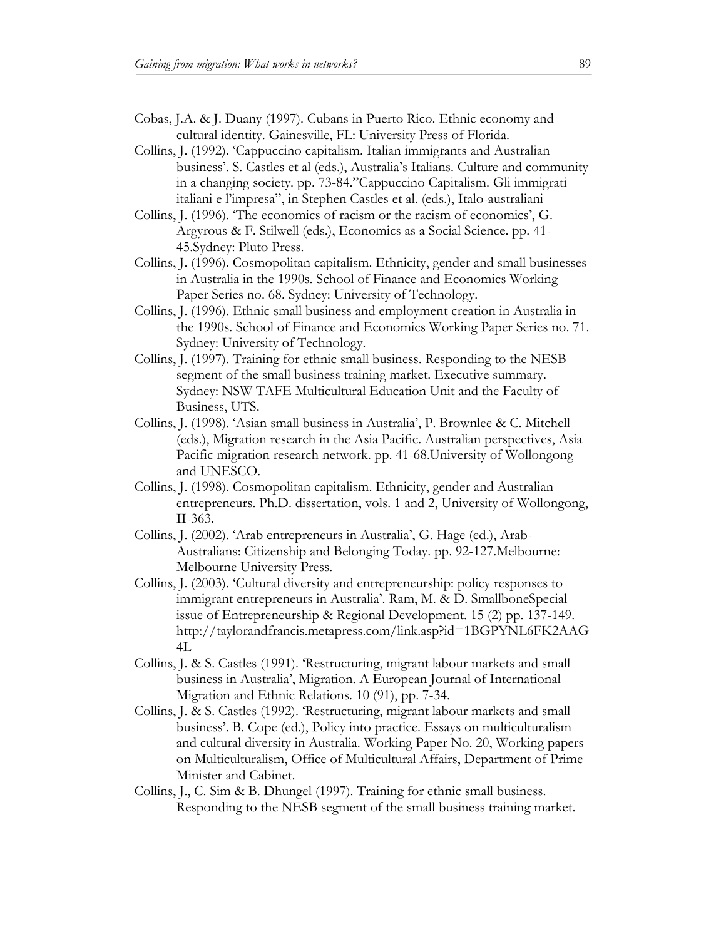- Cobas, J.A. & J. Duany (1997). Cubans in Puerto Rico. Ethnic economy and cultural identity. Gainesville, FL: University Press of Florida.
- Collins, J. (1992). 'Cappuccino capitalism. Italian immigrants and Australian business'. S. Castles et al (eds.), Australia's Italians. Culture and community in a changing society. pp. 73-84."Cappuccino Capitalism. Gli immigrati italiani e l'impresa", in Stephen Castles et al. (eds.), Italo-australiani
- Collins, J. (1996). 'The economics of racism or the racism of economics', G. Argyrous & F. Stilwell (eds.), Economics as a Social Science. pp. 41- 45.Sydney: Pluto Press.
- Collins, J. (1996). Cosmopolitan capitalism. Ethnicity, gender and small businesses in Australia in the 1990s. School of Finance and Economics Working Paper Series no. 68. Sydney: University of Technology.
- Collins, J. (1996). Ethnic small business and employment creation in Australia in the 1990s. School of Finance and Economics Working Paper Series no. 71. Sydney: University of Technology.
- Collins, J. (1997). Training for ethnic small business. Responding to the NESB segment of the small business training market. Executive summary. Sydney: NSW TAFE Multicultural Education Unit and the Faculty of Business, UTS.
- Collins, J. (1998). 'Asian small business in Australia', P. Brownlee & C. Mitchell (eds.), Migration research in the Asia Pacific. Australian perspectives, Asia Pacific migration research network. pp. 41-68.University of Wollongong and UNESCO.
- Collins, J. (1998). Cosmopolitan capitalism. Ethnicity, gender and Australian entrepreneurs. Ph.D. dissertation, vols. 1 and 2, University of Wollongong, II-363.
- Collins, J. (2002). 'Arab entrepreneurs in Australia', G. Hage (ed.), Arab-Australians: Citizenship and Belonging Today. pp. 92-127.Melbourne: Melbourne University Press.
- Collins, J. (2003). 'Cultural diversity and entrepreneurship: policy responses to immigrant entrepreneurs in Australia'. Ram, M. & D. SmallboneSpecial issue of Entrepreneurship & Regional Development. 15 (2) pp. 137-149. http://taylorandfrancis.metapress.com/link.asp?id=1BGPYNL6FK2AAG 4L
- Collins, J. & S. Castles (1991). 'Restructuring, migrant labour markets and small business in Australia', Migration. A European Journal of International Migration and Ethnic Relations. 10 (91), pp. 7-34.
- Collins, J. & S. Castles (1992). 'Restructuring, migrant labour markets and small business'. B. Cope (ed.), Policy into practice. Essays on multiculturalism and cultural diversity in Australia. Working Paper No. 20, Working papers on Multiculturalism, Office of Multicultural Affairs, Department of Prime Minister and Cabinet.
- Collins, J., C. Sim & B. Dhungel (1997). Training for ethnic small business. Responding to the NESB segment of the small business training market.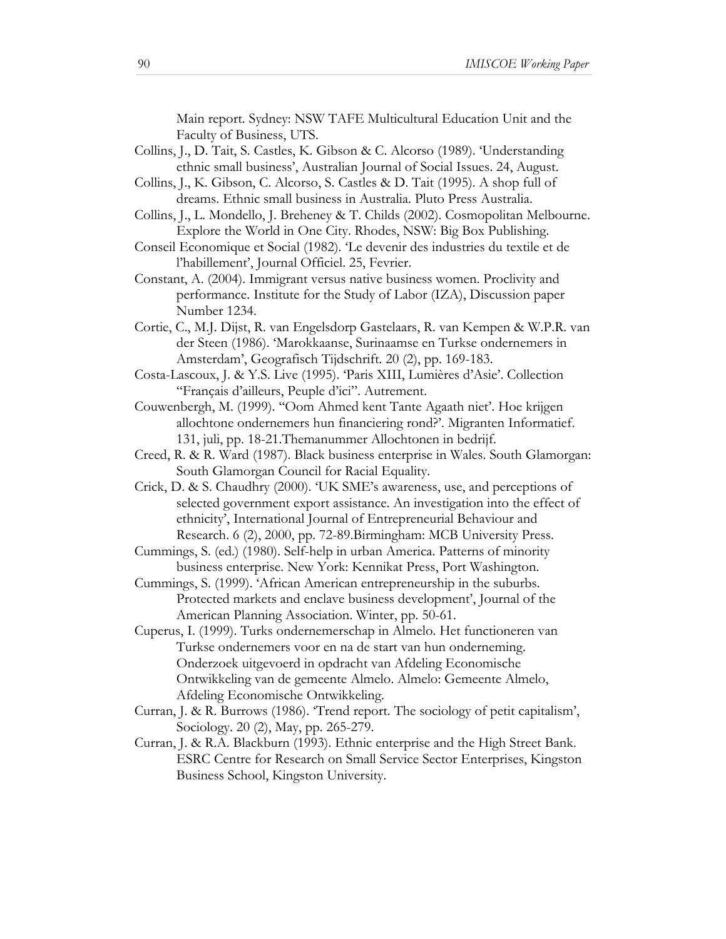Main report. Sydney: NSW TAFE Multicultural Education Unit and the Faculty of Business, UTS.

- Collins, J., D. Tait, S. Castles, K. Gibson & C. Alcorso (1989). 'Understanding ethnic small business', Australian Journal of Social Issues. 24, August.
- Collins, J., K. Gibson, C. Alcorso, S. Castles & D. Tait (1995). A shop full of dreams. Ethnic small business in Australia. Pluto Press Australia.
- Collins, J., L. Mondello, J. Breheney & T. Childs (2002). Cosmopolitan Melbourne. Explore the World in One City. Rhodes, NSW: Big Box Publishing.
- Conseil Economique et Social (1982). 'Le devenir des industries du textile et de l'habillement', Journal Officiel. 25, Fevrier.
- Constant, A. (2004). Immigrant versus native business women. Proclivity and performance. Institute for the Study of Labor (IZA), Discussion paper Number 1234.
- Cortie, C., M.J. Dijst, R. van Engelsdorp Gastelaars, R. van Kempen & W.P.R. van der Steen (1986). 'Marokkaanse, Surinaamse en Turkse ondernemers in Amsterdam', Geografisch Tijdschrift. 20 (2), pp. 169-183.
- Costa-Lascoux, J. & Y.S. Live (1995). 'Paris XIII, Lumières d'Asie'. Collection "Français d'ailleurs, Peuple d'ici". Autrement.
- Couwenbergh, M. (1999). ''Oom Ahmed kent Tante Agaath niet'. Hoe krijgen allochtone ondernemers hun financiering rond?'. Migranten Informatief. 131, juli, pp. 18-21.Themanummer Allochtonen in bedrijf.
- Creed, R. & R. Ward (1987). Black business enterprise in Wales. South Glamorgan: South Glamorgan Council for Racial Equality.
- Crick, D. & S. Chaudhry (2000). 'UK SME's awareness, use, and perceptions of selected government export assistance. An investigation into the effect of ethnicity', International Journal of Entrepreneurial Behaviour and Research. 6 (2), 2000, pp. 72-89.Birmingham: MCB University Press.
- Cummings, S. (ed.) (1980). Self-help in urban America. Patterns of minority business enterprise. New York: Kennikat Press, Port Washington.
- Cummings, S. (1999). 'African American entrepreneurship in the suburbs. Protected markets and enclave business development', Journal of the American Planning Association. Winter, pp. 50-61.
- Cuperus, I. (1999). Turks ondernemerschap in Almelo. Het functioneren van Turkse ondernemers voor en na de start van hun onderneming. Onderzoek uitgevoerd in opdracht van Afdeling Economische Ontwikkeling van de gemeente Almelo. Almelo: Gemeente Almelo, Afdeling Economische Ontwikkeling.
- Curran, J. & R. Burrows (1986). 'Trend report. The sociology of petit capitalism', Sociology. 20 (2), May, pp. 265-279.
- Curran, J. & R.A. Blackburn (1993). Ethnic enterprise and the High Street Bank. ESRC Centre for Research on Small Service Sector Enterprises, Kingston Business School, Kingston University.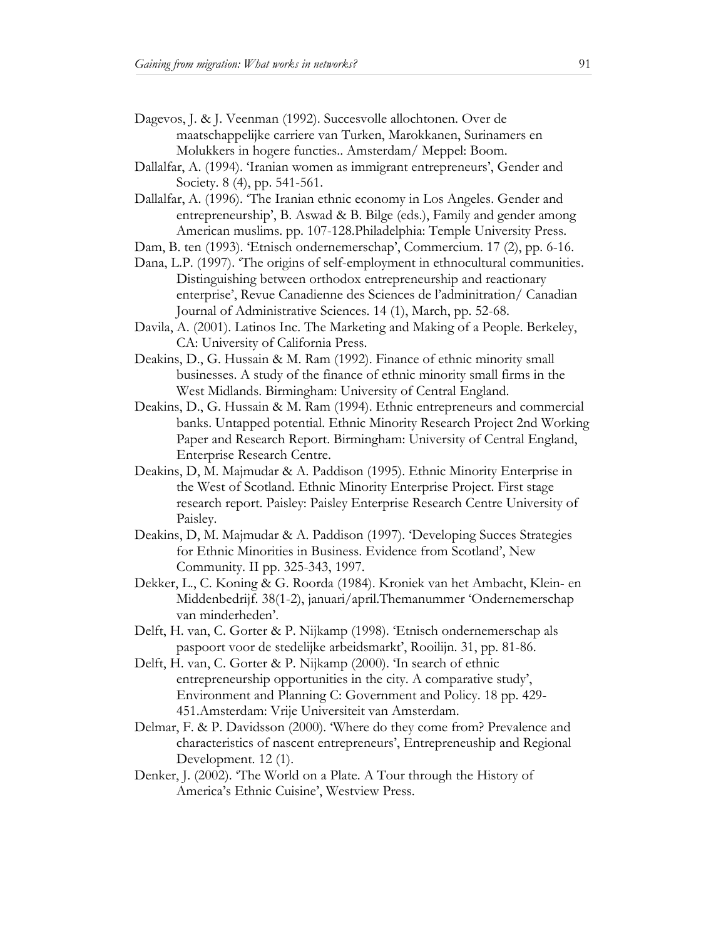- Dagevos, J. & J. Veenman (1992). Succesvolle allochtonen. Over de maatschappelijke carriere van Turken, Marokkanen, Surinamers en Molukkers in hogere functies.. Amsterdam/ Meppel: Boom.
- Dallalfar, A. (1994). 'Iranian women as immigrant entrepreneurs', Gender and Society. 8 (4), pp. 541-561.
- Dallalfar, A. (1996). 'The Iranian ethnic economy in Los Angeles. Gender and entrepreneurship', B. Aswad & B. Bilge (eds.), Family and gender among American muslims. pp. 107-128.Philadelphia: Temple University Press.
- Dam, B. ten (1993). 'Etnisch ondernemerschap', Commercium. 17 (2), pp. 6-16.
- Dana, L.P. (1997). 'The origins of self-employment in ethnocultural communities. Distinguishing between orthodox entrepreneurship and reactionary enterprise', Revue Canadienne des Sciences de l'adminitration/ Canadian Journal of Administrative Sciences. 14 (1), March, pp. 52-68.
- Davila, A. (2001). Latinos Inc. The Marketing and Making of a People. Berkeley, CA: University of California Press.
- Deakins, D., G. Hussain & M. Ram (1992). Finance of ethnic minority small businesses. A study of the finance of ethnic minority small firms in the West Midlands. Birmingham: University of Central England.
- Deakins, D., G. Hussain & M. Ram (1994). Ethnic entrepreneurs and commercial banks. Untapped potential. Ethnic Minority Research Project 2nd Working Paper and Research Report. Birmingham: University of Central England, Enterprise Research Centre.
- Deakins, D, M. Majmudar & A. Paddison (1995). Ethnic Minority Enterprise in the West of Scotland. Ethnic Minority Enterprise Project. First stage research report. Paisley: Paisley Enterprise Research Centre University of Paisley.
- Deakins, D, M. Majmudar & A. Paddison (1997). 'Developing Succes Strategies for Ethnic Minorities in Business. Evidence from Scotland', New Community. II pp. 325-343, 1997.
- Dekker, L., C. Koning & G. Roorda (1984). Kroniek van het Ambacht, Klein- en Middenbedrijf. 38(1-2), januari/april.Themanummer 'Ondernemerschap van minderheden'.
- Delft, H. van, C. Gorter & P. Nijkamp (1998). 'Etnisch ondernemerschap als paspoort voor de stedelijke arbeidsmarkt', Rooilijn. 31, pp. 81-86.
- Delft, H. van, C. Gorter & P. Nijkamp (2000). 'In search of ethnic entrepreneurship opportunities in the city. A comparative study', Environment and Planning C: Government and Policy. 18 pp. 429- 451.Amsterdam: Vrije Universiteit van Amsterdam.
- Delmar, F. & P. Davidsson (2000). 'Where do they come from? Prevalence and characteristics of nascent entrepreneurs', Entrepreneuship and Regional Development. 12 (1).
- Denker, J. (2002). 'The World on a Plate. A Tour through the History of America's Ethnic Cuisine', Westview Press.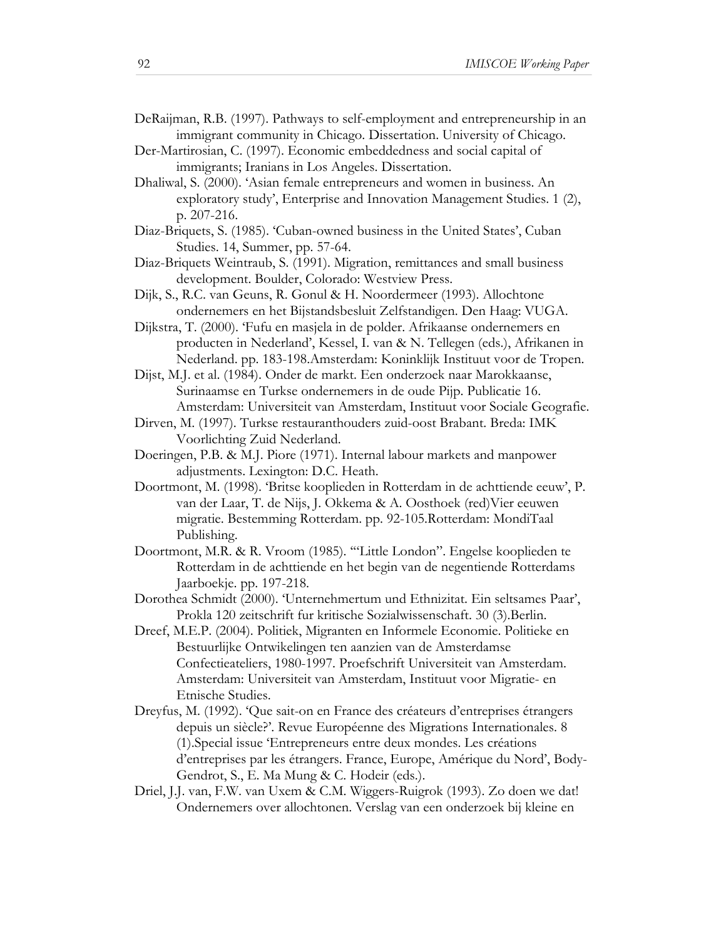- DeRaijman, R.B. (1997). Pathways to self-employment and entrepreneurship in an immigrant community in Chicago. Dissertation. University of Chicago.
- Der-Martirosian, C. (1997). Economic embeddedness and social capital of immigrants; Iranians in Los Angeles. Dissertation.
- Dhaliwal, S. (2000). 'Asian female entrepreneurs and women in business. An exploratory study', Enterprise and Innovation Management Studies. 1 (2), p. 207-216.
- Diaz-Briquets, S. (1985). 'Cuban-owned business in the United States', Cuban Studies. 14, Summer, pp. 57-64.
- Diaz-Briquets Weintraub, S. (1991). Migration, remittances and small business development. Boulder, Colorado: Westview Press.
- Dijk, S., R.C. van Geuns, R. Gonul & H. Noordermeer (1993). Allochtone ondernemers en het Bijstandsbesluit Zelfstandigen. Den Haag: VUGA.
- Dijkstra, T. (2000). 'Fufu en masjela in de polder. Afrikaanse ondernemers en producten in Nederland', Kessel, I. van & N. Tellegen (eds.), Afrikanen in Nederland. pp. 183-198.Amsterdam: Koninklijk Instituut voor de Tropen.
- Dijst, M.J. et al. (1984). Onder de markt. Een onderzoek naar Marokkaanse, Surinaamse en Turkse ondernemers in de oude Pijp. Publicatie 16. Amsterdam: Universiteit van Amsterdam, Instituut voor Sociale Geografie.
- Dirven, M. (1997). Turkse restauranthouders zuid-oost Brabant. Breda: IMK Voorlichting Zuid Nederland.
- Doeringen, P.B. & M.J. Piore (1971). Internal labour markets and manpower adjustments. Lexington: D.C. Heath.
- Doortmont, M. (1998). 'Britse kooplieden in Rotterdam in de achttiende eeuw', P. van der Laar, T. de Nijs, J. Okkema & A. Oosthoek (red)Vier eeuwen migratie. Bestemming Rotterdam. pp. 92-105.Rotterdam: MondiTaal Publishing.
- Doortmont, M.R. & R. Vroom (1985). '"Little London". Engelse kooplieden te Rotterdam in de achttiende en het begin van de negentiende Rotterdams Jaarboekje. pp. 197-218.
- Dorothea Schmidt (2000). 'Unternehmertum und Ethnizitat. Ein seltsames Paar', Prokla 120 zeitschrift fur kritische Sozialwissenschaft. 30 (3).Berlin.
- Dreef, M.E.P. (2004). Politiek, Migranten en Informele Economie. Politieke en Bestuurlijke Ontwikelingen ten aanzien van de Amsterdamse Confectieateliers, 1980-1997. Proefschrift Universiteit van Amsterdam. Amsterdam: Universiteit van Amsterdam, Instituut voor Migratie- en Etnische Studies.
- Dreyfus, M. (1992). 'Que sait-on en France des créateurs d'entreprises étrangers depuis un siècle?'. Revue Européenne des Migrations Internationales. 8 (1).Special issue 'Entrepreneurs entre deux mondes. Les créations d'entreprises par les étrangers. France, Europe, Amérique du Nord', Body-Gendrot, S., E. Ma Mung & C. Hodeir (eds.).
- Driel, J.J. van, F.W. van Uxem & C.M. Wiggers-Ruigrok (1993). Zo doen we dat! Ondernemers over allochtonen. Verslag van een onderzoek bij kleine en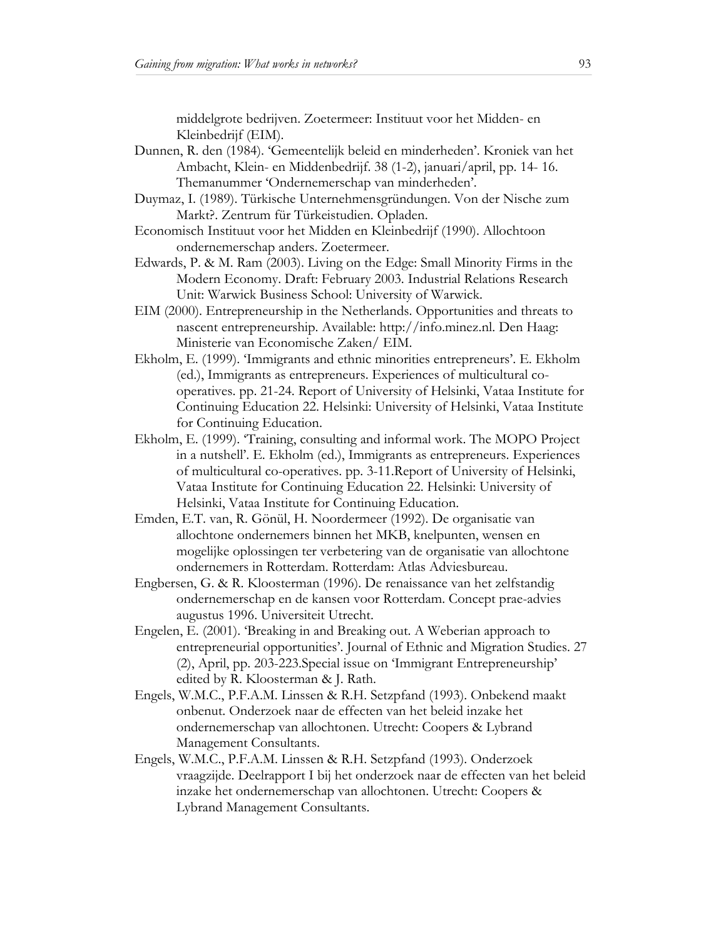middelgrote bedrijven. Zoetermeer: Instituut voor het Midden- en Kleinbedrijf (EIM).

- Dunnen, R. den (1984). 'Gemeentelijk beleid en minderheden'. Kroniek van het Ambacht, Klein- en Middenbedrijf. 38 (1-2), januari/april, pp. 14- 16. Themanummer 'Ondernemerschap van minderheden'.
- Duymaz, I. (1989). Türkische Unternehmensgründungen. Von der Nische zum Markt?. Zentrum für Türkeistudien. Opladen.
- Economisch Instituut voor het Midden en Kleinbedrijf (1990). Allochtoon ondernemerschap anders. Zoetermeer.
- Edwards, P. & M. Ram (2003). Living on the Edge: Small Minority Firms in the Modern Economy. Draft: February 2003. Industrial Relations Research Unit: Warwick Business School: University of Warwick.
- EIM (2000). Entrepreneurship in the Netherlands. Opportunities and threats to nascent entrepreneurship. Available: http://info.minez.nl. Den Haag: Ministerie van Economische Zaken/ EIM.
- Ekholm, E. (1999). 'Immigrants and ethnic minorities entrepreneurs'. E. Ekholm (ed.), Immigrants as entrepreneurs. Experiences of multicultural cooperatives. pp. 21-24. Report of University of Helsinki, Vataa Institute for Continuing Education 22. Helsinki: University of Helsinki, Vataa Institute for Continuing Education.
- Ekholm, E. (1999). 'Training, consulting and informal work. The MOPO Project in a nutshell'. E. Ekholm (ed.), Immigrants as entrepreneurs. Experiences of multicultural co-operatives. pp. 3-11.Report of University of Helsinki, Vataa Institute for Continuing Education 22. Helsinki: University of Helsinki, Vataa Institute for Continuing Education.
- Emden, E.T. van, R. Gönül, H. Noordermeer (1992). De organisatie van allochtone ondernemers binnen het MKB, knelpunten, wensen en mogelijke oplossingen ter verbetering van de organisatie van allochtone ondernemers in Rotterdam. Rotterdam: Atlas Adviesbureau.
- Engbersen, G. & R. Kloosterman (1996). De renaissance van het zelfstandig ondernemerschap en de kansen voor Rotterdam. Concept prae-advies augustus 1996. Universiteit Utrecht.
- Engelen, E. (2001). 'Breaking in and Breaking out. A Weberian approach to entrepreneurial opportunities'. Journal of Ethnic and Migration Studies. 27 (2), April, pp. 203-223.Special issue on 'Immigrant Entrepreneurship' edited by R. Kloosterman & J. Rath.
- Engels, W.M.C., P.F.A.M. Linssen & R.H. Setzpfand (1993). Onbekend maakt onbenut. Onderzoek naar de effecten van het beleid inzake het ondernemerschap van allochtonen. Utrecht: Coopers & Lybrand Management Consultants.
- Engels, W.M.C., P.F.A.M. Linssen & R.H. Setzpfand (1993). Onderzoek vraagzijde. Deelrapport I bij het onderzoek naar de effecten van het beleid inzake het ondernemerschap van allochtonen. Utrecht: Coopers & Lybrand Management Consultants.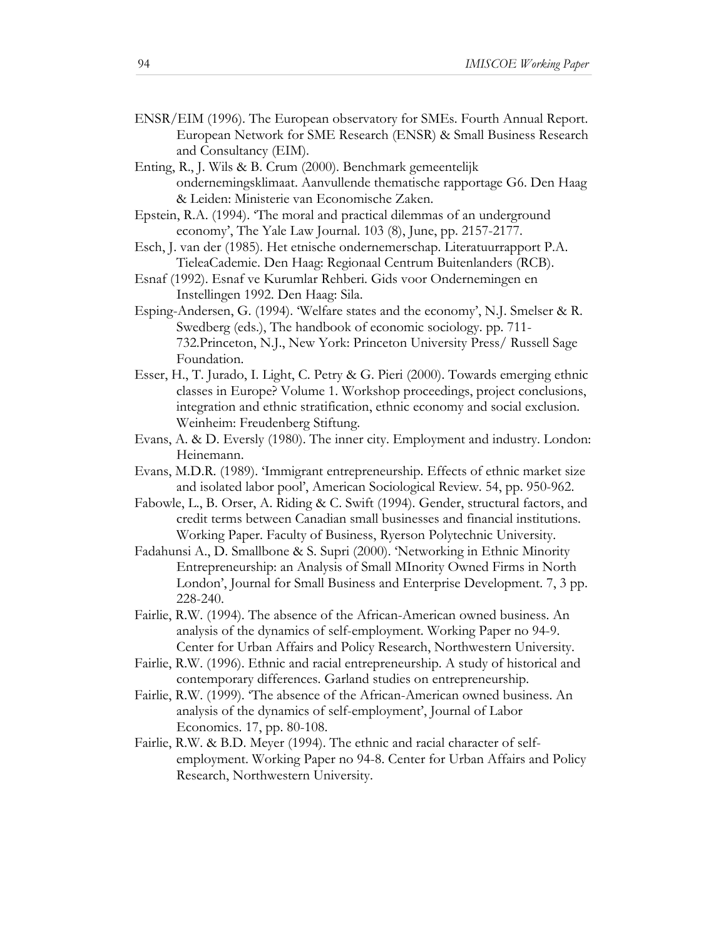- ENSR/EIM (1996). The European observatory for SMEs. Fourth Annual Report. European Network for SME Research (ENSR) & Small Business Research and Consultancy (EIM).
- Enting, R., J. Wils & B. Crum (2000). Benchmark gemeentelijk ondernemingsklimaat. Aanvullende thematische rapportage G6. Den Haag & Leiden: Ministerie van Economische Zaken.
- Epstein, R.A. (1994). 'The moral and practical dilemmas of an underground economy', The Yale Law Journal. 103 (8), June, pp. 2157-2177.
- Esch, J. van der (1985). Het etnische ondernemerschap. Literatuurrapport P.A. TieleaCademie. Den Haag: Regionaal Centrum Buitenlanders (RCB).
- Esnaf (1992). Esnaf ve Kurumlar Rehberi. Gids voor Ondernemingen en Instellingen 1992. Den Haag: Sila.
- Esping-Andersen, G. (1994). 'Welfare states and the economy', N.J. Smelser & R. Swedberg (eds.), The handbook of economic sociology. pp. 711- 732.Princeton, N.J., New York: Princeton University Press/ Russell Sage Foundation.
- Esser, H., T. Jurado, I. Light, C. Petry & G. Pieri (2000). Towards emerging ethnic classes in Europe? Volume 1. Workshop proceedings, project conclusions, integration and ethnic stratification, ethnic economy and social exclusion. Weinheim: Freudenberg Stiftung.
- Evans, A. & D. Eversly (1980). The inner city. Employment and industry. London: Heinemann.
- Evans, M.D.R. (1989). 'Immigrant entrepreneurship. Effects of ethnic market size and isolated labor pool', American Sociological Review. 54, pp. 950-962.
- Fabowle, L., B. Orser, A. Riding & C. Swift (1994). Gender, structural factors, and credit terms between Canadian small businesses and financial institutions. Working Paper. Faculty of Business, Ryerson Polytechnic University.
- Fadahunsi A., D. Smallbone & S. Supri (2000). 'Networking in Ethnic Minority Entrepreneurship: an Analysis of Small MInority Owned Firms in North London', Journal for Small Business and Enterprise Development. 7, 3 pp. 228-240.
- Fairlie, R.W. (1994). The absence of the African-American owned business. An analysis of the dynamics of self-employment. Working Paper no 94-9. Center for Urban Affairs and Policy Research, Northwestern University.
- Fairlie, R.W. (1996). Ethnic and racial entrepreneurship. A study of historical and contemporary differences. Garland studies on entrepreneurship.
- Fairlie, R.W. (1999). 'The absence of the African-American owned business. An analysis of the dynamics of self-employment', Journal of Labor Economics. 17, pp. 80-108.
- Fairlie, R.W. & B.D. Meyer (1994). The ethnic and racial character of selfemployment. Working Paper no 94-8. Center for Urban Affairs and Policy Research, Northwestern University.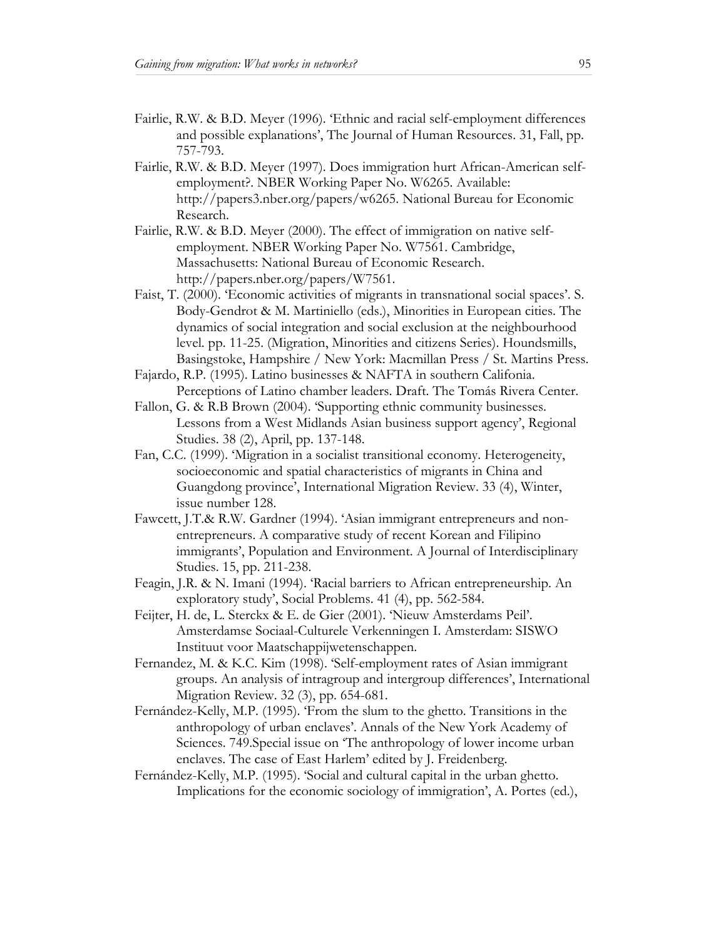- Fairlie, R.W. & B.D. Meyer (1996). 'Ethnic and racial self-employment differences and possible explanations', The Journal of Human Resources. 31, Fall, pp. 757-793.
- Fairlie, R.W. & B.D. Meyer (1997). Does immigration hurt African-American selfemployment?. NBER Working Paper No. W6265. Available: http://papers3.nber.org/papers/w6265. National Bureau for Economic Research.
- Fairlie, R.W. & B.D. Meyer (2000). The effect of immigration on native selfemployment. NBER Working Paper No. W7561. Cambridge, Massachusetts: National Bureau of Economic Research. http://papers.nber.org/papers/W7561.
- Faist, T. (2000). 'Economic activities of migrants in transnational social spaces'. S. Body-Gendrot & M. Martiniello (eds.), Minorities in European cities. The dynamics of social integration and social exclusion at the neighbourhood level. pp. 11-25. (Migration, Minorities and citizens Series). Houndsmills, Basingstoke, Hampshire / New York: Macmillan Press / St. Martins Press.
- Fajardo, R.P. (1995). Latino businesses & NAFTA in southern Califonia. Perceptions of Latino chamber leaders. Draft. The Tomás Rivera Center.
- Fallon, G. & R.B Brown (2004). 'Supporting ethnic community businesses. Lessons from a West Midlands Asian business support agency', Regional Studies. 38 (2), April, pp. 137-148.
- Fan, C.C. (1999). 'Migration in a socialist transitional economy. Heterogeneity, socioeconomic and spatial characteristics of migrants in China and Guangdong province', International Migration Review. 33 (4), Winter, issue number 128.
- Fawcett, J.T.& R.W. Gardner (1994). 'Asian immigrant entrepreneurs and nonentrepreneurs. A comparative study of recent Korean and Filipino immigrants', Population and Environment. A Journal of Interdisciplinary Studies. 15, pp. 211-238.
- Feagin, J.R. & N. Imani (1994). 'Racial barriers to African entrepreneurship. An exploratory study', Social Problems. 41 (4), pp. 562-584.
- Feijter, H. de, L. Sterckx & E. de Gier (2001). 'Nieuw Amsterdams Peil'. Amsterdamse Sociaal-Culturele Verkenningen I. Amsterdam: SISWO Instituut voor Maatschappijwetenschappen.
- Fernandez, M. & K.C. Kim (1998). 'Self-employment rates of Asian immigrant groups. An analysis of intragroup and intergroup differences', International Migration Review. 32 (3), pp. 654-681.
- Fernández-Kelly, M.P. (1995). 'From the slum to the ghetto. Transitions in the anthropology of urban enclaves'. Annals of the New York Academy of Sciences. 749.Special issue on 'The anthropology of lower income urban enclaves. The case of East Harlem' edited by J. Freidenberg.
- Fernández-Kelly, M.P. (1995). 'Social and cultural capital in the urban ghetto. Implications for the economic sociology of immigration', A. Portes (ed.),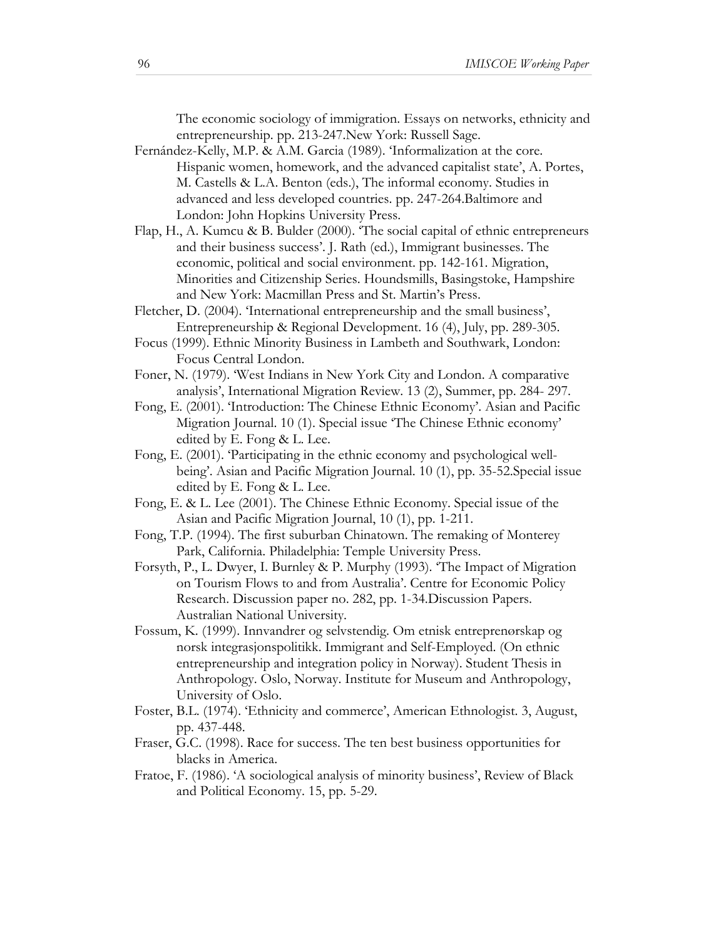The economic sociology of immigration. Essays on networks, ethnicity and entrepreneurship. pp. 213-247.New York: Russell Sage.

- Fernández-Kelly, M.P. & A.M. Garcia (1989). 'Informalization at the core. Hispanic women, homework, and the advanced capitalist state', A. Portes, M. Castells & L.A. Benton (eds.), The informal economy. Studies in advanced and less developed countries. pp. 247-264.Baltimore and London: John Hopkins University Press.
- Flap, H., A. Kumcu & B. Bulder (2000). 'The social capital of ethnic entrepreneurs and their business success'. J. Rath (ed.), Immigrant businesses. The economic, political and social environment. pp. 142-161. Migration, Minorities and Citizenship Series. Houndsmills, Basingstoke, Hampshire and New York: Macmillan Press and St. Martin's Press.
- Fletcher, D. (2004). 'International entrepreneurship and the small business', Entrepreneurship & Regional Development. 16 (4), July, pp. 289-305.
- Focus (1999). Ethnic Minority Business in Lambeth and Southwark, London: Focus Central London.
- Foner, N. (1979). 'West Indians in New York City and London. A comparative analysis', International Migration Review. 13 (2), Summer, pp. 284- 297.
- Fong, E. (2001). 'Introduction: The Chinese Ethnic Economy'. Asian and Pacific Migration Journal. 10 (1). Special issue 'The Chinese Ethnic economy' edited by E. Fong & L. Lee.
- Fong, E. (2001). 'Participating in the ethnic economy and psychological wellbeing'. Asian and Pacific Migration Journal. 10 (1), pp. 35-52.Special issue edited by E. Fong & L. Lee.
- Fong, E. & L. Lee (2001). The Chinese Ethnic Economy. Special issue of the Asian and Pacific Migration Journal, 10 (1), pp. 1-211.
- Fong, T.P. (1994). The first suburban Chinatown. The remaking of Monterey Park, California. Philadelphia: Temple University Press.
- Forsyth, P., L. Dwyer, I. Burnley & P. Murphy (1993). 'The Impact of Migration on Tourism Flows to and from Australia'. Centre for Economic Policy Research. Discussion paper no. 282, pp. 1-34.Discussion Papers. Australian National University.
- Fossum, K. (1999). Innvandrer og selvstendig. Om etnisk entreprenørskap og norsk integrasjonspolitikk. Immigrant and Self-Employed. (On ethnic entrepreneurship and integration policy in Norway). Student Thesis in Anthropology. Oslo, Norway. Institute for Museum and Anthropology, University of Oslo.
- Foster, B.L. (1974). 'Ethnicity and commerce', American Ethnologist. 3, August, pp. 437-448.
- Fraser, G.C. (1998). Race for success. The ten best business opportunities for blacks in America.
- Fratoe, F. (1986). 'A sociological analysis of minority business', Review of Black and Political Economy. 15, pp. 5-29.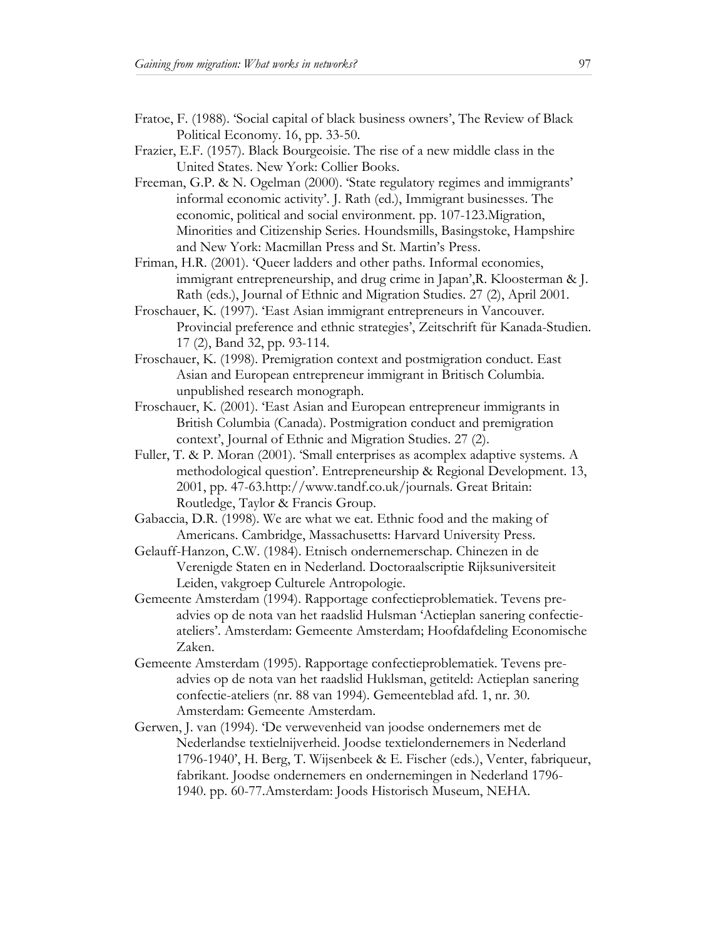- Fratoe, F. (1988). 'Social capital of black business owners', The Review of Black Political Economy. 16, pp. 33-50.
- Frazier, E.F. (1957). Black Bourgeoisie. The rise of a new middle class in the United States. New York: Collier Books.
- Freeman, G.P. & N. Ogelman (2000). 'State regulatory regimes and immigrants' informal economic activity'. J. Rath (ed.), Immigrant businesses. The economic, political and social environment. pp. 107-123.Migration, Minorities and Citizenship Series. Houndsmills, Basingstoke, Hampshire and New York: Macmillan Press and St. Martin's Press.
- Friman, H.R. (2001). 'Queer ladders and other paths. Informal economies, immigrant entrepreneurship, and drug crime in Japan',R. Kloosterman & J. Rath (eds.), Journal of Ethnic and Migration Studies. 27 (2), April 2001.
- Froschauer, K. (1997). 'East Asian immigrant entrepreneurs in Vancouver. Provincial preference and ethnic strategies', Zeitschrift für Kanada-Studien. 17 (2), Band 32, pp. 93-114.
- Froschauer, K. (1998). Premigration context and postmigration conduct. East Asian and European entrepreneur immigrant in Britisch Columbia. unpublished research monograph.
- Froschauer, K. (2001). 'East Asian and European entrepreneur immigrants in British Columbia (Canada). Postmigration conduct and premigration context', Journal of Ethnic and Migration Studies. 27 (2).
- Fuller, T. & P. Moran (2001). 'Small enterprises as acomplex adaptive systems. A methodological question'. Entrepreneurship & Regional Development. 13, 2001, pp. 47-63.http://www.tandf.co.uk/journals. Great Britain: Routledge, Taylor & Francis Group.
- Gabaccia, D.R. (1998). We are what we eat. Ethnic food and the making of Americans. Cambridge, Massachusetts: Harvard University Press.
- Gelauff-Hanzon, C.W. (1984). Etnisch ondernemerschap. Chinezen in de Verenigde Staten en in Nederland. Doctoraalscriptie Rijksuniversiteit Leiden, vakgroep Culturele Antropologie.
- Gemeente Amsterdam (1994). Rapportage confectieproblematiek. Tevens preadvies op de nota van het raadslid Hulsman 'Actieplan sanering confectieateliers'. Amsterdam: Gemeente Amsterdam; Hoofdafdeling Economische Zaken.
- Gemeente Amsterdam (1995). Rapportage confectieproblematiek. Tevens preadvies op de nota van het raadslid Huklsman, getiteld: Actieplan sanering confectie-ateliers (nr. 88 van 1994). Gemeenteblad afd. 1, nr. 30. Amsterdam: Gemeente Amsterdam.
- Gerwen, J. van (1994). 'De verwevenheid van joodse ondernemers met de Nederlandse textielnijverheid. Joodse textielondernemers in Nederland 1796-1940', H. Berg, T. Wijsenbeek & E. Fischer (eds.), Venter, fabriqueur, fabrikant. Joodse ondernemers en ondernemingen in Nederland 1796- 1940. pp. 60-77.Amsterdam: Joods Historisch Museum, NEHA.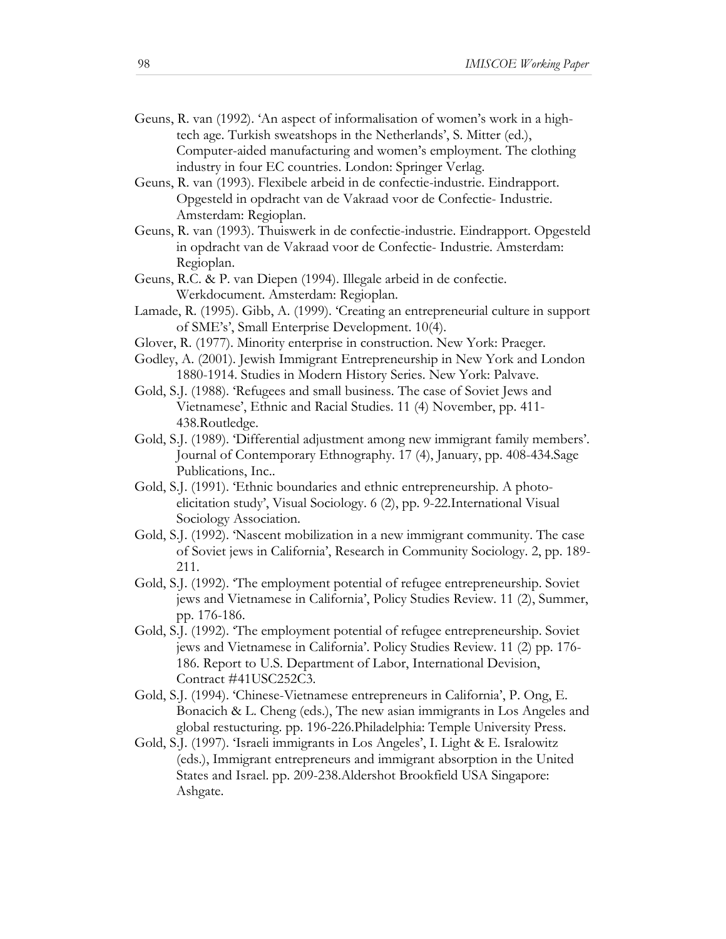- Geuns, R. van (1992). 'An aspect of informalisation of women's work in a hightech age. Turkish sweatshops in the Netherlands', S. Mitter (ed.), Computer-aided manufacturing and women's employment. The clothing industry in four EC countries. London: Springer Verlag.
- Geuns, R. van (1993). Flexibele arbeid in de confectie-industrie. Eindrapport. Opgesteld in opdracht van de Vakraad voor de Confectie- Industrie. Amsterdam: Regioplan.
- Geuns, R. van (1993). Thuiswerk in de confectie-industrie. Eindrapport. Opgesteld in opdracht van de Vakraad voor de Confectie- Industrie. Amsterdam: Regioplan.
- Geuns, R.C. & P. van Diepen (1994). Illegale arbeid in de confectie. Werkdocument. Amsterdam: Regioplan.
- Lamade, R. (1995). Gibb, A. (1999). 'Creating an entrepreneurial culture in support of SME's', Small Enterprise Development. 10(4).
- Glover, R. (1977). Minority enterprise in construction. New York: Praeger.
- Godley, A. (2001). Jewish Immigrant Entrepreneurship in New York and London 1880-1914. Studies in Modern History Series. New York: Palvave.
- Gold, S.J. (1988). 'Refugees and small business. The case of Soviet Jews and Vietnamese', Ethnic and Racial Studies. 11 (4) November, pp. 411- 438.Routledge.
- Gold, S.J. (1989). 'Differential adjustment among new immigrant family members'. Journal of Contemporary Ethnography. 17 (4), January, pp. 408-434.Sage Publications, Inc..
- Gold, S.J. (1991). 'Ethnic boundaries and ethnic entrepreneurship. A photoelicitation study', Visual Sociology. 6 (2), pp. 9-22.International Visual Sociology Association.
- Gold, S.J. (1992). 'Nascent mobilization in a new immigrant community. The case of Soviet jews in California', Research in Community Sociology. 2, pp. 189- 211.
- Gold, S.J. (1992). 'The employment potential of refugee entrepreneurship. Soviet jews and Vietnamese in California', Policy Studies Review. 11 (2), Summer, pp. 176-186.
- Gold, S.J. (1992). 'The employment potential of refugee entrepreneurship. Soviet jews and Vietnamese in California'. Policy Studies Review. 11 (2) pp. 176- 186. Report to U.S. Department of Labor, International Devision, Contract #41USC252C3.
- Gold, S.J. (1994). 'Chinese-Vietnamese entrepreneurs in California', P. Ong, E. Bonacich & L. Cheng (eds.), The new asian immigrants in Los Angeles and global restucturing. pp. 196-226.Philadelphia: Temple University Press.
- Gold, S.J. (1997). 'Israeli immigrants in Los Angeles', I. Light & E. Isralowitz (eds.), Immigrant entrepreneurs and immigrant absorption in the United States and Israel. pp. 209-238.Aldershot Brookfield USA Singapore: Ashgate.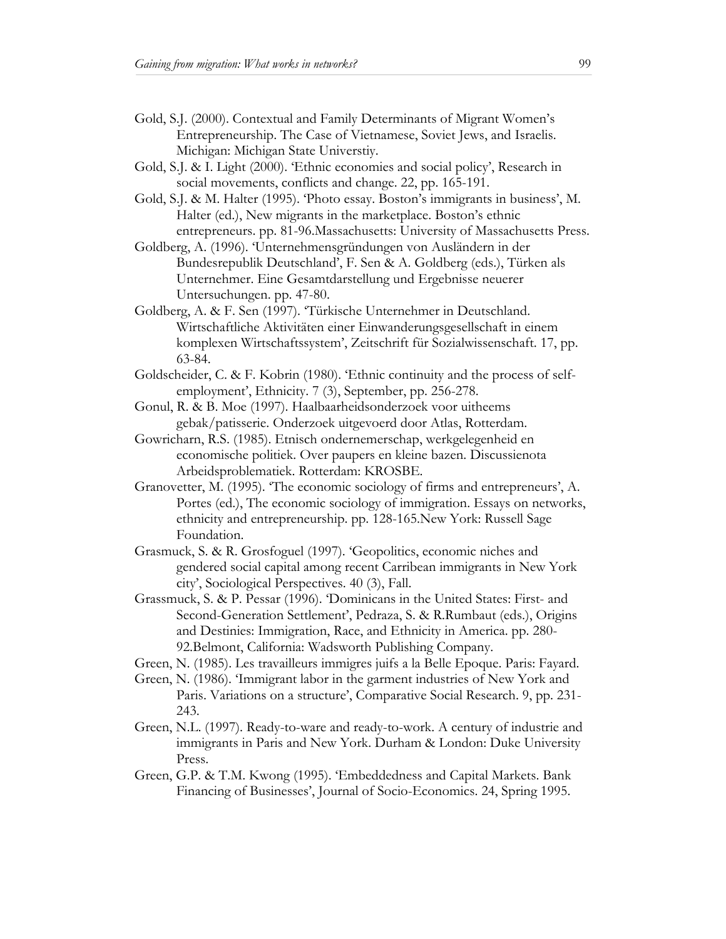- Gold, S.J. (2000). Contextual and Family Determinants of Migrant Women's Entrepreneurship. The Case of Vietnamese, Soviet Jews, and Israelis. Michigan: Michigan State Universtiy.
- Gold, S.J. & I. Light (2000). 'Ethnic economies and social policy', Research in social movements, conflicts and change. 22, pp. 165-191.
- Gold, S.J. & M. Halter (1995). 'Photo essay. Boston's immigrants in business', M. Halter (ed.), New migrants in the marketplace. Boston's ethnic entrepreneurs. pp. 81-96.Massachusetts: University of Massachusetts Press.
- Goldberg, A. (1996). 'Unternehmensgründungen von Ausländern in der Bundesrepublik Deutschland', F. Sen & A. Goldberg (eds.), Türken als Unternehmer. Eine Gesamtdarstellung und Ergebnisse neuerer Untersuchungen. pp. 47-80.
- Goldberg, A. & F. Sen (1997). 'Türkische Unternehmer in Deutschland. Wirtschaftliche Aktivitäten einer Einwanderungsgesellschaft in einem komplexen Wirtschaftssystem', Zeitschrift für Sozialwissenschaft. 17, pp. 63-84.
- Goldscheider, C. & F. Kobrin (1980). 'Ethnic continuity and the process of selfemployment', Ethnicity. 7 (3), September, pp. 256-278.
- Gonul, R. & B. Moe (1997). Haalbaarheidsonderzoek voor uitheems gebak/patisserie. Onderzoek uitgevoerd door Atlas, Rotterdam.
- Gowricharn, R.S. (1985). Etnisch ondernemerschap, werkgelegenheid en economische politiek. Over paupers en kleine bazen. Discussienota Arbeidsproblematiek. Rotterdam: KROSBE.
- Granovetter, M. (1995). 'The economic sociology of firms and entrepreneurs', A. Portes (ed.), The economic sociology of immigration. Essays on networks, ethnicity and entrepreneurship. pp. 128-165.New York: Russell Sage Foundation.
- Grasmuck, S. & R. Grosfoguel (1997). 'Geopolitics, economic niches and gendered social capital among recent Carribean immigrants in New York city', Sociological Perspectives. 40 (3), Fall.
- Grassmuck, S. & P. Pessar (1996). 'Dominicans in the United States: First- and Second-Generation Settlement', Pedraza, S. & R.Rumbaut (eds.), Origins and Destinies: Immigration, Race, and Ethnicity in America. pp. 280- 92.Belmont, California: Wadsworth Publishing Company.
- Green, N. (1985). Les travailleurs immigres juifs a la Belle Epoque. Paris: Fayard.
- Green, N. (1986). 'Immigrant labor in the garment industries of New York and Paris. Variations on a structure', Comparative Social Research. 9, pp. 231- 243.
- Green, N.L. (1997). Ready-to-ware and ready-to-work. A century of industrie and immigrants in Paris and New York. Durham & London: Duke University Press.
- Green, G.P. & T.M. Kwong (1995). 'Embeddedness and Capital Markets. Bank Financing of Businesses', Journal of Socio-Economics. 24, Spring 1995.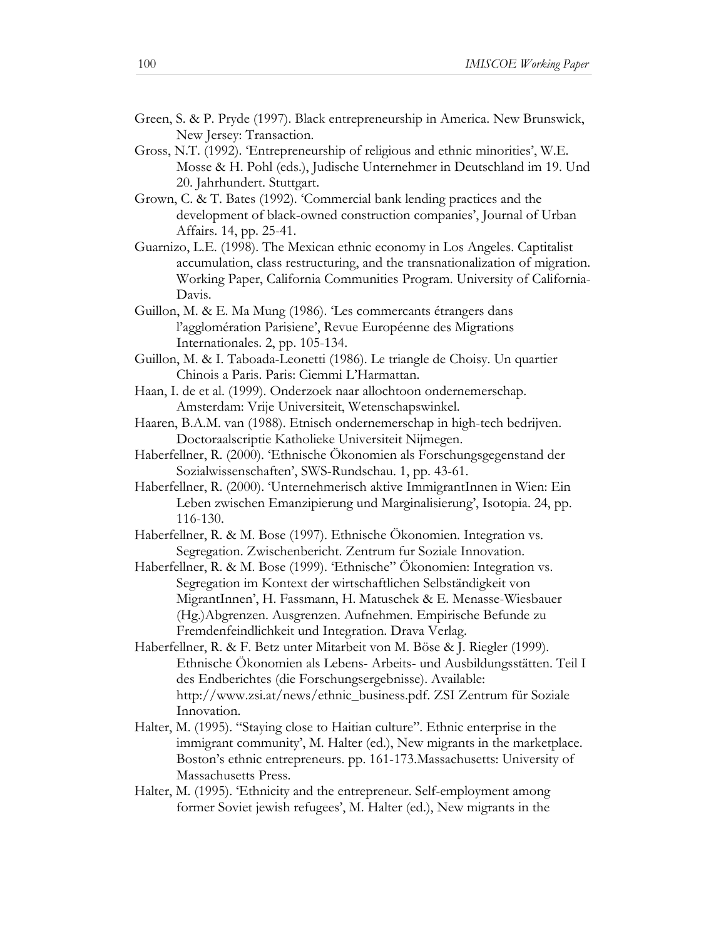- Green, S. & P. Pryde (1997). Black entrepreneurship in America. New Brunswick, New Jersey: Transaction.
- Gross, N.T. (1992). 'Entrepreneurship of religious and ethnic minorities', W.E. Mosse & H. Pohl (eds.), Judische Unternehmer in Deutschland im 19. Und 20. Jahrhundert. Stuttgart.
- Grown, C. & T. Bates (1992). 'Commercial bank lending practices and the development of black-owned construction companies', Journal of Urban Affairs. 14, pp. 25-41.
- Guarnizo, L.E. (1998). The Mexican ethnic economy in Los Angeles. Captitalist accumulation, class restructuring, and the transnationalization of migration. Working Paper, California Communities Program. University of California-Davis.
- Guillon, M. & E. Ma Mung (1986). 'Les commercants étrangers dans l'agglomération Parisiene', Revue Européenne des Migrations Internationales. 2, pp. 105-134.
- Guillon, M. & I. Taboada-Leonetti (1986). Le triangle de Choisy. Un quartier Chinois a Paris. Paris: Ciemmi L'Harmattan.
- Haan, I. de et al. (1999). Onderzoek naar allochtoon ondernemerschap. Amsterdam: Vrije Universiteit, Wetenschapswinkel.
- Haaren, B.A.M. van (1988). Etnisch ondernemerschap in high-tech bedrijven. Doctoraalscriptie Katholieke Universiteit Nijmegen.
- Haberfellner, R. (2000). 'Ethnische Ökonomien als Forschungsgegenstand der Sozialwissenschaften', SWS-Rundschau. 1, pp. 43-61.
- Haberfellner, R. (2000). 'Unternehmerisch aktive ImmigrantInnen in Wien: Ein Leben zwischen Emanzipierung und Marginalisierung', Isotopia. 24, pp. 116-130.
- Haberfellner, R. & M. Bose (1997). Ethnische Ökonomien. Integration vs. Segregation. Zwischenbericht. Zentrum fur Soziale Innovation.
- Haberfellner, R. & M. Bose (1999). 'Ethnische" Ökonomien: Integration vs. Segregation im Kontext der wirtschaftlichen Selbständigkeit von MigrantInnen', H. Fassmann, H. Matuschek & E. Menasse-Wiesbauer (Hg.)Abgrenzen. Ausgrenzen. Aufnehmen. Empirische Befunde zu Fremdenfeindlichkeit und Integration. Drava Verlag.
- Haberfellner, R. & F. Betz unter Mitarbeit von M. Böse & J. Riegler (1999). Ethnische Ökonomien als Lebens- Arbeits- und Ausbildungsstätten. Teil I des Endberichtes (die Forschungsergebnisse). Available: http://www.zsi.at/news/ethnic\_business.pdf. ZSI Zentrum für Soziale Innovation.
- Halter, M. (1995). "Staying close to Haitian culture". Ethnic enterprise in the immigrant community', M. Halter (ed.), New migrants in the marketplace. Boston's ethnic entrepreneurs. pp. 161-173.Massachusetts: University of Massachusetts Press.
- Halter, M. (1995). 'Ethnicity and the entrepreneur. Self-employment among former Soviet jewish refugees', M. Halter (ed.), New migrants in the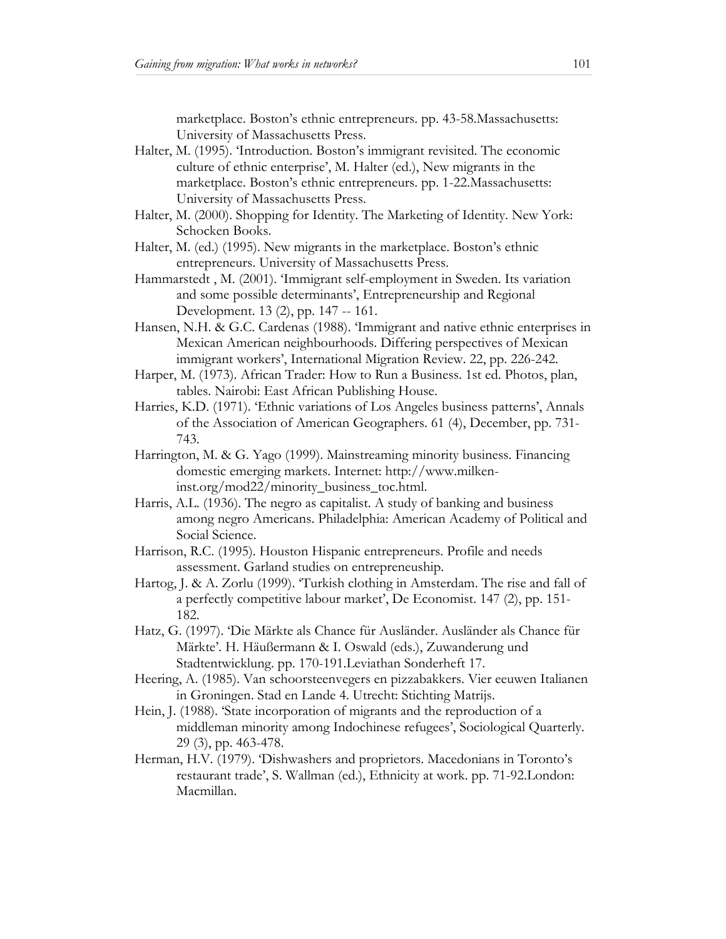marketplace. Boston's ethnic entrepreneurs. pp. 43-58.Massachusetts: University of Massachusetts Press.

- Halter, M. (1995). 'Introduction. Boston's immigrant revisited. The economic culture of ethnic enterprise', M. Halter (ed.), New migrants in the marketplace. Boston's ethnic entrepreneurs. pp. 1-22.Massachusetts: University of Massachusetts Press.
- Halter, M. (2000). Shopping for Identity. The Marketing of Identity. New York: Schocken Books.
- Halter, M. (ed.) (1995). New migrants in the marketplace. Boston's ethnic entrepreneurs. University of Massachusetts Press.
- Hammarstedt , M. (2001). 'Immigrant self-employment in Sweden. Its variation and some possible determinants', Entrepreneurship and Regional Development. 13 (2), pp. 147 -- 161.
- Hansen, N.H. & G.C. Cardenas (1988). 'Immigrant and native ethnic enterprises in Mexican American neighbourhoods. Differing perspectives of Mexican immigrant workers', International Migration Review. 22, pp. 226-242.
- Harper, M. (1973). African Trader: How to Run a Business. 1st ed. Photos, plan, tables. Nairobi: East African Publishing House.
- Harries, K.D. (1971). 'Ethnic variations of Los Angeles business patterns', Annals of the Association of American Geographers. 61 (4), December, pp. 731- 743.
- Harrington, M. & G. Yago (1999). Mainstreaming minority business. Financing domestic emerging markets. Internet: http://www.milkeninst.org/mod22/minority\_business\_toc.html.
- Harris, A.L. (1936). The negro as capitalist. A study of banking and business among negro Americans. Philadelphia: American Academy of Political and Social Science.
- Harrison, R.C. (1995). Houston Hispanic entrepreneurs. Profile and needs assessment. Garland studies on entrepreneuship.
- Hartog, J. & A. Zorlu (1999). 'Turkish clothing in Amsterdam. The rise and fall of a perfectly competitive labour market', De Economist. 147 (2), pp. 151- 182.
- Hatz, G. (1997). 'Die Märkte als Chance für Ausländer. Ausländer als Chance für Märkte'. H. Häußermann & I. Oswald (eds.), Zuwanderung und Stadtentwicklung. pp. 170-191.Leviathan Sonderheft 17.
- Heering, A. (1985). Van schoorsteenvegers en pizzabakkers. Vier eeuwen Italianen in Groningen. Stad en Lande 4. Utrecht: Stichting Matrijs.
- Hein, J. (1988). 'State incorporation of migrants and the reproduction of a middleman minority among Indochinese refugees', Sociological Quarterly. 29 (3), pp. 463-478.
- Herman, H.V. (1979). 'Dishwashers and proprietors. Macedonians in Toronto's restaurant trade', S. Wallman (ed.), Ethnicity at work. pp. 71-92.London: Macmillan.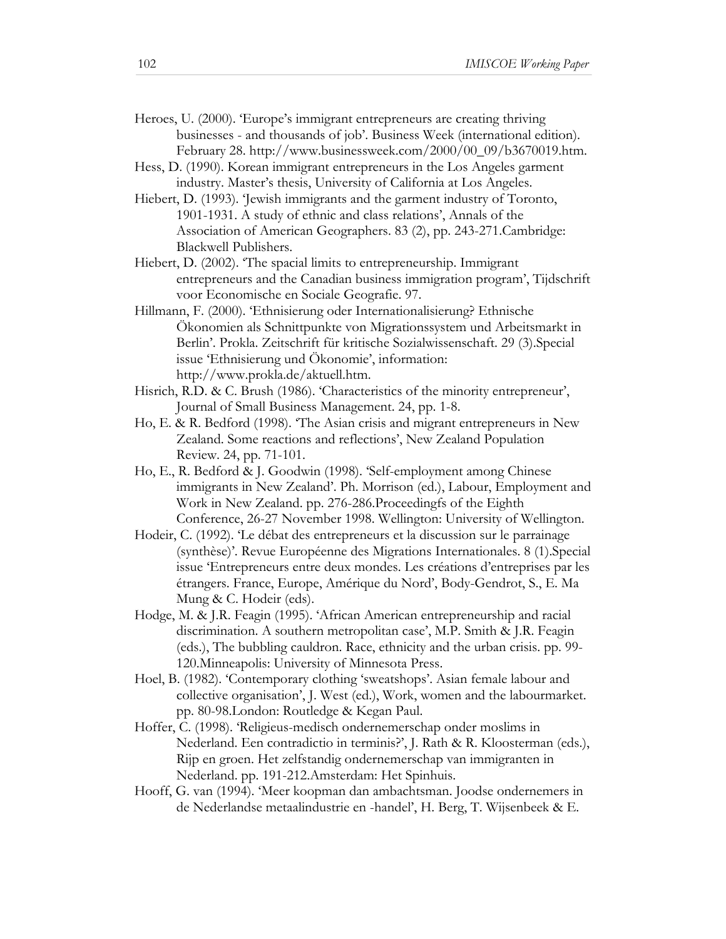- Heroes, U. (2000). 'Europe's immigrant entrepreneurs are creating thriving businesses - and thousands of job'. Business Week (international edition). February 28. http://www.businessweek.com/2000/00\_09/b3670019.htm.
- Hess, D. (1990). Korean immigrant entrepreneurs in the Los Angeles garment industry. Master's thesis, University of California at Los Angeles.
- Hiebert, D. (1993). 'Jewish immigrants and the garment industry of Toronto, 1901-1931. A study of ethnic and class relations', Annals of the Association of American Geographers. 83 (2), pp. 243-271.Cambridge: Blackwell Publishers.
- Hiebert, D. (2002). 'The spacial limits to entrepreneurship. Immigrant entrepreneurs and the Canadian business immigration program', Tijdschrift voor Economische en Sociale Geografie. 97.
- Hillmann, F. (2000). 'Ethnisierung oder Internationalisierung? Ethnische Ökonomien als Schnittpunkte von Migrationssystem und Arbeitsmarkt in Berlin'. Prokla. Zeitschrift für kritische Sozialwissenschaft. 29 (3).Special issue 'Ethnisierung und Ökonomie', information: http://www.prokla.de/aktuell.htm.
- Hisrich, R.D. & C. Brush (1986). 'Characteristics of the minority entrepreneur', Journal of Small Business Management. 24, pp. 1-8.
- Ho, E. & R. Bedford (1998). 'The Asian crisis and migrant entrepreneurs in New Zealand. Some reactions and reflections', New Zealand Population Review. 24, pp. 71-101.
- Ho, E., R. Bedford & J. Goodwin (1998). 'Self-employment among Chinese immigrants in New Zealand'. Ph. Morrison (ed.), Labour, Employment and Work in New Zealand. pp. 276-286.Proceedingfs of the Eighth Conference, 26-27 November 1998. Wellington: University of Wellington.
- Hodeir, C. (1992). 'Le débat des entrepreneurs et la discussion sur le parrainage (synthèse)'. Revue Européenne des Migrations Internationales. 8 (1).Special issue 'Entrepreneurs entre deux mondes. Les créations d'entreprises par les étrangers. France, Europe, Amérique du Nord', Body-Gendrot, S., E. Ma Mung & C. Hodeir (eds).
- Hodge, M. & J.R. Feagin (1995). 'African American entrepreneurship and racial discrimination. A southern metropolitan case', M.P. Smith & J.R. Feagin (eds.), The bubbling cauldron. Race, ethnicity and the urban crisis. pp. 99- 120.Minneapolis: University of Minnesota Press.
- Hoel, B. (1982). 'Contemporary clothing 'sweatshops'. Asian female labour and collective organisation', J. West (ed.), Work, women and the labourmarket. pp. 80-98.London: Routledge & Kegan Paul.
- Hoffer, C. (1998). 'Religieus-medisch ondernemerschap onder moslims in Nederland. Een contradictio in terminis?', J. Rath & R. Kloosterman (eds.), Rijp en groen. Het zelfstandig ondernemerschap van immigranten in Nederland. pp. 191-212.Amsterdam: Het Spinhuis.
- Hooff, G. van (1994). 'Meer koopman dan ambachtsman. Joodse ondernemers in de Nederlandse metaalindustrie en -handel', H. Berg, T. Wijsenbeek & E.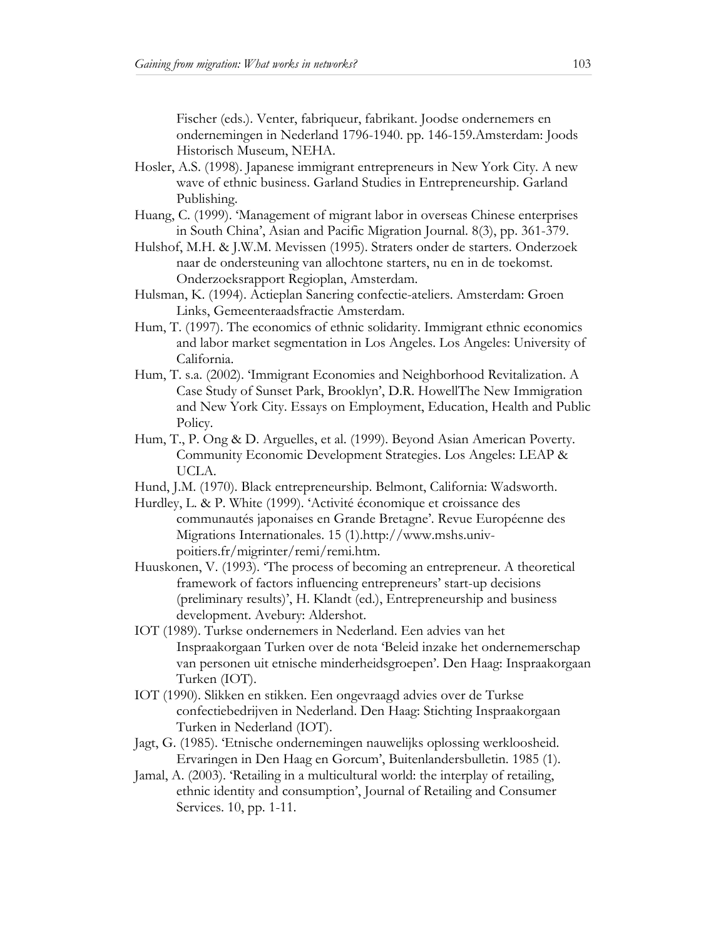Fischer (eds.). Venter, fabriqueur, fabrikant. Joodse ondernemers en ondernemingen in Nederland 1796-1940. pp. 146-159.Amsterdam: Joods Historisch Museum, NEHA.

- Hosler, A.S. (1998). Japanese immigrant entrepreneurs in New York City. A new wave of ethnic business. Garland Studies in Entrepreneurship. Garland Publishing.
- Huang, C. (1999). 'Management of migrant labor in overseas Chinese enterprises in South China', Asian and Pacific Migration Journal. 8(3), pp. 361-379.
- Hulshof, M.H. & J.W.M. Mevissen (1995). Straters onder de starters. Onderzoek naar de ondersteuning van allochtone starters, nu en in de toekomst. Onderzoeksrapport Regioplan, Amsterdam.
- Hulsman, K. (1994). Actieplan Sanering confectie-ateliers. Amsterdam: Groen Links, Gemeenteraadsfractie Amsterdam.
- Hum, T. (1997). The economics of ethnic solidarity. Immigrant ethnic economics and labor market segmentation in Los Angeles. Los Angeles: University of California.
- Hum, T. s.a. (2002). 'Immigrant Economies and Neighborhood Revitalization. A Case Study of Sunset Park, Brooklyn', D.R. HowellThe New Immigration and New York City. Essays on Employment, Education, Health and Public Policy.
- Hum, T., P. Ong & D. Arguelles, et al. (1999). Beyond Asian American Poverty. Community Economic Development Strategies. Los Angeles: LEAP & UCLA.
- Hund, J.M. (1970). Black entrepreneurship. Belmont, California: Wadsworth.
- Hurdley, L. & P. White (1999). 'Activité économique et croissance des communautés japonaises en Grande Bretagne'. Revue Européenne des Migrations Internationales. 15 (1).http://www.mshs.univpoitiers.fr/migrinter/remi/remi.htm.
- Huuskonen, V. (1993). 'The process of becoming an entrepreneur. A theoretical framework of factors influencing entrepreneurs' start-up decisions (preliminary results)', H. Klandt (ed.), Entrepreneurship and business development. Avebury: Aldershot.
- IOT (1989). Turkse ondernemers in Nederland. Een advies van het Inspraakorgaan Turken over de nota 'Beleid inzake het ondernemerschap van personen uit etnische minderheidsgroepen'. Den Haag: Inspraakorgaan Turken (IOT).
- IOT (1990). Slikken en stikken. Een ongevraagd advies over de Turkse confectiebedrijven in Nederland. Den Haag: Stichting Inspraakorgaan Turken in Nederland (IOT).
- Jagt, G. (1985). 'Etnische ondernemingen nauwelijks oplossing werkloosheid. Ervaringen in Den Haag en Gorcum', Buitenlandersbulletin. 1985 (1).
- Jamal, A. (2003). 'Retailing in a multicultural world: the interplay of retailing, ethnic identity and consumption', Journal of Retailing and Consumer Services. 10, pp. 1-11.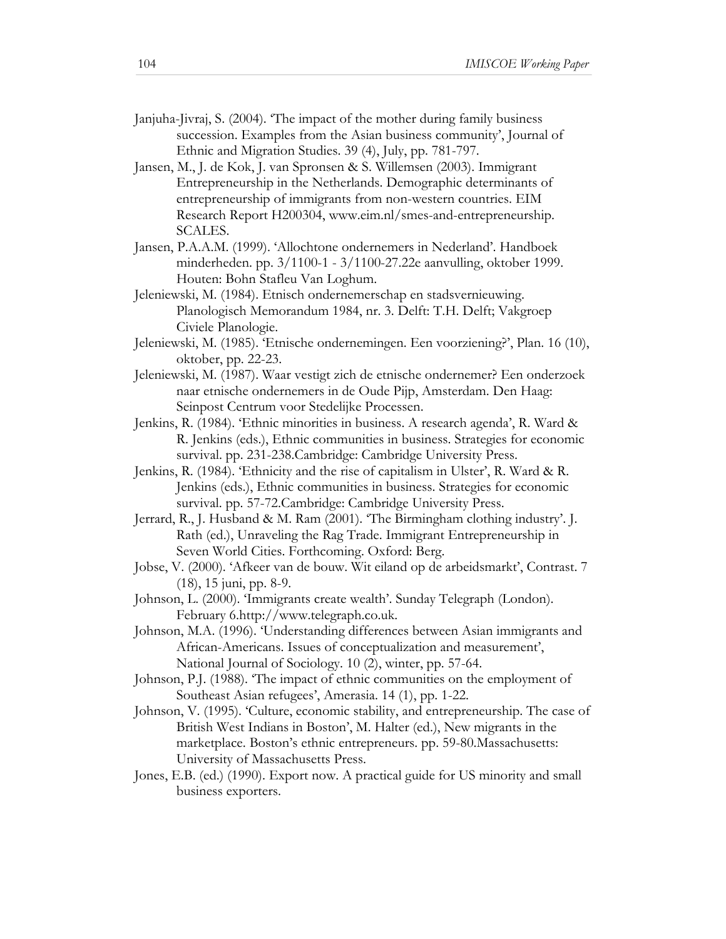- Janjuha-Jivraj, S. (2004). 'The impact of the mother during family business succession. Examples from the Asian business community', Journal of Ethnic and Migration Studies. 39 (4), July, pp. 781-797.
- Jansen, M., J. de Kok, J. van Spronsen & S. Willemsen (2003). Immigrant Entrepreneurship in the Netherlands. Demographic determinants of entrepreneurship of immigrants from non-western countries. EIM Research Report H200304, www.eim.nl/smes-and-entrepreneurship. SCALES.
- Jansen, P.A.A.M. (1999). 'Allochtone ondernemers in Nederland'. Handboek minderheden. pp. 3/1100-1 - 3/1100-27.22e aanvulling, oktober 1999. Houten: Bohn Stafleu Van Loghum.
- Jeleniewski, M. (1984). Etnisch ondernemerschap en stadsvernieuwing. Planologisch Memorandum 1984, nr. 3. Delft: T.H. Delft; Vakgroep Civiele Planologie.
- Jeleniewski, M. (1985). 'Etnische ondernemingen. Een voorziening?', Plan. 16 (10), oktober, pp. 22-23.
- Jeleniewski, M. (1987). Waar vestigt zich de etnische ondernemer? Een onderzoek naar etnische ondernemers in de Oude Pijp, Amsterdam. Den Haag: Seinpost Centrum voor Stedelijke Processen.
- Jenkins, R. (1984). 'Ethnic minorities in business. A research agenda', R. Ward & R. Jenkins (eds.), Ethnic communities in business. Strategies for economic survival. pp. 231-238.Cambridge: Cambridge University Press.
- Jenkins, R. (1984). 'Ethnicity and the rise of capitalism in Ulster', R. Ward & R. Jenkins (eds.), Ethnic communities in business. Strategies for economic survival. pp. 57-72.Cambridge: Cambridge University Press.
- Jerrard, R., J. Husband & M. Ram (2001). 'The Birmingham clothing industry'. J. Rath (ed.), Unraveling the Rag Trade. Immigrant Entrepreneurship in Seven World Cities. Forthcoming. Oxford: Berg.
- Jobse, V. (2000). 'Afkeer van de bouw. Wit eiland op de arbeidsmarkt', Contrast. 7 (18), 15 juni, pp. 8-9.
- Johnson, L. (2000). 'Immigrants create wealth'. Sunday Telegraph (London). February 6.http://www.telegraph.co.uk.
- Johnson, M.A. (1996). 'Understanding differences between Asian immigrants and African-Americans. Issues of conceptualization and measurement', National Journal of Sociology. 10 (2), winter, pp. 57-64.
- Johnson, P.J. (1988). 'The impact of ethnic communities on the employment of Southeast Asian refugees', Amerasia. 14 (1), pp. 1-22.
- Johnson, V. (1995). 'Culture, economic stability, and entrepreneurship. The case of British West Indians in Boston', M. Halter (ed.), New migrants in the marketplace. Boston's ethnic entrepreneurs. pp. 59-80.Massachusetts: University of Massachusetts Press.
- Jones, E.B. (ed.) (1990). Export now. A practical guide for US minority and small business exporters.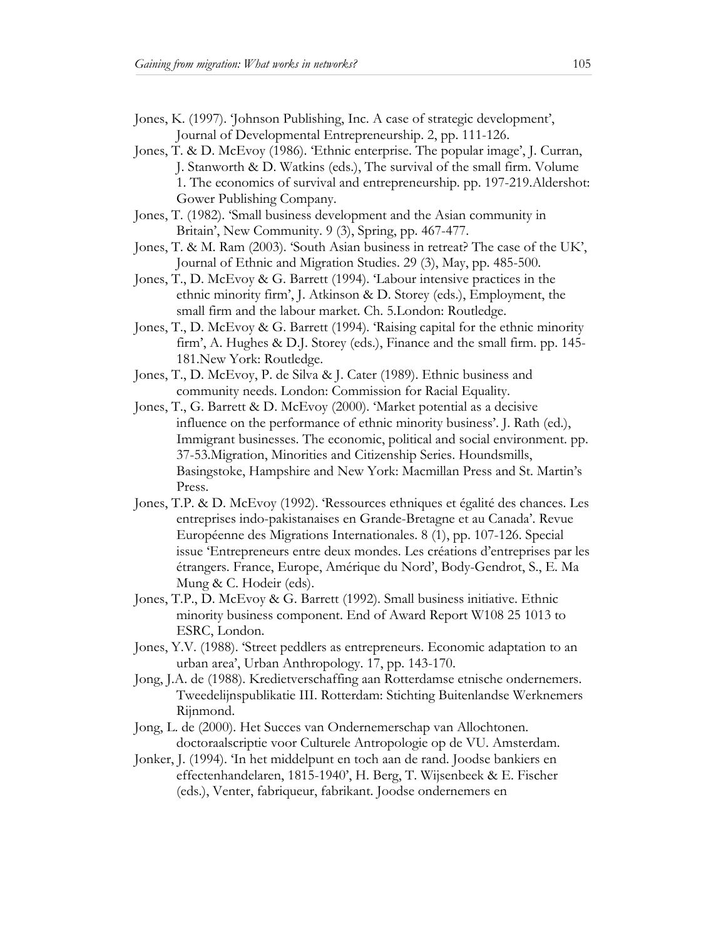- Jones, K. (1997). 'Johnson Publishing, Inc. A case of strategic development', Journal of Developmental Entrepreneurship. 2, pp. 111-126.
- Jones, T. & D. McEvoy (1986). 'Ethnic enterprise. The popular image', J. Curran, J. Stanworth & D. Watkins (eds.), The survival of the small firm. Volume 1. The economics of survival and entrepreneurship. pp. 197-219.Aldershot: Gower Publishing Company.
- Jones, T. (1982). 'Small business development and the Asian community in Britain', New Community. 9 (3), Spring, pp. 467-477.
- Jones, T. & M. Ram (2003). 'South Asian business in retreat? The case of the UK', Journal of Ethnic and Migration Studies. 29 (3), May, pp. 485-500.
- Jones, T., D. McEvoy & G. Barrett (1994). 'Labour intensive practices in the ethnic minority firm', J. Atkinson & D. Storey (eds.), Employment, the small firm and the labour market. Ch. 5.London: Routledge.
- Jones, T., D. McEvoy & G. Barrett (1994). 'Raising capital for the ethnic minority firm', A. Hughes & D.J. Storey (eds.), Finance and the small firm. pp. 145- 181.New York: Routledge.
- Jones, T., D. McEvoy, P. de Silva & J. Cater (1989). Ethnic business and community needs. London: Commission for Racial Equality.
- Jones, T., G. Barrett & D. McEvoy (2000). 'Market potential as a decisive influence on the performance of ethnic minority business'. J. Rath (ed.), Immigrant businesses. The economic, political and social environment. pp. 37-53.Migration, Minorities and Citizenship Series. Houndsmills, Basingstoke, Hampshire and New York: Macmillan Press and St. Martin's Press.
- Jones, T.P. & D. McEvoy (1992). 'Ressources ethniques et égalité des chances. Les entreprises indo-pakistanaises en Grande-Bretagne et au Canada'. Revue Européenne des Migrations Internationales. 8 (1), pp. 107-126. Special issue 'Entrepreneurs entre deux mondes. Les créations d'entreprises par les étrangers. France, Europe, Amérique du Nord', Body-Gendrot, S., E. Ma Mung & C. Hodeir (eds).
- Jones, T.P., D. McEvoy & G. Barrett (1992). Small business initiative. Ethnic minority business component. End of Award Report W108 25 1013 to ESRC, London.
- Jones, Y.V. (1988). 'Street peddlers as entrepreneurs. Economic adaptation to an urban area', Urban Anthropology. 17, pp. 143-170.
- Jong, J.A. de (1988). Kredietverschaffing aan Rotterdamse etnische ondernemers. Tweedelijnspublikatie III. Rotterdam: Stichting Buitenlandse Werknemers Rijnmond.
- Jong, L. de (2000). Het Succes van Ondernemerschap van Allochtonen. doctoraalscriptie voor Culturele Antropologie op de VU. Amsterdam.
- Jonker, J. (1994). 'In het middelpunt en toch aan de rand. Joodse bankiers en effectenhandelaren, 1815-1940', H. Berg, T. Wijsenbeek & E. Fischer (eds.), Venter, fabriqueur, fabrikant. Joodse ondernemers en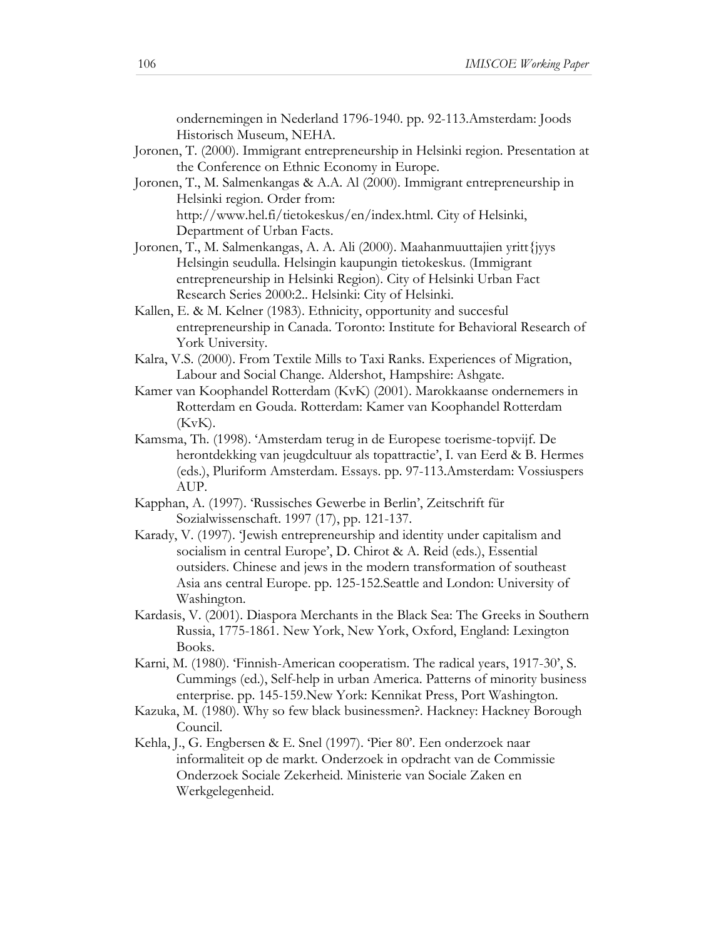ondernemingen in Nederland 1796-1940. pp. 92-113.Amsterdam: Joods Historisch Museum, NEHA.

- Joronen, T. (2000). Immigrant entrepreneurship in Helsinki region. Presentation at the Conference on Ethnic Economy in Europe.
- Joronen, T., M. Salmenkangas & A.A. Al (2000). Immigrant entrepreneurship in Helsinki region. Order from: http://www.hel.fi/tietokeskus/en/index.html. City of Helsinki,

Department of Urban Facts.

- Joronen, T., M. Salmenkangas, A. A. Ali (2000). Maahanmuuttajien yritt{jyys Helsingin seudulla. Helsingin kaupungin tietokeskus. (Immigrant entrepreneurship in Helsinki Region). City of Helsinki Urban Fact Research Series 2000:2.. Helsinki: City of Helsinki.
- Kallen, E. & M. Kelner (1983). Ethnicity, opportunity and succesful entrepreneurship in Canada. Toronto: Institute for Behavioral Research of York University.
- Kalra, V.S. (2000). From Textile Mills to Taxi Ranks. Experiences of Migration, Labour and Social Change. Aldershot, Hampshire: Ashgate.
- Kamer van Koophandel Rotterdam (KvK) (2001). Marokkaanse ondernemers in Rotterdam en Gouda. Rotterdam: Kamer van Koophandel Rotterdam  $(KvK)$ .
- Kamsma, Th. (1998). 'Amsterdam terug in de Europese toerisme-topvijf. De herontdekking van jeugdcultuur als topattractie', I. van Eerd & B. Hermes (eds.), Pluriform Amsterdam. Essays. pp. 97-113.Amsterdam: Vossiuspers AUP.
- Kapphan, A. (1997). 'Russisches Gewerbe in Berlin', Zeitschrift für Sozialwissenschaft. 1997 (17), pp. 121-137.
- Karady, V. (1997). 'Jewish entrepreneurship and identity under capitalism and socialism in central Europe', D. Chirot & A. Reid (eds.), Essential outsiders. Chinese and jews in the modern transformation of southeast Asia ans central Europe. pp. 125-152.Seattle and London: University of Washington.
- Kardasis, V. (2001). Diaspora Merchants in the Black Sea: The Greeks in Southern Russia, 1775-1861. New York, New York, Oxford, England: Lexington Books.
- Karni, M. (1980). 'Finnish-American cooperatism. The radical years, 1917-30', S. Cummings (ed.), Self-help in urban America. Patterns of minority business enterprise. pp. 145-159.New York: Kennikat Press, Port Washington.
- Kazuka, M. (1980). Why so few black businessmen?. Hackney: Hackney Borough Council.
- Kehla, J., G. Engbersen & E. Snel (1997). 'Pier 80'. Een onderzoek naar informaliteit op de markt. Onderzoek in opdracht van de Commissie Onderzoek Sociale Zekerheid. Ministerie van Sociale Zaken en Werkgelegenheid.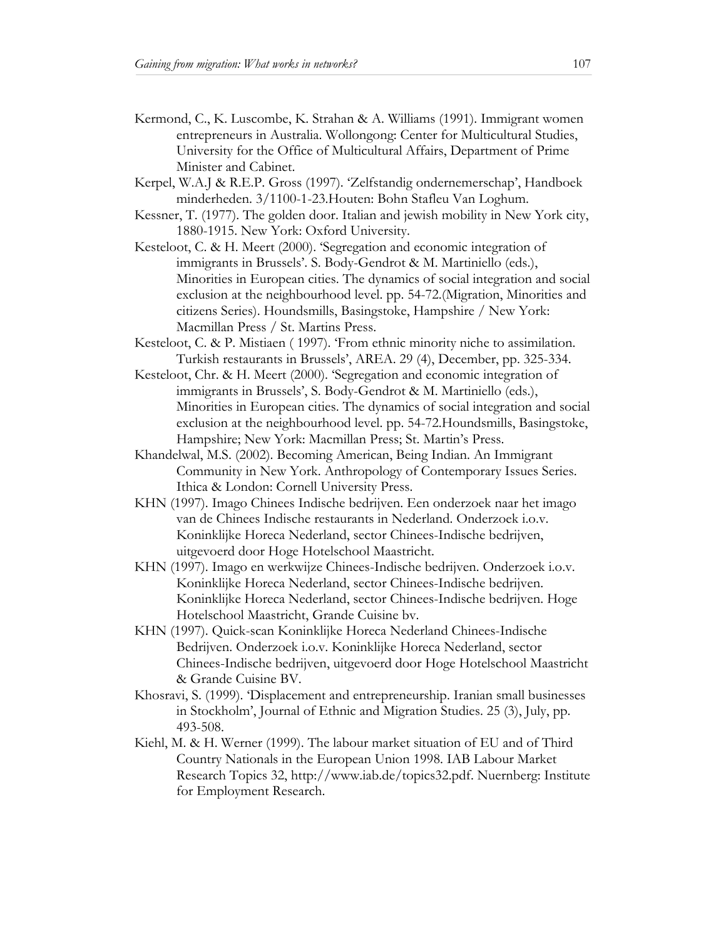- Kermond, C., K. Luscombe, K. Strahan & A. Williams (1991). Immigrant women entrepreneurs in Australia. Wollongong: Center for Multicultural Studies, University for the Office of Multicultural Affairs, Department of Prime Minister and Cabinet.
- Kerpel, W.A.J & R.E.P. Gross (1997). 'Zelfstandig ondernemerschap', Handboek minderheden. 3/1100-1-23.Houten: Bohn Stafleu Van Loghum.
- Kessner, T. (1977). The golden door. Italian and jewish mobility in New York city, 1880-1915. New York: Oxford University.
- Kesteloot, C. & H. Meert (2000). 'Segregation and economic integration of immigrants in Brussels'. S. Body-Gendrot & M. Martiniello (eds.), Minorities in European cities. The dynamics of social integration and social exclusion at the neighbourhood level. pp. 54-72.(Migration, Minorities and citizens Series). Houndsmills, Basingstoke, Hampshire / New York: Macmillan Press / St. Martins Press.
- Kesteloot, C. & P. Mistiaen ( 1997). 'From ethnic minority niche to assimilation. Turkish restaurants in Brussels', AREA. 29 (4), December, pp. 325-334.
- Kesteloot, Chr. & H. Meert (2000). 'Segregation and economic integration of immigrants in Brussels', S. Body-Gendrot & M. Martiniello (eds.), Minorities in European cities. The dynamics of social integration and social exclusion at the neighbourhood level. pp. 54-72.Houndsmills, Basingstoke, Hampshire; New York: Macmillan Press; St. Martin's Press.
- Khandelwal, M.S. (2002). Becoming American, Being Indian. An Immigrant Community in New York. Anthropology of Contemporary Issues Series. Ithica & London: Cornell University Press.
- KHN (1997). Imago Chinees Indische bedrijven. Een onderzoek naar het imago van de Chinees Indische restaurants in Nederland. Onderzoek i.o.v. Koninklijke Horeca Nederland, sector Chinees-Indische bedrijven, uitgevoerd door Hoge Hotelschool Maastricht.
- KHN (1997). Imago en werkwijze Chinees-Indische bedrijven. Onderzoek i.o.v. Koninklijke Horeca Nederland, sector Chinees-Indische bedrijven. Koninklijke Horeca Nederland, sector Chinees-Indische bedrijven. Hoge Hotelschool Maastricht, Grande Cuisine bv.
- KHN (1997). Quick-scan Koninklijke Horeca Nederland Chinees-Indische Bedrijven. Onderzoek i.o.v. Koninklijke Horeca Nederland, sector Chinees-Indische bedrijven, uitgevoerd door Hoge Hotelschool Maastricht & Grande Cuisine BV.
- Khosravi, S. (1999). 'Displacement and entrepreneurship. Iranian small businesses in Stockholm', Journal of Ethnic and Migration Studies. 25 (3), July, pp. 493-508.
- Kiehl, M. & H. Werner (1999). The labour market situation of EU and of Third Country Nationals in the European Union 1998. IAB Labour Market Research Topics 32, http://www.iab.de/topics32.pdf. Nuernberg: Institute for Employment Research.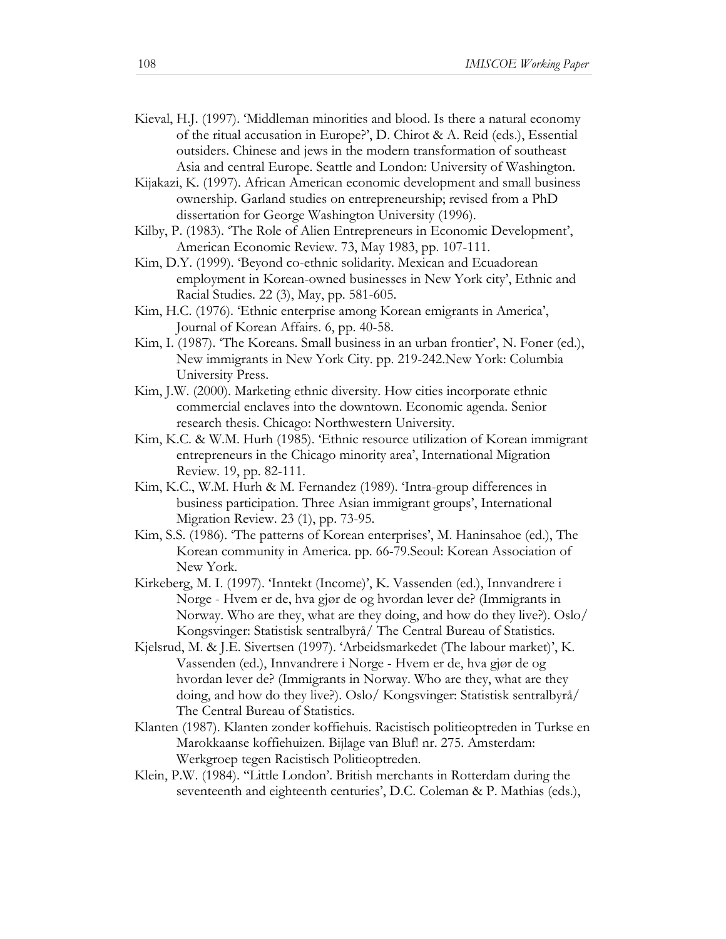- Kieval, H.J. (1997). 'Middleman minorities and blood. Is there a natural economy of the ritual accusation in Europe?', D. Chirot & A. Reid (eds.), Essential outsiders. Chinese and jews in the modern transformation of southeast Asia and central Europe. Seattle and London: University of Washington.
- Kijakazi, K. (1997). African American economic development and small business ownership. Garland studies on entrepreneurship; revised from a PhD dissertation for George Washington University (1996).
- Kilby, P. (1983). 'The Role of Alien Entrepreneurs in Economic Development', American Economic Review. 73, May 1983, pp. 107-111.
- Kim, D.Y. (1999). 'Beyond co-ethnic solidarity. Mexican and Ecuadorean employment in Korean-owned businesses in New York city', Ethnic and Racial Studies. 22 (3), May, pp. 581-605.
- Kim, H.C. (1976). 'Ethnic enterprise among Korean emigrants in America', Journal of Korean Affairs. 6, pp. 40-58.
- Kim, I. (1987). 'The Koreans. Small business in an urban frontier', N. Foner (ed.), New immigrants in New York City. pp. 219-242.New York: Columbia University Press.
- Kim, J.W. (2000). Marketing ethnic diversity. How cities incorporate ethnic commercial enclaves into the downtown. Economic agenda. Senior research thesis. Chicago: Northwestern University.
- Kim, K.C. & W.M. Hurh (1985). 'Ethnic resource utilization of Korean immigrant entrepreneurs in the Chicago minority area', International Migration Review. 19, pp. 82-111.
- Kim, K.C., W.M. Hurh & M. Fernandez (1989). 'Intra-group differences in business participation. Three Asian immigrant groups', International Migration Review. 23 (1), pp. 73-95.
- Kim, S.S. (1986). 'The patterns of Korean enterprises', M. Haninsahoe (ed.), The Korean community in America. pp. 66-79.Seoul: Korean Association of New York.
- Kirkeberg, M. I. (1997). 'Inntekt (Income)', K. Vassenden (ed.), Innvandrere i Norge - Hvem er de, hva gjør de og hvordan lever de? (Immigrants in Norway. Who are they, what are they doing, and how do they live?). Oslo/ Kongsvinger: Statistisk sentralbyrå/ The Central Bureau of Statistics.
- Kjelsrud, M. & J.E. Sivertsen (1997). 'Arbeidsmarkedet (The labour market)', K. Vassenden (ed.), Innvandrere i Norge - Hvem er de, hva gjør de og hvordan lever de? (Immigrants in Norway. Who are they, what are they doing, and how do they live?). Oslo/ Kongsvinger: Statistisk sentralbyrå/ The Central Bureau of Statistics.
- Klanten (1987). Klanten zonder koffiehuis. Racistisch politieoptreden in Turkse en Marokkaanse koffiehuizen. Bijlage van Bluf! nr. 275. Amsterdam: Werkgroep tegen Racistisch Politieoptreden.
- Klein, P.W. (1984). ''Little London'. British merchants in Rotterdam during the seventeenth and eighteenth centuries', D.C. Coleman & P. Mathias (eds.),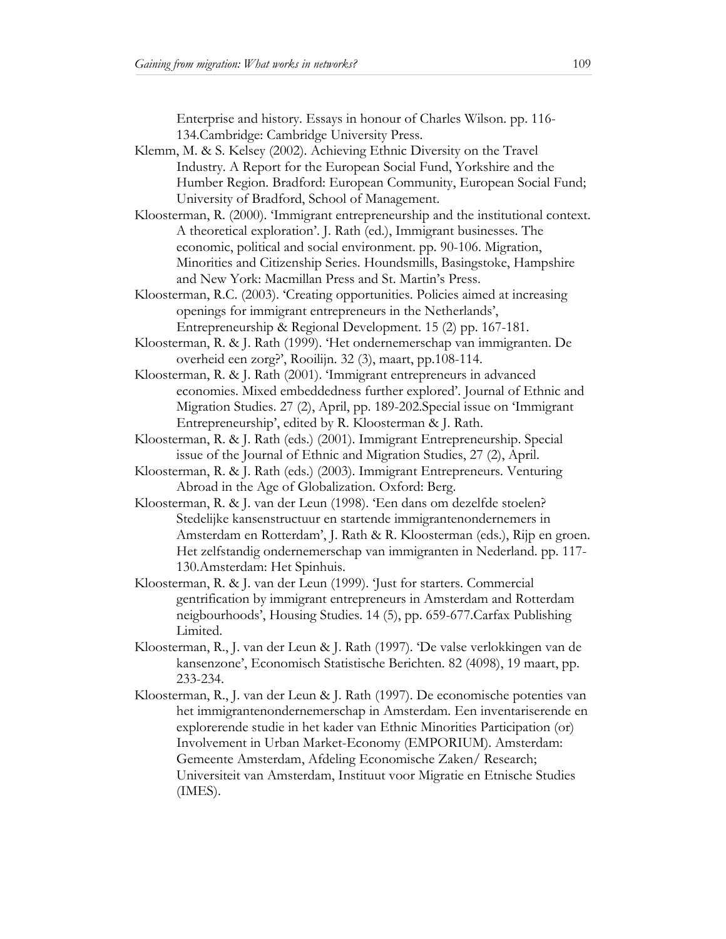Enterprise and history. Essays in honour of Charles Wilson. pp. 116- 134.Cambridge: Cambridge University Press.

- Klemm, M. & S. Kelsey (2002). Achieving Ethnic Diversity on the Travel Industry. A Report for the European Social Fund, Yorkshire and the Humber Region. Bradford: European Community, European Social Fund; University of Bradford, School of Management.
- Kloosterman, R. (2000). 'Immigrant entrepreneurship and the institutional context. A theoretical exploration'. J. Rath (ed.), Immigrant businesses. The economic, political and social environment. pp. 90-106. Migration, Minorities and Citizenship Series. Houndsmills, Basingstoke, Hampshire and New York: Macmillan Press and St. Martin's Press.
- Kloosterman, R.C. (2003). 'Creating opportunities. Policies aimed at increasing openings for immigrant entrepreneurs in the Netherlands', Entrepreneurship & Regional Development. 15 (2) pp. 167-181.
- Kloosterman, R. & J. Rath (1999). 'Het ondernemerschap van immigranten. De overheid een zorg?', Rooilijn. 32 (3), maart, pp.108-114.
- Kloosterman, R. & J. Rath (2001). 'Immigrant entrepreneurs in advanced economies. Mixed embeddedness further explored'. Journal of Ethnic and Migration Studies. 27 (2), April, pp. 189-202.Special issue on 'Immigrant Entrepreneurship', edited by R. Kloosterman & J. Rath.
- Kloosterman, R. & J. Rath (eds.) (2001). Immigrant Entrepreneurship. Special issue of the Journal of Ethnic and Migration Studies, 27 (2), April.
- Kloosterman, R. & J. Rath (eds.) (2003). Immigrant Entrepreneurs. Venturing Abroad in the Age of Globalization. Oxford: Berg.
- Kloosterman, R. & J. van der Leun (1998). 'Een dans om dezelfde stoelen? Stedelijke kansenstructuur en startende immigrantenondernemers in Amsterdam en Rotterdam', J. Rath & R. Kloosterman (eds.), Rijp en groen. Het zelfstandig ondernemerschap van immigranten in Nederland. pp. 117- 130.Amsterdam: Het Spinhuis.
- Kloosterman, R. & J. van der Leun (1999). 'Just for starters. Commercial gentrification by immigrant entrepreneurs in Amsterdam and Rotterdam neigbourhoods', Housing Studies. 14 (5), pp. 659-677.Carfax Publishing Limited.
- Kloosterman, R., J. van der Leun & J. Rath (1997). 'De valse verlokkingen van de kansenzone', Economisch Statistische Berichten. 82 (4098), 19 maart, pp. 233-234.
- Kloosterman, R., J. van der Leun & J. Rath (1997). De economische potenties van het immigrantenondernemerschap in Amsterdam. Een inventariserende en explorerende studie in het kader van Ethnic Minorities Participation (or) Involvement in Urban Market-Economy (EMPORIUM). Amsterdam: Gemeente Amsterdam, Afdeling Economische Zaken/ Research; Universiteit van Amsterdam, Instituut voor Migratie en Etnische Studies (IMES).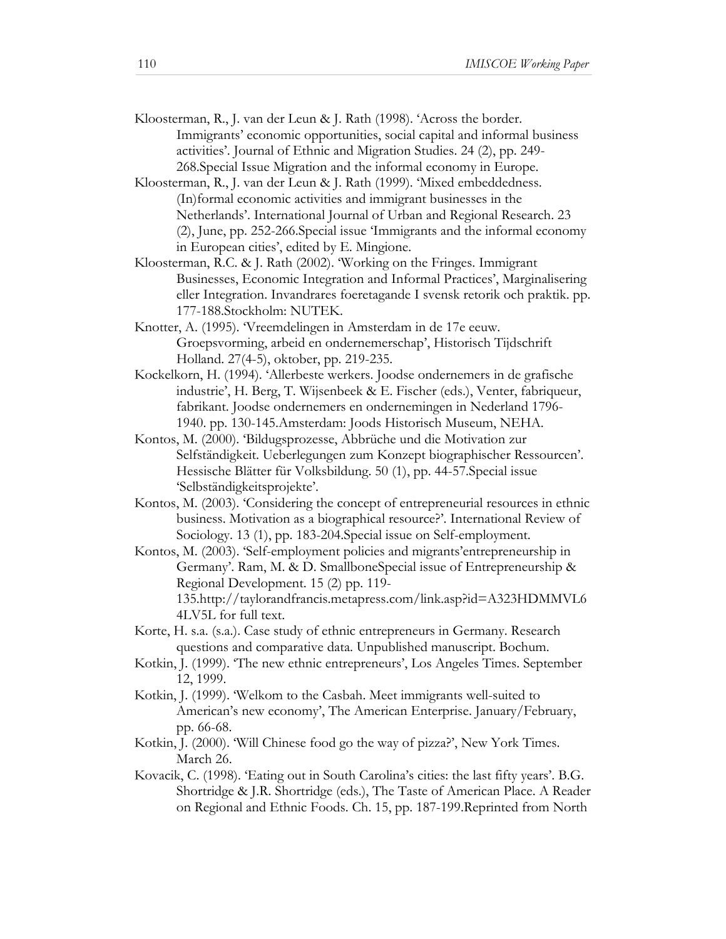- Kloosterman, R., J. van der Leun & J. Rath (1998). 'Across the border. Immigrants' economic opportunities, social capital and informal business activities'. Journal of Ethnic and Migration Studies. 24 (2), pp. 249- 268.Special Issue Migration and the informal economy in Europe.
- Kloosterman, R., J. van der Leun & J. Rath (1999). 'Mixed embeddedness. (In)formal economic activities and immigrant businesses in the Netherlands'. International Journal of Urban and Regional Research. 23 (2), June, pp. 252-266.Special issue 'Immigrants and the informal economy in European cities', edited by E. Mingione.
- Kloosterman, R.C. & J. Rath (2002). 'Working on the Fringes. Immigrant Businesses, Economic Integration and Informal Practices', Marginalisering eller Integration. Invandrares foeretagande I svensk retorik och praktik. pp. 177-188.Stockholm: NUTEK.
- Knotter, A. (1995). 'Vreemdelingen in Amsterdam in de 17e eeuw. Groepsvorming, arbeid en ondernemerschap', Historisch Tijdschrift Holland. 27(4-5), oktober, pp. 219-235.
- Kockelkorn, H. (1994). 'Allerbeste werkers. Joodse ondernemers in de grafische industrie', H. Berg, T. Wijsenbeek & E. Fischer (eds.), Venter, fabriqueur, fabrikant. Joodse ondernemers en ondernemingen in Nederland 1796- 1940. pp. 130-145.Amsterdam: Joods Historisch Museum, NEHA.
- Kontos, M. (2000). 'Bildugsprozesse, Abbrüche und die Motivation zur Selfständigkeit. Ueberlegungen zum Konzept biographischer Ressourcen'. Hessische Blätter für Volksbildung. 50 (1), pp. 44-57.Special issue 'Selbständigkeitsprojekte'.
- Kontos, M. (2003). 'Considering the concept of entrepreneurial resources in ethnic business. Motivation as a biographical resource?'. International Review of Sociology. 13 (1), pp. 183-204.Special issue on Self-employment.
- Kontos, M. (2003). 'Self-employment policies and migrants'entrepreneurship in Germany'. Ram, M. & D. SmallboneSpecial issue of Entrepreneurship & Regional Development. 15 (2) pp. 119- 135.http://taylorandfrancis.metapress.com/link.asp?id=A323HDMMVL6 4LV5L for full text.
- Korte, H. s.a. (s.a.). Case study of ethnic entrepreneurs in Germany. Research questions and comparative data. Unpublished manuscript. Bochum.
- Kotkin, J. (1999). 'The new ethnic entrepreneurs', Los Angeles Times. September 12, 1999.
- Kotkin, J. (1999). 'Welkom to the Casbah. Meet immigrants well-suited to American's new economy', The American Enterprise. January/February, pp. 66-68.
- Kotkin, J. (2000). 'Will Chinese food go the way of pizza?', New York Times. March 26.
- Kovacik, C. (1998). 'Eating out in South Carolina's cities: the last fifty years'. B.G. Shortridge & J.R. Shortridge (eds.), The Taste of American Place. A Reader on Regional and Ethnic Foods. Ch. 15, pp. 187-199.Reprinted from North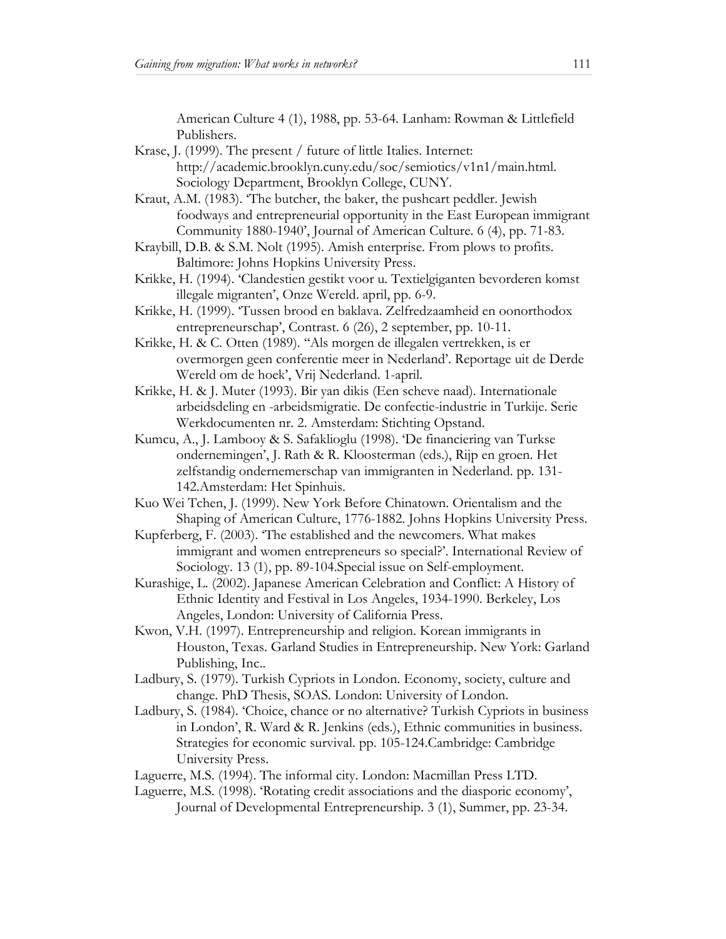American Culture 4 (1), 1988, pp. 53-64. Lanham: Rowman & Littlefield Publishers.

- Krase, J. (1999). The present / future of little Italies. Internet: http://academic.brooklyn.cuny.edu/soc/semiotics/v1n1/main.html. Sociology Department, Brooklyn College, CUNY.
- Kraut, A.M. (1983). 'The butcher, the baker, the pushcart peddler. Jewish foodways and entrepreneurial opportunity in the East European immigrant Community 1880-1940', Journal of American Culture. 6 (4), pp. 71-83.
- Kraybill, D.B. & S.M. Nolt (1995). Amish enterprise. From plows to profits. Baltimore: Johns Hopkins University Press.
- Krikke, H. (1994). 'Clandestien gestikt voor u. Textielgiganten bevorderen komst illegale migranten', Onze Wereld. april, pp. 6-9.
- Krikke, H. (1999). 'Tussen brood en baklava. Zelfredzaamheid en oonorthodox entrepreneurschap', Contrast. 6 (26), 2 september, pp. 10-11.
- Krikke, H. & C. Otten (1989). ''Als morgen de illegalen vertrekken, is er overmorgen geen conferentie meer in Nederland'. Reportage uit de Derde Wereld om de hoek', Vrij Nederland. 1-april.
- Krikke, H. & J. Muter (1993). Bir yan dikis (Een scheve naad). Internationale arbeidsdeling en -arbeidsmigratie. De confectie-industrie in Turkije. Serie Werkdocumenten nr. 2. Amsterdam: Stichting Opstand.
- Kumcu, A., J. Lambooy & S. Safaklioglu (1998). 'De financiering van Turkse ondernemingen', J. Rath & R. Kloosterman (eds.), Rijp en groen. Het zelfstandig ondernemerschap van immigranten in Nederland. pp. 131- 142.Amsterdam: Het Spinhuis.
- Kuo Wei Tchen, J. (1999). New York Before Chinatown. Orientalism and the Shaping of American Culture, 1776-1882. Johns Hopkins University Press.
- Kupferberg, F. (2003). 'The established and the newcomers. What makes immigrant and women entrepreneurs so special?'. International Review of Sociology. 13 (1), pp. 89-104.Special issue on Self-employment.
- Kurashige, L. (2002). Japanese American Celebration and Conflict: A History of Ethnic Identity and Festival in Los Angeles, 1934-1990. Berkeley, Los Angeles, London: University of California Press.
- Kwon, V.H. (1997). Entrepreneurship and religion. Korean immigrants in Houston, Texas. Garland Studies in Entrepreneurship. New York: Garland Publishing, Inc..
- Ladbury, S. (1979). Turkish Cypriots in London. Economy, society, culture and change. PhD Thesis, SOAS. London: University of London.
- Ladbury, S. (1984). 'Choice, chance or no alternative? Turkish Cypriots in business in London', R. Ward & R. Jenkins (eds.), Ethnic communities in business. Strategies for economic survival. pp. 105-124.Cambridge: Cambridge University Press.
- Laguerre, M.S. (1994). The informal city. London: Macmillan Press LTD.
- Laguerre, M.S. (1998). 'Rotating credit associations and the diasporic economy', Journal of Developmental Entrepreneurship. 3 (1), Summer, pp. 23-34.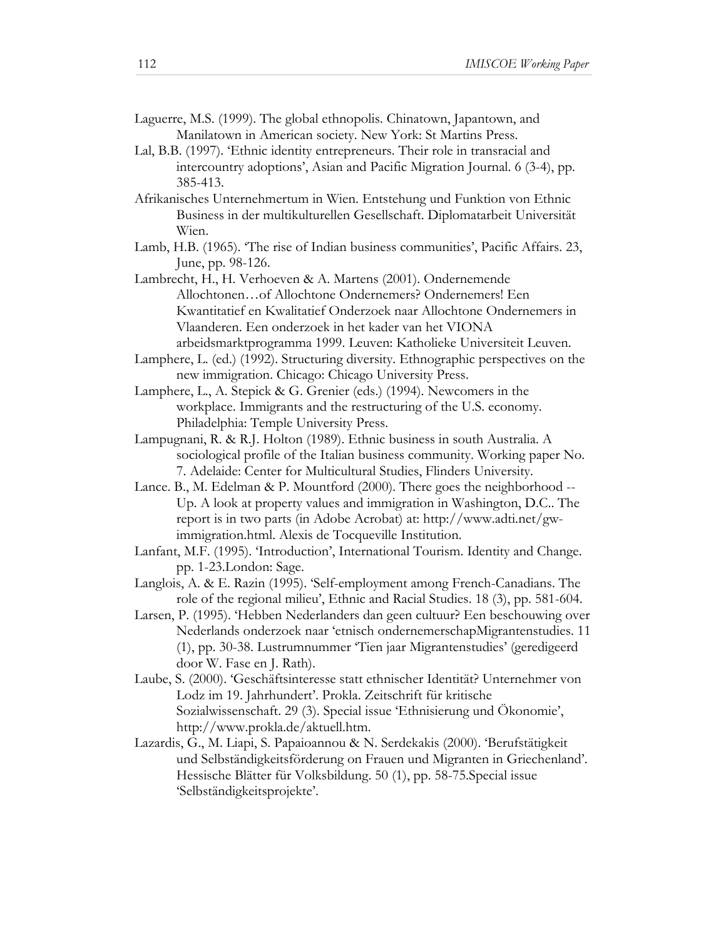Laguerre, M.S. (1999). The global ethnopolis. Chinatown, Japantown, and Manilatown in American society. New York: St Martins Press.

- Lal, B.B. (1997). 'Ethnic identity entrepreneurs. Their role in transracial and intercountry adoptions', Asian and Pacific Migration Journal. 6 (3-4), pp. 385-413.
- Afrikanisches Unternehmertum in Wien. Entstehung und Funktion von Ethnic Business in der multikulturellen Gesellschaft. Diplomatarbeit Universität Wien.
- Lamb, H.B. (1965). 'The rise of Indian business communities', Pacific Affairs. 23, June, pp. 98-126.
- Lambrecht, H., H. Verhoeven & A. Martens (2001). Ondernemende Allochtonen…of Allochtone Ondernemers? Ondernemers! Een Kwantitatief en Kwalitatief Onderzoek naar Allochtone Ondernemers in Vlaanderen. Een onderzoek in het kader van het VIONA arbeidsmarktprogramma 1999. Leuven: Katholieke Universiteit Leuven.
- Lamphere, L. (ed.) (1992). Structuring diversity. Ethnographic perspectives on the new immigration. Chicago: Chicago University Press.
- Lamphere, L., A. Stepick & G. Grenier (eds.) (1994). Newcomers in the workplace. Immigrants and the restructuring of the U.S. economy. Philadelphia: Temple University Press.
- Lampugnani, R. & R.J. Holton (1989). Ethnic business in south Australia. A sociological profile of the Italian business community. Working paper No. 7. Adelaide: Center for Multicultural Studies, Flinders University.
- Lance. B., M. Edelman & P. Mountford (2000). There goes the neighborhood -- Up. A look at property values and immigration in Washington, D.C.. The report is in two parts (in Adobe Acrobat) at: http://www.adti.net/gwimmigration.html. Alexis de Tocqueville Institution.
- Lanfant, M.F. (1995). 'Introduction', International Tourism. Identity and Change. pp. 1-23.London: Sage.
- Langlois, A. & E. Razin (1995). 'Self-employment among French-Canadians. The role of the regional milieu', Ethnic and Racial Studies. 18 (3), pp. 581-604.
- Larsen, P. (1995). 'Hebben Nederlanders dan geen cultuur? Een beschouwing over Nederlands onderzoek naar 'etnisch ondernemerschapMigrantenstudies. 11 (1), pp. 30-38. Lustrumnummer 'Tien jaar Migrantenstudies' (geredigeerd door W. Fase en J. Rath).
- Laube, S. (2000). 'Geschäftsinteresse statt ethnischer Identität? Unternehmer von Lodz im 19. Jahrhundert'. Prokla. Zeitschrift für kritische Sozialwissenschaft. 29 (3). Special issue 'Ethnisierung und Ökonomie', http://www.prokla.de/aktuell.htm.
- Lazardis, G., M. Liapi, S. Papaioannou & N. Serdekakis (2000). 'Berufstätigkeit und Selbständigkeitsförderung on Frauen und Migranten in Griechenland'. Hessische Blätter für Volksbildung. 50 (1), pp. 58-75.Special issue 'Selbständigkeitsprojekte'.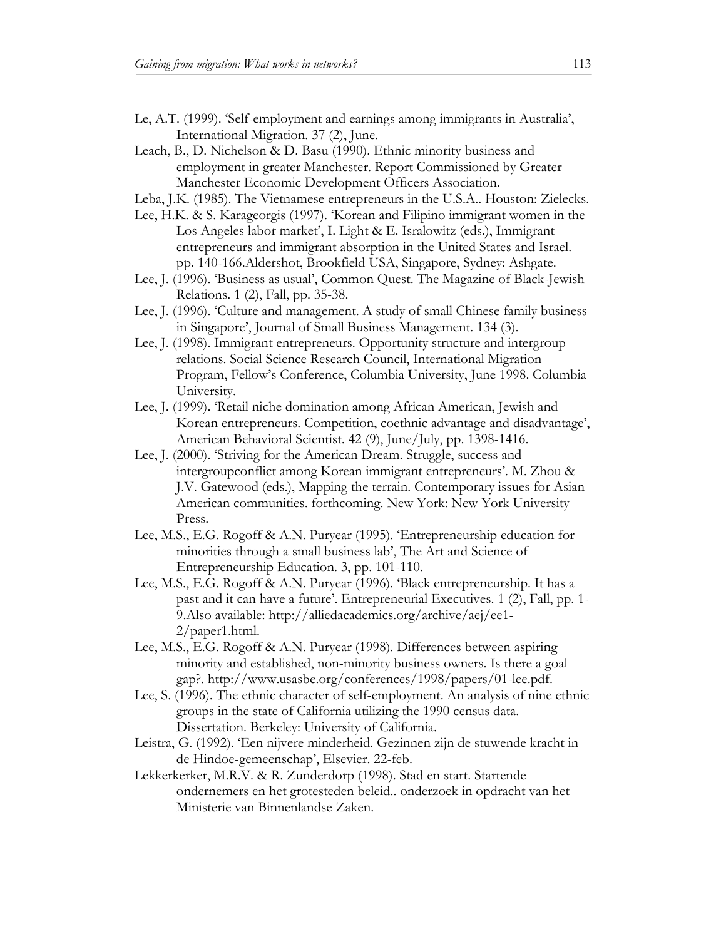- Le, A.T. (1999). 'Self-employment and earnings among immigrants in Australia', International Migration. 37 (2), June.
- Leach, B., D. Nichelson & D. Basu (1990). Ethnic minority business and employment in greater Manchester. Report Commissioned by Greater Manchester Economic Development Officers Association.
- Leba, J.K. (1985). The Vietnamese entrepreneurs in the U.S.A.. Houston: Zielecks.
- Lee, H.K. & S. Karageorgis (1997). 'Korean and Filipino immigrant women in the Los Angeles labor market', I. Light & E. Isralowitz (eds.), Immigrant entrepreneurs and immigrant absorption in the United States and Israel. pp. 140-166.Aldershot, Brookfield USA, Singapore, Sydney: Ashgate.
- Lee, J. (1996). 'Business as usual', Common Quest. The Magazine of Black-Jewish Relations. 1 (2), Fall, pp. 35-38.
- Lee, J. (1996). 'Culture and management. A study of small Chinese family business in Singapore', Journal of Small Business Management. 134 (3).
- Lee, J. (1998). Immigrant entrepreneurs. Opportunity structure and intergroup relations. Social Science Research Council, International Migration Program, Fellow's Conference, Columbia University, June 1998. Columbia University.
- Lee, J. (1999). 'Retail niche domination among African American, Jewish and Korean entrepreneurs. Competition, coethnic advantage and disadvantage', American Behavioral Scientist. 42 (9), June/July, pp. 1398-1416.
- Lee, J. (2000). 'Striving for the American Dream. Struggle, success and intergroupconflict among Korean immigrant entrepreneurs'. M. Zhou & J.V. Gatewood (eds.), Mapping the terrain. Contemporary issues for Asian American communities. forthcoming. New York: New York University Press.
- Lee, M.S., E.G. Rogoff & A.N. Puryear (1995). 'Entrepreneurship education for minorities through a small business lab', The Art and Science of Entrepreneurship Education. 3, pp. 101-110.
- Lee, M.S., E.G. Rogoff & A.N. Puryear (1996). 'Black entrepreneurship. It has a past and it can have a future'. Entrepreneurial Executives. 1 (2), Fall, pp. 1- 9.Also available: http://alliedacademics.org/archive/aej/ee1- 2/paper1.html.
- Lee, M.S., E.G. Rogoff & A.N. Puryear (1998). Differences between aspiring minority and established, non-minority business owners. Is there a goal gap?. http://www.usasbe.org/conferences/1998/papers/01-lee.pdf.
- Lee, S. (1996). The ethnic character of self-employment. An analysis of nine ethnic groups in the state of California utilizing the 1990 census data. Dissertation. Berkeley: University of California.
- Leistra, G. (1992). 'Een nijvere minderheid. Gezinnen zijn de stuwende kracht in de Hindoe-gemeenschap', Elsevier. 22-feb.
- Lekkerkerker, M.R.V. & R. Zunderdorp (1998). Stad en start. Startende ondernemers en het grotesteden beleid.. onderzoek in opdracht van het Ministerie van Binnenlandse Zaken.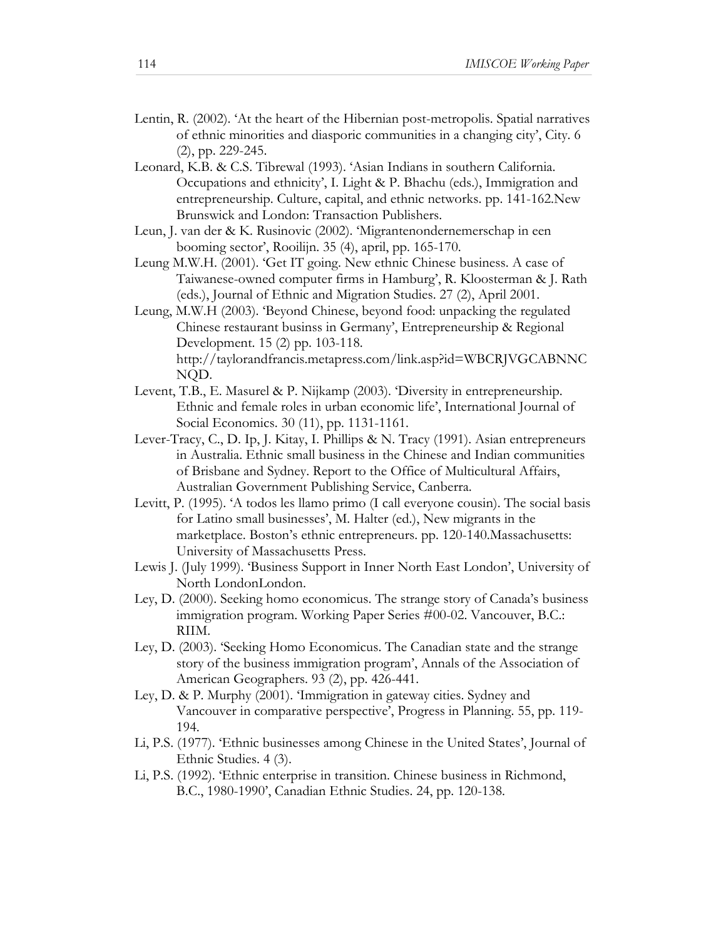- Lentin, R. (2002). 'At the heart of the Hibernian post-metropolis. Spatial narratives of ethnic minorities and diasporic communities in a changing city', City. 6 (2), pp. 229-245.
- Leonard, K.B. & C.S. Tibrewal (1993). 'Asian Indians in southern California. Occupations and ethnicity', I. Light & P. Bhachu (eds.), Immigration and entrepreneurship. Culture, capital, and ethnic networks. pp. 141-162.New Brunswick and London: Transaction Publishers.
- Leun, J. van der & K. Rusinovic (2002). 'Migrantenondernemerschap in een booming sector', Rooilijn. 35 (4), april, pp. 165-170.
- Leung M.W.H. (2001). 'Get IT going. New ethnic Chinese business. A case of Taiwanese-owned computer firms in Hamburg', R. Kloosterman & J. Rath (eds.), Journal of Ethnic and Migration Studies. 27 (2), April 2001.
- Leung, M.W.H (2003). 'Beyond Chinese, beyond food: unpacking the regulated Chinese restaurant businss in Germany', Entrepreneurship & Regional Development. 15 (2) pp. 103-118. http://taylorandfrancis.metapress.com/link.asp?id=WBCRJVGCABNNC NQD.
- Levent, T.B., E. Masurel & P. Nijkamp (2003). 'Diversity in entrepreneurship. Ethnic and female roles in urban economic life', International Journal of Social Economics. 30 (11), pp. 1131-1161.
- Lever-Tracy, C., D. Ip, J. Kitay, I. Phillips & N. Tracy (1991). Asian entrepreneurs in Australia. Ethnic small business in the Chinese and Indian communities of Brisbane and Sydney. Report to the Office of Multicultural Affairs, Australian Government Publishing Service, Canberra.
- Levitt, P. (1995). 'A todos les llamo primo (I call everyone cousin). The social basis for Latino small businesses', M. Halter (ed.), New migrants in the marketplace. Boston's ethnic entrepreneurs. pp. 120-140.Massachusetts: University of Massachusetts Press.
- Lewis J. (July 1999). 'Business Support in Inner North East London', University of North LondonLondon.
- Ley, D. (2000). Seeking homo economicus. The strange story of Canada's business immigration program. Working Paper Series #00-02. Vancouver, B.C.: RIIM.
- Ley, D. (2003). 'Seeking Homo Economicus. The Canadian state and the strange story of the business immigration program', Annals of the Association of American Geographers. 93 (2), pp. 426-441.
- Ley, D. & P. Murphy (2001). 'Immigration in gateway cities. Sydney and Vancouver in comparative perspective', Progress in Planning. 55, pp. 119- 194.
- Li, P.S. (1977). 'Ethnic businesses among Chinese in the United States', Journal of Ethnic Studies. 4 (3).
- Li, P.S. (1992). 'Ethnic enterprise in transition. Chinese business in Richmond, B.C., 1980-1990', Canadian Ethnic Studies. 24, pp. 120-138.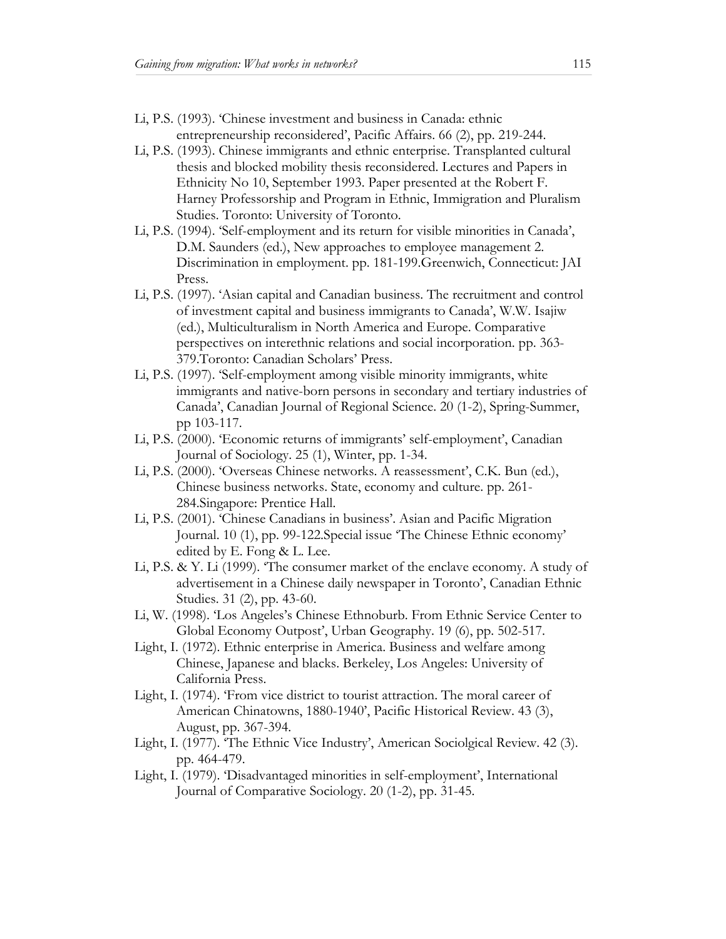- Li, P.S. (1993). 'Chinese investment and business in Canada: ethnic entrepreneurship reconsidered', Pacific Affairs. 66 (2), pp. 219-244.
- Li, P.S. (1993). Chinese immigrants and ethnic enterprise. Transplanted cultural thesis and blocked mobility thesis reconsidered. Lectures and Papers in Ethnicity No 10, September 1993. Paper presented at the Robert F. Harney Professorship and Program in Ethnic, Immigration and Pluralism Studies. Toronto: University of Toronto.
- Li, P.S. (1994). 'Self-employment and its return for visible minorities in Canada', D.M. Saunders (ed.), New approaches to employee management 2. Discrimination in employment. pp. 181-199.Greenwich, Connecticut: JAI Press.
- Li, P.S. (1997). 'Asian capital and Canadian business. The recruitment and control of investment capital and business immigrants to Canada', W.W. Isajiw (ed.), Multiculturalism in North America and Europe. Comparative perspectives on interethnic relations and social incorporation. pp. 363- 379.Toronto: Canadian Scholars' Press.
- Li, P.S. (1997). 'Self-employment among visible minority immigrants, white immigrants and native-born persons in secondary and tertiary industries of Canada', Canadian Journal of Regional Science. 20 (1-2), Spring-Summer, pp 103-117.
- Li, P.S. (2000). 'Economic returns of immigrants' self-employment', Canadian Journal of Sociology. 25 (1), Winter, pp. 1-34.
- Li, P.S. (2000). 'Overseas Chinese networks. A reassessment', C.K. Bun (ed.), Chinese business networks. State, economy and culture. pp. 261- 284.Singapore: Prentice Hall.
- Li, P.S. (2001). 'Chinese Canadians in business'. Asian and Pacific Migration Journal. 10 (1), pp. 99-122.Special issue 'The Chinese Ethnic economy' edited by E. Fong & L. Lee.
- Li, P.S. & Y. Li (1999). 'The consumer market of the enclave economy. A study of advertisement in a Chinese daily newspaper in Toronto', Canadian Ethnic Studies. 31 (2), pp. 43-60.
- Li, W. (1998). 'Los Angeles's Chinese Ethnoburb. From Ethnic Service Center to Global Economy Outpost', Urban Geography. 19 (6), pp. 502-517.
- Light, I. (1972). Ethnic enterprise in America. Business and welfare among Chinese, Japanese and blacks. Berkeley, Los Angeles: University of California Press.
- Light, I. (1974). 'From vice district to tourist attraction. The moral career of American Chinatowns, 1880-1940', Pacific Historical Review. 43 (3), August, pp. 367-394.
- Light, I. (1977). 'The Ethnic Vice Industry', American Sociolgical Review. 42 (3). pp. 464-479.
- Light, I. (1979). 'Disadvantaged minorities in self-employment', International Journal of Comparative Sociology. 20 (1-2), pp. 31-45.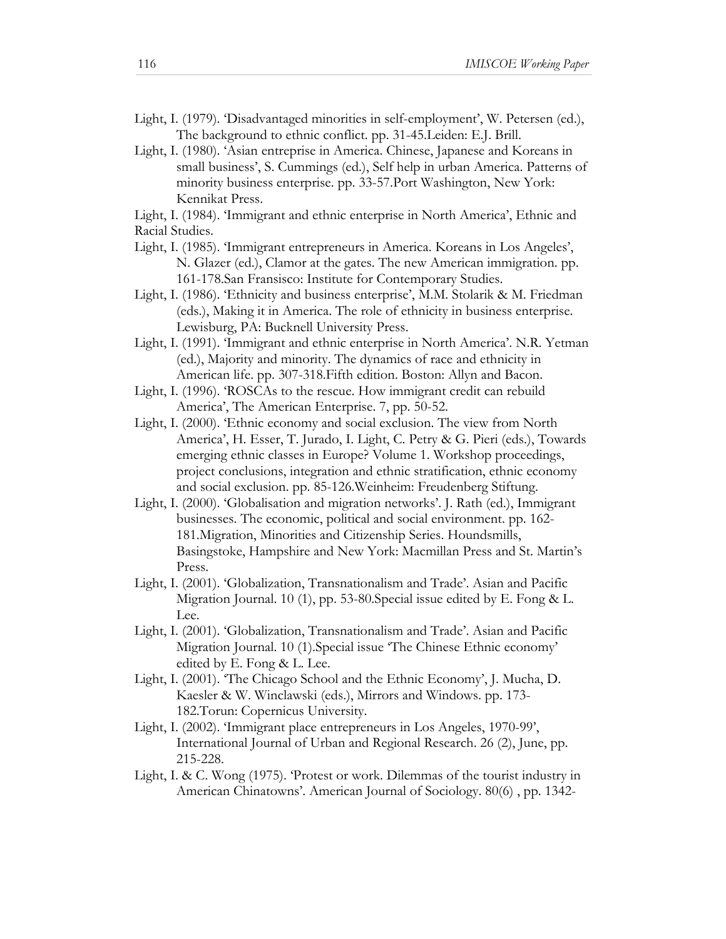- Light, I. (1979). 'Disadvantaged minorities in self-employment', W. Petersen (ed.), The background to ethnic conflict. pp. 31-45.Leiden: E.J. Brill.
- Light, I. (1980). 'Asian entreprise in America. Chinese, Japanese and Koreans in small business', S. Cummings (ed.), Self help in urban America. Patterns of minority business enterprise. pp. 33-57.Port Washington, New York: Kennikat Press.
- Light, I. (1984). 'Immigrant and ethnic enterprise in North America', Ethnic and Racial Studies.
- Light, I. (1985). 'Immigrant entrepreneurs in America. Koreans in Los Angeles', N. Glazer (ed.), Clamor at the gates. The new American immigration. pp. 161-178.San Fransisco: Institute for Contemporary Studies.
- Light, I. (1986). 'Ethnicity and business enterprise', M.M. Stolarik & M. Friedman (eds.), Making it in America. The role of ethnicity in business enterprise. Lewisburg, PA: Bucknell University Press.
- Light, I. (1991). 'Immigrant and ethnic enterprise in North America'. N.R. Yetman (ed.), Majority and minority. The dynamics of race and ethnicity in American life. pp. 307-318.Fifth edition. Boston: Allyn and Bacon.
- Light, I. (1996). 'ROSCAs to the rescue. How immigrant credit can rebuild America', The American Enterprise. 7, pp. 50-52.
- Light, I. (2000). 'Ethnic economy and social exclusion. The view from North America', H. Esser, T. Jurado, I. Light, C. Petry & G. Pieri (eds.), Towards emerging ethnic classes in Europe? Volume 1. Workshop proceedings, project conclusions, integration and ethnic stratification, ethnic economy and social exclusion. pp. 85-126.Weinheim: Freudenberg Stiftung.
- Light, I. (2000). 'Globalisation and migration networks'. J. Rath (ed.), Immigrant businesses. The economic, political and social environment. pp. 162- 181.Migration, Minorities and Citizenship Series. Houndsmills, Basingstoke, Hampshire and New York: Macmillan Press and St. Martin's Press.
- Light, I. (2001). 'Globalization, Transnationalism and Trade'. Asian and Pacific Migration Journal. 10 (1), pp. 53-80.Special issue edited by E. Fong & L. Lee.
- Light, I. (2001). 'Globalization, Transnationalism and Trade'. Asian and Pacific Migration Journal. 10 (1).Special issue 'The Chinese Ethnic economy' edited by E. Fong & L. Lee.
- Light, I. (2001). 'The Chicago School and the Ethnic Economy', J. Mucha, D. Kaesler & W. Winclawski (eds.), Mirrors and Windows. pp. 173- 182.Torun: Copernicus University.
- Light, I. (2002). 'Immigrant place entrepreneurs in Los Angeles, 1970-99', International Journal of Urban and Regional Research. 26 (2), June, pp. 215-228.
- Light, I. & C. Wong (1975). 'Protest or work. Dilemmas of the tourist industry in American Chinatowns'. American Journal of Sociology. 80(6) , pp. 1342-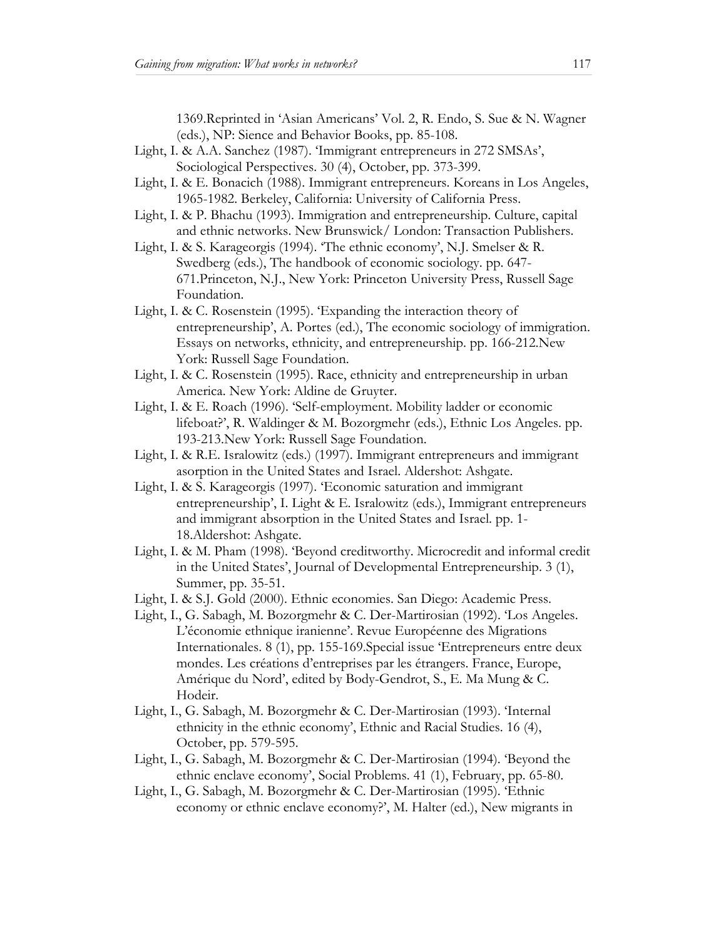1369.Reprinted in 'Asian Americans' Vol. 2, R. Endo, S. Sue & N. Wagner (eds.), NP: Sience and Behavior Books, pp. 85-108.

- Light, I. & A.A. Sanchez (1987). 'Immigrant entrepreneurs in 272 SMSAs', Sociological Perspectives. 30 (4), October, pp. 373-399.
- Light, I. & E. Bonacich (1988). Immigrant entrepreneurs. Koreans in Los Angeles, 1965-1982. Berkeley, California: University of California Press.
- Light, I. & P. Bhachu (1993). Immigration and entrepreneurship. Culture, capital and ethnic networks. New Brunswick/ London: Transaction Publishers.
- Light, I. & S. Karageorgis (1994). 'The ethnic economy', N.J. Smelser & R. Swedberg (eds.), The handbook of economic sociology. pp. 647- 671.Princeton, N.J., New York: Princeton University Press, Russell Sage Foundation.
- Light, I. & C. Rosenstein (1995). 'Expanding the interaction theory of entrepreneurship', A. Portes (ed.), The economic sociology of immigration. Essays on networks, ethnicity, and entrepreneurship. pp. 166-212.New York: Russell Sage Foundation.
- Light, I. & C. Rosenstein (1995). Race, ethnicity and entrepreneurship in urban America. New York: Aldine de Gruyter.
- Light, I. & E. Roach (1996). 'Self-employment. Mobility ladder or economic lifeboat?', R. Waldinger & M. Bozorgmehr (eds.), Ethnic Los Angeles. pp. 193-213.New York: Russell Sage Foundation.
- Light, I. & R.E. Isralowitz (eds.) (1997). Immigrant entrepreneurs and immigrant asorption in the United States and Israel. Aldershot: Ashgate.
- Light, I. & S. Karageorgis (1997). 'Economic saturation and immigrant entrepreneurship', I. Light & E. Isralowitz (eds.), Immigrant entrepreneurs and immigrant absorption in the United States and Israel. pp. 1- 18.Aldershot: Ashgate.
- Light, I. & M. Pham (1998). 'Beyond creditworthy. Microcredit and informal credit in the United States', Journal of Developmental Entrepreneurship. 3 (1), Summer, pp. 35-51.
- Light, I. & S.J. Gold (2000). Ethnic economies. San Diego: Academic Press.
- Light, I., G. Sabagh, M. Bozorgmehr & C. Der-Martirosian (1992). 'Los Angeles. L'économie ethnique iranienne'. Revue Européenne des Migrations Internationales. 8 (1), pp. 155-169.Special issue 'Entrepreneurs entre deux mondes. Les créations d'entreprises par les étrangers. France, Europe, Amérique du Nord', edited by Body-Gendrot, S., E. Ma Mung & C. Hodeir.
- Light, I., G. Sabagh, M. Bozorgmehr & C. Der-Martirosian (1993). 'Internal ethnicity in the ethnic economy', Ethnic and Racial Studies. 16 (4), October, pp. 579-595.
- Light, I., G. Sabagh, M. Bozorgmehr & C. Der-Martirosian (1994). 'Beyond the ethnic enclave economy', Social Problems. 41 (1), February, pp. 65-80.
- Light, I., G. Sabagh, M. Bozorgmehr & C. Der-Martirosian (1995). 'Ethnic economy or ethnic enclave economy?', M. Halter (ed.), New migrants in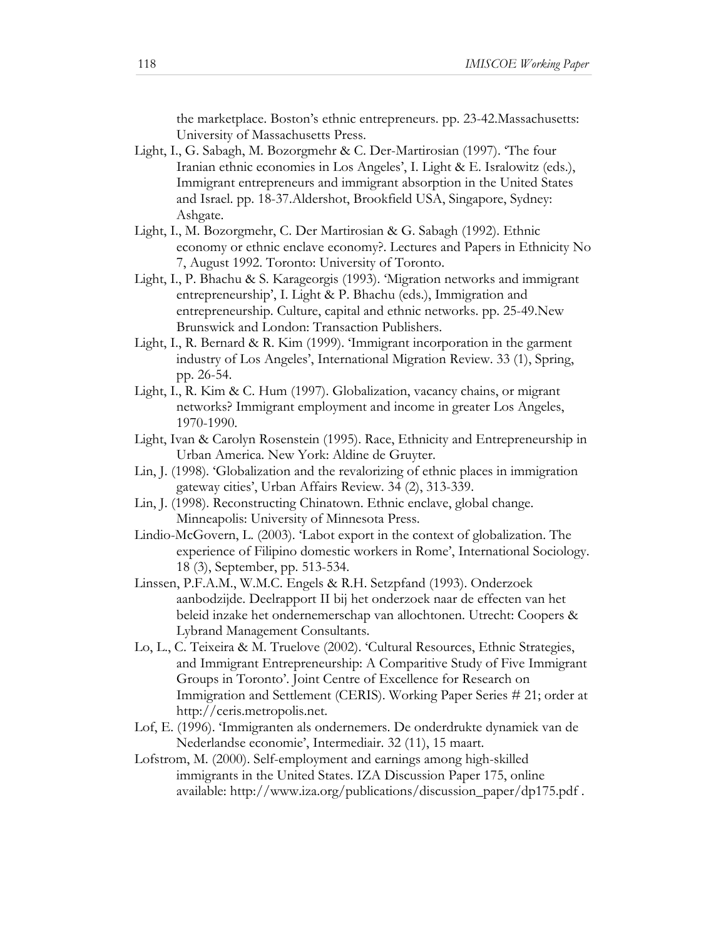the marketplace. Boston's ethnic entrepreneurs. pp. 23-42.Massachusetts: University of Massachusetts Press.

- Light, I., G. Sabagh, M. Bozorgmehr & C. Der-Martirosian (1997). 'The four Iranian ethnic economies in Los Angeles', I. Light & E. Isralowitz (eds.), Immigrant entrepreneurs and immigrant absorption in the United States and Israel. pp. 18-37.Aldershot, Brookfield USA, Singapore, Sydney: Ashgate.
- Light, I., M. Bozorgmehr, C. Der Martirosian & G. Sabagh (1992). Ethnic economy or ethnic enclave economy?. Lectures and Papers in Ethnicity No 7, August 1992. Toronto: University of Toronto.
- Light, I., P. Bhachu & S. Karageorgis (1993). 'Migration networks and immigrant entrepreneurship', I. Light & P. Bhachu (eds.), Immigration and entrepreneurship. Culture, capital and ethnic networks. pp. 25-49.New Brunswick and London: Transaction Publishers.
- Light, I., R. Bernard & R. Kim (1999). 'Immigrant incorporation in the garment industry of Los Angeles', International Migration Review. 33 (1), Spring, pp. 26-54.
- Light, I., R. Kim & C. Hum (1997). Globalization, vacancy chains, or migrant networks? Immigrant employment and income in greater Los Angeles, 1970-1990.
- Light, Ivan & Carolyn Rosenstein (1995). Race, Ethnicity and Entrepreneurship in Urban America. New York: Aldine de Gruyter.
- Lin, J. (1998). 'Globalization and the revalorizing of ethnic places in immigration gateway cities', Urban Affairs Review. 34 (2), 313-339.
- Lin, J. (1998). Reconstructing Chinatown. Ethnic enclave, global change. Minneapolis: University of Minnesota Press.
- Lindio-McGovern, L. (2003). 'Labot export in the context of globalization. The experience of Filipino domestic workers in Rome', International Sociology. 18 (3), September, pp. 513-534.
- Linssen, P.F.A.M., W.M.C. Engels & R.H. Setzpfand (1993). Onderzoek aanbodzijde. Deelrapport II bij het onderzoek naar de effecten van het beleid inzake het ondernemerschap van allochtonen. Utrecht: Coopers & Lybrand Management Consultants.
- Lo, L., C. Teixeira & M. Truelove (2002). 'Cultural Resources, Ethnic Strategies, and Immigrant Entrepreneurship: A Comparitive Study of Five Immigrant Groups in Toronto'. Joint Centre of Excellence for Research on Immigration and Settlement (CERIS). Working Paper Series # 21; order at http://ceris.metropolis.net.
- Lof, E. (1996). 'Immigranten als ondernemers. De onderdrukte dynamiek van de Nederlandse economie', Intermediair. 32 (11), 15 maart.
- Lofstrom, M. (2000). Self-employment and earnings among high-skilled immigrants in the United States. IZA Discussion Paper 175, online available: http://www.iza.org/publications/discussion\_paper/dp175.pdf .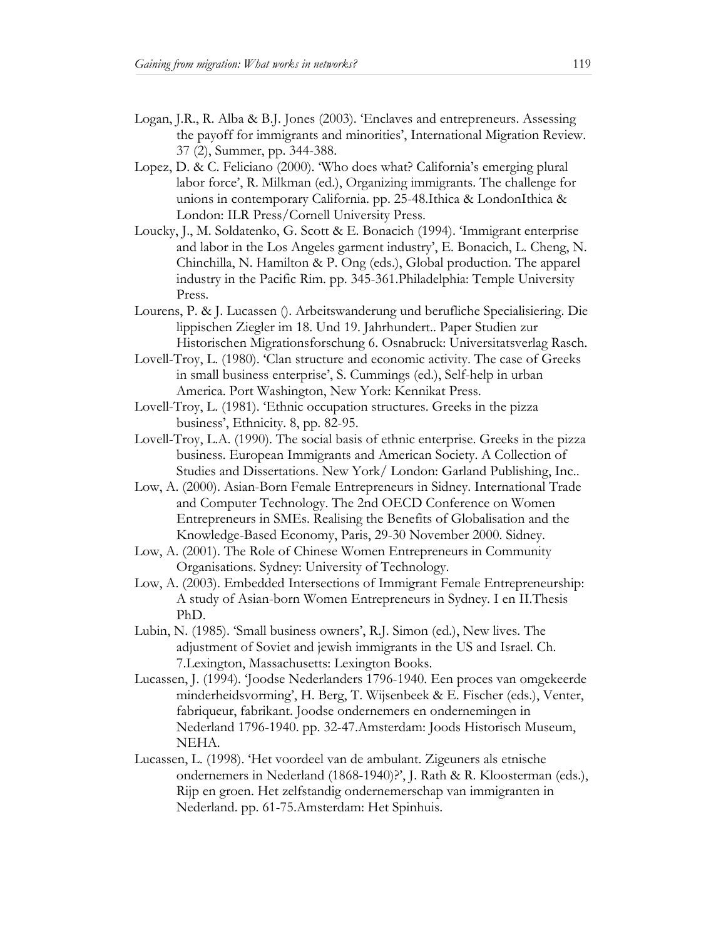- Logan, J.R., R. Alba & B.J. Jones (2003). 'Enclaves and entrepreneurs. Assessing the payoff for immigrants and minorities', International Migration Review. 37 (2), Summer, pp. 344-388.
- Lopez, D. & C. Feliciano (2000). 'Who does what? California's emerging plural labor force', R. Milkman (ed.), Organizing immigrants. The challenge for unions in contemporary California. pp. 25-48.Ithica & LondonIthica & London: ILR Press/Cornell University Press.
- Loucky, J., M. Soldatenko, G. Scott & E. Bonacich (1994). 'Immigrant enterprise and labor in the Los Angeles garment industry', E. Bonacich, L. Cheng, N. Chinchilla, N. Hamilton & P. Ong (eds.), Global production. The apparel industry in the Pacific Rim. pp. 345-361.Philadelphia: Temple University Press.
- Lourens, P. & J. Lucassen (). Arbeitswanderung und berufliche Specialisiering. Die lippischen Ziegler im 18. Und 19. Jahrhundert.. Paper Studien zur Historischen Migrationsforschung 6. Osnabruck: Universitatsverlag Rasch.
- Lovell-Troy, L. (1980). 'Clan structure and economic activity. The case of Greeks in small business enterprise', S. Cummings (ed.), Self-help in urban America. Port Washington, New York: Kennikat Press.
- Lovell-Troy, L. (1981). 'Ethnic occupation structures. Greeks in the pizza business', Ethnicity. 8, pp. 82-95.
- Lovell-Troy, L.A. (1990). The social basis of ethnic enterprise. Greeks in the pizza business. European Immigrants and American Society. A Collection of Studies and Dissertations. New York/ London: Garland Publishing, Inc..
- Low, A. (2000). Asian-Born Female Entrepreneurs in Sidney. International Trade and Computer Technology. The 2nd OECD Conference on Women Entrepreneurs in SMEs. Realising the Benefits of Globalisation and the Knowledge-Based Economy, Paris, 29-30 November 2000. Sidney.
- Low, A. (2001). The Role of Chinese Women Entrepreneurs in Community Organisations. Sydney: University of Technology.
- Low, A. (2003). Embedded Intersections of Immigrant Female Entrepreneurship: A study of Asian-born Women Entrepreneurs in Sydney. I en II.Thesis PhD.
- Lubin, N. (1985). 'Small business owners', R.J. Simon (ed.), New lives. The adjustment of Soviet and jewish immigrants in the US and Israel. Ch. 7.Lexington, Massachusetts: Lexington Books.
- Lucassen, J. (1994). 'Joodse Nederlanders 1796-1940. Een proces van omgekeerde minderheidsvorming', H. Berg, T. Wijsenbeek & E. Fischer (eds.), Venter, fabriqueur, fabrikant. Joodse ondernemers en ondernemingen in Nederland 1796-1940. pp. 32-47.Amsterdam: Joods Historisch Museum, NEHA.
- Lucassen, L. (1998). 'Het voordeel van de ambulant. Zigeuners als etnische ondernemers in Nederland (1868-1940)?', J. Rath & R. Kloosterman (eds.), Rijp en groen. Het zelfstandig ondernemerschap van immigranten in Nederland. pp. 61-75.Amsterdam: Het Spinhuis.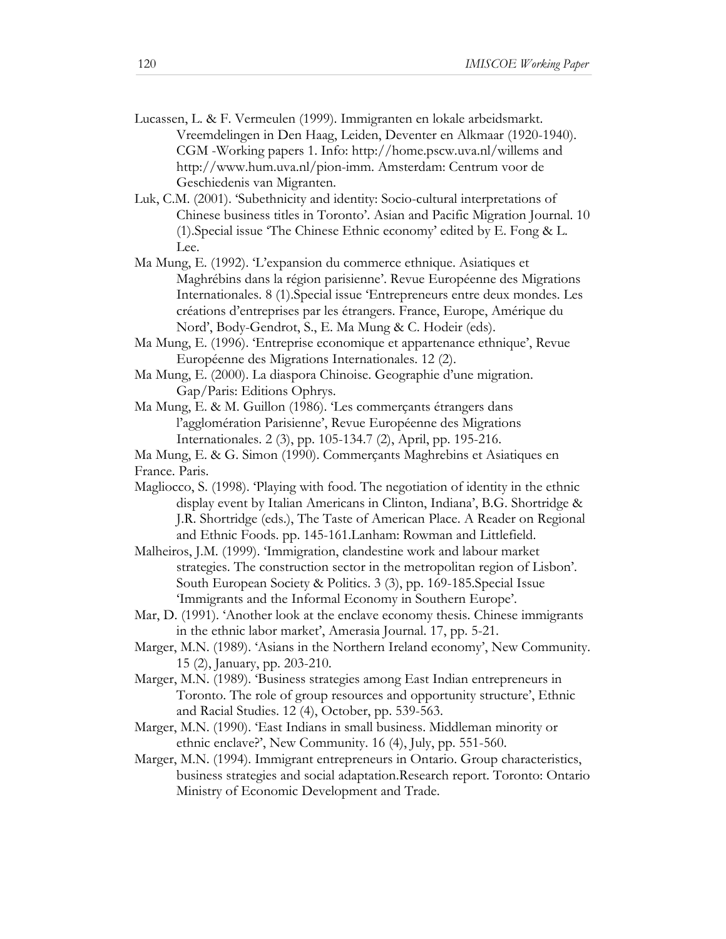- Lucassen, L. & F. Vermeulen (1999). Immigranten en lokale arbeidsmarkt. Vreemdelingen in Den Haag, Leiden, Deventer en Alkmaar (1920-1940). CGM -Working papers 1. Info: http://home.pscw.uva.nl/willems and http://www.hum.uva.nl/pion-imm. Amsterdam: Centrum voor de Geschiedenis van Migranten.
- Luk, C.M. (2001). 'Subethnicity and identity: Socio-cultural interpretations of Chinese business titles in Toronto'. Asian and Pacific Migration Journal. 10 (1).Special issue 'The Chinese Ethnic economy' edited by E. Fong & L. Lee.
- Ma Mung, E. (1992). 'L'expansion du commerce ethnique. Asiatiques et Maghrébins dans la région parisienne'. Revue Européenne des Migrations Internationales. 8 (1).Special issue 'Entrepreneurs entre deux mondes. Les créations d'entreprises par les étrangers. France, Europe, Amérique du Nord', Body-Gendrot, S., E. Ma Mung & C. Hodeir (eds).
- Ma Mung, E. (1996). 'Entreprise economique et appartenance ethnique', Revue Européenne des Migrations Internationales. 12 (2).
- Ma Mung, E. (2000). La diaspora Chinoise. Geographie d'une migration. Gap/Paris: Editions Ophrys.
- Ma Mung, E. & M. Guillon (1986). 'Les commerçants étrangers dans l'agglomération Parisienne', Revue Européenne des Migrations Internationales. 2 (3), pp. 105-134.7 (2), April, pp. 195-216.
- Ma Mung, E. & G. Simon (1990). Commerçants Maghrebins et Asiatiques en France. Paris.
- Magliocco, S. (1998). 'Playing with food. The negotiation of identity in the ethnic display event by Italian Americans in Clinton, Indiana', B.G. Shortridge & J.R. Shortridge (eds.), The Taste of American Place. A Reader on Regional and Ethnic Foods. pp. 145-161.Lanham: Rowman and Littlefield.
- Malheiros, J.M. (1999). 'Immigration, clandestine work and labour market strategies. The construction sector in the metropolitan region of Lisbon'. South European Society & Politics. 3 (3), pp. 169-185.Special Issue 'Immigrants and the Informal Economy in Southern Europe'.
- Mar, D. (1991). 'Another look at the enclave economy thesis. Chinese immigrants in the ethnic labor market', Amerasia Journal. 17, pp. 5-21.
- Marger, M.N. (1989). 'Asians in the Northern Ireland economy', New Community. 15 (2), January, pp. 203-210.
- Marger, M.N. (1989). 'Business strategies among East Indian entrepreneurs in Toronto. The role of group resources and opportunity structure', Ethnic and Racial Studies. 12 (4), October, pp. 539-563.
- Marger, M.N. (1990). 'East Indians in small business. Middleman minority or ethnic enclave?', New Community. 16 (4), July, pp. 551-560.
- Marger, M.N. (1994). Immigrant entrepreneurs in Ontario. Group characteristics, business strategies and social adaptation.Research report. Toronto: Ontario Ministry of Economic Development and Trade.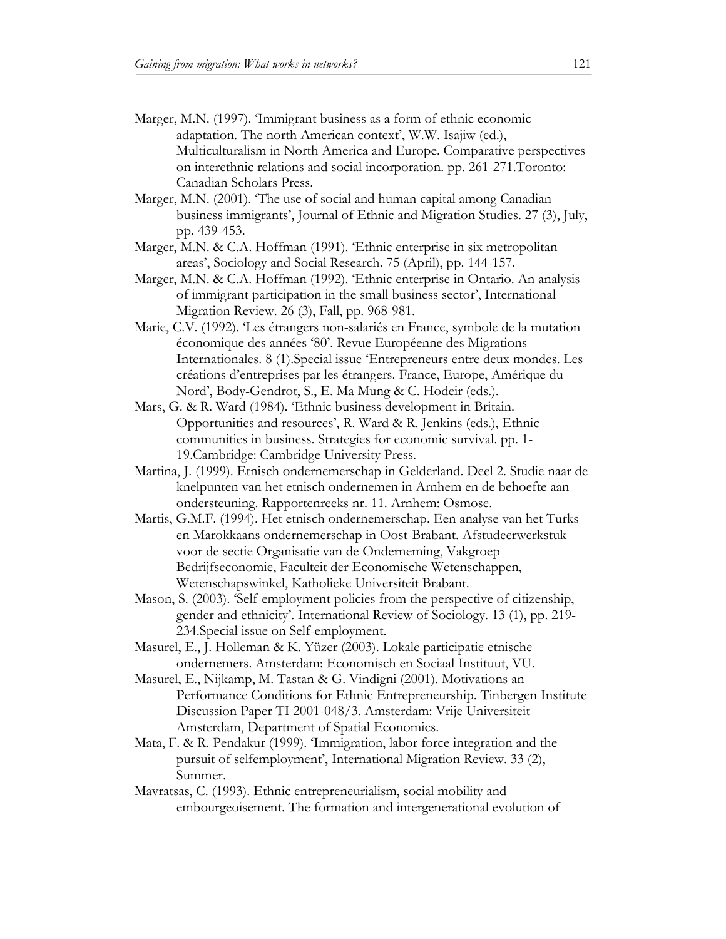- Marger, M.N. (1997). 'Immigrant business as a form of ethnic economic adaptation. The north American context', W.W. Isajiw (ed.), Multiculturalism in North America and Europe. Comparative perspectives on interethnic relations and social incorporation. pp. 261-271.Toronto: Canadian Scholars Press.
- Marger, M.N. (2001). 'The use of social and human capital among Canadian business immigrants', Journal of Ethnic and Migration Studies. 27 (3), July, pp. 439-453.
- Marger, M.N. & C.A. Hoffman (1991). 'Ethnic enterprise in six metropolitan areas', Sociology and Social Research. 75 (April), pp. 144-157.
- Marger, M.N. & C.A. Hoffman (1992). 'Ethnic enterprise in Ontario. An analysis of immigrant participation in the small business sector', International Migration Review. 26 (3), Fall, pp. 968-981.
- Marie, C.V. (1992). 'Les étrangers non-salariés en France, symbole de la mutation économique des années '80'. Revue Européenne des Migrations Internationales. 8 (1).Special issue 'Entrepreneurs entre deux mondes. Les créations d'entreprises par les étrangers. France, Europe, Amérique du Nord', Body-Gendrot, S., E. Ma Mung & C. Hodeir (eds.).
- Mars, G. & R. Ward (1984). 'Ethnic business development in Britain. Opportunities and resources', R. Ward & R. Jenkins (eds.), Ethnic communities in business. Strategies for economic survival. pp. 1- 19.Cambridge: Cambridge University Press.
- Martina, J. (1999). Etnisch ondernemerschap in Gelderland. Deel 2. Studie naar de knelpunten van het etnisch ondernemen in Arnhem en de behoefte aan ondersteuning. Rapportenreeks nr. 11. Arnhem: Osmose.
- Martis, G.M.F. (1994). Het etnisch ondernemerschap. Een analyse van het Turks en Marokkaans ondernemerschap in Oost-Brabant. Afstudeerwerkstuk voor de sectie Organisatie van de Onderneming, Vakgroep Bedrijfseconomie, Faculteit der Economische Wetenschappen, Wetenschapswinkel, Katholieke Universiteit Brabant.
- Mason, S. (2003). 'Self-employment policies from the perspective of citizenship, gender and ethnicity'. International Review of Sociology. 13 (1), pp. 219- 234.Special issue on Self-employment.
- Masurel, E., J. Holleman & K. Yüzer (2003). Lokale participatie etnische ondernemers. Amsterdam: Economisch en Sociaal Instituut, VU.
- Masurel, E., Nijkamp, M. Tastan & G. Vindigni (2001). Motivations an Performance Conditions for Ethnic Entrepreneurship. Tinbergen Institute Discussion Paper TI 2001-048/3. Amsterdam: Vrije Universiteit Amsterdam, Department of Spatial Economics.
- Mata, F. & R. Pendakur (1999). 'Immigration, labor force integration and the pursuit of selfemployment', International Migration Review. 33 (2), Summer.
- Mavratsas, C. (1993). Ethnic entrepreneurialism, social mobility and embourgeoisement. The formation and intergenerational evolution of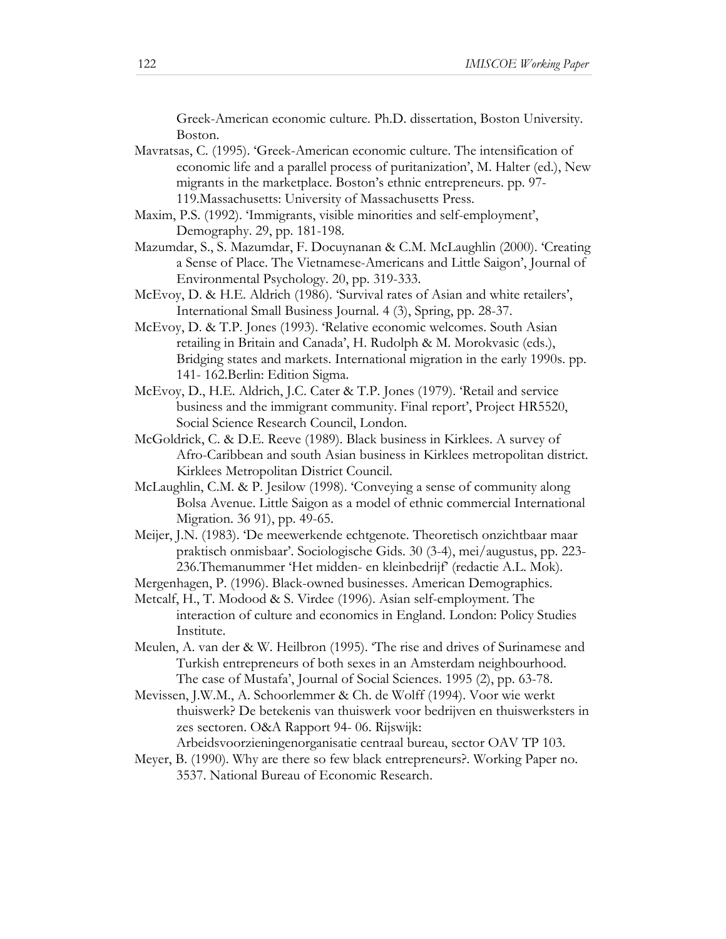Greek-American economic culture. Ph.D. dissertation, Boston University. Boston.

- Mavratsas, C. (1995). 'Greek-American economic culture. The intensification of economic life and a parallel process of puritanization', M. Halter (ed.), New migrants in the marketplace. Boston's ethnic entrepreneurs. pp. 97- 119.Massachusetts: University of Massachusetts Press.
- Maxim, P.S. (1992). 'Immigrants, visible minorities and self-employment', Demography. 29, pp. 181-198.
- Mazumdar, S., S. Mazumdar, F. Docuynanan & C.M. McLaughlin (2000). 'Creating a Sense of Place. The Vietnamese-Americans and Little Saigon', Journal of Environmental Psychology. 20, pp. 319-333.
- McEvoy, D. & H.E. Aldrich (1986). 'Survival rates of Asian and white retailers', International Small Business Journal. 4 (3), Spring, pp. 28-37.
- McEvoy, D. & T.P. Jones (1993). 'Relative economic welcomes. South Asian retailing in Britain and Canada', H. Rudolph & M. Morokvasic (eds.), Bridging states and markets. International migration in the early 1990s. pp. 141- 162.Berlin: Edition Sigma.
- McEvoy, D., H.E. Aldrich, J.C. Cater & T.P. Jones (1979). 'Retail and service business and the immigrant community. Final report', Project HR5520, Social Science Research Council, London.
- McGoldrick, C. & D.E. Reeve (1989). Black business in Kirklees. A survey of Afro-Caribbean and south Asian business in Kirklees metropolitan district. Kirklees Metropolitan District Council.
- McLaughlin, C.M. & P. Jesilow (1998). 'Conveying a sense of community along Bolsa Avenue. Little Saigon as a model of ethnic commercial International Migration. 36 91), pp. 49-65.
- Meijer, J.N. (1983). 'De meewerkende echtgenote. Theoretisch onzichtbaar maar praktisch onmisbaar'. Sociologische Gids. 30 (3-4), mei/augustus, pp. 223- 236.Themanummer 'Het midden- en kleinbedrijf' (redactie A.L. Mok).
- Mergenhagen, P. (1996). Black-owned businesses. American Demographics.
- Metcalf, H., T. Modood & S. Virdee (1996). Asian self-employment. The interaction of culture and economics in England. London: Policy Studies Institute.
- Meulen, A. van der & W. Heilbron (1995). 'The rise and drives of Surinamese and Turkish entrepreneurs of both sexes in an Amsterdam neighbourhood. The case of Mustafa', Journal of Social Sciences. 1995 (2), pp. 63-78.
- Mevissen, J.W.M., A. Schoorlemmer & Ch. de Wolff (1994). Voor wie werkt thuiswerk? De betekenis van thuiswerk voor bedrijven en thuiswerksters in zes sectoren. O&A Rapport 94- 06. Rijswijk:
	- Arbeidsvoorzieningenorganisatie centraal bureau, sector OAV TP 103.
- Meyer, B. (1990). Why are there so few black entrepreneurs?. Working Paper no. 3537. National Bureau of Economic Research.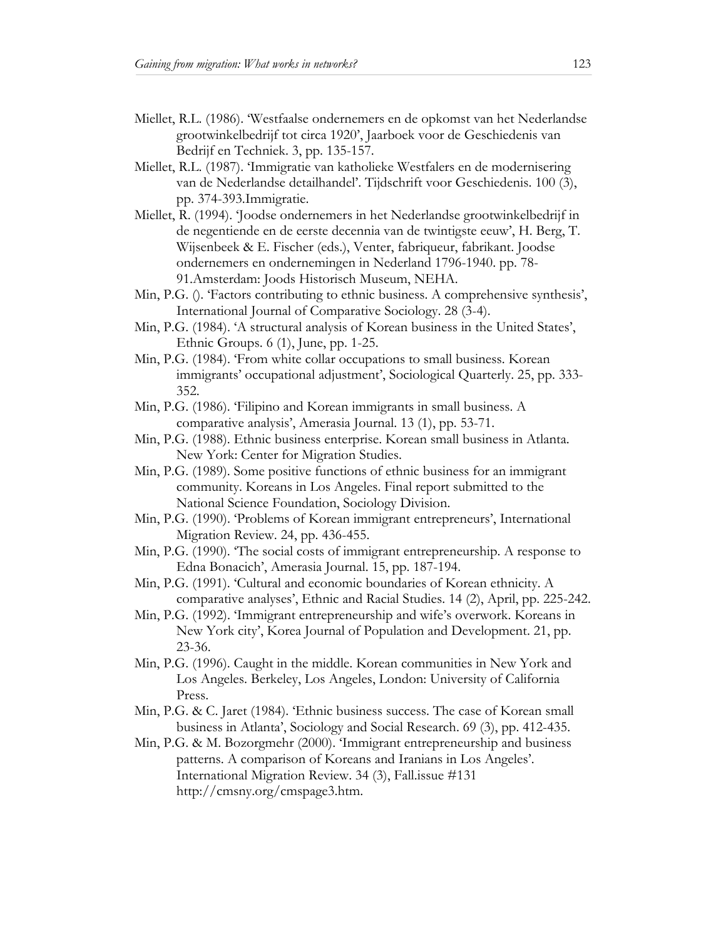- Miellet, R.L. (1986). 'Westfaalse ondernemers en de opkomst van het Nederlandse grootwinkelbedrijf tot circa 1920', Jaarboek voor de Geschiedenis van Bedrijf en Techniek. 3, pp. 135-157.
- Miellet, R.L. (1987). 'Immigratie van katholieke Westfalers en de modernisering van de Nederlandse detailhandel'. Tijdschrift voor Geschiedenis. 100 (3), pp. 374-393.Immigratie.
- Miellet, R. (1994). 'Joodse ondernemers in het Nederlandse grootwinkelbedrijf in de negentiende en de eerste decennia van de twintigste eeuw', H. Berg, T. Wijsenbeek & E. Fischer (eds.), Venter, fabriqueur, fabrikant. Joodse ondernemers en ondernemingen in Nederland 1796-1940. pp. 78- 91.Amsterdam: Joods Historisch Museum, NEHA.
- Min, P.G. (). 'Factors contributing to ethnic business. A comprehensive synthesis', International Journal of Comparative Sociology. 28 (3-4).
- Min, P.G. (1984). 'A structural analysis of Korean business in the United States', Ethnic Groups. 6 (1), June, pp. 1-25.
- Min, P.G. (1984). 'From white collar occupations to small business. Korean immigrants' occupational adjustment', Sociological Quarterly. 25, pp. 333- 352.
- Min, P.G. (1986). 'Filipino and Korean immigrants in small business. A comparative analysis', Amerasia Journal. 13 (1), pp. 53-71.
- Min, P.G. (1988). Ethnic business enterprise. Korean small business in Atlanta. New York: Center for Migration Studies.
- Min, P.G. (1989). Some positive functions of ethnic business for an immigrant community. Koreans in Los Angeles. Final report submitted to the National Science Foundation, Sociology Division.
- Min, P.G. (1990). 'Problems of Korean immigrant entrepreneurs', International Migration Review. 24, pp. 436-455.
- Min, P.G. (1990). 'The social costs of immigrant entrepreneurship. A response to Edna Bonacich', Amerasia Journal. 15, pp. 187-194.
- Min, P.G. (1991). 'Cultural and economic boundaries of Korean ethnicity. A comparative analyses', Ethnic and Racial Studies. 14 (2), April, pp. 225-242.
- Min, P.G. (1992). 'Immigrant entrepreneurship and wife's overwork. Koreans in New York city', Korea Journal of Population and Development. 21, pp. 23-36.
- Min, P.G. (1996). Caught in the middle. Korean communities in New York and Los Angeles. Berkeley, Los Angeles, London: University of California Press.
- Min, P.G. & C. Jaret (1984). 'Ethnic business success. The case of Korean small business in Atlanta', Sociology and Social Research. 69 (3), pp. 412-435.
- Min, P.G. & M. Bozorgmehr (2000). 'Immigrant entrepreneurship and business patterns. A comparison of Koreans and Iranians in Los Angeles'. International Migration Review. 34 (3), Fall.issue #131 http://cmsny.org/cmspage3.htm.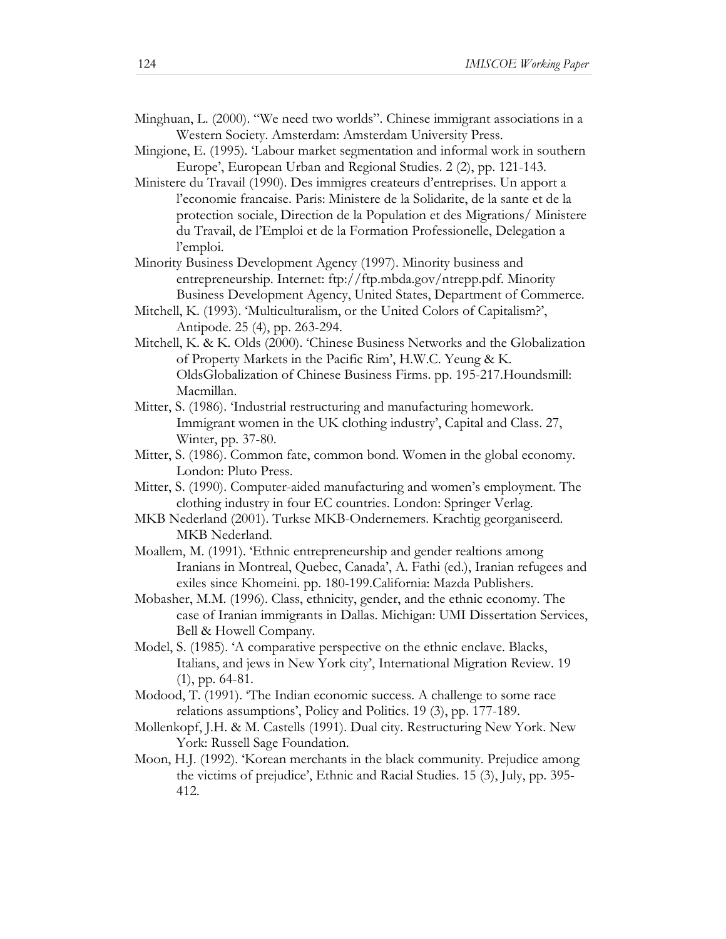- Minghuan, L. (2000). "We need two worlds". Chinese immigrant associations in a Western Society. Amsterdam: Amsterdam University Press.
- Mingione, E. (1995). 'Labour market segmentation and informal work in southern Europe', European Urban and Regional Studies. 2 (2), pp. 121-143.
- Ministere du Travail (1990). Des immigres createurs d'entreprises. Un apport a l'economie francaise. Paris: Ministere de la Solidarite, de la sante et de la protection sociale, Direction de la Population et des Migrations/ Ministere du Travail, de l'Emploi et de la Formation Professionelle, Delegation a l'emploi.
- Minority Business Development Agency (1997). Minority business and entrepreneurship. Internet: ftp://ftp.mbda.gov/ntrepp.pdf. Minority Business Development Agency, United States, Department of Commerce.
- Mitchell, K. (1993). 'Multiculturalism, or the United Colors of Capitalism?', Antipode. 25 (4), pp. 263-294.
- Mitchell, K. & K. Olds (2000). 'Chinese Business Networks and the Globalization of Property Markets in the Pacific Rim', H.W.C. Yeung & K. OldsGlobalization of Chinese Business Firms. pp. 195-217.Houndsmill: Macmillan.
- Mitter, S. (1986). 'Industrial restructuring and manufacturing homework. Immigrant women in the UK clothing industry', Capital and Class. 27, Winter, pp. 37-80.
- Mitter, S. (1986). Common fate, common bond. Women in the global economy. London: Pluto Press.
- Mitter, S. (1990). Computer-aided manufacturing and women's employment. The clothing industry in four EC countries. London: Springer Verlag.
- MKB Nederland (2001). Turkse MKB-Ondernemers. Krachtig georganiseerd. MKB Nederland.
- Moallem, M. (1991). 'Ethnic entrepreneurship and gender realtions among Iranians in Montreal, Quebec, Canada', A. Fathi (ed.), Iranian refugees and exiles since Khomeini. pp. 180-199.California: Mazda Publishers.
- Mobasher, M.M. (1996). Class, ethnicity, gender, and the ethnic economy. The case of Iranian immigrants in Dallas. Michigan: UMI Dissertation Services, Bell & Howell Company.
- Model, S. (1985). 'A comparative perspective on the ethnic enclave. Blacks, Italians, and jews in New York city', International Migration Review. 19 (1), pp. 64-81.
- Modood, T. (1991). 'The Indian economic success. A challenge to some race relations assumptions', Policy and Politics. 19 (3), pp. 177-189.
- Mollenkopf, J.H. & M. Castells (1991). Dual city. Restructuring New York. New York: Russell Sage Foundation.
- Moon, H.J. (1992). 'Korean merchants in the black community. Prejudice among the victims of prejudice', Ethnic and Racial Studies. 15 (3), July, pp. 395- 412.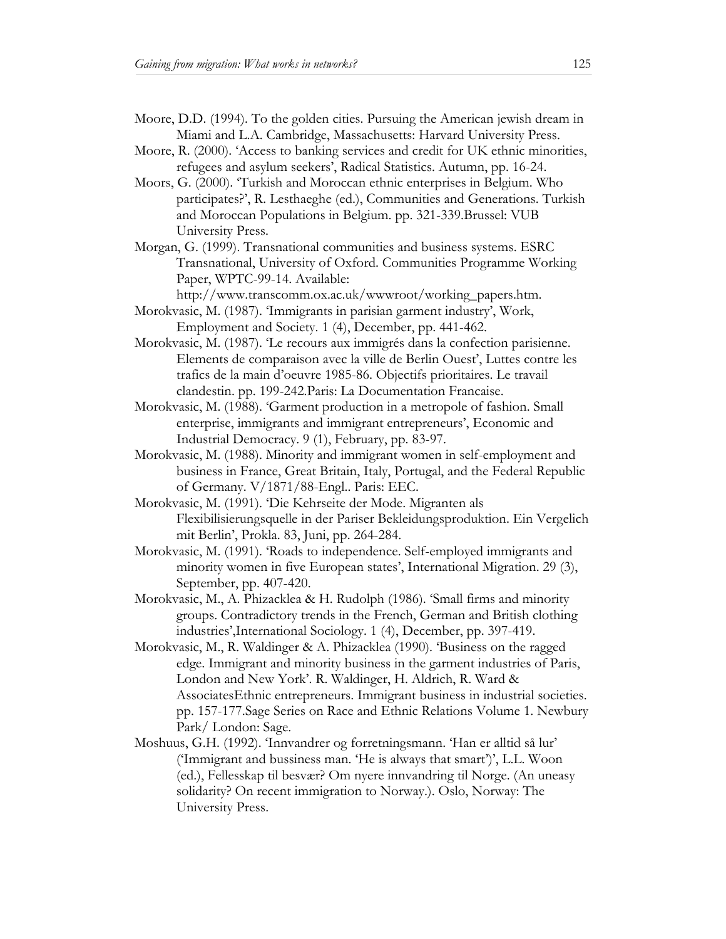- Moore, D.D. (1994). To the golden cities. Pursuing the American jewish dream in Miami and L.A. Cambridge, Massachusetts: Harvard University Press.
- Moore, R. (2000). 'Access to banking services and credit for UK ethnic minorities, refugees and asylum seekers', Radical Statistics. Autumn, pp. 16-24.
- Moors, G. (2000). 'Turkish and Moroccan ethnic enterprises in Belgium. Who participates?', R. Lesthaeghe (ed.), Communities and Generations. Turkish and Moroccan Populations in Belgium. pp. 321-339.Brussel: VUB University Press.
- Morgan, G. (1999). Transnational communities and business systems. ESRC Transnational, University of Oxford. Communities Programme Working Paper, WPTC-99-14. Available:
- http://www.transcomm.ox.ac.uk/wwwroot/working\_papers.htm. Morokvasic, M. (1987). 'Immigrants in parisian garment industry', Work,
- Employment and Society. 1 (4), December, pp. 441-462.
- Morokvasic, M. (1987). 'Le recours aux immigrés dans la confection parisienne. Elements de comparaison avec la ville de Berlin Ouest', Luttes contre les trafics de la main d'oeuvre 1985-86. Objectifs prioritaires. Le travail clandestin. pp. 199-242.Paris: La Documentation Francaise.
- Morokvasic, M. (1988). 'Garment production in a metropole of fashion. Small enterprise, immigrants and immigrant entrepreneurs', Economic and Industrial Democracy. 9 (1), February, pp. 83-97.
- Morokvasic, M. (1988). Minority and immigrant women in self-employment and business in France, Great Britain, Italy, Portugal, and the Federal Republic of Germany. V/1871/88-Engl.. Paris: EEC.
- Morokvasic, M. (1991). 'Die Kehrseite der Mode. Migranten als Flexibilisierungsquelle in der Pariser Bekleidungsproduktion. Ein Vergelich mit Berlin', Prokla. 83, Juni, pp. 264-284.
- Morokvasic, M. (1991). 'Roads to independence. Self-employed immigrants and minority women in five European states', International Migration. 29 (3), September, pp. 407-420.
- Morokvasic, M., A. Phizacklea & H. Rudolph (1986). 'Small firms and minority groups. Contradictory trends in the French, German and British clothing industries',International Sociology. 1 (4), December, pp. 397-419.
- Morokvasic, M., R. Waldinger & A. Phizacklea (1990). 'Business on the ragged edge. Immigrant and minority business in the garment industries of Paris, London and New York'. R. Waldinger, H. Aldrich, R. Ward & AssociatesEthnic entrepreneurs. Immigrant business in industrial societies. pp. 157-177.Sage Series on Race and Ethnic Relations Volume 1. Newbury Park/ London: Sage.
- Moshuus, G.H. (1992). 'Innvandrer og forretningsmann. 'Han er alltid så lur' ('Immigrant and bussiness man. 'He is always that smart')', L.L. Woon (ed.), Fellesskap til besvær? Om nyere innvandring til Norge. (An uneasy solidarity? On recent immigration to Norway.). Oslo, Norway: The University Press.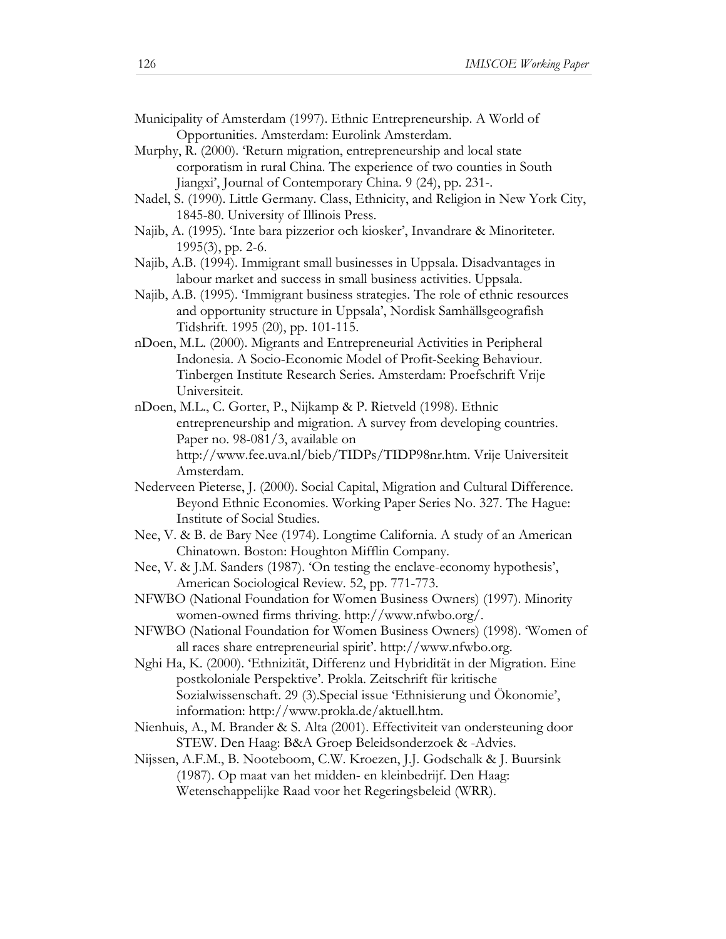- Municipality of Amsterdam (1997). Ethnic Entrepreneurship. A World of Opportunities. Amsterdam: Eurolink Amsterdam.
- Murphy, R. (2000). 'Return migration, entrepreneurship and local state corporatism in rural China. The experience of two counties in South Jiangxi', Journal of Contemporary China. 9 (24), pp. 231-.
- Nadel, S. (1990). Little Germany. Class, Ethnicity, and Religion in New York City, 1845-80. University of Illinois Press.
- Najib, A. (1995). 'Inte bara pizzerior och kiosker', Invandrare & Minoriteter. 1995(3), pp. 2-6.
- Najib, A.B. (1994). Immigrant small businesses in Uppsala. Disadvantages in labour market and success in small business activities. Uppsala.
- Najib, A.B. (1995). 'Immigrant business strategies. The role of ethnic resources and opportunity structure in Uppsala', Nordisk Samhällsgeografish Tidshrift. 1995 (20), pp. 101-115.
- nDoen, M.L. (2000). Migrants and Entrepreneurial Activities in Peripheral Indonesia. A Socio-Economic Model of Profit-Seeking Behaviour. Tinbergen Institute Research Series. Amsterdam: Proefschrift Vrije Universiteit.
- nDoen, M.L., C. Gorter, P., Nijkamp & P. Rietveld (1998). Ethnic entrepreneurship and migration. A survey from developing countries. Paper no. 98-081/3, available on http://www.fee.uva.nl/bieb/TIDPs/TIDP98nr.htm. Vrije Universiteit Amsterdam.
- Nederveen Pieterse, J. (2000). Social Capital, Migration and Cultural Difference. Beyond Ethnic Economies. Working Paper Series No. 327. The Hague: Institute of Social Studies.
- Nee, V. & B. de Bary Nee (1974). Longtime California. A study of an American Chinatown. Boston: Houghton Mifflin Company.
- Nee, V. & J.M. Sanders (1987). 'On testing the enclave-economy hypothesis', American Sociological Review. 52, pp. 771-773.
- NFWBO (National Foundation for Women Business Owners) (1997). Minority women-owned firms thriving. http://www.nfwbo.org/.
- NFWBO (National Foundation for Women Business Owners) (1998). 'Women of all races share entrepreneurial spirit'. http://www.nfwbo.org.
- Nghi Ha, K. (2000). 'Ethnizität, Differenz und Hybridität in der Migration. Eine postkoloniale Perspektive'. Prokla. Zeitschrift für kritische Sozialwissenschaft. 29 (3).Special issue 'Ethnisierung und Ökonomie', information: http://www.prokla.de/aktuell.htm.
- Nienhuis, A., M. Brander & S. Alta (2001). Effectiviteit van ondersteuning door STEW. Den Haag: B&A Groep Beleidsonderzoek & -Advies.
- Nijssen, A.F.M., B. Nooteboom, C.W. Kroezen, J.J. Godschalk & J. Buursink (1987). Op maat van het midden- en kleinbedrijf. Den Haag: Wetenschappelijke Raad voor het Regeringsbeleid (WRR).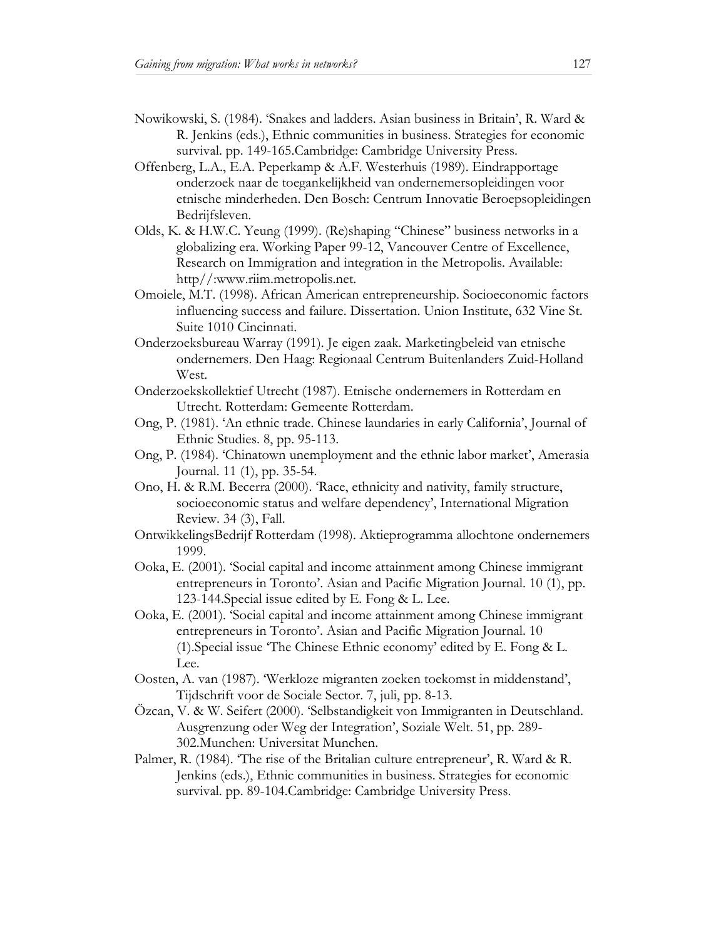- Nowikowski, S. (1984). 'Snakes and ladders. Asian business in Britain', R. Ward & R. Jenkins (eds.), Ethnic communities in business. Strategies for economic survival. pp. 149-165.Cambridge: Cambridge University Press.
- Offenberg, L.A., E.A. Peperkamp & A.F. Westerhuis (1989). Eindrapportage onderzoek naar de toegankelijkheid van ondernemersopleidingen voor etnische minderheden. Den Bosch: Centrum Innovatie Beroepsopleidingen Bedrijfsleven.
- Olds, K. & H.W.C. Yeung (1999). (Re)shaping "Chinese" business networks in a globalizing era. Working Paper 99-12, Vancouver Centre of Excellence, Research on Immigration and integration in the Metropolis. Available: http//:www.riim.metropolis.net.
- Omoiele, M.T. (1998). African American entrepreneurship. Socioeconomic factors influencing success and failure. Dissertation. Union Institute, 632 Vine St. Suite 1010 Cincinnati.
- Onderzoeksbureau Warray (1991). Je eigen zaak. Marketingbeleid van etnische ondernemers. Den Haag: Regionaal Centrum Buitenlanders Zuid-Holland West.
- Onderzoekskollektief Utrecht (1987). Etnische ondernemers in Rotterdam en Utrecht. Rotterdam: Gemeente Rotterdam.
- Ong, P. (1981). 'An ethnic trade. Chinese laundaries in early California', Journal of Ethnic Studies. 8, pp. 95-113.
- Ong, P. (1984). 'Chinatown unemployment and the ethnic labor market', Amerasia Journal. 11 (1), pp. 35-54.
- Ono, H. & R.M. Becerra (2000). 'Race, ethnicity and nativity, family structure, socioeconomic status and welfare dependency', International Migration Review. 34 (3), Fall.
- OntwikkelingsBedrijf Rotterdam (1998). Aktieprogramma allochtone ondernemers 1999.
- Ooka, E. (2001). 'Social capital and income attainment among Chinese immigrant entrepreneurs in Toronto'. Asian and Pacific Migration Journal. 10 (1), pp. 123-144.Special issue edited by E. Fong & L. Lee.
- Ooka, E. (2001). 'Social capital and income attainment among Chinese immigrant entrepreneurs in Toronto'. Asian and Pacific Migration Journal. 10 (1).Special issue 'The Chinese Ethnic economy' edited by E. Fong & L. Lee.
- Oosten, A. van (1987). 'Werkloze migranten zoeken toekomst in middenstand', Tijdschrift voor de Sociale Sector. 7, juli, pp. 8-13.
- Özcan, V. & W. Seifert (2000). 'Selbstandigkeit von Immigranten in Deutschland. Ausgrenzung oder Weg der Integration', Soziale Welt. 51, pp. 289- 302.Munchen: Universitat Munchen.
- Palmer, R. (1984). 'The rise of the Britalian culture entrepreneur', R. Ward & R. Jenkins (eds.), Ethnic communities in business. Strategies for economic survival. pp. 89-104.Cambridge: Cambridge University Press.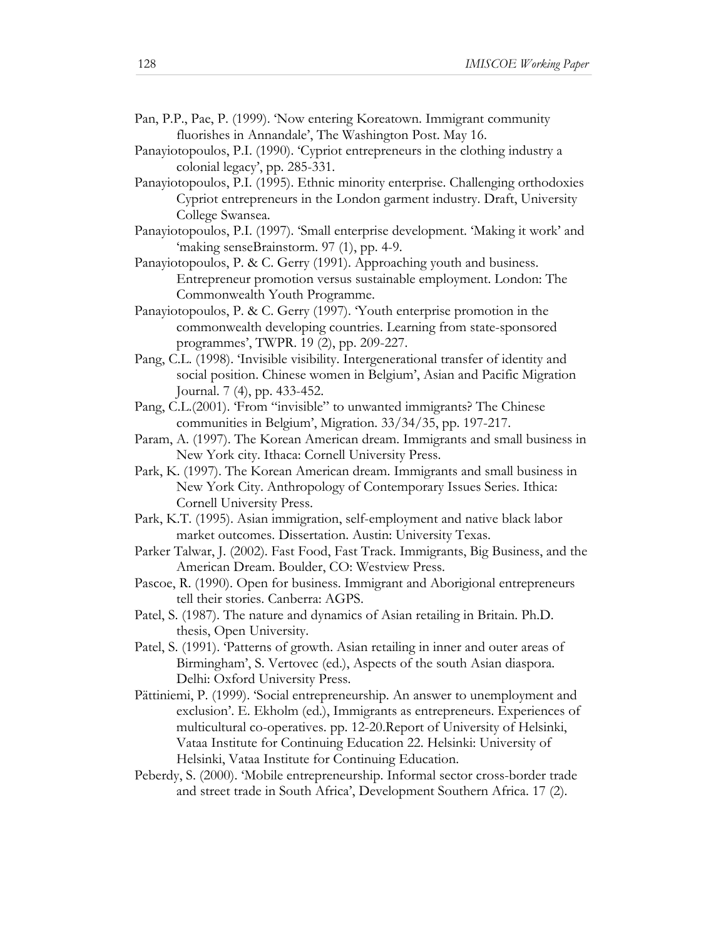- Pan, P.P., Pae, P. (1999). 'Now entering Koreatown. Immigrant community fluorishes in Annandale', The Washington Post. May 16.
- Panayiotopoulos, P.I. (1990). 'Cypriot entrepreneurs in the clothing industry a colonial legacy', pp. 285-331.
- Panayiotopoulos, P.I. (1995). Ethnic minority enterprise. Challenging orthodoxies Cypriot entrepreneurs in the London garment industry. Draft, University College Swansea.
- Panayiotopoulos, P.I. (1997). 'Small enterprise development. 'Making it work' and 'making senseBrainstorm. 97 (1), pp. 4-9.
- Panayiotopoulos, P. & C. Gerry (1991). Approaching youth and business. Entrepreneur promotion versus sustainable employment. London: The Commonwealth Youth Programme.
- Panayiotopoulos, P. & C. Gerry (1997). 'Youth enterprise promotion in the commonwealth developing countries. Learning from state-sponsored programmes', TWPR. 19 (2), pp. 209-227.
- Pang, C.L. (1998). 'Invisible visibility. Intergenerational transfer of identity and social position. Chinese women in Belgium', Asian and Pacific Migration Journal. 7 (4), pp. 433-452.
- Pang, C.L.(2001). 'From "invisible" to unwanted immigrants? The Chinese communities in Belgium', Migration. 33/34/35, pp. 197-217.
- Param, A. (1997). The Korean American dream. Immigrants and small business in New York city. Ithaca: Cornell University Press.
- Park, K. (1997). The Korean American dream. Immigrants and small business in New York City. Anthropology of Contemporary Issues Series. Ithica: Cornell University Press.
- Park, K.T. (1995). Asian immigration, self-employment and native black labor market outcomes. Dissertation. Austin: University Texas.
- Parker Talwar, J. (2002). Fast Food, Fast Track. Immigrants, Big Business, and the American Dream. Boulder, CO: Westview Press.
- Pascoe, R. (1990). Open for business. Immigrant and Aborigional entrepreneurs tell their stories. Canberra: AGPS.
- Patel, S. (1987). The nature and dynamics of Asian retailing in Britain. Ph.D. thesis, Open University.
- Patel, S. (1991). 'Patterns of growth. Asian retailing in inner and outer areas of Birmingham', S. Vertovec (ed.), Aspects of the south Asian diaspora. Delhi: Oxford University Press.
- Pättiniemi, P. (1999). 'Social entrepreneurship. An answer to unemployment and exclusion'. E. Ekholm (ed.), Immigrants as entrepreneurs. Experiences of multicultural co-operatives. pp. 12-20.Report of University of Helsinki, Vataa Institute for Continuing Education 22. Helsinki: University of Helsinki, Vataa Institute for Continuing Education.
- Peberdy, S. (2000). 'Mobile entrepreneurship. Informal sector cross-border trade and street trade in South Africa', Development Southern Africa. 17 (2).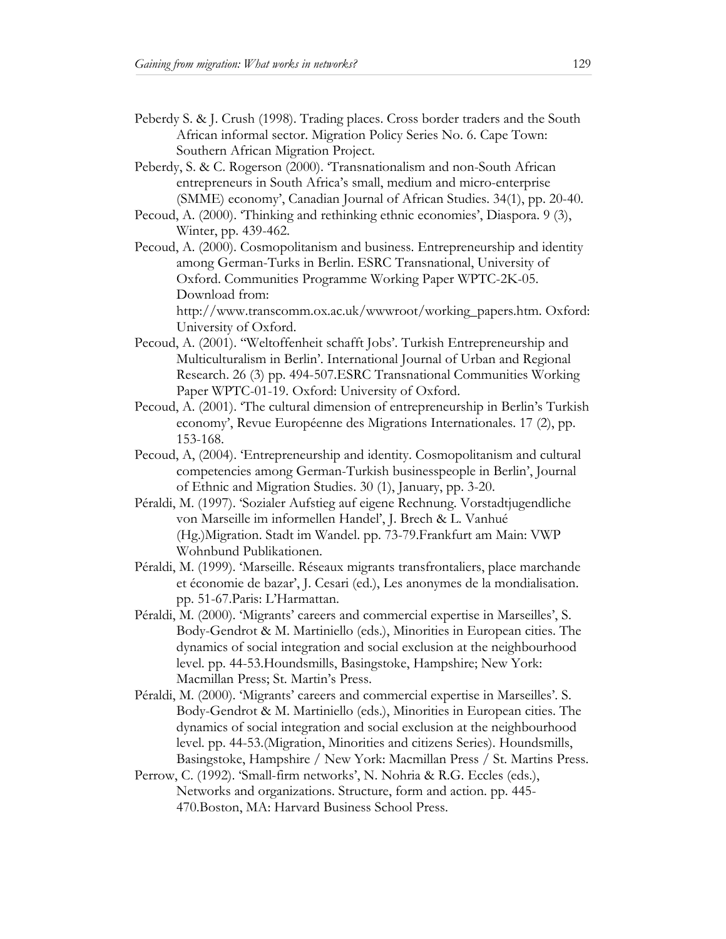- Peberdy S. & J. Crush (1998). Trading places. Cross border traders and the South African informal sector. Migration Policy Series No. 6. Cape Town: Southern African Migration Project.
- Peberdy, S. & C. Rogerson (2000). 'Transnationalism and non-South African entrepreneurs in South Africa's small, medium and micro-enterprise (SMME) economy', Canadian Journal of African Studies. 34(1), pp. 20-40.
- Pecoud, A. (2000). 'Thinking and rethinking ethnic economies', Diaspora. 9 (3), Winter, pp. 439-462.
- Pecoud, A. (2000). Cosmopolitanism and business. Entrepreneurship and identity among German-Turks in Berlin. ESRC Transnational, University of Oxford. Communities Programme Working Paper WPTC-2K-05. Download from:

http://www.transcomm.ox.ac.uk/wwwroot/working\_papers.htm. Oxford: University of Oxford.

- Pecoud, A. (2001). ''Weltoffenheit schafft Jobs'. Turkish Entrepreneurship and Multiculturalism in Berlin'. International Journal of Urban and Regional Research. 26 (3) pp. 494-507.ESRC Transnational Communities Working Paper WPTC-01-19. Oxford: University of Oxford.
- Pecoud, A. (2001). 'The cultural dimension of entrepreneurship in Berlin's Turkish economy', Revue Européenne des Migrations Internationales. 17 (2), pp. 153-168.
- Pecoud, A, (2004). 'Entrepreneurship and identity. Cosmopolitanism and cultural competencies among German-Turkish businesspeople in Berlin', Journal of Ethnic and Migration Studies. 30 (1), January, pp. 3-20.
- Péraldi, M. (1997). 'Sozialer Aufstieg auf eigene Rechnung. Vorstadtjugendliche von Marseille im informellen Handel', J. Brech & L. Vanhué (Hg.)Migration. Stadt im Wandel. pp. 73-79.Frankfurt am Main: VWP Wohnbund Publikationen.
- Péraldi, M. (1999). 'Marseille. Réseaux migrants transfrontaliers, place marchande et économie de bazar', J. Cesari (ed.), Les anonymes de la mondialisation. pp. 51-67.Paris: L'Harmattan.
- Péraldi, M. (2000). 'Migrants' careers and commercial expertise in Marseilles', S. Body-Gendrot & M. Martiniello (eds.), Minorities in European cities. The dynamics of social integration and social exclusion at the neighbourhood level. pp. 44-53.Houndsmills, Basingstoke, Hampshire; New York: Macmillan Press; St. Martin's Press.
- Péraldi, M. (2000). 'Migrants' careers and commercial expertise in Marseilles'. S. Body-Gendrot & M. Martiniello (eds.), Minorities in European cities. The dynamics of social integration and social exclusion at the neighbourhood level. pp. 44-53.(Migration, Minorities and citizens Series). Houndsmills, Basingstoke, Hampshire / New York: Macmillan Press / St. Martins Press.
- Perrow, C. (1992). 'Small-firm networks', N. Nohria & R.G. Eccles (eds.), Networks and organizations. Structure, form and action. pp. 445- 470.Boston, MA: Harvard Business School Press.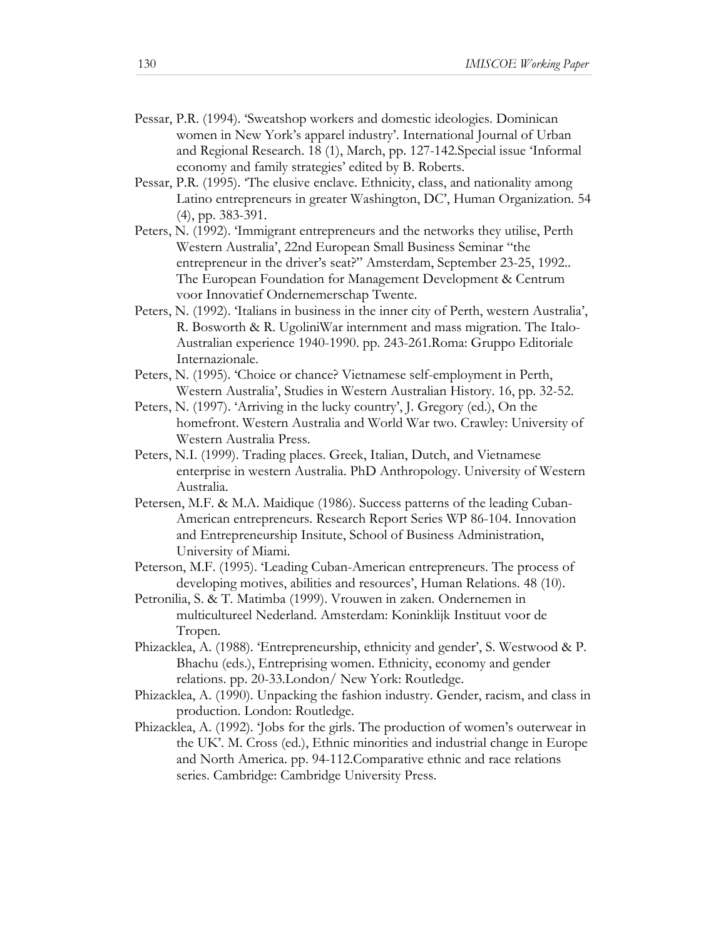- Pessar, P.R. (1994). 'Sweatshop workers and domestic ideologies. Dominican women in New York's apparel industry'. International Journal of Urban and Regional Research. 18 (1), March, pp. 127-142.Special issue 'Informal economy and family strategies' edited by B. Roberts.
- Pessar, P.R. (1995). 'The elusive enclave. Ethnicity, class, and nationality among Latino entrepreneurs in greater Washington, DC', Human Organization. 54 (4), pp. 383-391.
- Peters, N. (1992). 'Immigrant entrepreneurs and the networks they utilise, Perth Western Australia', 22nd European Small Business Seminar "the entrepreneur in the driver's seat?" Amsterdam, September 23-25, 1992.. The European Foundation for Management Development & Centrum voor Innovatief Ondernemerschap Twente.
- Peters, N. (1992). 'Italians in business in the inner city of Perth, western Australia', R. Bosworth & R. UgoliniWar internment and mass migration. The Italo-Australian experience 1940-1990. pp. 243-261.Roma: Gruppo Editoriale Internazionale.
- Peters, N. (1995). 'Choice or chance? Vietnamese self-employment in Perth, Western Australia', Studies in Western Australian History. 16, pp. 32-52.
- Peters, N. (1997). 'Arriving in the lucky country', J. Gregory (ed.), On the homefront. Western Australia and World War two. Crawley: University of Western Australia Press.
- Peters, N.I. (1999). Trading places. Greek, Italian, Dutch, and Vietnamese enterprise in western Australia. PhD Anthropology. University of Western Australia.
- Petersen, M.F. & M.A. Maidique (1986). Success patterns of the leading Cuban-American entrepreneurs. Research Report Series WP 86-104. Innovation and Entrepreneurship Insitute, School of Business Administration, University of Miami.
- Peterson, M.F. (1995). 'Leading Cuban-American entrepreneurs. The process of developing motives, abilities and resources', Human Relations. 48 (10).
- Petronilia, S. & T. Matimba (1999). Vrouwen in zaken. Ondernemen in multicultureel Nederland. Amsterdam: Koninklijk Instituut voor de Tropen.
- Phizacklea, A. (1988). 'Entrepreneurship, ethnicity and gender', S. Westwood & P. Bhachu (eds.), Entreprising women. Ethnicity, economy and gender relations. pp. 20-33.London/ New York: Routledge.
- Phizacklea, A. (1990). Unpacking the fashion industry. Gender, racism, and class in production. London: Routledge.
- Phizacklea, A. (1992). 'Jobs for the girls. The production of women's outerwear in the UK'. M. Cross (ed.), Ethnic minorities and industrial change in Europe and North America. pp. 94-112.Comparative ethnic and race relations series. Cambridge: Cambridge University Press.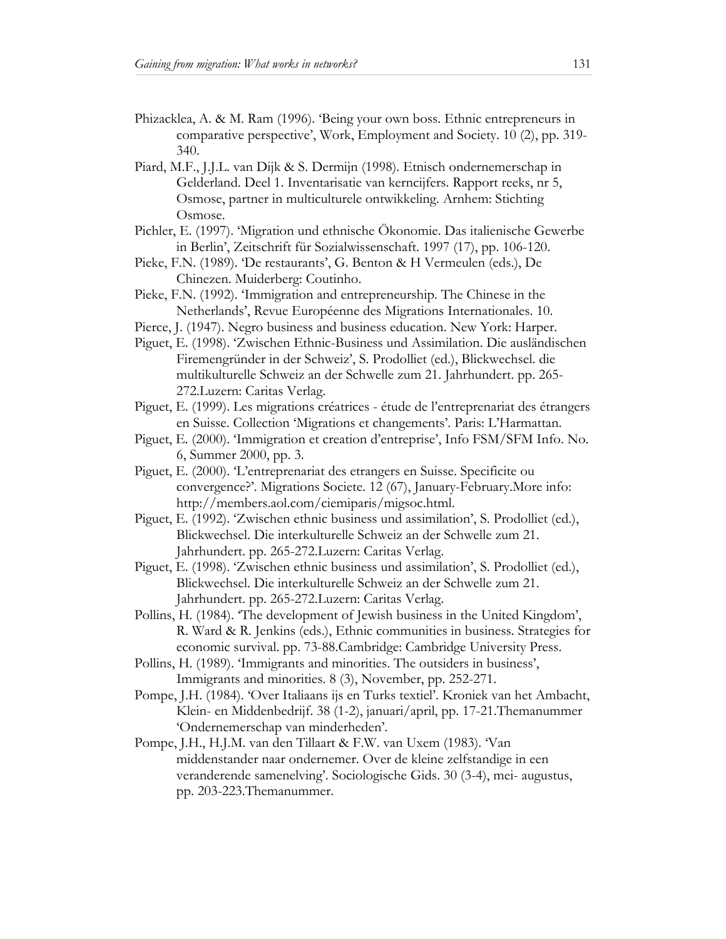- Phizacklea, A. & M. Ram (1996). 'Being your own boss. Ethnic entrepreneurs in comparative perspective', Work, Employment and Society. 10 (2), pp. 319- 340.
- Piard, M.F., J.J.L. van Dijk & S. Dermijn (1998). Etnisch ondernemerschap in Gelderland. Deel 1. Inventarisatie van kerncijfers. Rapport reeks, nr 5, Osmose, partner in multiculturele ontwikkeling. Arnhem: Stichting Osmose.
- Pichler, E. (1997). 'Migration und ethnische Ökonomie. Das italienische Gewerbe in Berlin', Zeitschrift für Sozialwissenschaft. 1997 (17), pp. 106-120.
- Pieke, F.N. (1989). 'De restaurants', G. Benton & H Vermeulen (eds.), De Chinezen. Muiderberg: Coutinho.
- Pieke, F.N. (1992). 'Immigration and entrepreneurship. The Chinese in the Netherlands', Revue Européenne des Migrations Internationales. 10.
- Pierce, J. (1947). Negro business and business education. New York: Harper.
- Piguet, E. (1998). 'Zwischen Ethnic-Business und Assimilation. Die ausländischen Firemengründer in der Schweiz', S. Prodolliet (ed.), Blickwechsel. die multikulturelle Schweiz an der Schwelle zum 21. Jahrhundert. pp. 265- 272.Luzern: Caritas Verlag.
- Piguet, E. (1999). Les migrations créatrices étude de l'entreprenariat des étrangers en Suisse. Collection 'Migrations et changements'. Paris: L'Harmattan.
- Piguet, E. (2000). 'Immigration et creation d'entreprise', Info FSM/SFM Info. No. 6, Summer 2000, pp. 3.
- Piguet, E. (2000). 'L'entreprenariat des etrangers en Suisse. Specificite ou convergence?'. Migrations Societe. 12 (67), January-February.More info: http://members.aol.com/ciemiparis/migsoc.html.
- Piguet, E. (1992). 'Zwischen ethnic business und assimilation', S. Prodolliet (ed.), Blickwechsel. Die interkulturelle Schweiz an der Schwelle zum 21. Jahrhundert. pp. 265-272.Luzern: Caritas Verlag.
- Piguet, E. (1998). 'Zwischen ethnic business und assimilation', S. Prodolliet (ed.), Blickwechsel. Die interkulturelle Schweiz an der Schwelle zum 21. Jahrhundert. pp. 265-272.Luzern: Caritas Verlag.
- Pollins, H. (1984). 'The development of Jewish business in the United Kingdom', R. Ward & R. Jenkins (eds.), Ethnic communities in business. Strategies for economic survival. pp. 73-88.Cambridge: Cambridge University Press.
- Pollins, H. (1989). 'Immigrants and minorities. The outsiders in business', Immigrants and minorities. 8 (3), November, pp. 252-271.
- Pompe, J.H. (1984). 'Over Italiaans ijs en Turks textiel'. Kroniek van het Ambacht, Klein- en Middenbedrijf. 38 (1-2), januari/april, pp. 17-21.Themanummer 'Ondernemerschap van minderheden'.
- Pompe, J.H., H.J.M. van den Tillaart & F.W. van Uxem (1983). 'Van middenstander naar ondernemer. Over de kleine zelfstandige in een veranderende samenelving'. Sociologische Gids. 30 (3-4), mei- augustus, pp. 203-223.Themanummer.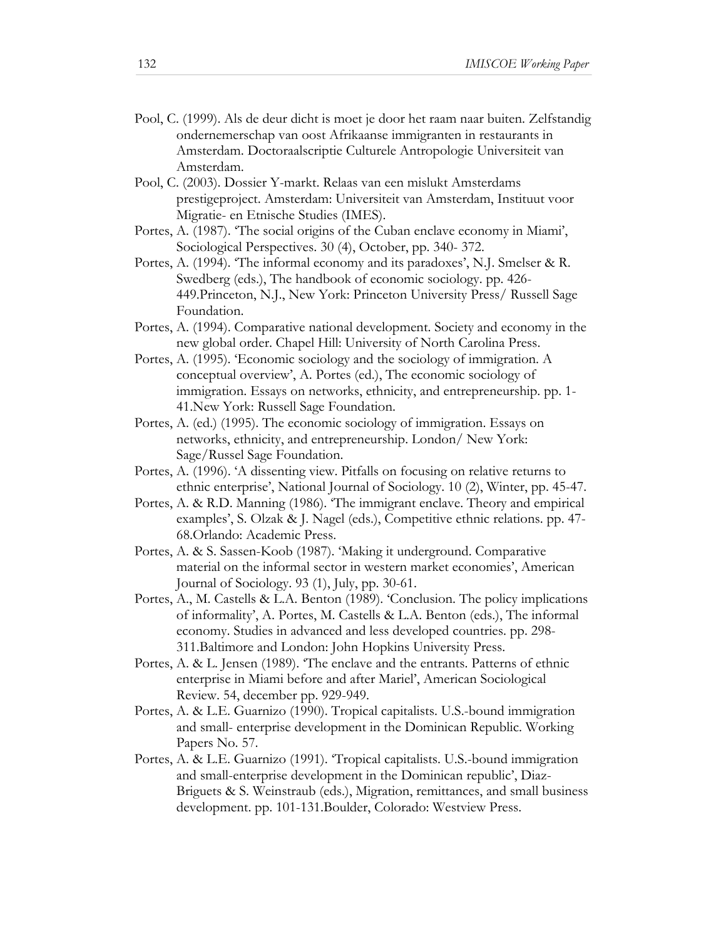- Pool, C. (1999). Als de deur dicht is moet je door het raam naar buiten. Zelfstandig ondernemerschap van oost Afrikaanse immigranten in restaurants in Amsterdam. Doctoraalscriptie Culturele Antropologie Universiteit van Amsterdam.
- Pool, C. (2003). Dossier Y-markt. Relaas van een mislukt Amsterdams prestigeproject. Amsterdam: Universiteit van Amsterdam, Instituut voor Migratie- en Etnische Studies (IMES).
- Portes, A. (1987). 'The social origins of the Cuban enclave economy in Miami', Sociological Perspectives. 30 (4), October, pp. 340- 372.
- Portes, A. (1994). 'The informal economy and its paradoxes', N.J. Smelser & R. Swedberg (eds.), The handbook of economic sociology. pp. 426- 449.Princeton, N.J., New York: Princeton University Press/ Russell Sage Foundation.
- Portes, A. (1994). Comparative national development. Society and economy in the new global order. Chapel Hill: University of North Carolina Press.
- Portes, A. (1995). 'Economic sociology and the sociology of immigration. A conceptual overview', A. Portes (ed.), The economic sociology of immigration. Essays on networks, ethnicity, and entrepreneurship. pp. 1- 41.New York: Russell Sage Foundation.
- Portes, A. (ed.) (1995). The economic sociology of immigration. Essays on networks, ethnicity, and entrepreneurship. London/ New York: Sage/Russel Sage Foundation.
- Portes, A. (1996). 'A dissenting view. Pitfalls on focusing on relative returns to ethnic enterprise', National Journal of Sociology. 10 (2), Winter, pp. 45-47.
- Portes, A. & R.D. Manning (1986). 'The immigrant enclave. Theory and empirical examples', S. Olzak & J. Nagel (eds.), Competitive ethnic relations. pp. 47- 68.Orlando: Academic Press.
- Portes, A. & S. Sassen-Koob (1987). 'Making it underground. Comparative material on the informal sector in western market economies', American Journal of Sociology. 93 (1), July, pp. 30-61.
- Portes, A., M. Castells & L.A. Benton (1989). 'Conclusion. The policy implications of informality', A. Portes, M. Castells & L.A. Benton (eds.), The informal economy. Studies in advanced and less developed countries. pp. 298- 311.Baltimore and London: John Hopkins University Press.
- Portes, A. & L. Jensen (1989). 'The enclave and the entrants. Patterns of ethnic enterprise in Miami before and after Mariel', American Sociological Review. 54, december pp. 929-949.
- Portes, A. & L.E. Guarnizo (1990). Tropical capitalists. U.S.-bound immigration and small- enterprise development in the Dominican Republic. Working Papers No. 57.
- Portes, A. & L.E. Guarnizo (1991). 'Tropical capitalists. U.S.-bound immigration and small-enterprise development in the Dominican republic', Diaz-Briguets & S. Weinstraub (eds.), Migration, remittances, and small business development. pp. 101-131.Boulder, Colorado: Westview Press.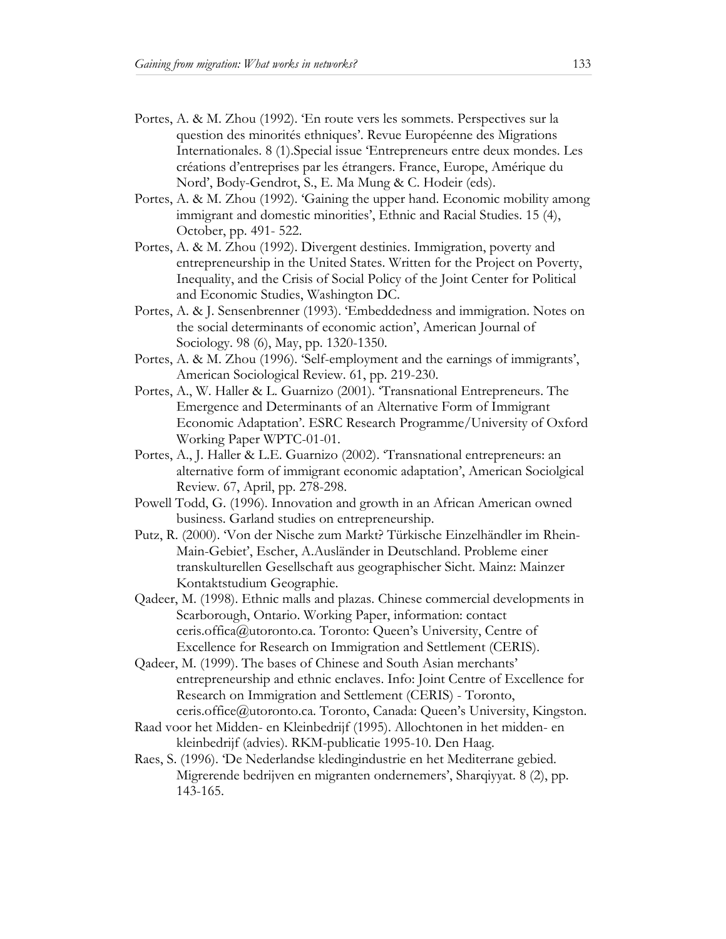- Portes, A. & M. Zhou (1992). 'En route vers les sommets. Perspectives sur la question des minorités ethniques'. Revue Européenne des Migrations Internationales. 8 (1).Special issue 'Entrepreneurs entre deux mondes. Les créations d'entreprises par les étrangers. France, Europe, Amérique du Nord', Body-Gendrot, S., E. Ma Mung & C. Hodeir (eds).
- Portes, A. & M. Zhou (1992). 'Gaining the upper hand. Economic mobility among immigrant and domestic minorities', Ethnic and Racial Studies. 15 (4), October, pp. 491- 522.
- Portes, A. & M. Zhou (1992). Divergent destinies. Immigration, poverty and entrepreneurship in the United States. Written for the Project on Poverty, Inequality, and the Crisis of Social Policy of the Joint Center for Political and Economic Studies, Washington DC.
- Portes, A. & J. Sensenbrenner (1993). 'Embeddedness and immigration. Notes on the social determinants of economic action', American Journal of Sociology. 98 (6), May, pp. 1320-1350.
- Portes, A. & M. Zhou (1996). 'Self-employment and the earnings of immigrants', American Sociological Review. 61, pp. 219-230.
- Portes, A., W. Haller & L. Guarnizo (2001). 'Transnational Entrepreneurs. The Emergence and Determinants of an Alternative Form of Immigrant Economic Adaptation'. ESRC Research Programme/University of Oxford Working Paper WPTC-01-01.
- Portes, A., J. Haller & L.E. Guarnizo (2002). 'Transnational entrepreneurs: an alternative form of immigrant economic adaptation', American Sociolgical Review. 67, April, pp. 278-298.
- Powell Todd, G. (1996). Innovation and growth in an African American owned business. Garland studies on entrepreneurship.
- Putz, R. (2000). 'Von der Nische zum Markt? Türkische Einzelhändler im Rhein-Main-Gebiet', Escher, A.Ausländer in Deutschland. Probleme einer transkulturellen Gesellschaft aus geographischer Sicht. Mainz: Mainzer Kontaktstudium Geographie.
- Qadeer, M. (1998). Ethnic malls and plazas. Chinese commercial developments in Scarborough, Ontario. Working Paper, information: contact ceris.offica@utoronto.ca. Toronto: Queen's University, Centre of Excellence for Research on Immigration and Settlement (CERIS).
- Qadeer, M. (1999). The bases of Chinese and South Asian merchants' entrepreneurship and ethnic enclaves. Info: Joint Centre of Excellence for Research on Immigration and Settlement (CERIS) - Toronto, ceris.office@utoronto.ca. Toronto, Canada: Queen's University, Kingston.
- Raad voor het Midden- en Kleinbedrijf (1995). Allochtonen in het midden- en kleinbedrijf (advies). RKM-publicatie 1995-10. Den Haag.
- Raes, S. (1996). 'De Nederlandse kledingindustrie en het Mediterrane gebied. Migrerende bedrijven en migranten ondernemers', Sharqiyyat. 8 (2), pp. 143-165.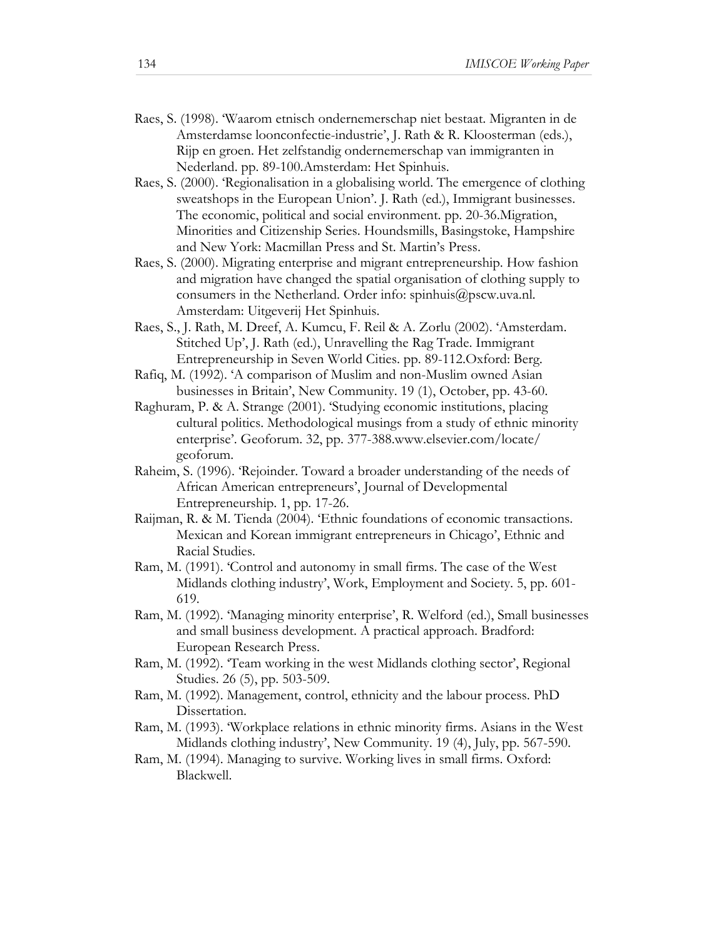- Raes, S. (1998). 'Waarom etnisch ondernemerschap niet bestaat. Migranten in de Amsterdamse loonconfectie-industrie', J. Rath & R. Kloosterman (eds.), Rijp en groen. Het zelfstandig ondernemerschap van immigranten in Nederland. pp. 89-100.Amsterdam: Het Spinhuis.
- Raes, S. (2000). 'Regionalisation in a globalising world. The emergence of clothing sweatshops in the European Union'. J. Rath (ed.), Immigrant businesses. The economic, political and social environment. pp. 20-36.Migration, Minorities and Citizenship Series. Houndsmills, Basingstoke, Hampshire and New York: Macmillan Press and St. Martin's Press.
- Raes, S. (2000). Migrating enterprise and migrant entrepreneurship. How fashion and migration have changed the spatial organisation of clothing supply to consumers in the Netherland. Order info: spinhuis@pscw.uva.nl. Amsterdam: Uitgeverij Het Spinhuis.
- Raes, S., J. Rath, M. Dreef, A. Kumcu, F. Reil & A. Zorlu (2002). 'Amsterdam. Stitched Up', J. Rath (ed.), Unravelling the Rag Trade. Immigrant Entrepreneurship in Seven World Cities. pp. 89-112.Oxford: Berg.
- Rafiq, M. (1992). 'A comparison of Muslim and non-Muslim owned Asian businesses in Britain', New Community. 19 (1), October, pp. 43-60.
- Raghuram, P. & A. Strange (2001). 'Studying economic institutions, placing cultural politics. Methodological musings from a study of ethnic minority enterprise'. Geoforum. 32, pp. 377-388.www.elsevier.com/locate/ geoforum.
- Raheim, S. (1996). 'Rejoinder. Toward a broader understanding of the needs of African American entrepreneurs', Journal of Developmental Entrepreneurship. 1, pp. 17-26.
- Raijman, R. & M. Tienda (2004). 'Ethnic foundations of economic transactions. Mexican and Korean immigrant entrepreneurs in Chicago', Ethnic and Racial Studies.
- Ram, M. (1991). 'Control and autonomy in small firms. The case of the West Midlands clothing industry', Work, Employment and Society. 5, pp. 601- 619.
- Ram, M. (1992). 'Managing minority enterprise', R. Welford (ed.), Small businesses and small business development. A practical approach. Bradford: European Research Press.
- Ram, M. (1992). 'Team working in the west Midlands clothing sector', Regional Studies. 26 (5), pp. 503-509.
- Ram, M. (1992). Management, control, ethnicity and the labour process. PhD Dissertation.
- Ram, M. (1993). 'Workplace relations in ethnic minority firms. Asians in the West Midlands clothing industry', New Community. 19 (4), July, pp. 567-590.
- Ram, M. (1994). Managing to survive. Working lives in small firms. Oxford: Blackwell.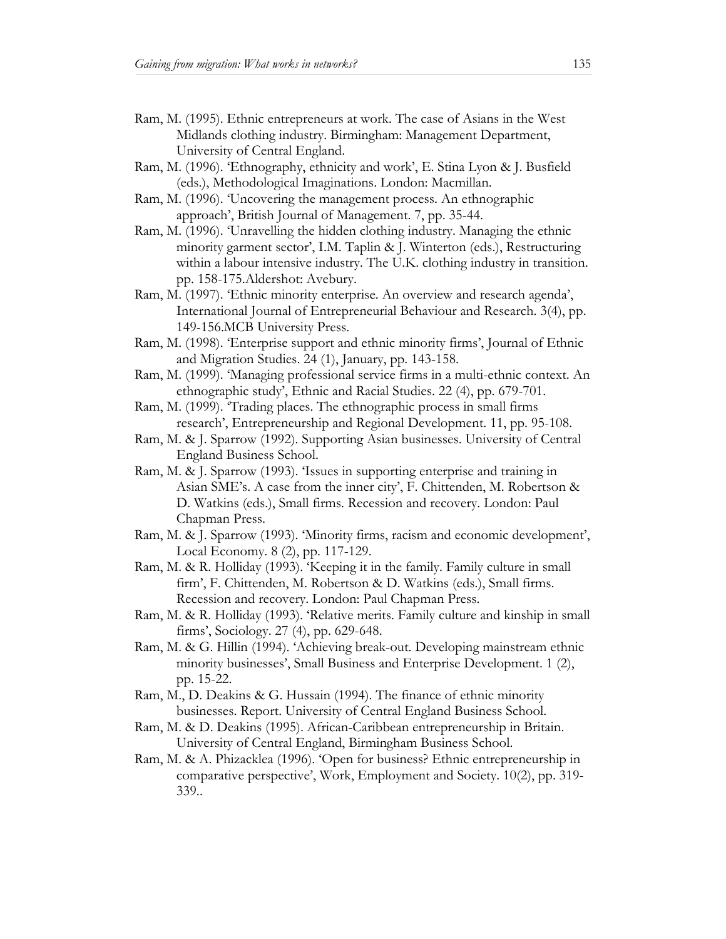- Ram, M. (1995). Ethnic entrepreneurs at work. The case of Asians in the West Midlands clothing industry. Birmingham: Management Department, University of Central England.
- Ram, M. (1996). 'Ethnography, ethnicity and work', E. Stina Lyon & J. Busfield (eds.), Methodological Imaginations. London: Macmillan.
- Ram, M. (1996). 'Uncovering the management process. An ethnographic approach', British Journal of Management. 7, pp. 35-44.
- Ram, M. (1996). 'Unravelling the hidden clothing industry. Managing the ethnic minority garment sector', I.M. Taplin & J. Winterton (eds.), Restructuring within a labour intensive industry. The U.K. clothing industry in transition. pp. 158-175.Aldershot: Avebury.
- Ram, M. (1997). 'Ethnic minority enterprise. An overview and research agenda', International Journal of Entrepreneurial Behaviour and Research. 3(4), pp. 149-156.MCB University Press.
- Ram, M. (1998). 'Enterprise support and ethnic minority firms', Journal of Ethnic and Migration Studies. 24 (1), January, pp. 143-158.
- Ram, M. (1999). 'Managing professional service firms in a multi-ethnic context. An ethnographic study', Ethnic and Racial Studies. 22 (4), pp. 679-701.
- Ram, M. (1999). 'Trading places. The ethnographic process in small firms research', Entrepreneurship and Regional Development. 11, pp. 95-108.
- Ram, M. & J. Sparrow (1992). Supporting Asian businesses. University of Central England Business School.
- Ram, M. & J. Sparrow (1993). 'Issues in supporting enterprise and training in Asian SME's. A case from the inner city', F. Chittenden, M. Robertson & D. Watkins (eds.), Small firms. Recession and recovery. London: Paul Chapman Press.
- Ram, M. & J. Sparrow (1993). 'Minority firms, racism and economic development', Local Economy. 8 (2), pp. 117-129.
- Ram, M. & R. Holliday (1993). 'Keeping it in the family. Family culture in small firm', F. Chittenden, M. Robertson & D. Watkins (eds.), Small firms. Recession and recovery. London: Paul Chapman Press.
- Ram, M. & R. Holliday (1993). 'Relative merits. Family culture and kinship in small firms', Sociology. 27 (4), pp. 629-648.
- Ram, M. & G. Hillin (1994). 'Achieving break-out. Developing mainstream ethnic minority businesses', Small Business and Enterprise Development. 1 (2), pp. 15-22.
- Ram, M., D. Deakins & G. Hussain (1994). The finance of ethnic minority businesses. Report. University of Central England Business School.
- Ram, M. & D. Deakins (1995). African-Caribbean entrepreneurship in Britain. University of Central England, Birmingham Business School.
- Ram, M. & A. Phizacklea (1996). 'Open for business? Ethnic entrepreneurship in comparative perspective', Work, Employment and Society. 10(2), pp. 319- 339..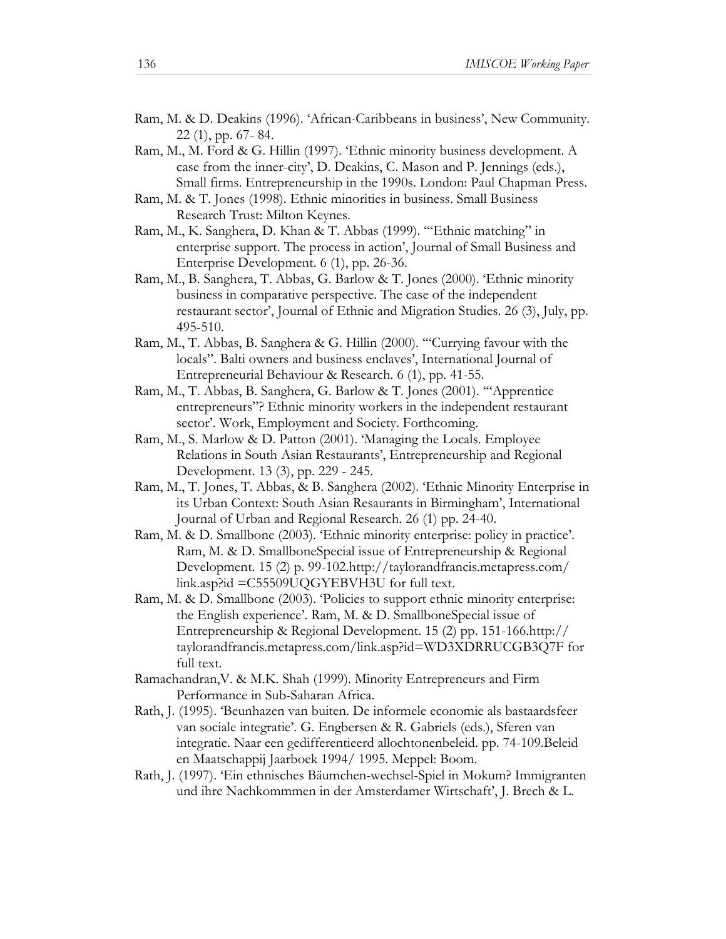- Ram, M. & D. Deakins (1996). 'African-Caribbeans in business', New Community. 22 (1), pp. 67- 84.
- Ram, M., M. Ford & G. Hillin (1997). 'Ethnic minority business development. A case from the inner-city', D. Deakins, C. Mason and P. Jennings (eds.), Small firms. Entrepreneurship in the 1990s. London: Paul Chapman Press.
- Ram, M. & T. Jones (1998). Ethnic minorities in business. Small Business Research Trust: Milton Keynes.
- Ram, M., K. Sanghera, D. Khan & T. Abbas (1999). '"Ethnic matching" in enterprise support. The process in action', Journal of Small Business and Enterprise Development. 6 (1), pp. 26-36.
- Ram, M., B. Sanghera, T. Abbas, G. Barlow & T. Jones (2000). 'Ethnic minority business in comparative perspective. The case of the independent restaurant sector', Journal of Ethnic and Migration Studies. 26 (3), July, pp. 495-510.
- Ram, M., T. Abbas, B. Sanghera & G. Hillin (2000). '"Currying favour with the locals". Balti owners and business enclaves', International Journal of Entrepreneurial Behaviour & Research. 6 (1), pp. 41-55.
- Ram, M., T. Abbas, B. Sanghera, G. Barlow & T. Jones (2001). '"Apprentice entrepreneurs"? Ethnic minority workers in the independent restaurant sector'. Work, Employment and Society. Forthcoming.
- Ram, M., S. Marlow & D. Patton (2001). 'Managing the Locals. Employee Relations in South Asian Restaurants', Entrepreneurship and Regional Development. 13 (3), pp. 229 - 245.
- Ram, M., T. Jones, T. Abbas, & B. Sanghera (2002). 'Ethnic Minority Enterprise in its Urban Context: South Asian Resaurants in Birmingham', International Journal of Urban and Regional Research. 26 (1) pp. 24-40.
- Ram, M. & D. Smallbone (2003). 'Ethnic minority enterprise: policy in practice'. Ram, M. & D. SmallboneSpecial issue of Entrepreneurship & Regional Development. 15 (2) p. 99-102.http://taylorandfrancis.metapress.com/ link.asp?id =C55509UQGYEBVH3U for full text.
- Ram, M. & D. Smallbone (2003). 'Policies to support ethnic minority enterprise: the English experience'. Ram, M. & D. SmallboneSpecial issue of Entrepreneurship & Regional Development. 15 (2) pp. 151-166.http:// taylorandfrancis.metapress.com/link.asp?id=WD3XDRRUCGB3Q7F for full text.
- Ramachandran,V. & M.K. Shah (1999). Minority Entrepreneurs and Firm Performance in Sub-Saharan Africa.
- Rath, J. (1995). 'Beunhazen van buiten. De informele economie als bastaardsfeer van sociale integratie'. G. Engbersen & R. Gabriels (eds.), Sferen van integratie. Naar een gedifferentieerd allochtonenbeleid. pp. 74-109.Beleid en Maatschappij Jaarboek 1994/ 1995. Meppel: Boom.
- Rath, J. (1997). 'Ein ethnisches Bäumchen-wechsel-Spiel in Mokum? Immigranten und ihre Nachkommmen in der Amsterdamer Wirtschaft', J. Brech & L.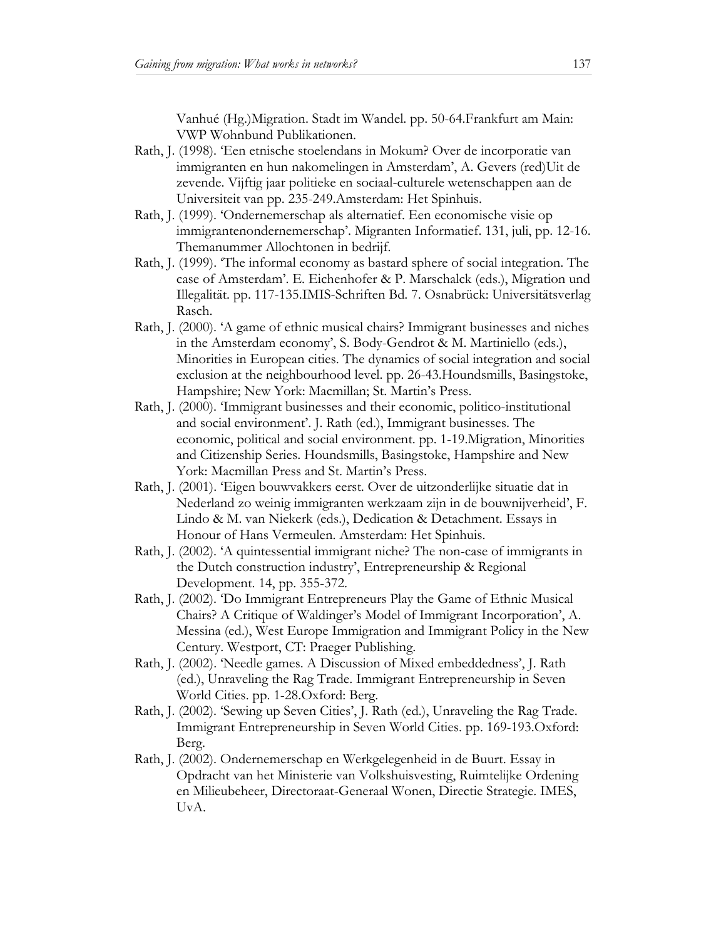Vanhué (Hg.)Migration. Stadt im Wandel. pp. 50-64.Frankfurt am Main: VWP Wohnbund Publikationen.

- Rath, J. (1998). 'Een etnische stoelendans in Mokum? Over de incorporatie van immigranten en hun nakomelingen in Amsterdam', A. Gevers (red)Uit de zevende. Vijftig jaar politieke en sociaal-culturele wetenschappen aan de Universiteit van pp. 235-249.Amsterdam: Het Spinhuis.
- Rath, J. (1999). 'Ondernemerschap als alternatief. Een economische visie op immigrantenondernemerschap'. Migranten Informatief. 131, juli, pp. 12-16. Themanummer Allochtonen in bedrijf.
- Rath, J. (1999). 'The informal economy as bastard sphere of social integration. The case of Amsterdam'. E. Eichenhofer & P. Marschalck (eds.), Migration und Illegalität. pp. 117-135.IMIS-Schriften Bd. 7. Osnabrück: Universitätsverlag Rasch.
- Rath, J. (2000). 'A game of ethnic musical chairs? Immigrant businesses and niches in the Amsterdam economy', S. Body-Gendrot & M. Martiniello (eds.), Minorities in European cities. The dynamics of social integration and social exclusion at the neighbourhood level. pp. 26-43.Houndsmills, Basingstoke, Hampshire; New York: Macmillan; St. Martin's Press.
- Rath, J. (2000). 'Immigrant businesses and their economic, politico-institutional and social environment'. J. Rath (ed.), Immigrant businesses. The economic, political and social environment. pp. 1-19.Migration, Minorities and Citizenship Series. Houndsmills, Basingstoke, Hampshire and New York: Macmillan Press and St. Martin's Press.
- Rath, J. (2001). 'Eigen bouwvakkers eerst. Over de uitzonderlijke situatie dat in Nederland zo weinig immigranten werkzaam zijn in de bouwnijverheid', F. Lindo & M. van Niekerk (eds.), Dedication & Detachment. Essays in Honour of Hans Vermeulen. Amsterdam: Het Spinhuis.
- Rath, J. (2002). 'A quintessential immigrant niche? The non-case of immigrants in the Dutch construction industry', Entrepreneurship & Regional Development. 14, pp. 355-372.
- Rath, J. (2002). 'Do Immigrant Entrepreneurs Play the Game of Ethnic Musical Chairs? A Critique of Waldinger's Model of Immigrant Incorporation', A. Messina (ed.), West Europe Immigration and Immigrant Policy in the New Century. Westport, CT: Praeger Publishing.
- Rath, J. (2002). 'Needle games. A Discussion of Mixed embeddedness', J. Rath (ed.), Unraveling the Rag Trade. Immigrant Entrepreneurship in Seven World Cities. pp. 1-28.Oxford: Berg.
- Rath, J. (2002). 'Sewing up Seven Cities', J. Rath (ed.), Unraveling the Rag Trade. Immigrant Entrepreneurship in Seven World Cities. pp. 169-193.Oxford: Berg.
- Rath, J. (2002). Ondernemerschap en Werkgelegenheid in de Buurt. Essay in Opdracht van het Ministerie van Volkshuisvesting, Ruimtelijke Ordening en Milieubeheer, Directoraat-Generaal Wonen, Directie Strategie. IMES, UvA.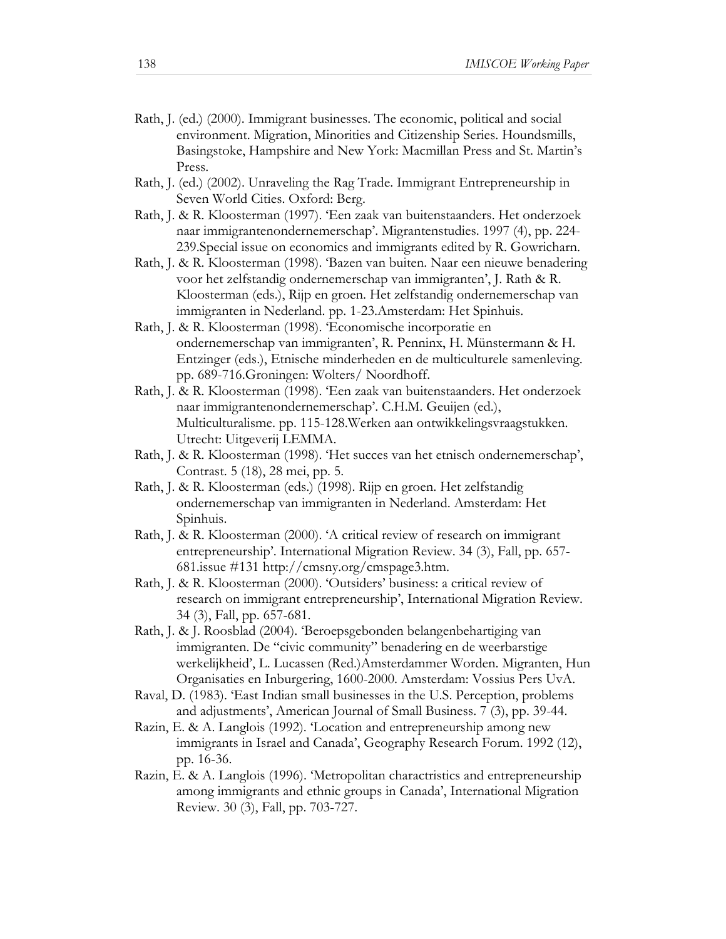- Rath, J. (ed.) (2000). Immigrant businesses. The economic, political and social environment. Migration, Minorities and Citizenship Series. Houndsmills, Basingstoke, Hampshire and New York: Macmillan Press and St. Martin's Press.
- Rath, J. (ed.) (2002). Unraveling the Rag Trade. Immigrant Entrepreneurship in Seven World Cities. Oxford: Berg.
- Rath, J. & R. Kloosterman (1997). 'Een zaak van buitenstaanders. Het onderzoek naar immigrantenondernemerschap'. Migrantenstudies. 1997 (4), pp. 224- 239.Special issue on economics and immigrants edited by R. Gowricharn.
- Rath, J. & R. Kloosterman (1998). 'Bazen van buiten. Naar een nieuwe benadering voor het zelfstandig ondernemerschap van immigranten', J. Rath & R. Kloosterman (eds.), Rijp en groen. Het zelfstandig ondernemerschap van immigranten in Nederland. pp. 1-23.Amsterdam: Het Spinhuis.
- Rath, J. & R. Kloosterman (1998). 'Economische incorporatie en ondernemerschap van immigranten', R. Penninx, H. Münstermann & H. Entzinger (eds.), Etnische minderheden en de multiculturele samenleving. pp. 689-716.Groningen: Wolters/ Noordhoff.
- Rath, J. & R. Kloosterman (1998). 'Een zaak van buitenstaanders. Het onderzoek naar immigrantenondernemerschap'. C.H.M. Geuijen (ed.), Multiculturalisme. pp. 115-128.Werken aan ontwikkelingsvraagstukken. Utrecht: Uitgeverij LEMMA.
- Rath, J. & R. Kloosterman (1998). 'Het succes van het etnisch ondernemerschap', Contrast. 5 (18), 28 mei, pp. 5.
- Rath, J. & R. Kloosterman (eds.) (1998). Rijp en groen. Het zelfstandig ondernemerschap van immigranten in Nederland. Amsterdam: Het Spinhuis.
- Rath, J. & R. Kloosterman (2000). 'A critical review of research on immigrant entrepreneurship'. International Migration Review. 34 (3), Fall, pp. 657- 681.issue #131 http://cmsny.org/cmspage3.htm.
- Rath, J. & R. Kloosterman (2000). 'Outsiders' business: a critical review of research on immigrant entrepreneurship', International Migration Review. 34 (3), Fall, pp. 657-681.
- Rath, J. & J. Roosblad (2004). 'Beroepsgebonden belangenbehartiging van immigranten. De "civic community" benadering en de weerbarstige werkelijkheid', L. Lucassen (Red.)Amsterdammer Worden. Migranten, Hun Organisaties en Inburgering, 1600-2000. Amsterdam: Vossius Pers UvA.
- Raval, D. (1983). 'East Indian small businesses in the U.S. Perception, problems and adjustments', American Journal of Small Business. 7 (3), pp. 39-44.
- Razin, E. & A. Langlois (1992). 'Location and entrepreneurship among new immigrants in Israel and Canada', Geography Research Forum. 1992 (12), pp. 16-36.
- Razin, E. & A. Langlois (1996). 'Metropolitan charactristics and entrepreneurship among immigrants and ethnic groups in Canada', International Migration Review. 30 (3), Fall, pp. 703-727.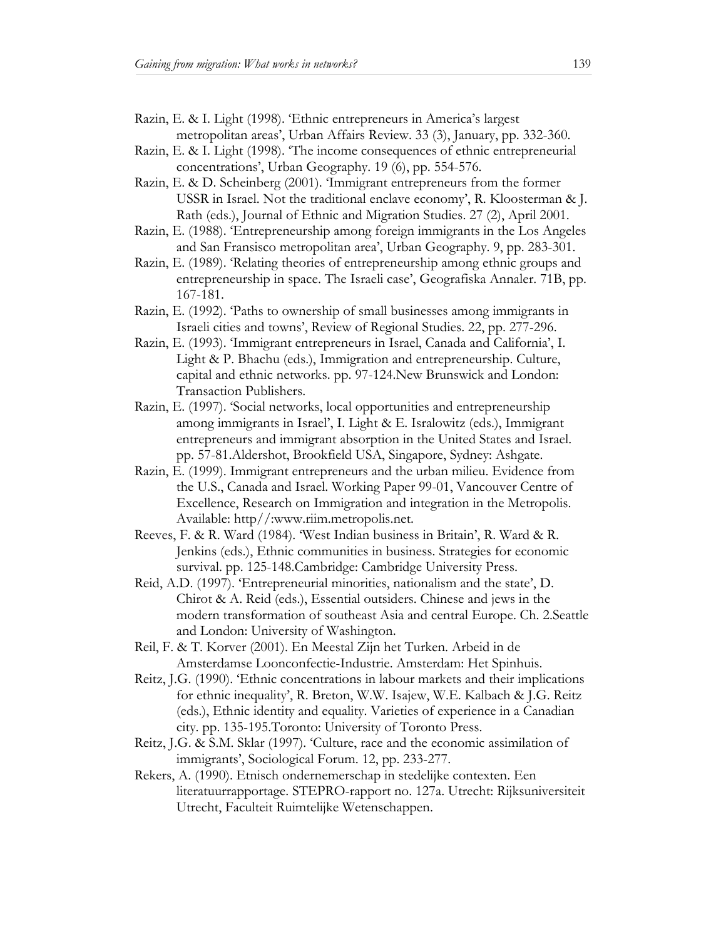- Razin, E. & I. Light (1998). 'Ethnic entrepreneurs in America's largest metropolitan areas', Urban Affairs Review. 33 (3), January, pp. 332-360.
- Razin, E. & I. Light (1998). 'The income consequences of ethnic entrepreneurial concentrations', Urban Geography. 19 (6), pp. 554-576.
- Razin, E. & D. Scheinberg (2001). 'Immigrant entrepreneurs from the former USSR in Israel. Not the traditional enclave economy', R. Kloosterman & J. Rath (eds.), Journal of Ethnic and Migration Studies. 27 (2), April 2001.
- Razin, E. (1988). 'Entrepreneurship among foreign immigrants in the Los Angeles and San Fransisco metropolitan area', Urban Geography. 9, pp. 283-301.
- Razin, E. (1989). 'Relating theories of entrepreneurship among ethnic groups and entrepreneurship in space. The Israeli case', Geografiska Annaler. 71B, pp. 167-181.
- Razin, E. (1992). 'Paths to ownership of small businesses among immigrants in Israeli cities and towns', Review of Regional Studies. 22, pp. 277-296.
- Razin, E. (1993). 'Immigrant entrepreneurs in Israel, Canada and California', I. Light & P. Bhachu (eds.), Immigration and entrepreneurship. Culture, capital and ethnic networks. pp. 97-124.New Brunswick and London: Transaction Publishers.
- Razin, E. (1997). 'Social networks, local opportunities and entrepreneurship among immigrants in Israel', I. Light & E. Isralowitz (eds.), Immigrant entrepreneurs and immigrant absorption in the United States and Israel. pp. 57-81.Aldershot, Brookfield USA, Singapore, Sydney: Ashgate.
- Razin, E. (1999). Immigrant entrepreneurs and the urban milieu. Evidence from the U.S., Canada and Israel. Working Paper 99-01, Vancouver Centre of Excellence, Research on Immigration and integration in the Metropolis. Available: http//:www.riim.metropolis.net.
- Reeves, F. & R. Ward (1984). 'West Indian business in Britain', R. Ward & R. Jenkins (eds.), Ethnic communities in business. Strategies for economic survival. pp. 125-148.Cambridge: Cambridge University Press.
- Reid, A.D. (1997). 'Entrepreneurial minorities, nationalism and the state', D. Chirot & A. Reid (eds.), Essential outsiders. Chinese and jews in the modern transformation of southeast Asia and central Europe. Ch. 2.Seattle and London: University of Washington.
- Reil, F. & T. Korver (2001). En Meestal Zijn het Turken. Arbeid in de Amsterdamse Loonconfectie-Industrie. Amsterdam: Het Spinhuis.
- Reitz, J.G. (1990). 'Ethnic concentrations in labour markets and their implications for ethnic inequality', R. Breton, W.W. Isajew, W.E. Kalbach & J.G. Reitz (eds.), Ethnic identity and equality. Varieties of experience in a Canadian city. pp. 135-195.Toronto: University of Toronto Press.
- Reitz, J.G. & S.M. Sklar (1997). 'Culture, race and the economic assimilation of immigrants', Sociological Forum. 12, pp. 233-277.
- Rekers, A. (1990). Etnisch ondernemerschap in stedelijke contexten. Een literatuurrapportage. STEPRO-rapport no. 127a. Utrecht: Rijksuniversiteit Utrecht, Faculteit Ruimtelijke Wetenschappen.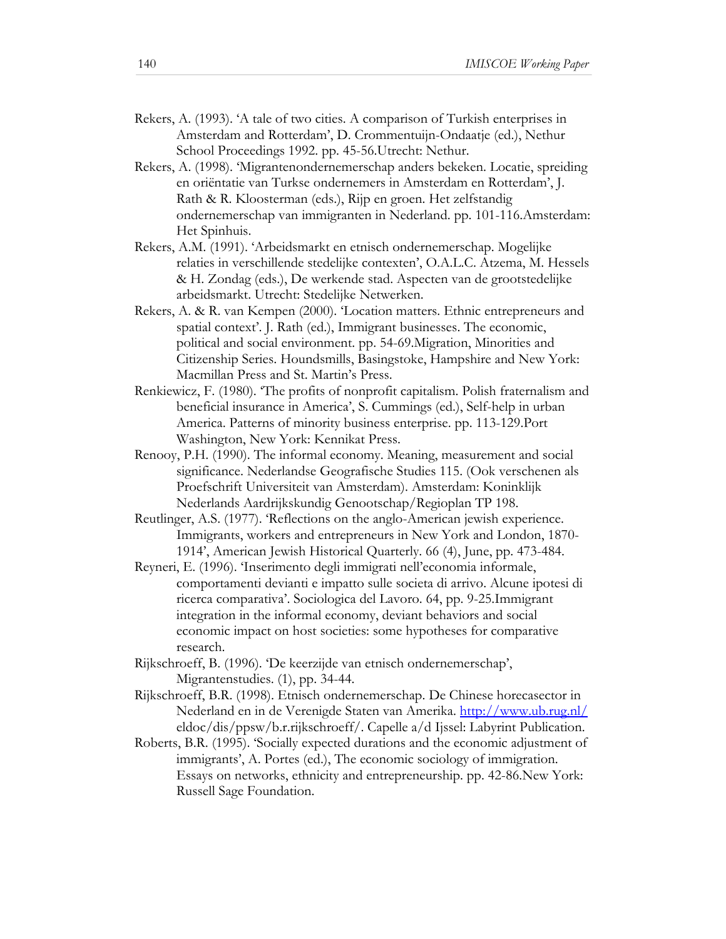- Rekers, A. (1993). 'A tale of two cities. A comparison of Turkish enterprises in Amsterdam and Rotterdam', D. Crommentuijn-Ondaatje (ed.), Nethur School Proceedings 1992. pp. 45-56.Utrecht: Nethur.
- Rekers, A. (1998). 'Migrantenondernemerschap anders bekeken. Locatie, spreiding en oriëntatie van Turkse ondernemers in Amsterdam en Rotterdam', J. Rath & R. Kloosterman (eds.), Rijp en groen. Het zelfstandig ondernemerschap van immigranten in Nederland. pp. 101-116.Amsterdam: Het Spinhuis.
- Rekers, A.M. (1991). 'Arbeidsmarkt en etnisch ondernemerschap. Mogelijke relaties in verschillende stedelijke contexten', O.A.L.C. Atzema, M. Hessels & H. Zondag (eds.), De werkende stad. Aspecten van de grootstedelijke arbeidsmarkt. Utrecht: Stedelijke Netwerken.
- Rekers, A. & R. van Kempen (2000). 'Location matters. Ethnic entrepreneurs and spatial context'. J. Rath (ed.), Immigrant businesses. The economic, political and social environment. pp. 54-69.Migration, Minorities and Citizenship Series. Houndsmills, Basingstoke, Hampshire and New York: Macmillan Press and St. Martin's Press.
- Renkiewicz, F. (1980). 'The profits of nonprofit capitalism. Polish fraternalism and beneficial insurance in America', S. Cummings (ed.), Self-help in urban America. Patterns of minority business enterprise. pp. 113-129.Port Washington, New York: Kennikat Press.
- Renooy, P.H. (1990). The informal economy. Meaning, measurement and social significance. Nederlandse Geografische Studies 115. (Ook verschenen als Proefschrift Universiteit van Amsterdam). Amsterdam: Koninklijk Nederlands Aardrijkskundig Genootschap/Regioplan TP 198.
- Reutlinger, A.S. (1977). 'Reflections on the anglo-American jewish experience. Immigrants, workers and entrepreneurs in New York and London, 1870- 1914', American Jewish Historical Quarterly. 66 (4), June, pp. 473-484.
- Reyneri, E. (1996). 'Inserimento degli immigrati nell'economia informale, comportamenti devianti e impatto sulle societa di arrivo. Alcune ipotesi di ricerca comparativa'. Sociologica del Lavoro. 64, pp. 9-25.Immigrant integration in the informal economy, deviant behaviors and social economic impact on host societies: some hypotheses for comparative research.
- Rijkschroeff, B. (1996). 'De keerzijde van etnisch ondernemerschap', Migrantenstudies. (1), pp. 34-44.
- Rijkschroeff, B.R. (1998). Etnisch ondernemerschap. De Chinese horecasector in Nederland en in de Verenigde Staten van Amerika. http://www.ub.rug.nl/ eldoc/dis/ppsw/b.r.rijkschroeff/. Capelle a/d Ijssel: Labyrint Publication.
- Roberts, B.R. (1995). 'Socially expected durations and the economic adjustment of immigrants', A. Portes (ed.), The economic sociology of immigration. Essays on networks, ethnicity and entrepreneurship. pp. 42-86.New York: Russell Sage Foundation.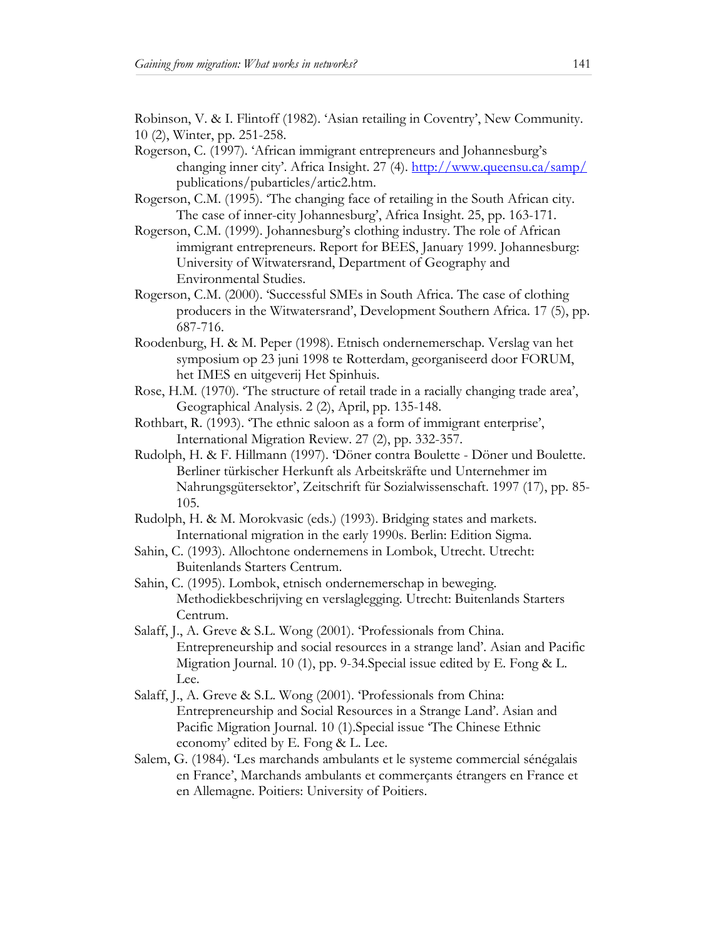Robinson, V. & I. Flintoff (1982). 'Asian retailing in Coventry', New Community. 10 (2), Winter, pp. 251-258.

- Rogerson, C. (1997). 'African immigrant entrepreneurs and Johannesburg's changing inner city'. Africa Insight. 27 (4). http://www.queensu.ca/samp/ publications/pubarticles/artic2.htm.
- Rogerson, C.M. (1995). 'The changing face of retailing in the South African city. The case of inner-city Johannesburg', Africa Insight. 25, pp. 163-171.
- Rogerson, C.M. (1999). Johannesburg's clothing industry. The role of African immigrant entrepreneurs. Report for BEES, January 1999. Johannesburg: University of Witwatersrand, Department of Geography and Environmental Studies.
- Rogerson, C.M. (2000). 'Successful SMEs in South Africa. The case of clothing producers in the Witwatersrand', Development Southern Africa. 17 (5), pp. 687-716.
- Roodenburg, H. & M. Peper (1998). Etnisch ondernemerschap. Verslag van het symposium op 23 juni 1998 te Rotterdam, georganiseerd door FORUM, het IMES en uitgeverij Het Spinhuis.
- Rose, H.M. (1970). 'The structure of retail trade in a racially changing trade area', Geographical Analysis. 2 (2), April, pp. 135-148.
- Rothbart, R. (1993). 'The ethnic saloon as a form of immigrant enterprise', International Migration Review. 27 (2), pp. 332-357.
- Rudolph, H. & F. Hillmann (1997). 'Döner contra Boulette Döner und Boulette. Berliner türkischer Herkunft als Arbeitskräfte und Unternehmer im Nahrungsgütersektor', Zeitschrift für Sozialwissenschaft. 1997 (17), pp. 85- 105.
- Rudolph, H. & M. Morokvasic (eds.) (1993). Bridging states and markets. International migration in the early 1990s. Berlin: Edition Sigma.
- Sahin, C. (1993). Allochtone ondernemens in Lombok, Utrecht. Utrecht: Buitenlands Starters Centrum.
- Sahin, C. (1995). Lombok, etnisch ondernemerschap in beweging. Methodiekbeschrijving en verslaglegging. Utrecht: Buitenlands Starters Centrum.
- Salaff, J., A. Greve & S.L. Wong (2001). 'Professionals from China. Entrepreneurship and social resources in a strange land'. Asian and Pacific Migration Journal. 10 (1), pp. 9-34.Special issue edited by E. Fong & L. Lee.
- Salaff, J., A. Greve & S.L. Wong (2001). 'Professionals from China: Entrepreneurship and Social Resources in a Strange Land'. Asian and Pacific Migration Journal. 10 (1).Special issue 'The Chinese Ethnic economy' edited by E. Fong & L. Lee.
- Salem, G. (1984). 'Les marchands ambulants et le systeme commercial sénégalais en France', Marchands ambulants et commerçants étrangers en France et en Allemagne. Poitiers: University of Poitiers.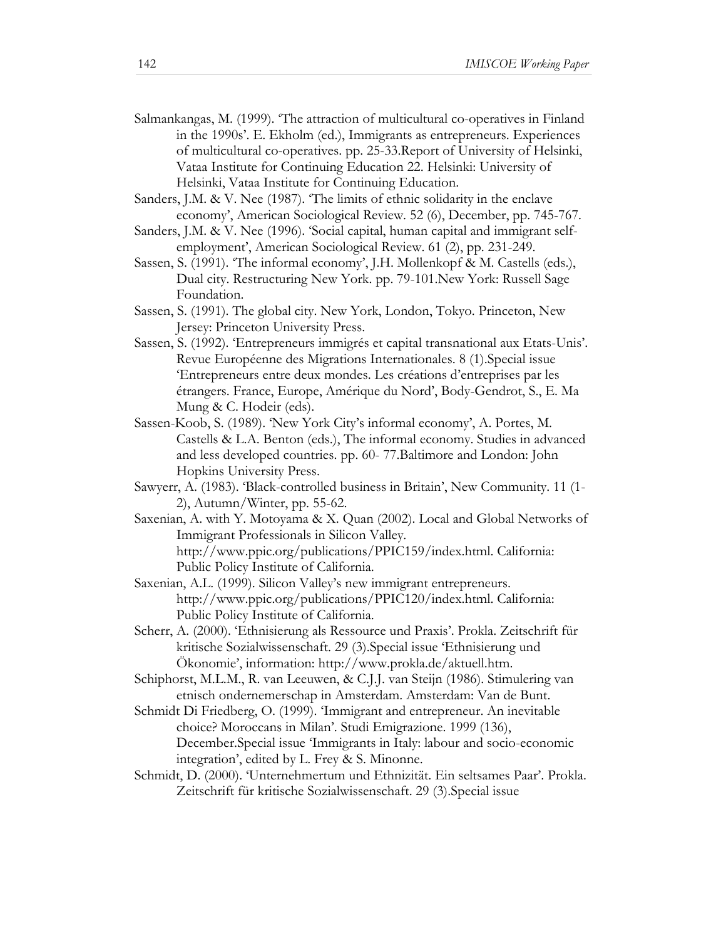- Salmankangas, M. (1999). 'The attraction of multicultural co-operatives in Finland in the 1990s'. E. Ekholm (ed.), Immigrants as entrepreneurs. Experiences of multicultural co-operatives. pp. 25-33.Report of University of Helsinki, Vataa Institute for Continuing Education 22. Helsinki: University of Helsinki, Vataa Institute for Continuing Education.
- Sanders, J.M. & V. Nee (1987). 'The limits of ethnic solidarity in the enclave economy', American Sociological Review. 52 (6), December, pp. 745-767.
- Sanders, J.M. & V. Nee (1996). 'Social capital, human capital and immigrant selfemployment', American Sociological Review. 61 (2), pp. 231-249.
- Sassen, S. (1991). 'The informal economy', J.H. Mollenkopf & M. Castells (eds.), Dual city. Restructuring New York. pp. 79-101.New York: Russell Sage Foundation.
- Sassen, S. (1991). The global city. New York, London, Tokyo. Princeton, New Jersey: Princeton University Press.
- Sassen, S. (1992). 'Entrepreneurs immigrés et capital transnational aux Etats-Unis'. Revue Européenne des Migrations Internationales. 8 (1).Special issue 'Entrepreneurs entre deux mondes. Les créations d'entreprises par les étrangers. France, Europe, Amérique du Nord', Body-Gendrot, S., E. Ma Mung & C. Hodeir (eds).
- Sassen-Koob, S. (1989). 'New York City's informal economy', A. Portes, M. Castells & L.A. Benton (eds.), The informal economy. Studies in advanced and less developed countries. pp. 60- 77.Baltimore and London: John Hopkins University Press.
- Sawyerr, A. (1983). 'Black-controlled business in Britain', New Community. 11 (1- 2), Autumn/Winter, pp. 55-62.
- Saxenian, A. with Y. Motoyama & X. Quan (2002). Local and Global Networks of Immigrant Professionals in Silicon Valley. http://www.ppic.org/publications/PPIC159/index.html. California: Public Policy Institute of California.
- Saxenian, A.L. (1999). Silicon Valley's new immigrant entrepreneurs. http://www.ppic.org/publications/PPIC120/index.html. California: Public Policy Institute of California.
- Scherr, A. (2000). 'Ethnisierung als Ressource und Praxis'. Prokla. Zeitschrift für kritische Sozialwissenschaft. 29 (3).Special issue 'Ethnisierung und Ökonomie', information: http://www.prokla.de/aktuell.htm.
- Schiphorst, M.L.M., R. van Leeuwen, & C.J.J. van Steijn (1986). Stimulering van etnisch ondernemerschap in Amsterdam. Amsterdam: Van de Bunt.
- Schmidt Di Friedberg, O. (1999). 'Immigrant and entrepreneur. An inevitable choice? Moroccans in Milan'. Studi Emigrazione. 1999 (136), December.Special issue 'Immigrants in Italy: labour and socio-economic integration', edited by L. Frey & S. Minonne.
- Schmidt, D. (2000). 'Unternehmertum und Ethnizität. Ein seltsames Paar'. Prokla. Zeitschrift für kritische Sozialwissenschaft. 29 (3).Special issue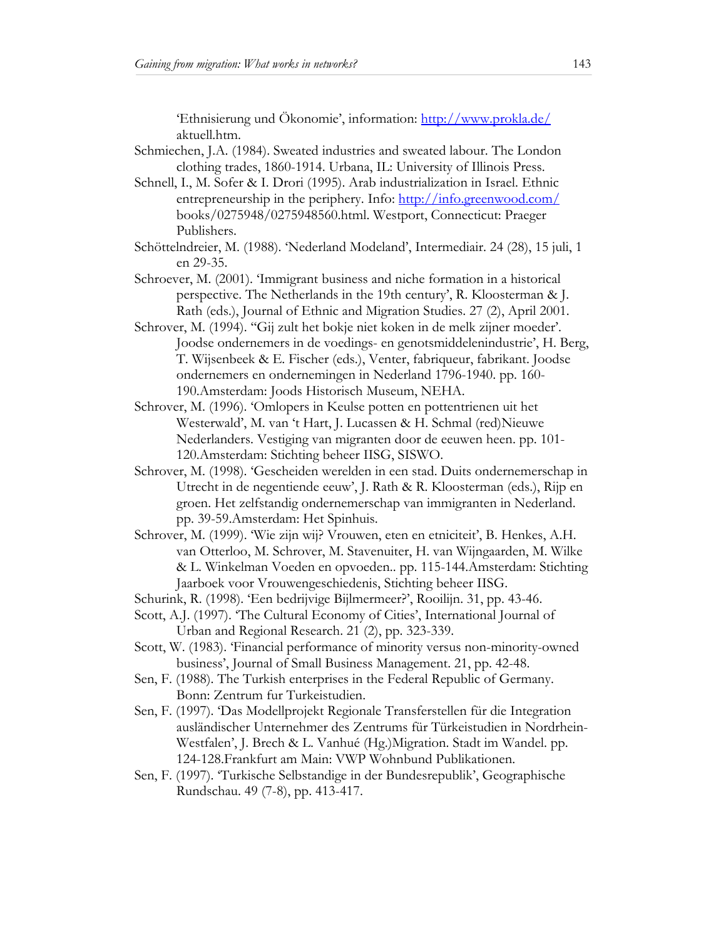'Ethnisierung und Ökonomie', information: http://www.prokla.de/ aktuell.htm.

- Schmiechen, J.A. (1984). Sweated industries and sweated labour. The London clothing trades, 1860-1914. Urbana, IL: University of Illinois Press.
- Schnell, I., M. Sofer & I. Drori (1995). Arab industrialization in Israel. Ethnic entrepreneurship in the periphery. Info: http://info.greenwood.com/ books/0275948/0275948560.html. Westport, Connecticut: Praeger Publishers.
- Schöttelndreier, M. (1988). 'Nederland Modeland', Intermediair. 24 (28), 15 juli, 1 en 29-35.
- Schroever, M. (2001). 'Immigrant business and niche formation in a historical perspective. The Netherlands in the 19th century', R. Kloosterman & J. Rath (eds.), Journal of Ethnic and Migration Studies. 27 (2), April 2001.
- Schrover, M. (1994). ''Gij zult het bokje niet koken in de melk zijner moeder'. Joodse ondernemers in de voedings- en genotsmiddelenindustrie', H. Berg, T. Wijsenbeek & E. Fischer (eds.), Venter, fabriqueur, fabrikant. Joodse ondernemers en ondernemingen in Nederland 1796-1940. pp. 160- 190.Amsterdam: Joods Historisch Museum, NEHA.
- Schrover, M. (1996). 'Omlopers in Keulse potten en pottentrienen uit het Westerwald', M. van 't Hart, J. Lucassen & H. Schmal (red)Nieuwe Nederlanders. Vestiging van migranten door de eeuwen heen. pp. 101- 120.Amsterdam: Stichting beheer IISG, SISWO.
- Schrover, M. (1998). 'Gescheiden werelden in een stad. Duits ondernemerschap in Utrecht in de negentiende eeuw', J. Rath & R. Kloosterman (eds.), Rijp en groen. Het zelfstandig ondernemerschap van immigranten in Nederland. pp. 39-59.Amsterdam: Het Spinhuis.
- Schrover, M. (1999). 'Wie zijn wij? Vrouwen, eten en etniciteit', B. Henkes, A.H. van Otterloo, M. Schrover, M. Stavenuiter, H. van Wijngaarden, M. Wilke & L. Winkelman Voeden en opvoeden.. pp. 115-144.Amsterdam: Stichting Jaarboek voor Vrouwengeschiedenis, Stichting beheer IISG.
- Schurink, R. (1998). 'Een bedrijvige Bijlmermeer?', Rooilijn. 31, pp. 43-46.
- Scott, A.J. (1997). 'The Cultural Economy of Cities', International Journal of Urban and Regional Research. 21 (2), pp. 323-339.
- Scott, W. (1983). 'Financial performance of minority versus non-minority-owned business', Journal of Small Business Management. 21, pp. 42-48.
- Sen, F. (1988). The Turkish enterprises in the Federal Republic of Germany. Bonn: Zentrum fur Turkeistudien.
- Sen, F. (1997). 'Das Modellprojekt Regionale Transferstellen für die Integration ausländischer Unternehmer des Zentrums für Türkeistudien in Nordrhein-Westfalen', J. Brech & L. Vanhué (Hg.)Migration. Stadt im Wandel. pp. 124-128.Frankfurt am Main: VWP Wohnbund Publikationen.
- Sen, F. (1997). 'Turkische Selbstandige in der Bundesrepublik', Geographische Rundschau. 49 (7-8), pp. 413-417.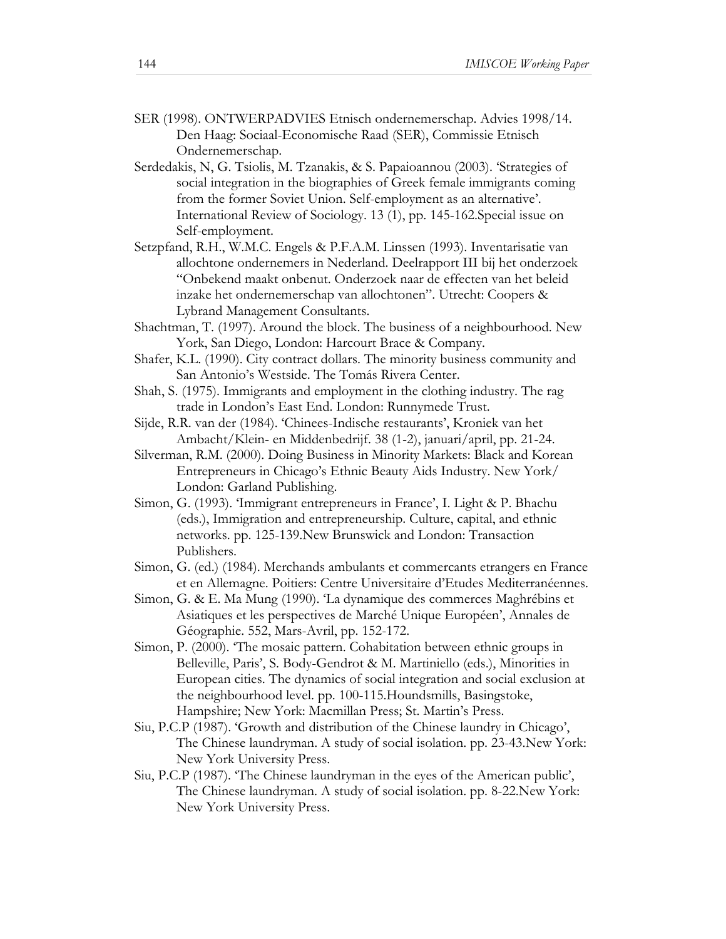- SER (1998). ONTWERPADVIES Etnisch ondernemerschap. Advies 1998/14. Den Haag: Sociaal-Economische Raad (SER), Commissie Etnisch Ondernemerschap.
- Serdedakis, N, G. Tsiolis, M. Tzanakis, & S. Papaioannou (2003). 'Strategies of social integration in the biographies of Greek female immigrants coming from the former Soviet Union. Self-employment as an alternative'. International Review of Sociology. 13 (1), pp. 145-162.Special issue on Self-employment.
- Setzpfand, R.H., W.M.C. Engels & P.F.A.M. Linssen (1993). Inventarisatie van allochtone ondernemers in Nederland. Deelrapport III bij het onderzoek "Onbekend maakt onbenut. Onderzoek naar de effecten van het beleid inzake het ondernemerschap van allochtonen". Utrecht: Coopers & Lybrand Management Consultants.
- Shachtman, T. (1997). Around the block. The business of a neighbourhood. New York, San Diego, London: Harcourt Brace & Company.
- Shafer, K.L. (1990). City contract dollars. The minority business community and San Antonio's Westside. The Tomás Rivera Center.
- Shah, S. (1975). Immigrants and employment in the clothing industry. The rag trade in London's East End. London: Runnymede Trust.
- Sijde, R.R. van der (1984). 'Chinees-Indische restaurants', Kroniek van het Ambacht/Klein- en Middenbedrijf. 38 (1-2), januari/april, pp. 21-24.
- Silverman, R.M. (2000). Doing Business in Minority Markets: Black and Korean Entrepreneurs in Chicago's Ethnic Beauty Aids Industry. New York/ London: Garland Publishing.
- Simon, G. (1993). 'Immigrant entrepreneurs in France', I. Light & P. Bhachu (eds.), Immigration and entrepreneurship. Culture, capital, and ethnic networks. pp. 125-139.New Brunswick and London: Transaction Publishers.
- Simon, G. (ed.) (1984). Merchands ambulants et commercants etrangers en France et en Allemagne. Poitiers: Centre Universitaire d'Etudes Mediterranéennes.
- Simon, G. & E. Ma Mung (1990). 'La dynamique des commerces Maghrébins et Asiatiques et les perspectives de Marché Unique Européen', Annales de Géographie. 552, Mars-Avril, pp. 152-172.
- Simon, P. (2000). 'The mosaic pattern. Cohabitation between ethnic groups in Belleville, Paris', S. Body-Gendrot & M. Martiniello (eds.), Minorities in European cities. The dynamics of social integration and social exclusion at the neighbourhood level. pp. 100-115.Houndsmills, Basingstoke, Hampshire; New York: Macmillan Press; St. Martin's Press.
- Siu, P.C.P (1987). 'Growth and distribution of the Chinese laundry in Chicago', The Chinese laundryman. A study of social isolation. pp. 23-43.New York: New York University Press.
- Siu, P.C.P (1987). 'The Chinese laundryman in the eyes of the American public', The Chinese laundryman. A study of social isolation. pp. 8-22.New York: New York University Press.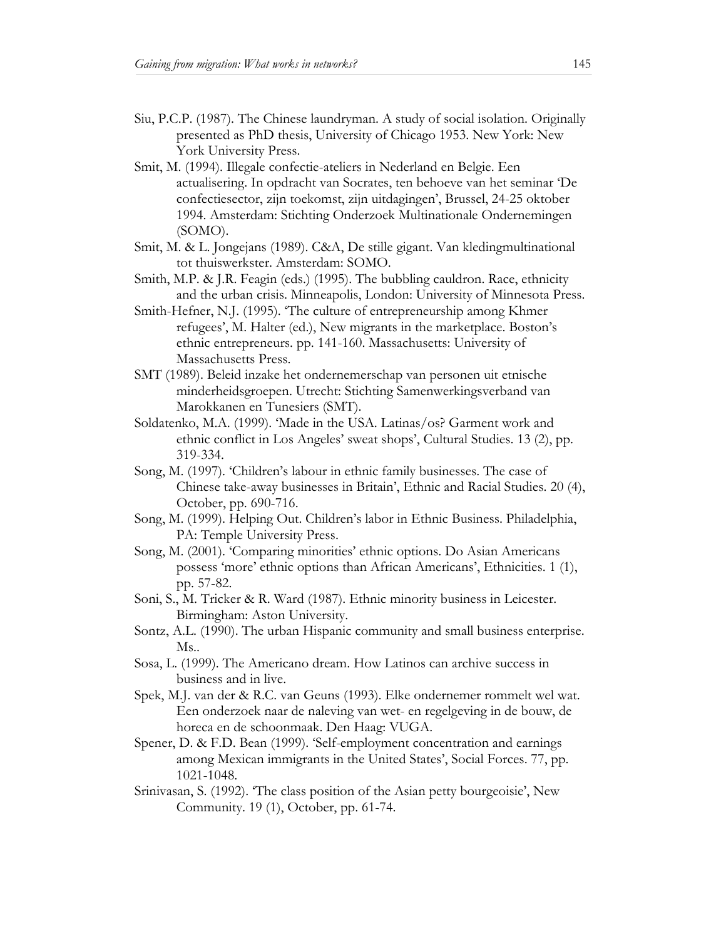- Siu, P.C.P. (1987). The Chinese laundryman. A study of social isolation. Originally presented as PhD thesis, University of Chicago 1953. New York: New York University Press.
- Smit, M. (1994). Illegale confectie-ateliers in Nederland en Belgie. Een actualisering. In opdracht van Socrates, ten behoeve van het seminar 'De confectiesector, zijn toekomst, zijn uitdagingen', Brussel, 24-25 oktober 1994. Amsterdam: Stichting Onderzoek Multinationale Ondernemingen (SOMO).
- Smit, M. & L. Jongejans (1989). C&A, De stille gigant. Van kledingmultinational tot thuiswerkster. Amsterdam: SOMO.
- Smith, M.P. & J.R. Feagin (eds.) (1995). The bubbling cauldron. Race, ethnicity and the urban crisis. Minneapolis, London: University of Minnesota Press.
- Smith-Hefner, N.J. (1995). 'The culture of entrepreneurship among Khmer refugees', M. Halter (ed.), New migrants in the marketplace. Boston's ethnic entrepreneurs. pp. 141-160. Massachusetts: University of Massachusetts Press.
- SMT (1989). Beleid inzake het ondernemerschap van personen uit etnische minderheidsgroepen. Utrecht: Stichting Samenwerkingsverband van Marokkanen en Tunesiers (SMT).
- Soldatenko, M.A. (1999). 'Made in the USA. Latinas/os? Garment work and ethnic conflict in Los Angeles' sweat shops', Cultural Studies. 13 (2), pp. 319-334.
- Song, M. (1997). 'Children's labour in ethnic family businesses. The case of Chinese take-away businesses in Britain', Ethnic and Racial Studies. 20 (4), October, pp. 690-716.
- Song, M. (1999). Helping Out. Children's labor in Ethnic Business. Philadelphia, PA: Temple University Press.
- Song, M. (2001). 'Comparing minorities' ethnic options. Do Asian Americans possess 'more' ethnic options than African Americans', Ethnicities. 1 (1), pp. 57-82.
- Soni, S., M. Tricker & R. Ward (1987). Ethnic minority business in Leicester. Birmingham: Aston University.
- Sontz, A.L. (1990). The urban Hispanic community and small business enterprise. Ms..
- Sosa, L. (1999). The Americano dream. How Latinos can archive success in business and in live.
- Spek, M.J. van der & R.C. van Geuns (1993). Elke ondernemer rommelt wel wat. Een onderzoek naar de naleving van wet- en regelgeving in de bouw, de horeca en de schoonmaak. Den Haag: VUGA.
- Spener, D. & F.D. Bean (1999). 'Self-employment concentration and earnings among Mexican immigrants in the United States', Social Forces. 77, pp. 1021-1048.
- Srinivasan, S. (1992). 'The class position of the Asian petty bourgeoisie', New Community. 19 (1), October, pp. 61-74.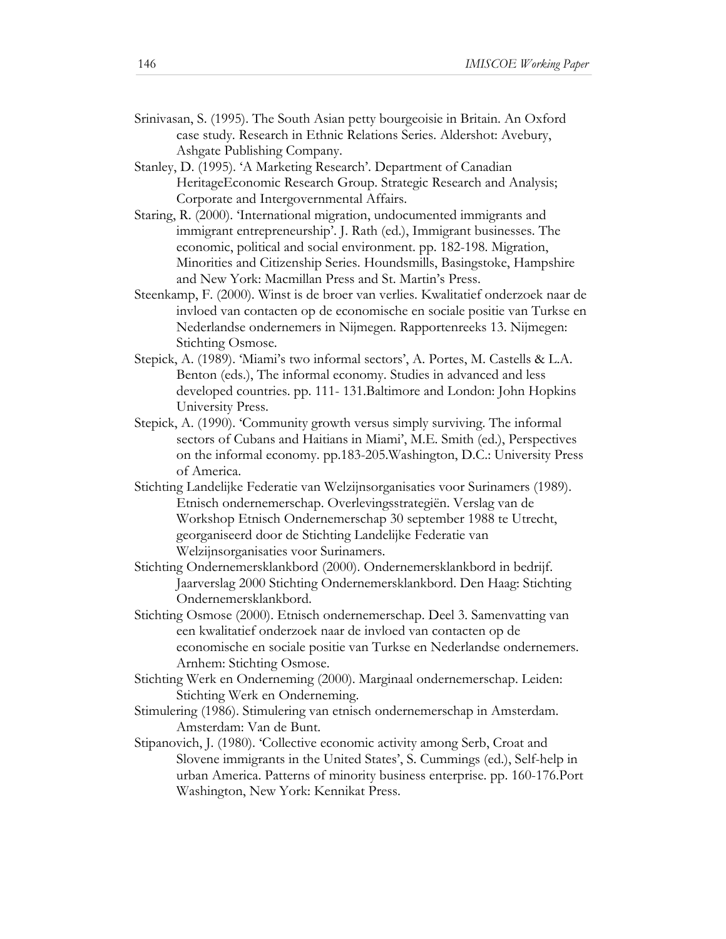- Srinivasan, S. (1995). The South Asian petty bourgeoisie in Britain. An Oxford case study. Research in Ethnic Relations Series. Aldershot: Avebury, Ashgate Publishing Company.
- Stanley, D. (1995). 'A Marketing Research'. Department of Canadian HeritageEconomic Research Group. Strategic Research and Analysis; Corporate and Intergovernmental Affairs.
- Staring, R. (2000). 'International migration, undocumented immigrants and immigrant entrepreneurship'. J. Rath (ed.), Immigrant businesses. The economic, political and social environment. pp. 182-198. Migration, Minorities and Citizenship Series. Houndsmills, Basingstoke, Hampshire and New York: Macmillan Press and St. Martin's Press.
- Steenkamp, F. (2000). Winst is de broer van verlies. Kwalitatief onderzoek naar de invloed van contacten op de economische en sociale positie van Turkse en Nederlandse ondernemers in Nijmegen. Rapportenreeks 13. Nijmegen: Stichting Osmose.
- Stepick, A. (1989). 'Miami's two informal sectors', A. Portes, M. Castells & L.A. Benton (eds.), The informal economy. Studies in advanced and less developed countries. pp. 111- 131.Baltimore and London: John Hopkins University Press.
- Stepick, A. (1990). 'Community growth versus simply surviving. The informal sectors of Cubans and Haitians in Miami', M.E. Smith (ed.), Perspectives on the informal economy. pp.183-205.Washington, D.C.: University Press of America.
- Stichting Landelijke Federatie van Welzijnsorganisaties voor Surinamers (1989). Etnisch ondernemerschap. Overlevingsstrategiën. Verslag van de Workshop Etnisch Ondernemerschap 30 september 1988 te Utrecht, georganiseerd door de Stichting Landelijke Federatie van Welzijnsorganisaties voor Surinamers.
- Stichting Ondernemersklankbord (2000). Ondernemersklankbord in bedrijf. Jaarverslag 2000 Stichting Ondernemersklankbord. Den Haag: Stichting Ondernemersklankbord.
- Stichting Osmose (2000). Etnisch ondernemerschap. Deel 3. Samenvatting van een kwalitatief onderzoek naar de invloed van contacten op de economische en sociale positie van Turkse en Nederlandse ondernemers. Arnhem: Stichting Osmose.
- Stichting Werk en Onderneming (2000). Marginaal ondernemerschap. Leiden: Stichting Werk en Onderneming.
- Stimulering (1986). Stimulering van etnisch ondernemerschap in Amsterdam. Amsterdam: Van de Bunt.
- Stipanovich, J. (1980). 'Collective economic activity among Serb, Croat and Slovene immigrants in the United States', S. Cummings (ed.), Self-help in urban America. Patterns of minority business enterprise. pp. 160-176.Port Washington, New York: Kennikat Press.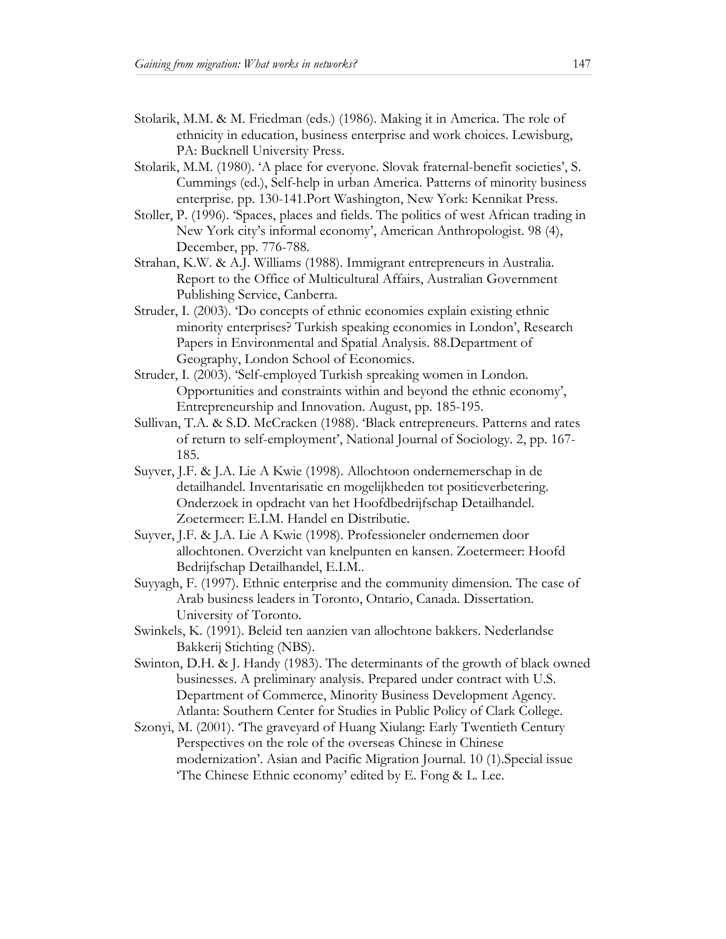- Stolarik, M.M. & M. Friedman (eds.) (1986). Making it in America. The role of ethnicity in education, business enterprise and work choices. Lewisburg, PA: Bucknell University Press.
- Stolarik, M.M. (1980). 'A place for everyone. Slovak fraternal-benefit societies', S. Cummings (ed.), Self-help in urban America. Patterns of minority business enterprise. pp. 130-141.Port Washington, New York: Kennikat Press.
- Stoller, P. (1996). 'Spaces, places and fields. The politics of west African trading in New York city's informal economy', American Anthropologist. 98 (4), December, pp. 776-788.
- Strahan, K.W. & A.J. Williams (1988). Immigrant entrepreneurs in Australia. Report to the Office of Multicultural Affairs, Australian Government Publishing Service, Canberra.
- Struder, I. (2003). 'Do concepts of ethnic economies explain existing ethnic minority enterprises? Turkish speaking economies in London', Research Papers in Environmental and Spatial Analysis. 88.Department of Geography, London School of Economics.
- Struder, I. (2003). 'Self-employed Turkish spreaking women in London. Opportunities and constraints within and beyond the ethnic economy', Entrepreneurship and Innovation. August, pp. 185-195.
- Sullivan, T.A. & S.D. McCracken (1988). 'Black entrepreneurs. Patterns and rates of return to self-employment', National Journal of Sociology. 2, pp. 167- 185.
- Suyver, J.F. & J.A. Lie A Kwie (1998). Allochtoon ondernemerschap in de detailhandel. Inventarisatie en mogelijkheden tot positieverbetering. Onderzoek in opdracht van het Hoofdbedrijfschap Detailhandel. Zoetermeer: E.I.M. Handel en Distributie.
- Suyver, J.F. & J.A. Lie A Kwie (1998). Professioneler ondernemen door allochtonen. Overzicht van knelpunten en kansen. Zoetermeer: Hoofd Bedrijfschap Detailhandel, E.I.M..
- Suyyagh, F. (1997). Ethnic enterprise and the community dimension. The case of Arab business leaders in Toronto, Ontario, Canada. Dissertation. University of Toronto.
- Swinkels, K. (1991). Beleid ten aanzien van allochtone bakkers. Nederlandse Bakkerij Stichting (NBS).
- Swinton, D.H. & J. Handy (1983). The determinants of the growth of black owned businesses. A preliminary analysis. Prepared under contract with U.S. Department of Commerce, Minority Business Development Agency. Atlanta: Southern Center for Studies in Public Policy of Clark College.
- Szonyi, M. (2001). 'The graveyard of Huang Xiulang: Early Twentieth Century Perspectives on the role of the overseas Chinese in Chinese modernization'. Asian and Pacific Migration Journal. 10 (1).Special issue 'The Chinese Ethnic economy' edited by E. Fong & L. Lee.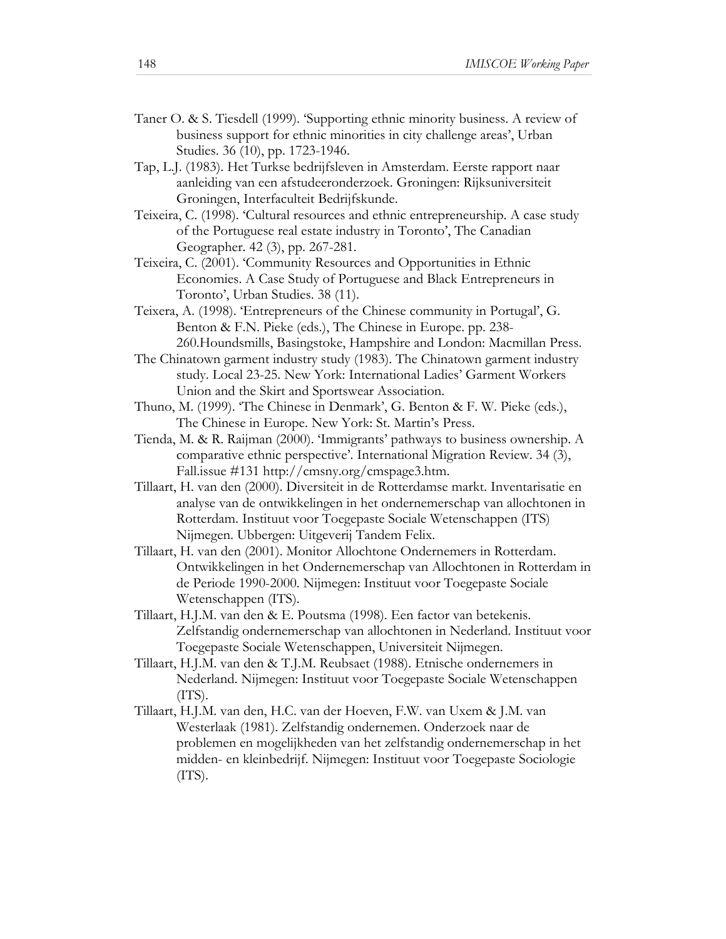- Taner O. & S. Tiesdell (1999). 'Supporting ethnic minority business. A review of business support for ethnic minorities in city challenge areas', Urban Studies. 36 (10), pp. 1723-1946.
- Tap, L.J. (1983). Het Turkse bedrijfsleven in Amsterdam. Eerste rapport naar aanleiding van een afstudeeronderzoek. Groningen: Rijksuniversiteit Groningen, Interfaculteit Bedrijfskunde.
- Teixeira, C. (1998). 'Cultural resources and ethnic entrepreneurship. A case study of the Portuguese real estate industry in Toronto', The Canadian Geographer. 42 (3), pp. 267-281.
- Teixeira, C. (2001). 'Community Resources and Opportunities in Ethnic Economies. A Case Study of Portuguese and Black Entrepreneurs in Toronto', Urban Studies. 38 (11).
- Teixera, A. (1998). 'Entrepreneurs of the Chinese community in Portugal', G. Benton & F.N. Pieke (eds.), The Chinese in Europe. pp. 238- 260.Houndsmills, Basingstoke, Hampshire and London: Macmillan Press.
- The Chinatown garment industry study (1983). The Chinatown garment industry study. Local 23-25. New York: International Ladies' Garment Workers Union and the Skirt and Sportswear Association.
- Thuno, M. (1999). 'The Chinese in Denmark', G. Benton & F. W. Pieke (eds.), The Chinese in Europe. New York: St. Martin's Press.
- Tienda, M. & R. Raijman (2000). 'Immigrants' pathways to business ownership. A comparative ethnic perspective'. International Migration Review. 34 (3), Fall.issue #131 http://cmsny.org/cmspage3.htm.
- Tillaart, H. van den (2000). Diversiteit in de Rotterdamse markt. Inventarisatie en analyse van de ontwikkelingen in het ondernemerschap van allochtonen in Rotterdam. Instituut voor Toegepaste Sociale Wetenschappen (ITS) Nijmegen. Ubbergen: Uitgeverij Tandem Felix.
- Tillaart, H. van den (2001). Monitor Allochtone Ondernemers in Rotterdam. Ontwikkelingen in het Ondernemerschap van Allochtonen in Rotterdam in de Periode 1990-2000. Nijmegen: Instituut voor Toegepaste Sociale Wetenschappen (ITS).
- Tillaart, H.J.M. van den & E. Poutsma (1998). Een factor van betekenis. Zelfstandig ondernemerschap van allochtonen in Nederland. Instituut voor Toegepaste Sociale Wetenschappen, Universiteit Nijmegen.
- Tillaart, H.J.M. van den & T.J.M. Reubsaet (1988). Etnische ondernemers in Nederland. Nijmegen: Instituut voor Toegepaste Sociale Wetenschappen (ITS).
- Tillaart, H.J.M. van den, H.C. van der Hoeven, F.W. van Uxem & J.M. van Westerlaak (1981). Zelfstandig ondernemen. Onderzoek naar de problemen en mogelijkheden van het zelfstandig ondernemerschap in het midden- en kleinbedrijf. Nijmegen: Instituut voor Toegepaste Sociologie (ITS).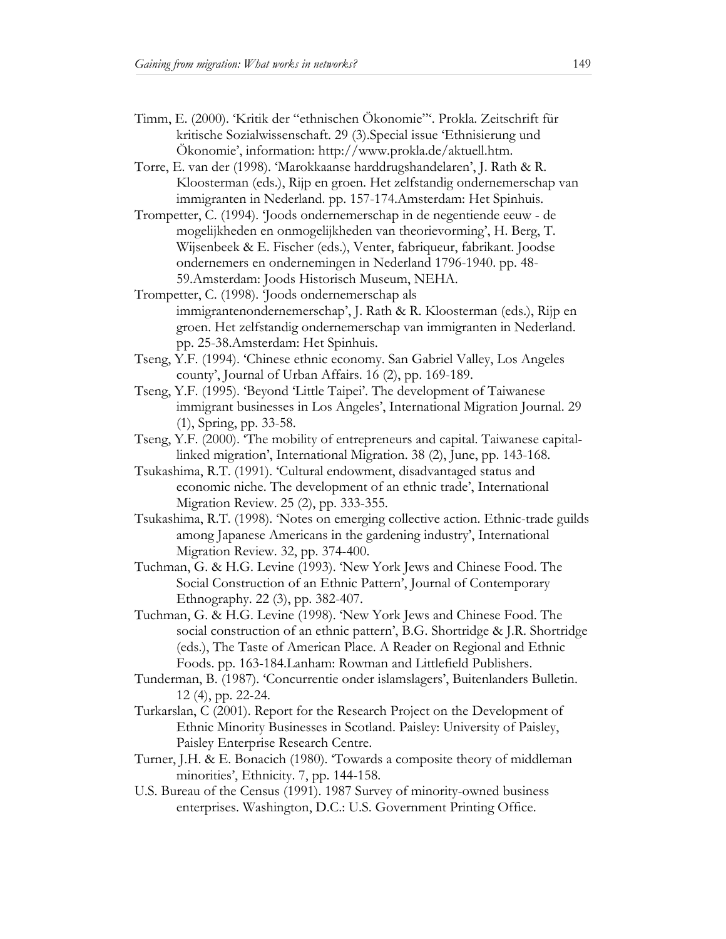- Timm, E. (2000). 'Kritik der "ethnischen Ökonomie"'. Prokla. Zeitschrift für kritische Sozialwissenschaft. 29 (3).Special issue 'Ethnisierung und Ökonomie', information: http://www.prokla.de/aktuell.htm.
- Torre, E. van der (1998). 'Marokkaanse harddrugshandelaren', J. Rath & R. Kloosterman (eds.), Rijp en groen. Het zelfstandig ondernemerschap van immigranten in Nederland. pp. 157-174.Amsterdam: Het Spinhuis.
- Trompetter, C. (1994). 'Joods ondernemerschap in de negentiende eeuw de mogelijkheden en onmogelijkheden van theorievorming', H. Berg, T. Wijsenbeek & E. Fischer (eds.), Venter, fabriqueur, fabrikant. Joodse ondernemers en ondernemingen in Nederland 1796-1940. pp. 48- 59.Amsterdam: Joods Historisch Museum, NEHA.
- Trompetter, C. (1998). 'Joods ondernemerschap als immigrantenondernemerschap', J. Rath & R. Kloosterman (eds.), Rijp en groen. Het zelfstandig ondernemerschap van immigranten in Nederland. pp. 25-38.Amsterdam: Het Spinhuis.
- Tseng, Y.F. (1994). 'Chinese ethnic economy. San Gabriel Valley, Los Angeles county', Journal of Urban Affairs. 16 (2), pp. 169-189.
- Tseng, Y.F. (1995). 'Beyond 'Little Taipei'. The development of Taiwanese immigrant businesses in Los Angeles', International Migration Journal. 29 (1), Spring, pp. 33-58.
- Tseng, Y.F. (2000). 'The mobility of entrepreneurs and capital. Taiwanese capitallinked migration', International Migration. 38 (2), June, pp. 143-168.
- Tsukashima, R.T. (1991). 'Cultural endowment, disadvantaged status and economic niche. The development of an ethnic trade', International Migration Review. 25 (2), pp. 333-355.
- Tsukashima, R.T. (1998). 'Notes on emerging collective action. Ethnic-trade guilds among Japanese Americans in the gardening industry', International Migration Review. 32, pp. 374-400.
- Tuchman, G. & H.G. Levine (1993). 'New York Jews and Chinese Food. The Social Construction of an Ethnic Pattern', Journal of Contemporary Ethnography. 22 (3), pp. 382-407.
- Tuchman, G. & H.G. Levine (1998). 'New York Jews and Chinese Food. The social construction of an ethnic pattern', B.G. Shortridge & J.R. Shortridge (eds.), The Taste of American Place. A Reader on Regional and Ethnic Foods. pp. 163-184.Lanham: Rowman and Littlefield Publishers.
- Tunderman, B. (1987). 'Concurrentie onder islamslagers', Buitenlanders Bulletin. 12 (4), pp. 22-24.
- Turkarslan, C (2001). Report for the Research Project on the Development of Ethnic Minority Businesses in Scotland. Paisley: University of Paisley, Paisley Enterprise Research Centre.
- Turner, J.H. & E. Bonacich (1980). 'Towards a composite theory of middleman minorities', Ethnicity. 7, pp. 144-158.
- U.S. Bureau of the Census (1991). 1987 Survey of minority-owned business enterprises. Washington, D.C.: U.S. Government Printing Office.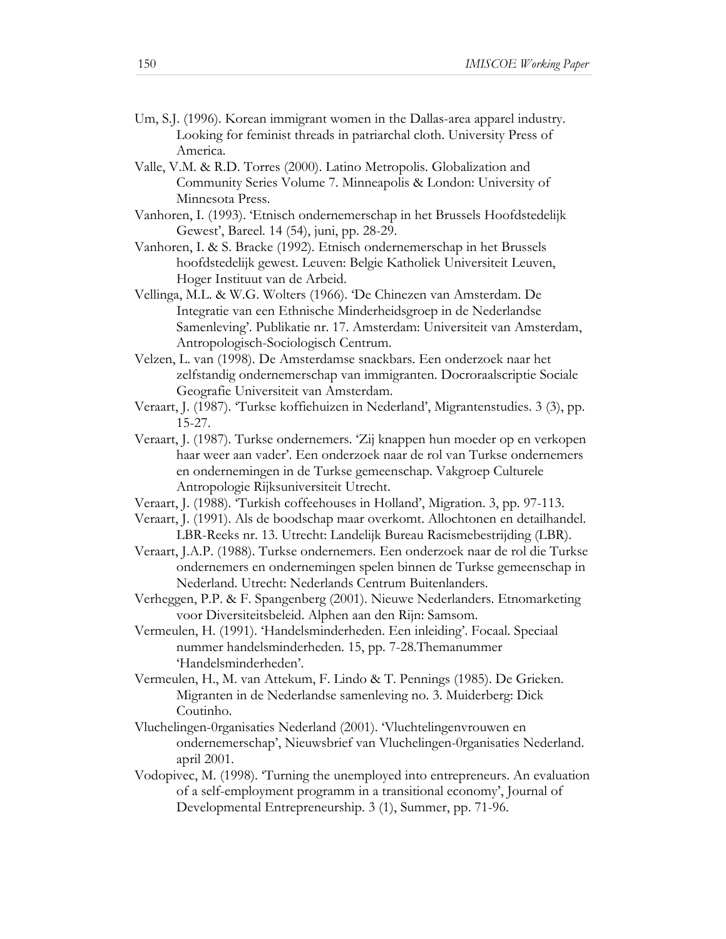- Um, S.J. (1996). Korean immigrant women in the Dallas-area apparel industry. Looking for feminist threads in patriarchal cloth. University Press of America.
- Valle, V.M. & R.D. Torres (2000). Latino Metropolis. Globalization and Community Series Volume 7. Minneapolis & London: University of Minnesota Press.
- Vanhoren, I. (1993). 'Etnisch ondernemerschap in het Brussels Hoofdstedelijk Gewest', Bareel. 14 (54), juni, pp. 28-29.
- Vanhoren, I. & S. Bracke (1992). Etnisch ondernemerschap in het Brussels hoofdstedelijk gewest. Leuven: Belgie Katholiek Universiteit Leuven, Hoger Instituut van de Arbeid.
- Vellinga, M.L. & W.G. Wolters (1966). 'De Chinezen van Amsterdam. De Integratie van een Ethnische Minderheidsgroep in de Nederlandse Samenleving'. Publikatie nr. 17. Amsterdam: Universiteit van Amsterdam, Antropologisch-Sociologisch Centrum.
- Velzen, L. van (1998). De Amsterdamse snackbars. Een onderzoek naar het zelfstandig ondernemerschap van immigranten. Docroraalscriptie Sociale Geografie Universiteit van Amsterdam.
- Veraart, J. (1987). 'Turkse koffiehuizen in Nederland', Migrantenstudies. 3 (3), pp. 15-27.
- Veraart, J. (1987). Turkse ondernemers. 'Zij knappen hun moeder op en verkopen haar weer aan vader'. Een onderzoek naar de rol van Turkse ondernemers en ondernemingen in de Turkse gemeenschap. Vakgroep Culturele Antropologie Rijksuniversiteit Utrecht.
- Veraart, J. (1988). 'Turkish coffeehouses in Holland', Migration. 3, pp. 97-113.
- Veraart, J. (1991). Als de boodschap maar overkomt. Allochtonen en detailhandel. LBR-Reeks nr. 13. Utrecht: Landelijk Bureau Racismebestrijding (LBR).
- Veraart, J.A.P. (1988). Turkse ondernemers. Een onderzoek naar de rol die Turkse ondernemers en ondernemingen spelen binnen de Turkse gemeenschap in Nederland. Utrecht: Nederlands Centrum Buitenlanders.
- Verheggen, P.P. & F. Spangenberg (2001). Nieuwe Nederlanders. Etnomarketing voor Diversiteitsbeleid. Alphen aan den Rijn: Samsom.
- Vermeulen, H. (1991). 'Handelsminderheden. Een inleiding'. Focaal. Speciaal nummer handelsminderheden. 15, pp. 7-28.Themanummer 'Handelsminderheden'.
- Vermeulen, H., M. van Attekum, F. Lindo & T. Pennings (1985). De Grieken. Migranten in de Nederlandse samenleving no. 3. Muiderberg: Dick Coutinho.
- Vluchelingen-0rganisaties Nederland (2001). 'Vluchtelingenvrouwen en ondernemerschap', Nieuwsbrief van Vluchelingen-0rganisaties Nederland. april 2001.
- Vodopivec, M. (1998). 'Turning the unemployed into entrepreneurs. An evaluation of a self-employment programm in a transitional economy', Journal of Developmental Entrepreneurship. 3 (1), Summer, pp. 71-96.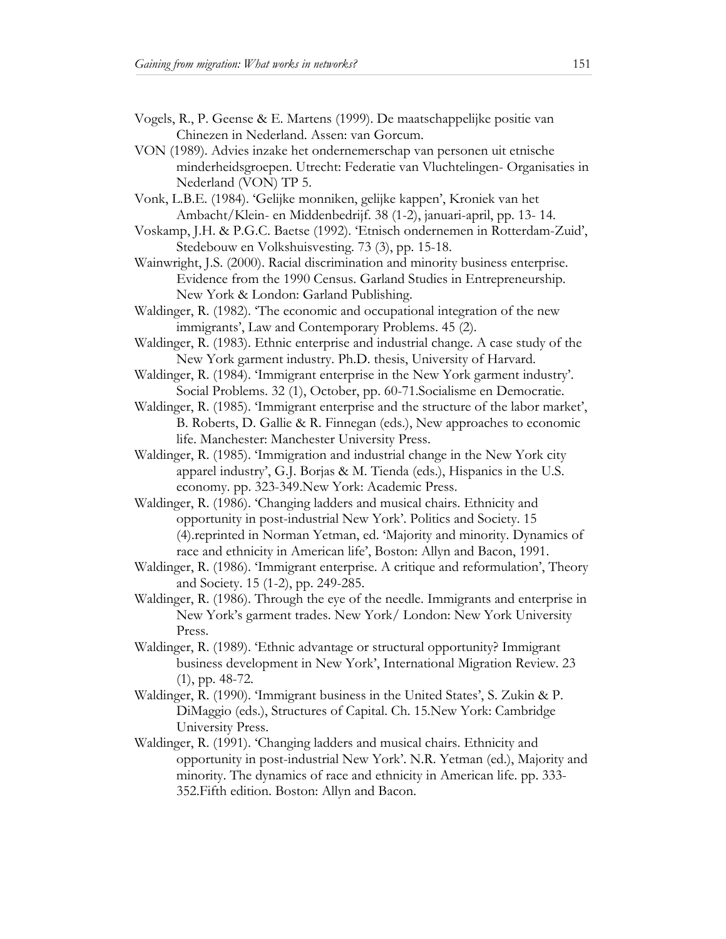- Vogels, R., P. Geense & E. Martens (1999). De maatschappelijke positie van Chinezen in Nederland. Assen: van Gorcum.
- VON (1989). Advies inzake het ondernemerschap van personen uit etnische minderheidsgroepen. Utrecht: Federatie van Vluchtelingen- Organisaties in Nederland (VON) TP 5.
- Vonk, L.B.E. (1984). 'Gelijke monniken, gelijke kappen', Kroniek van het Ambacht/Klein- en Middenbedrijf. 38 (1-2), januari-april, pp. 13- 14.
- Voskamp, J.H. & P.G.C. Baetse (1992). 'Etnisch ondernemen in Rotterdam-Zuid', Stedebouw en Volkshuisvesting. 73 (3), pp. 15-18.
- Wainwright, J.S. (2000). Racial discrimination and minority business enterprise. Evidence from the 1990 Census. Garland Studies in Entrepreneurship. New York & London: Garland Publishing.
- Waldinger, R. (1982). 'The economic and occupational integration of the new immigrants', Law and Contemporary Problems. 45 (2).
- Waldinger, R. (1983). Ethnic enterprise and industrial change. A case study of the New York garment industry. Ph.D. thesis, University of Harvard.
- Waldinger, R. (1984). 'Immigrant enterprise in the New York garment industry'. Social Problems. 32 (1), October, pp. 60-71.Socialisme en Democratie.
- Waldinger, R. (1985). 'Immigrant enterprise and the structure of the labor market', B. Roberts, D. Gallie & R. Finnegan (eds.), New approaches to economic life. Manchester: Manchester University Press.
- Waldinger, R. (1985). 'Immigration and industrial change in the New York city apparel industry', G.J. Borjas & M. Tienda (eds.), Hispanics in the U.S. economy. pp. 323-349.New York: Academic Press.
- Waldinger, R. (1986). 'Changing ladders and musical chairs. Ethnicity and opportunity in post-industrial New York'. Politics and Society. 15 (4).reprinted in Norman Yetman, ed. 'Majority and minority. Dynamics of race and ethnicity in American life', Boston: Allyn and Bacon, 1991.
- Waldinger, R. (1986). 'Immigrant enterprise. A critique and reformulation', Theory and Society. 15 (1-2), pp. 249-285.
- Waldinger, R. (1986). Through the eye of the needle. Immigrants and enterprise in New York's garment trades. New York/ London: New York University Press.
- Waldinger, R. (1989). 'Ethnic advantage or structural opportunity? Immigrant business development in New York', International Migration Review. 23 (1), pp. 48-72.
- Waldinger, R. (1990). 'Immigrant business in the United States', S. Zukin & P. DiMaggio (eds.), Structures of Capital. Ch. 15.New York: Cambridge University Press.
- Waldinger, R. (1991). 'Changing ladders and musical chairs. Ethnicity and opportunity in post-industrial New York'. N.R. Yetman (ed.), Majority and minority. The dynamics of race and ethnicity in American life. pp. 333- 352.Fifth edition. Boston: Allyn and Bacon.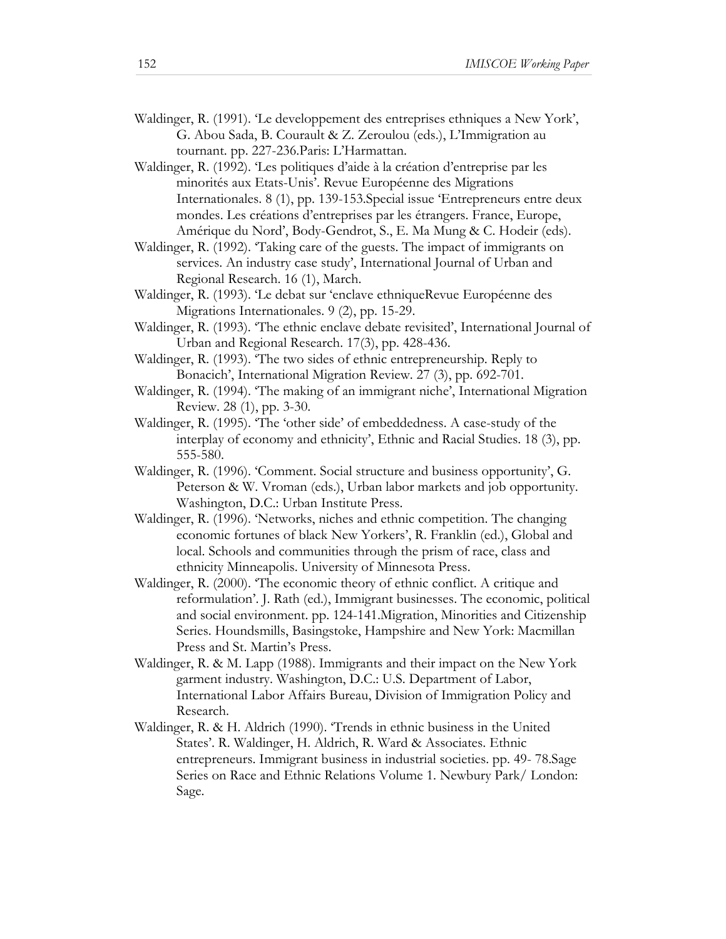- Waldinger, R. (1991). 'Le developpement des entreprises ethniques a New York', G. Abou Sada, B. Courault & Z. Zeroulou (eds.), L'Immigration au tournant. pp. 227-236.Paris: L'Harmattan.
- Waldinger, R. (1992). 'Les politiques d'aide à la création d'entreprise par les minorités aux Etats-Unis'. Revue Européenne des Migrations Internationales. 8 (1), pp. 139-153.Special issue 'Entrepreneurs entre deux mondes. Les créations d'entreprises par les étrangers. France, Europe, Amérique du Nord', Body-Gendrot, S., E. Ma Mung & C. Hodeir (eds).
- Waldinger, R. (1992). 'Taking care of the guests. The impact of immigrants on services. An industry case study', International Journal of Urban and Regional Research. 16 (1), March.
- Waldinger, R. (1993). 'Le debat sur 'enclave ethniqueRevue Européenne des Migrations Internationales. 9 (2), pp. 15-29.
- Waldinger, R. (1993). 'The ethnic enclave debate revisited', International Journal of Urban and Regional Research. 17(3), pp. 428-436.
- Waldinger, R. (1993). 'The two sides of ethnic entrepreneurship. Reply to Bonacich', International Migration Review. 27 (3), pp. 692-701.
- Waldinger, R. (1994). 'The making of an immigrant niche', International Migration Review. 28 (1), pp. 3-30.
- Waldinger, R. (1995). 'The 'other side' of embeddedness. A case-study of the interplay of economy and ethnicity', Ethnic and Racial Studies. 18 (3), pp. 555-580.
- Waldinger, R. (1996). 'Comment. Social structure and business opportunity', G. Peterson & W. Vroman (eds.), Urban labor markets and job opportunity. Washington, D.C.: Urban Institute Press.
- Waldinger, R. (1996). 'Networks, niches and ethnic competition. The changing economic fortunes of black New Yorkers', R. Franklin (ed.), Global and local. Schools and communities through the prism of race, class and ethnicity Minneapolis. University of Minnesota Press.
- Waldinger, R. (2000). 'The economic theory of ethnic conflict. A critique and reformulation'. J. Rath (ed.), Immigrant businesses. The economic, political and social environment. pp. 124-141.Migration, Minorities and Citizenship Series. Houndsmills, Basingstoke, Hampshire and New York: Macmillan Press and St. Martin's Press.
- Waldinger, R. & M. Lapp (1988). Immigrants and their impact on the New York garment industry. Washington, D.C.: U.S. Department of Labor, International Labor Affairs Bureau, Division of Immigration Policy and Research.
- Waldinger, R. & H. Aldrich (1990). 'Trends in ethnic business in the United States'. R. Waldinger, H. Aldrich, R. Ward & Associates. Ethnic entrepreneurs. Immigrant business in industrial societies. pp. 49- 78.Sage Series on Race and Ethnic Relations Volume 1. Newbury Park/ London: Sage.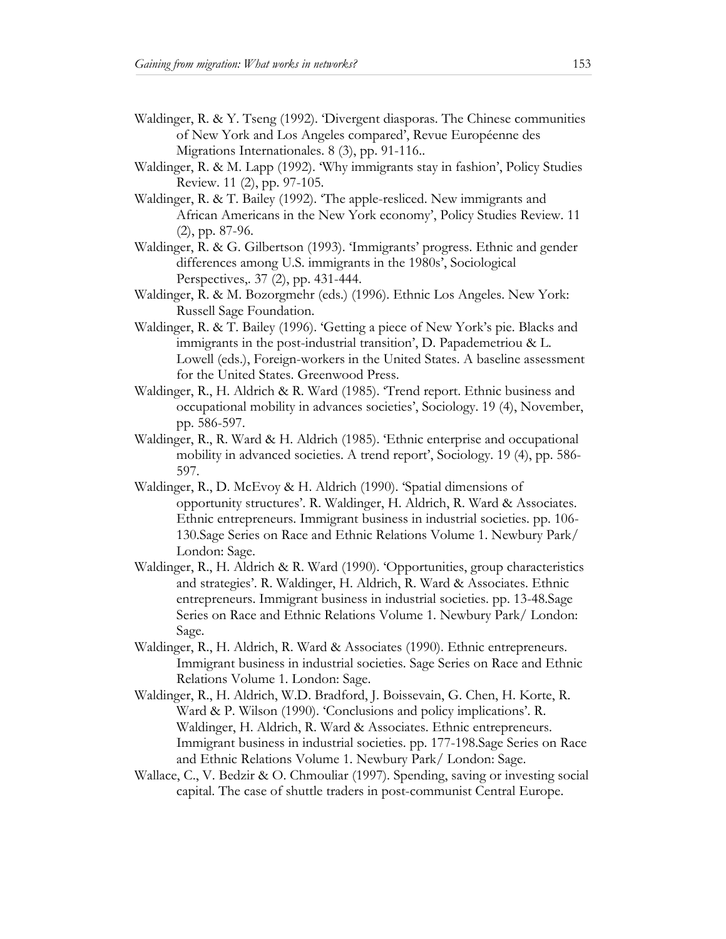- Waldinger, R. & Y. Tseng (1992). 'Divergent diasporas. The Chinese communities of New York and Los Angeles compared', Revue Européenne des Migrations Internationales. 8 (3), pp. 91-116..
- Waldinger, R. & M. Lapp (1992). 'Why immigrants stay in fashion', Policy Studies Review. 11 (2), pp. 97-105.
- Waldinger, R. & T. Bailey (1992). 'The apple-resliced. New immigrants and African Americans in the New York economy', Policy Studies Review. 11 (2), pp. 87-96.
- Waldinger, R. & G. Gilbertson (1993). 'Immigrants' progress. Ethnic and gender differences among U.S. immigrants in the 1980s', Sociological Perspectives,. 37 (2), pp. 431-444.
- Waldinger, R. & M. Bozorgmehr (eds.) (1996). Ethnic Los Angeles. New York: Russell Sage Foundation.
- Waldinger, R. & T. Bailey (1996). 'Getting a piece of New York's pie. Blacks and immigrants in the post-industrial transition', D. Papademetriou & L. Lowell (eds.), Foreign-workers in the United States. A baseline assessment for the United States. Greenwood Press.
- Waldinger, R., H. Aldrich & R. Ward (1985). 'Trend report. Ethnic business and occupational mobility in advances societies', Sociology. 19 (4), November, pp. 586-597.
- Waldinger, R., R. Ward & H. Aldrich (1985). 'Ethnic enterprise and occupational mobility in advanced societies. A trend report', Sociology. 19 (4), pp. 586- 597.
- Waldinger, R., D. McEvoy & H. Aldrich (1990). 'Spatial dimensions of opportunity structures'. R. Waldinger, H. Aldrich, R. Ward & Associates. Ethnic entrepreneurs. Immigrant business in industrial societies. pp. 106- 130.Sage Series on Race and Ethnic Relations Volume 1. Newbury Park/ London: Sage.
- Waldinger, R., H. Aldrich & R. Ward (1990). 'Opportunities, group characteristics and strategies'. R. Waldinger, H. Aldrich, R. Ward & Associates. Ethnic entrepreneurs. Immigrant business in industrial societies. pp. 13-48.Sage Series on Race and Ethnic Relations Volume 1. Newbury Park/ London: Sage.
- Waldinger, R., H. Aldrich, R. Ward & Associates (1990). Ethnic entrepreneurs. Immigrant business in industrial societies. Sage Series on Race and Ethnic Relations Volume 1. London: Sage.
- Waldinger, R., H. Aldrich, W.D. Bradford, J. Boissevain, G. Chen, H. Korte, R. Ward & P. Wilson (1990). 'Conclusions and policy implications'. R. Waldinger, H. Aldrich, R. Ward & Associates. Ethnic entrepreneurs. Immigrant business in industrial societies. pp. 177-198.Sage Series on Race and Ethnic Relations Volume 1. Newbury Park/ London: Sage.
- Wallace, C., V. Bedzir & O. Chmouliar (1997). Spending, saving or investing social capital. The case of shuttle traders in post-communist Central Europe.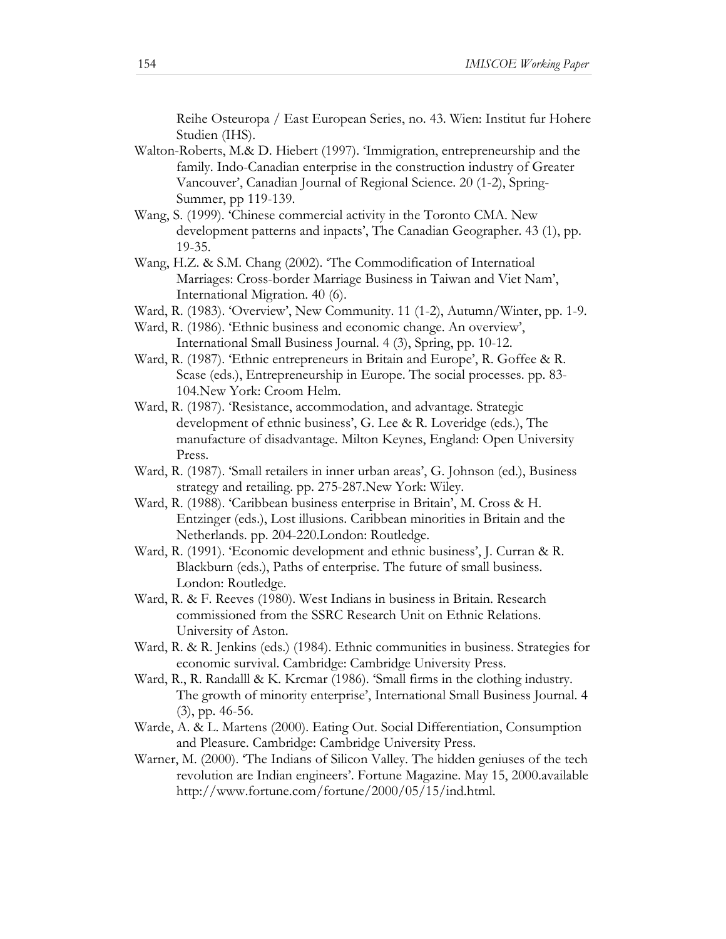Reihe Osteuropa / East European Series, no. 43. Wien: Institut fur Hohere Studien (IHS).

- Walton-Roberts, M.& D. Hiebert (1997). 'Immigration, entrepreneurship and the family. Indo-Canadian enterprise in the construction industry of Greater Vancouver', Canadian Journal of Regional Science. 20 (1-2), Spring-Summer, pp 119-139.
- Wang, S. (1999). 'Chinese commercial activity in the Toronto CMA. New development patterns and inpacts', The Canadian Geographer. 43 (1), pp. 19-35.
- Wang, H.Z. & S.M. Chang (2002). 'The Commodification of Internatioal Marriages: Cross-border Marriage Business in Taiwan and Viet Nam', International Migration. 40 (6).
- Ward, R. (1983). 'Overview', New Community. 11 (1-2), Autumn/Winter, pp. 1-9.
- Ward, R. (1986). 'Ethnic business and economic change. An overview', International Small Business Journal. 4 (3), Spring, pp. 10-12.
- Ward, R. (1987). 'Ethnic entrepreneurs in Britain and Europe', R. Goffee & R. Scase (eds.), Entrepreneurship in Europe. The social processes. pp. 83- 104.New York: Croom Helm.
- Ward, R. (1987). 'Resistance, accommodation, and advantage. Strategic development of ethnic business', G. Lee & R. Loveridge (eds.), The manufacture of disadvantage. Milton Keynes, England: Open University Press.
- Ward, R. (1987). 'Small retailers in inner urban areas', G. Johnson (ed.), Business strategy and retailing. pp. 275-287.New York: Wiley.
- Ward, R. (1988). 'Caribbean business enterprise in Britain', M. Cross & H. Entzinger (eds.), Lost illusions. Caribbean minorities in Britain and the Netherlands. pp. 204-220.London: Routledge.
- Ward, R. (1991). 'Economic development and ethnic business', J. Curran & R. Blackburn (eds.), Paths of enterprise. The future of small business. London: Routledge.
- Ward, R. & F. Reeves (1980). West Indians in business in Britain. Research commissioned from the SSRC Research Unit on Ethnic Relations. University of Aston.
- Ward, R. & R. Jenkins (eds.) (1984). Ethnic communities in business. Strategies for economic survival. Cambridge: Cambridge University Press.
- Ward, R., R. Randalll & K. Krcmar (1986). 'Small firms in the clothing industry. The growth of minority enterprise', International Small Business Journal. 4 (3), pp. 46-56.
- Warde, A. & L. Martens (2000). Eating Out. Social Differentiation, Consumption and Pleasure. Cambridge: Cambridge University Press.
- Warner, M. (2000). 'The Indians of Silicon Valley. The hidden geniuses of the tech revolution are Indian engineers'. Fortune Magazine. May 15, 2000.available http://www.fortune.com/fortune/2000/05/15/ind.html.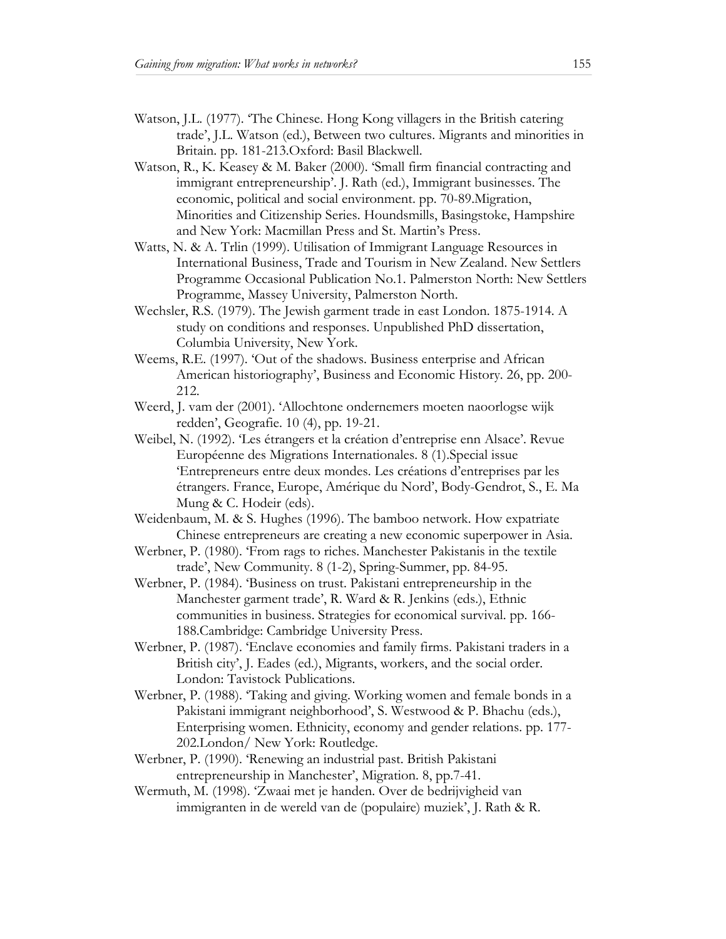- Watson, J.L. (1977). 'The Chinese. Hong Kong villagers in the British catering trade', J.L. Watson (ed.), Between two cultures. Migrants and minorities in Britain. pp. 181-213.Oxford: Basil Blackwell.
- Watson, R., K. Keasey & M. Baker (2000). 'Small firm financial contracting and immigrant entrepreneurship'. J. Rath (ed.), Immigrant businesses. The economic, political and social environment. pp. 70-89.Migration, Minorities and Citizenship Series. Houndsmills, Basingstoke, Hampshire and New York: Macmillan Press and St. Martin's Press.
- Watts, N. & A. Trlin (1999). Utilisation of Immigrant Language Resources in International Business, Trade and Tourism in New Zealand. New Settlers Programme Occasional Publication No.1. Palmerston North: New Settlers Programme, Massey University, Palmerston North.
- Wechsler, R.S. (1979). The Jewish garment trade in east London. 1875-1914. A study on conditions and responses. Unpublished PhD dissertation, Columbia University, New York.
- Weems, R.E. (1997). 'Out of the shadows. Business enterprise and African American historiography', Business and Economic History. 26, pp. 200- 212.
- Weerd, J. vam der (2001). 'Allochtone ondernemers moeten naoorlogse wijk redden', Geografie. 10 (4), pp. 19-21.
- Weibel, N. (1992). 'Les étrangers et la création d'entreprise enn Alsace'. Revue Européenne des Migrations Internationales. 8 (1).Special issue 'Entrepreneurs entre deux mondes. Les créations d'entreprises par les étrangers. France, Europe, Amérique du Nord', Body-Gendrot, S., E. Ma Mung & C. Hodeir (eds).
- Weidenbaum, M. & S. Hughes (1996). The bamboo network. How expatriate Chinese entrepreneurs are creating a new economic superpower in Asia.
- Werbner, P. (1980). 'From rags to riches. Manchester Pakistanis in the textile trade', New Community. 8 (1-2), Spring-Summer, pp. 84-95.
- Werbner, P. (1984). 'Business on trust. Pakistani entrepreneurship in the Manchester garment trade', R. Ward & R. Jenkins (eds.), Ethnic communities in business. Strategies for economical survival. pp. 166- 188.Cambridge: Cambridge University Press.
- Werbner, P. (1987). 'Enclave economies and family firms. Pakistani traders in a British city', J. Eades (ed.), Migrants, workers, and the social order. London: Tavistock Publications.
- Werbner, P. (1988). 'Taking and giving. Working women and female bonds in a Pakistani immigrant neighborhood', S. Westwood & P. Bhachu (eds.), Enterprising women. Ethnicity, economy and gender relations. pp. 177- 202.London/ New York: Routledge.
- Werbner, P. (1990). 'Renewing an industrial past. British Pakistani entrepreneurship in Manchester', Migration. 8, pp.7-41.
- Wermuth, M. (1998). 'Zwaai met je handen. Over de bedrijvigheid van immigranten in de wereld van de (populaire) muziek', J. Rath & R.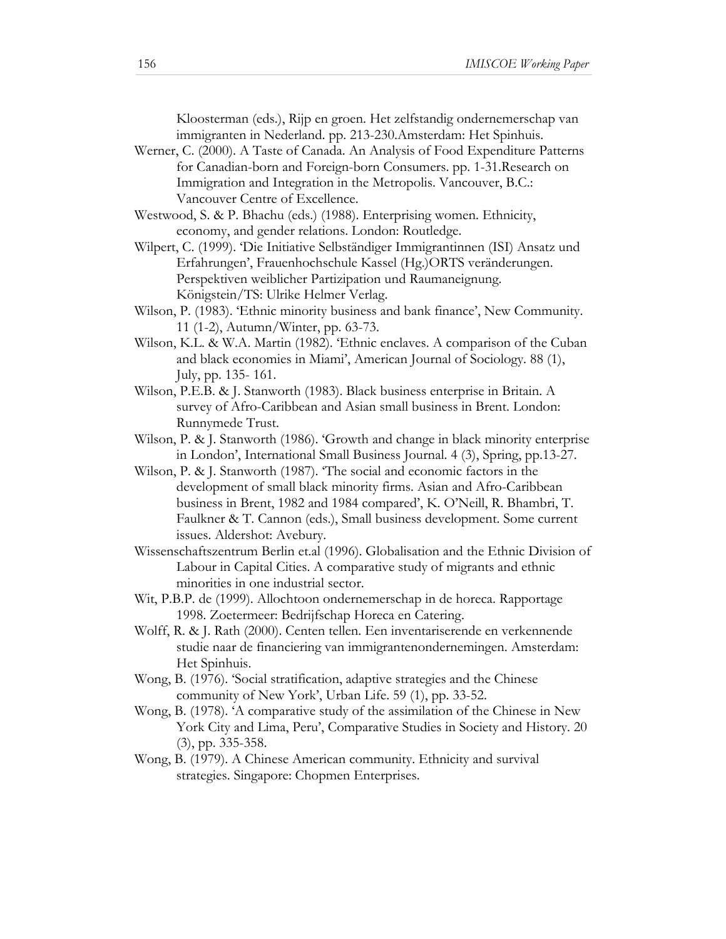Kloosterman (eds.), Rijp en groen. Het zelfstandig ondernemerschap van immigranten in Nederland. pp. 213-230.Amsterdam: Het Spinhuis.

- Werner, C. (2000). A Taste of Canada. An Analysis of Food Expenditure Patterns for Canadian-born and Foreign-born Consumers. pp. 1-31.Research on Immigration and Integration in the Metropolis. Vancouver, B.C.: Vancouver Centre of Excellence.
- Westwood, S. & P. Bhachu (eds.) (1988). Enterprising women. Ethnicity, economy, and gender relations. London: Routledge.
- Wilpert, C. (1999). 'Die Initiative Selbständiger Immigrantinnen (ISI) Ansatz und Erfahrungen', Frauenhochschule Kassel (Hg.)ORTS veränderungen. Perspektiven weiblicher Partizipation und Raumaneignung. Königstein/TS: Ulrike Helmer Verlag.
- Wilson, P. (1983). 'Ethnic minority business and bank finance', New Community. 11 (1-2), Autumn/Winter, pp. 63-73.
- Wilson, K.L. & W.A. Martin (1982). 'Ethnic enclaves. A comparison of the Cuban and black economies in Miami', American Journal of Sociology. 88 (1), July, pp. 135- 161.
- Wilson, P.E.B. & J. Stanworth (1983). Black business enterprise in Britain. A survey of Afro-Caribbean and Asian small business in Brent. London: Runnymede Trust.
- Wilson, P. & J. Stanworth (1986). 'Growth and change in black minority enterprise in London', International Small Business Journal. 4 (3), Spring, pp.13-27.
- Wilson, P. & J. Stanworth (1987). 'The social and economic factors in the development of small black minority firms. Asian and Afro-Caribbean business in Brent, 1982 and 1984 compared', K. O'Neill, R. Bhambri, T. Faulkner & T. Cannon (eds.), Small business development. Some current issues. Aldershot: Avebury.
- Wissenschaftszentrum Berlin et.al (1996). Globalisation and the Ethnic Division of Labour in Capital Cities. A comparative study of migrants and ethnic minorities in one industrial sector.
- Wit, P.B.P. de (1999). Allochtoon ondernemerschap in de horeca. Rapportage 1998. Zoetermeer: Bedrijfschap Horeca en Catering.
- Wolff, R. & J. Rath (2000). Centen tellen. Een inventariserende en verkennende studie naar de financiering van immigrantenondernemingen. Amsterdam: Het Spinhuis.
- Wong, B. (1976). 'Social stratification, adaptive strategies and the Chinese community of New York', Urban Life. 59 (1), pp. 33-52.
- Wong, B. (1978). 'A comparative study of the assimilation of the Chinese in New York City and Lima, Peru', Comparative Studies in Society and History. 20 (3), pp. 335-358.
- Wong, B. (1979). A Chinese American community. Ethnicity and survival strategies. Singapore: Chopmen Enterprises.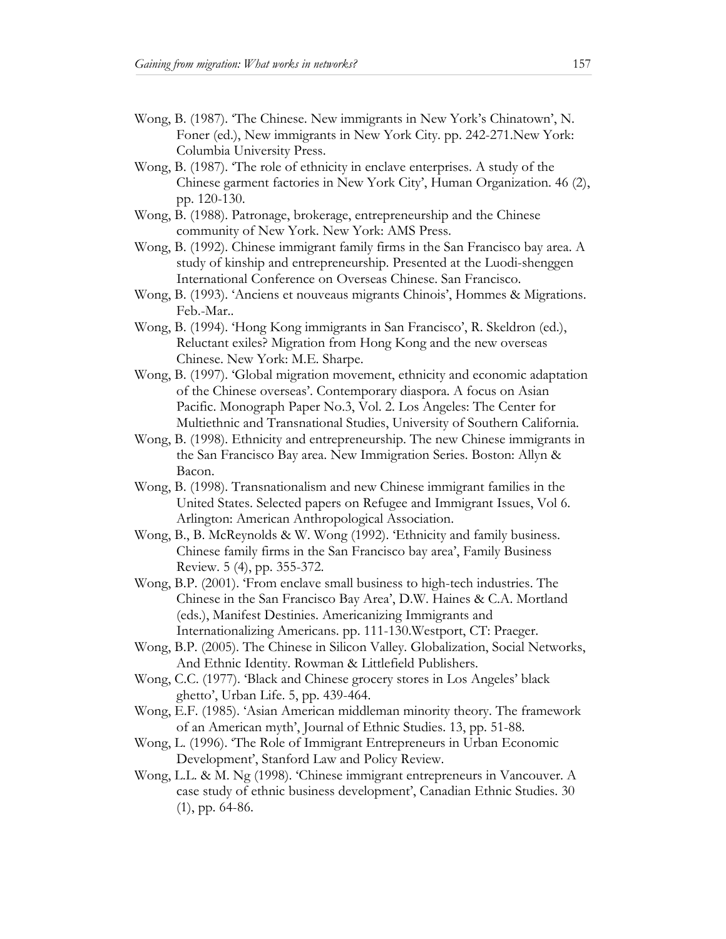- Wong, B. (1987). 'The Chinese. New immigrants in New York's Chinatown', N. Foner (ed.), New immigrants in New York City. pp. 242-271.New York: Columbia University Press.
- Wong, B. (1987). 'The role of ethnicity in enclave enterprises. A study of the Chinese garment factories in New York City', Human Organization. 46 (2), pp. 120-130.
- Wong, B. (1988). Patronage, brokerage, entrepreneurship and the Chinese community of New York. New York: AMS Press.
- Wong, B. (1992). Chinese immigrant family firms in the San Francisco bay area. A study of kinship and entrepreneurship. Presented at the Luodi-shenggen International Conference on Overseas Chinese. San Francisco.
- Wong, B. (1993). 'Anciens et nouveaus migrants Chinois', Hommes & Migrations. Feb.-Mar..
- Wong, B. (1994). 'Hong Kong immigrants in San Francisco', R. Skeldron (ed.), Reluctant exiles? Migration from Hong Kong and the new overseas Chinese. New York: M.E. Sharpe.
- Wong, B. (1997). 'Global migration movement, ethnicity and economic adaptation of the Chinese overseas'. Contemporary diaspora. A focus on Asian Pacific. Monograph Paper No.3, Vol. 2. Los Angeles: The Center for Multiethnic and Transnational Studies, University of Southern California.
- Wong, B. (1998). Ethnicity and entrepreneurship. The new Chinese immigrants in the San Francisco Bay area. New Immigration Series. Boston: Allyn & Bacon.
- Wong, B. (1998). Transnationalism and new Chinese immigrant families in the United States. Selected papers on Refugee and Immigrant Issues, Vol 6. Arlington: American Anthropological Association.
- Wong, B., B. McReynolds & W. Wong (1992). 'Ethnicity and family business. Chinese family firms in the San Francisco bay area', Family Business Review. 5 (4), pp. 355-372.
- Wong, B.P. (2001). 'From enclave small business to high-tech industries. The Chinese in the San Francisco Bay Area', D.W. Haines & C.A. Mortland (eds.), Manifest Destinies. Americanizing Immigrants and Internationalizing Americans. pp. 111-130.Westport, CT: Praeger.
- Wong, B.P. (2005). The Chinese in Silicon Valley. Globalization, Social Networks, And Ethnic Identity. Rowman & Littlefield Publishers.
- Wong, C.C. (1977). 'Black and Chinese grocery stores in Los Angeles' black ghetto', Urban Life. 5, pp. 439-464.
- Wong, E.F. (1985). 'Asian American middleman minority theory. The framework of an American myth', Journal of Ethnic Studies. 13, pp. 51-88.
- Wong, L. (1996). 'The Role of Immigrant Entrepreneurs in Urban Economic Development', Stanford Law and Policy Review.
- Wong, L.L. & M. Ng (1998). 'Chinese immigrant entrepreneurs in Vancouver. A case study of ethnic business development', Canadian Ethnic Studies. 30 (1), pp. 64-86.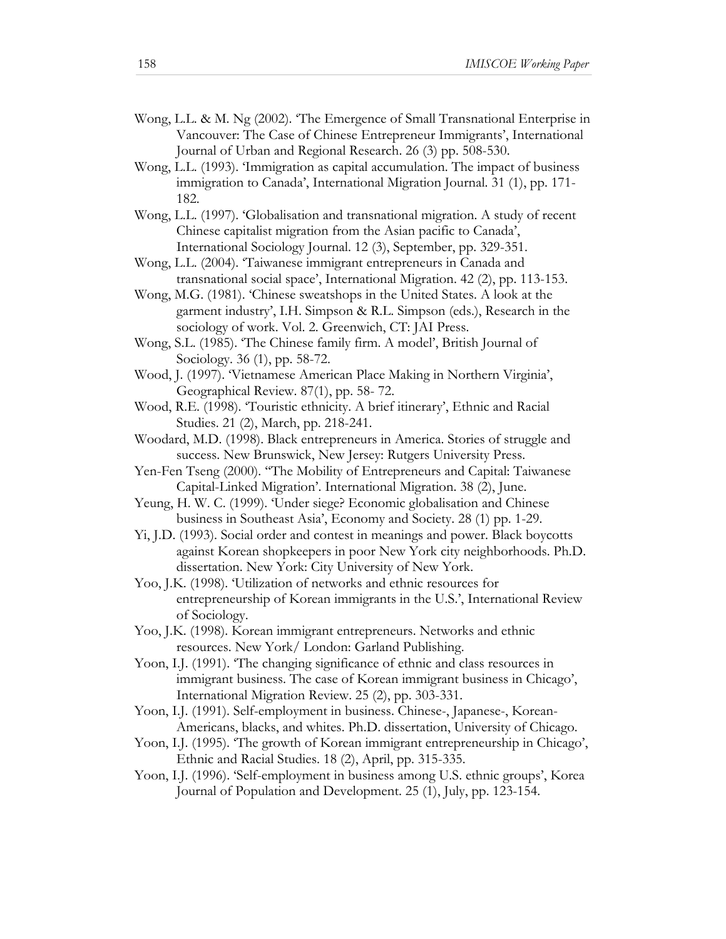- Wong, L.L. & M. Ng (2002). 'The Emergence of Small Transnational Enterprise in Vancouver: The Case of Chinese Entrepreneur Immigrants', International Journal of Urban and Regional Research. 26 (3) pp. 508-530.
- Wong, L.L. (1993). 'Immigration as capital accumulation. The impact of business immigration to Canada', International Migration Journal. 31 (1), pp. 171- 182.
- Wong, L.L. (1997). 'Globalisation and transnational migration. A study of recent Chinese capitalist migration from the Asian pacific to Canada', International Sociology Journal. 12 (3), September, pp. 329-351.
- Wong, L.L. (2004). 'Taiwanese immigrant entrepreneurs in Canada and transnational social space', International Migration. 42 (2), pp. 113-153.
- Wong, M.G. (1981). 'Chinese sweatshops in the United States. A look at the garment industry', I.H. Simpson & R.L. Simpson (eds.), Research in the sociology of work. Vol. 2. Greenwich, CT: JAI Press.
- Wong, S.L. (1985). 'The Chinese family firm. A model', British Journal of Sociology. 36 (1), pp. 58-72.
- Wood, J. (1997). 'Vietnamese American Place Making in Northern Virginia', Geographical Review. 87(1), pp. 58- 72.
- Wood, R.E. (1998). 'Touristic ethnicity. A brief itinerary', Ethnic and Racial Studies. 21 (2), March, pp. 218-241.
- Woodard, M.D. (1998). Black entrepreneurs in America. Stories of struggle and success. New Brunswick, New Jersey: Rutgers University Press.
- Yen-Fen Tseng (2000). ''The Mobility of Entrepreneurs and Capital: Taiwanese Capital-Linked Migration'. International Migration. 38 (2), June.
- Yeung, H. W. C. (1999). 'Under siege? Economic globalisation and Chinese business in Southeast Asia', Economy and Society. 28 (1) pp. 1-29.
- Yi, J.D. (1993). Social order and contest in meanings and power. Black boycotts against Korean shopkeepers in poor New York city neighborhoods. Ph.D. dissertation. New York: City University of New York.
- Yoo, J.K. (1998). 'Utilization of networks and ethnic resources for entrepreneurship of Korean immigrants in the U.S.', International Review of Sociology.
- Yoo, J.K. (1998). Korean immigrant entrepreneurs. Networks and ethnic resources. New York/ London: Garland Publishing.
- Yoon, I.J. (1991). 'The changing significance of ethnic and class resources in immigrant business. The case of Korean immigrant business in Chicago', International Migration Review. 25 (2), pp. 303-331.
- Yoon, I.J. (1991). Self-employment in business. Chinese-, Japanese-, Korean-Americans, blacks, and whites. Ph.D. dissertation, University of Chicago.
- Yoon, I.J. (1995). 'The growth of Korean immigrant entrepreneurship in Chicago', Ethnic and Racial Studies. 18 (2), April, pp. 315-335.
- Yoon, I.J. (1996). 'Self-employment in business among U.S. ethnic groups', Korea Journal of Population and Development. 25 (1), July, pp. 123-154.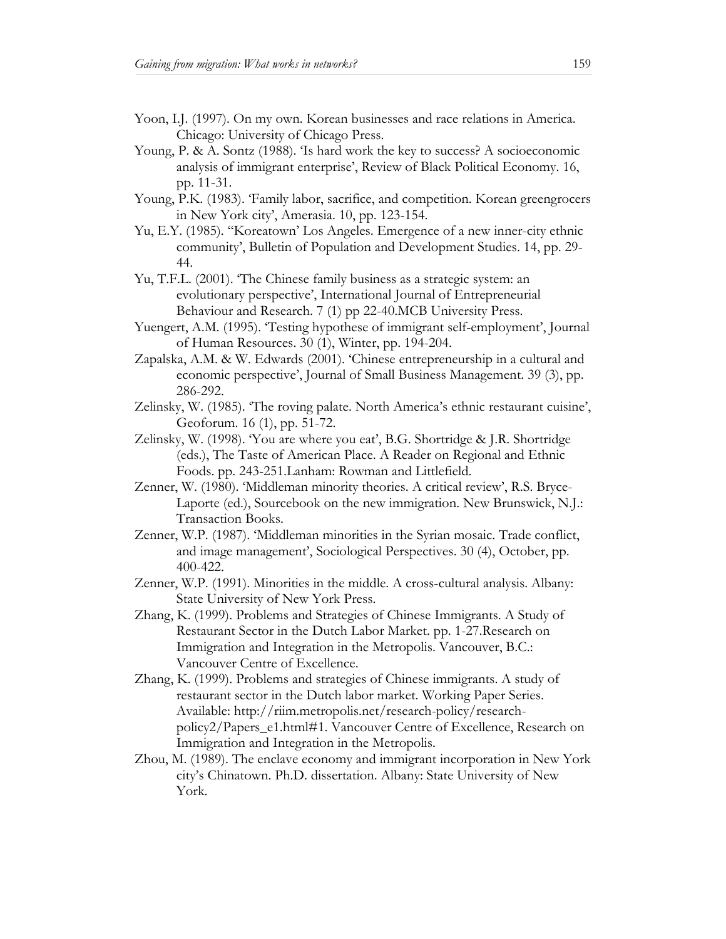- Yoon, I.J. (1997). On my own. Korean businesses and race relations in America. Chicago: University of Chicago Press.
- Young, P. & A. Sontz (1988). 'Is hard work the key to success? A socioeconomic analysis of immigrant enterprise', Review of Black Political Economy. 16, pp. 11-31.
- Young, P.K. (1983). 'Family labor, sacrifice, and competition. Korean greengrocers in New York city', Amerasia. 10, pp. 123-154.
- Yu, E.Y. (1985). ''Koreatown' Los Angeles. Emergence of a new inner-city ethnic community', Bulletin of Population and Development Studies. 14, pp. 29- 44.
- Yu, T.F.L. (2001). 'The Chinese family business as a strategic system: an evolutionary perspective', International Journal of Entrepreneurial Behaviour and Research. 7 (1) pp 22-40.MCB University Press.
- Yuengert, A.M. (1995). 'Testing hypothese of immigrant self-employment', Journal of Human Resources. 30 (1), Winter, pp. 194-204.
- Zapalska, A.M. & W. Edwards (2001). 'Chinese entrepreneurship in a cultural and economic perspective', Journal of Small Business Management. 39 (3), pp. 286-292.
- Zelinsky, W. (1985). 'The roving palate. North America's ethnic restaurant cuisine', Geoforum. 16 (1), pp. 51-72.
- Zelinsky, W. (1998). 'You are where you eat', B.G. Shortridge & J.R. Shortridge (eds.), The Taste of American Place. A Reader on Regional and Ethnic Foods. pp. 243-251.Lanham: Rowman and Littlefield.
- Zenner, W. (1980). 'Middleman minority theories. A critical review', R.S. Bryce-Laporte (ed.), Sourcebook on the new immigration. New Brunswick, N.J.: Transaction Books.
- Zenner, W.P. (1987). 'Middleman minorities in the Syrian mosaic. Trade conflict, and image management', Sociological Perspectives. 30 (4), October, pp. 400-422.
- Zenner, W.P. (1991). Minorities in the middle. A cross-cultural analysis. Albany: State University of New York Press.
- Zhang, K. (1999). Problems and Strategies of Chinese Immigrants. A Study of Restaurant Sector in the Dutch Labor Market. pp. 1-27.Research on Immigration and Integration in the Metropolis. Vancouver, B.C.: Vancouver Centre of Excellence.
- Zhang, K. (1999). Problems and strategies of Chinese immigrants. A study of restaurant sector in the Dutch labor market. Working Paper Series. Available: http://riim.metropolis.net/research-policy/researchpolicy2/Papers\_e1.html#1. Vancouver Centre of Excellence, Research on Immigration and Integration in the Metropolis.
- Zhou, M. (1989). The enclave economy and immigrant incorporation in New York city's Chinatown. Ph.D. dissertation. Albany: State University of New York.